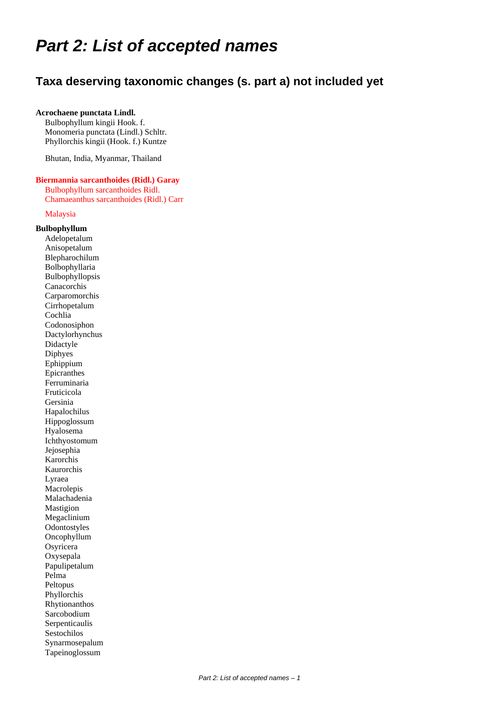# *Part 2: List of accepted names*

# **Taxa deserving taxonomic changes (s. part a) not included yet**

### **Acrochaene punctata Lindl.**

Bulbophyllum kingii Hook. f. Monomeria punctata (Lindl.) Schltr. Phyllorchis kingii (Hook. f.) Kuntze

Bhutan, India, Myanmar, Thailand

# **Biermannia sarcanthoides (Ridl.) Garay**

Bulbophyllum sarcanthoides Ridl. Chamaeanthus sarcanthoides (Ridl.) Carr

Malaysia

### **Bulbophyllum**

Adelopetalum Anisopetalum Blepharochilum Bolbophyllaria Bulbophyllopsis Canacorchis Carparomorchis Cirrhopetalum Cochlia Codonosiphon Dactylorhynchus Didactyle Diphyes Ephippium Epicranthes Ferruminaria Fruticicola Gersinia Hapalochilus Hippoglossum Hyalosema Ichthyostomum Jejosephia Karorchis Kaurorchis Lyraea Macrolepis Malachadenia Mastigion Megaclinium **Odontostyles** Oncophyllum Osyricera Oxysepala Papulipetalum Pelma Peltopus Phyllorchis Rhytionanthos Sarcobodium Serpenticaulis Sestochilos Synarmosepalum Tapeinoglossum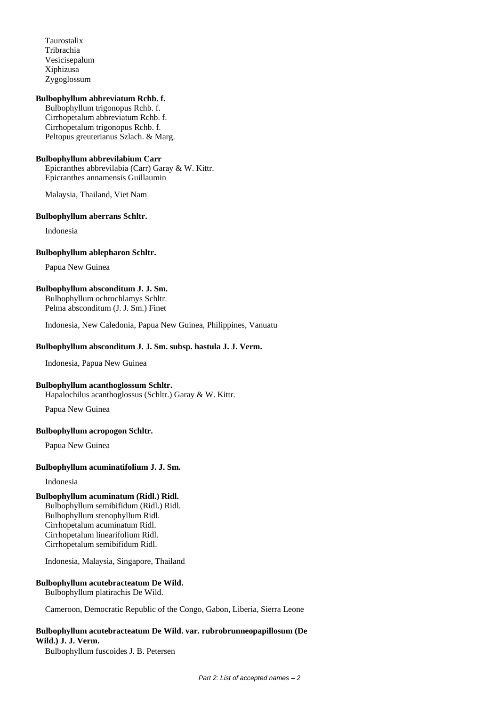Taurostalix Tribrachia Vesicisepalum Xiphizusa Zygoglossum

### **Bulbophyllum abbreviatum Rchb. f.**

 Bulbophyllum trigonopus Rchb. f. Cirrhopetalum abbreviatum Rchb. f. Cirrhopetalum trigonopus Rchb. f. Peltopus greuterianus Szlach. & Marg.

### **Bulbophyllum abbrevilabium Carr**

Epicranthes abbrevilabia (Carr) Garay & W. Kittr. Epicranthes annamensis Guillaumin

Malaysia, Thailand, Viet Nam

### **Bulbophyllum aberrans Schltr.**

Indonesia

#### **Bulbophyllum ablepharon Schltr.**

Papua New Guinea

### **Bulbophyllum absconditum J. J. Sm.**

Bulbophyllum ochrochlamys Schltr. Pelma absconditum (J. J. Sm.) Finet

Indonesia, New Caledonia, Papua New Guinea, Philippines, Vanuatu

### **Bulbophyllum absconditum J. J. Sm. subsp. hastula J. J. Verm.**

Indonesia, Papua New Guinea

#### **Bulbophyllum acanthoglossum Schltr.**

Hapalochilus acanthoglossus (Schltr.) Garay & W. Kittr.

Papua New Guinea

### **Bulbophyllum acropogon Schltr.**

Papua New Guinea

#### **Bulbophyllum acuminatifolium J. J. Sm.**

Indonesia

### **Bulbophyllum acuminatum (Ridl.) Ridl.**

Bulbophyllum semibifidum (Ridl.) Ridl. Bulbophyllum stenophyllum Ridl. Cirrhopetalum acuminatum Ridl. Cirrhopetalum linearifolium Ridl. Cirrhopetalum semibifidum Ridl.

Indonesia, Malaysia, Singapore, Thailand

#### **Bulbophyllum acutebracteatum De Wild.** Bulbophyllum platirachis De Wild.

Cameroon, Democratic Republic of the Congo, Gabon, Liberia, Sierra Leone

# **Bulbophyllum acutebracteatum De Wild. var. rubrobrunneopapillosum (De Wild.) J. J. Verm.**

Bulbophyllum fuscoides J. B. Petersen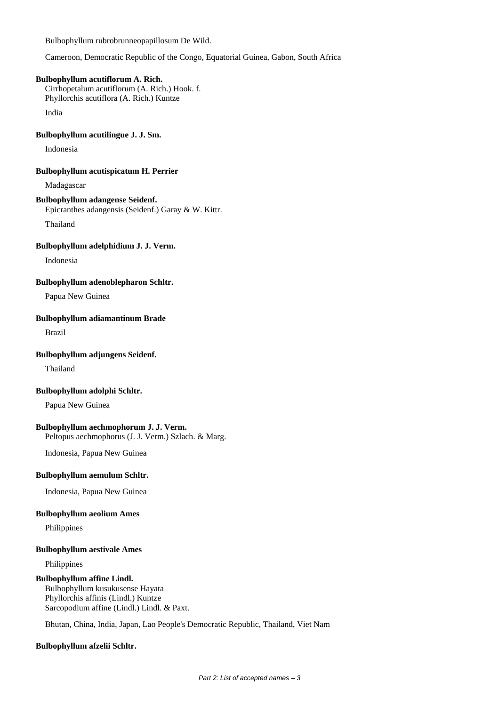Bulbophyllum rubrobrunneopapillosum De Wild.

Cameroon, Democratic Republic of the Congo, Equatorial Guinea, Gabon, South Africa

### **Bulbophyllum acutiflorum A. Rich.**

Cirrhopetalum acutiflorum (A. Rich.) Hook. f. Phyllorchis acutiflora (A. Rich.) Kuntze

India

### **Bulbophyllum acutilingue J. J. Sm.**

Indonesia

### **Bulbophyllum acutispicatum H. Perrier**

Madagascar

# **Bulbophyllum adangense Seidenf.**

Epicranthes adangensis (Seidenf.) Garay & W. Kittr.

Thailand

## **Bulbophyllum adelphidium J. J. Verm.**

Indonesia

**Bulbophyllum adenoblepharon Schltr.**

Papua New Guinea

### **Bulbophyllum adiamantinum Brade**

Brazil

# **Bulbophyllum adjungens Seidenf.**

Thailand

# **Bulbophyllum adolphi Schltr.**

Papua New Guinea

### **Bulbophyllum aechmophorum J. J. Verm.**

Peltopus aechmophorus (J. J. Verm.) Szlach. & Marg.

Indonesia, Papua New Guinea

### **Bulbophyllum aemulum Schltr.**

Indonesia, Papua New Guinea

#### **Bulbophyllum aeolium Ames**

Philippines

#### **Bulbophyllum aestivale Ames**

Philippines

### **Bulbophyllum affine Lindl.**

Bulbophyllum kusukusense Hayata Phyllorchis affinis (Lindl.) Kuntze Sarcopodium affine (Lindl.) Lindl. & Paxt.

Bhutan, China, India, Japan, Lao People's Democratic Republic, Thailand, Viet Nam

### **Bulbophyllum afzelii Schltr.**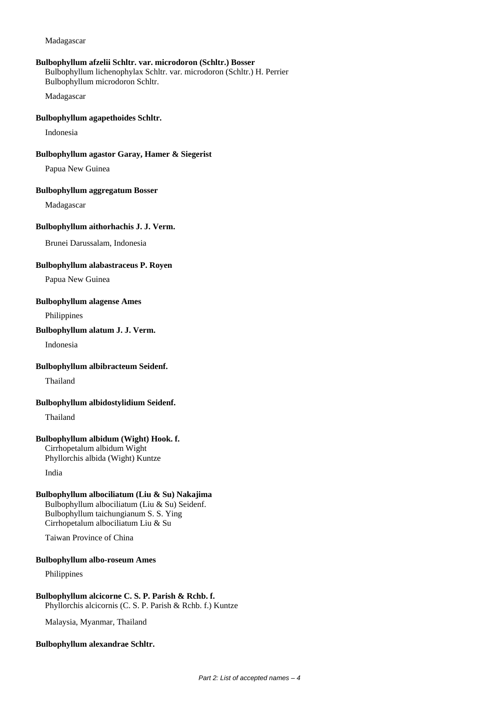### **Bulbophyllum afzelii Schltr. var. microdoron (Schltr.) Bosser**

Bulbophyllum lichenophylax Schltr. var. microdoron (Schltr.) H. Perrier Bulbophyllum microdoron Schltr.

Madagascar

### **Bulbophyllum agapethoides Schltr.**

Indonesia

### **Bulbophyllum agastor Garay, Hamer & Siegerist**

Papua New Guinea

#### **Bulbophyllum aggregatum Bosser**

Madagascar

### **Bulbophyllum aithorhachis J. J. Verm.**

Brunei Darussalam, Indonesia

### **Bulbophyllum alabastraceus P. Royen**

Papua New Guinea

### **Bulbophyllum alagense Ames**

Philippines

### **Bulbophyllum alatum J. J. Verm.**

Indonesia

### **Bulbophyllum albibracteum Seidenf.**

Thailand

**Bulbophyllum albidostylidium Seidenf.**

Thailand

# **Bulbophyllum albidum (Wight) Hook. f.**

Cirrhopetalum albidum Wight Phyllorchis albida (Wight) Kuntze

India

### **Bulbophyllum albociliatum (Liu & Su) Nakajima**

Bulbophyllum albociliatum (Liu & Su) Seidenf. Bulbophyllum taichungianum S. S. Ying Cirrhopetalum albociliatum Liu & Su

Taiwan Province of China

#### **Bulbophyllum albo-roseum Ames**

Philippines

# **Bulbophyllum alcicorne C. S. P. Parish & Rchb. f.** Phyllorchis alcicornis (C. S. P. Parish & Rchb. f.) Kuntze

Malaysia, Myanmar, Thailand

#### **Bulbophyllum alexandrae Schltr.**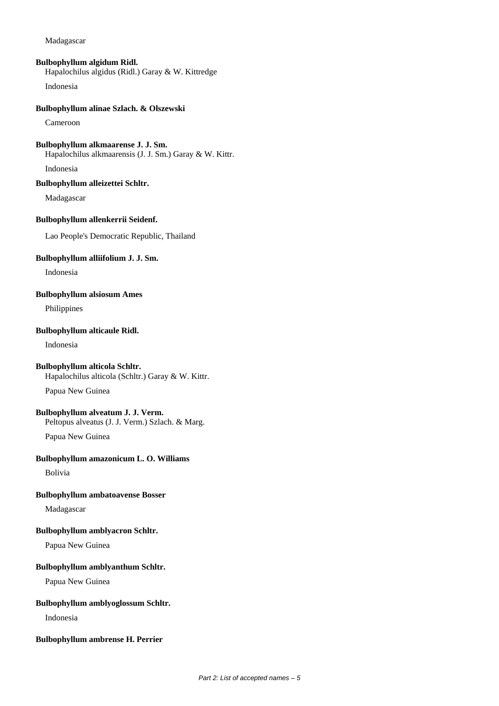### **Bulbophyllum algidum Ridl.**

Hapalochilus algidus (Ridl.) Garay & W. Kittredge

Indonesia

### **Bulbophyllum alinae Szlach. & Olszewski**

Cameroon

# **Bulbophyllum alkmaarense J. J. Sm.**

Hapalochilus alkmaarensis (J. J. Sm.) Garay & W. Kittr.

Indonesia

# **Bulbophyllum alleizettei Schltr.**

Madagascar

# **Bulbophyllum allenkerrii Seidenf.**

Lao People's Democratic Republic, Thailand

# **Bulbophyllum alliifolium J. J. Sm.**

Indonesia

# **Bulbophyllum alsiosum Ames**

Philippines

# **Bulbophyllum alticaule Ridl.**

Indonesia

# **Bulbophyllum alticola Schltr.**

Hapalochilus alticola (Schltr.) Garay & W. Kittr.

Papua New Guinea

# **Bulbophyllum alveatum J. J. Verm.**

Peltopus alveatus (J. J. Verm.) Szlach. & Marg.

Papua New Guinea

# **Bulbophyllum amazonicum L. O. Williams**

Bolivia

# **Bulbophyllum ambatoavense Bosser**

Madagascar

# **Bulbophyllum amblyacron Schltr.**

Papua New Guinea

# **Bulbophyllum amblyanthum Schltr.**

Papua New Guinea

### **Bulbophyllum amblyoglossum Schltr.**

Indonesia

# **Bulbophyllum ambrense H. Perrier**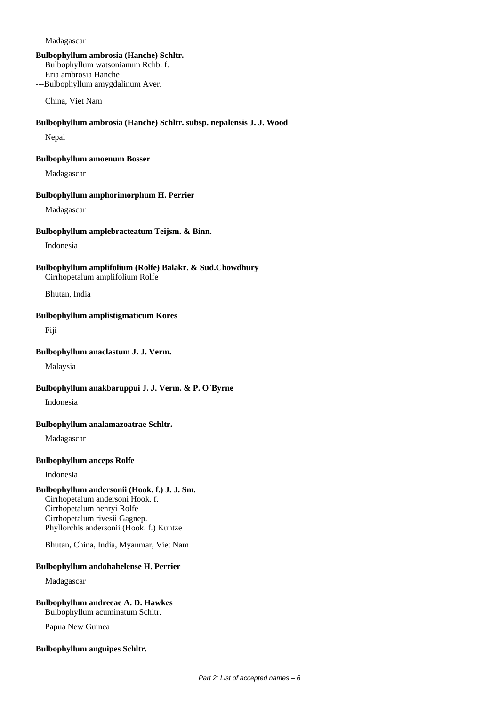### **Bulbophyllum ambrosia (Hanche) Schltr.**

Bulbophyllum watsonianum Rchb. f.

Eria ambrosia Hanche ---Bulbophyllum amygdalinum Aver.

China, Viet Nam

### **Bulbophyllum ambrosia (Hanche) Schltr. subsp. nepalensis J. J. Wood**

Nepal

### **Bulbophyllum amoenum Bosser**

Madagascar

### **Bulbophyllum amphorimorphum H. Perrier**

Madagascar

### **Bulbophyllum amplebracteatum Teijsm. & Binn.**

Indonesia

### **Bulbophyllum amplifolium (Rolfe) Balakr. & Sud.Chowdhury**  Cirrhopetalum amplifolium Rolfe

Bhutan, India

### **Bulbophyllum amplistigmaticum Kores**

Fiji

### **Bulbophyllum anaclastum J. J. Verm.**

Malaysia

### **Bulbophyllum anakbaruppui J. J. Verm. & P. O`Byrne**

Indonesia

### **Bulbophyllum analamazoatrae Schltr.**

Madagascar

### **Bulbophyllum anceps Rolfe**

Indonesia

# **Bulbophyllum andersonii (Hook. f.) J. J. Sm.**

Cirrhopetalum andersoni Hook. f. Cirrhopetalum henryi Rolfe Cirrhopetalum rivesii Gagnep. Phyllorchis andersonii (Hook. f.) Kuntze

Bhutan, China, India, Myanmar, Viet Nam

### **Bulbophyllum andohahelense H. Perrier**

# Madagascar

### **Bulbophyllum andreeae A. D. Hawkes** Bulbophyllum acuminatum Schltr.

Papua New Guinea

### **Bulbophyllum anguipes Schltr.**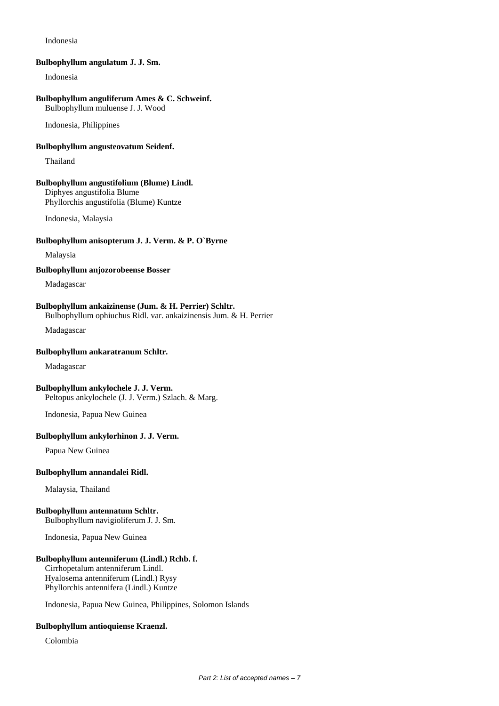### Indonesia

#### **Bulbophyllum angulatum J. J. Sm.**

Indonesia

#### **Bulbophyllum anguliferum Ames & C. Schweinf.**

Bulbophyllum muluense J. J. Wood

Indonesia, Philippines

### **Bulbophyllum angusteovatum Seidenf.**

Thailand

### **Bulbophyllum angustifolium (Blume) Lindl.**

Diphyes angustifolia Blume Phyllorchis angustifolia (Blume) Kuntze

Indonesia, Malaysia

### **Bulbophyllum anisopterum J. J. Verm. & P. O`Byrne**

Malaysia

**Bulbophyllum anjozorobeense Bosser**

Madagascar

#### **Bulbophyllum ankaizinense (Jum. & H. Perrier) Schltr.** Bulbophyllum ophiuchus Ridl. var. ankaizinensis Jum. & H. Perrier

Madagascar

#### **Bulbophyllum ankaratranum Schltr.**

Madagascar

#### **Bulbophyllum ankylochele J. J. Verm.**

Peltopus ankylochele (J. J. Verm.) Szlach. & Marg.

Indonesia, Papua New Guinea

### **Bulbophyllum ankylorhinon J. J. Verm.**

Papua New Guinea

#### **Bulbophyllum annandalei Ridl.**

Malaysia, Thailand

# **Bulbophyllum antennatum Schltr.**

Bulbophyllum navigioliferum J. J. Sm.

Indonesia, Papua New Guinea

### **Bulbophyllum antenniferum (Lindl.) Rchb. f.**

Cirrhopetalum antenniferum Lindl. Hyalosema antenniferum (Lindl.) Rysy Phyllorchis antennifera (Lindl.) Kuntze

Indonesia, Papua New Guinea, Philippines, Solomon Islands

### **Bulbophyllum antioquiense Kraenzl.**

Colombia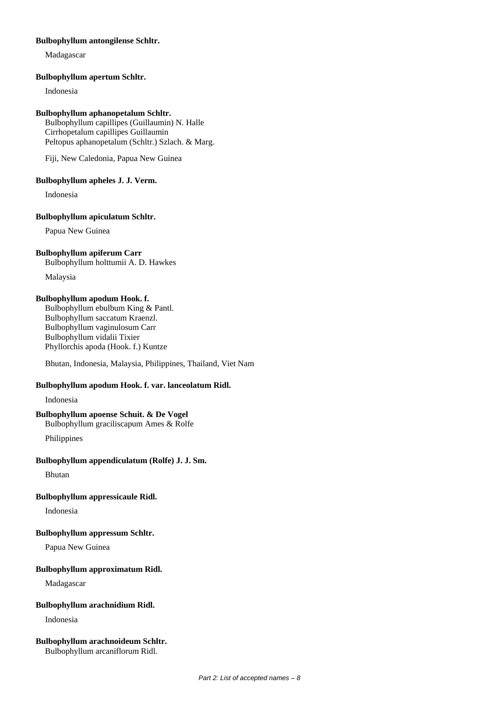### **Bulbophyllum antongilense Schltr.**

Madagascar

### **Bulbophyllum apertum Schltr.**

Indonesia

### **Bulbophyllum aphanopetalum Schltr.**

Bulbophyllum capillipes (Guillaumin) N. Halle Cirrhopetalum capillipes Guillaumin Peltopus aphanopetalum (Schltr.) Szlach. & Marg.

Fiji, New Caledonia, Papua New Guinea

### **Bulbophyllum apheles J. J. Verm.**

Indonesia

### **Bulbophyllum apiculatum Schltr.**

Papua New Guinea

### **Bulbophyllum apiferum Carr**

Bulbophyllum holttumii A. D. Hawkes

Malaysia

### **Bulbophyllum apodum Hook. f.**

Bulbophyllum ebulbum King & Pantl. Bulbophyllum saccatum Kraenzl. Bulbophyllum vaginulosum Carr Bulbophyllum vidalii Tixier Phyllorchis apoda (Hook. f.) Kuntze

Bhutan, Indonesia, Malaysia, Philippines, Thailand, Viet Nam

# **Bulbophyllum apodum Hook. f. var. lanceolatum Ridl.**

Indonesia

### **Bulbophyllum apoense Schuit. & De Vogel**

Bulbophyllum graciliscapum Ames & Rolfe

Philippines

### **Bulbophyllum appendiculatum (Rolfe) J. J. Sm.**

Bhutan

### **Bulbophyllum appressicaule Ridl.**

Indonesia

## **Bulbophyllum appressum Schltr.**

Papua New Guinea

### **Bulbophyllum approximatum Ridl.**

Madagascar

### **Bulbophyllum arachnidium Ridl.**

Indonesia

#### **Bulbophyllum arachnoideum Schltr.** Bulbophyllum arcaniflorum Ridl.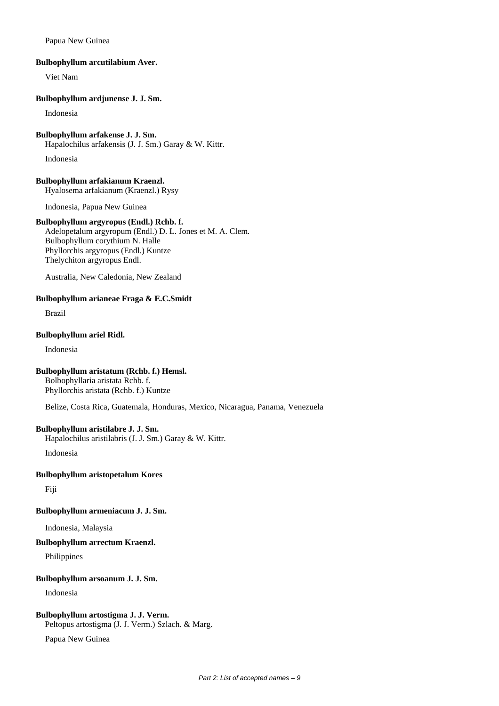### Papua New Guinea

### **Bulbophyllum arcutilabium Aver.**

Viet Nam

### **Bulbophyllum ardjunense J. J. Sm.**

Indonesia

# **Bulbophyllum arfakense J. J. Sm.**

Hapalochilus arfakensis (J. J. Sm.) Garay & W. Kittr.

Indonesia

**Bulbophyllum arfakianum Kraenzl.** Hyalosema arfakianum (Kraenzl.) Rysy

Indonesia, Papua New Guinea

### **Bulbophyllum argyropus (Endl.) Rchb. f.**

Adelopetalum argyropum (Endl.) D. L. Jones et M. A. Clem. Bulbophyllum corythium N. Halle Phyllorchis argyropus (Endl.) Kuntze Thelychiton argyropus Endl.

Australia, New Caledonia, New Zealand

# **Bulbophyllum arianeae Fraga & E.C.Smidt**

Brazil

### **Bulbophyllum ariel Ridl.**

Indonesia

# **Bulbophyllum aristatum (Rchb. f.) Hemsl.**

Bolbophyllaria aristata Rchb. f. Phyllorchis aristata (Rchb. f.) Kuntze

Belize, Costa Rica, Guatemala, Honduras, Mexico, Nicaragua, Panama, Venezuela

### **Bulbophyllum aristilabre J. J. Sm.**

Hapalochilus aristilabris (J. J. Sm.) Garay & W. Kittr.

Indonesia

### **Bulbophyllum aristopetalum Kores**

Fiji

# **Bulbophyllum armeniacum J. J. Sm.**

Indonesia, Malaysia

### **Bulbophyllum arrectum Kraenzl.**

Philippines

### **Bulbophyllum arsoanum J. J. Sm.**

Indonesia

### **Bulbophyllum artostigma J. J. Verm.**

Peltopus artostigma (J. J. Verm.) Szlach. & Marg.

Papua New Guinea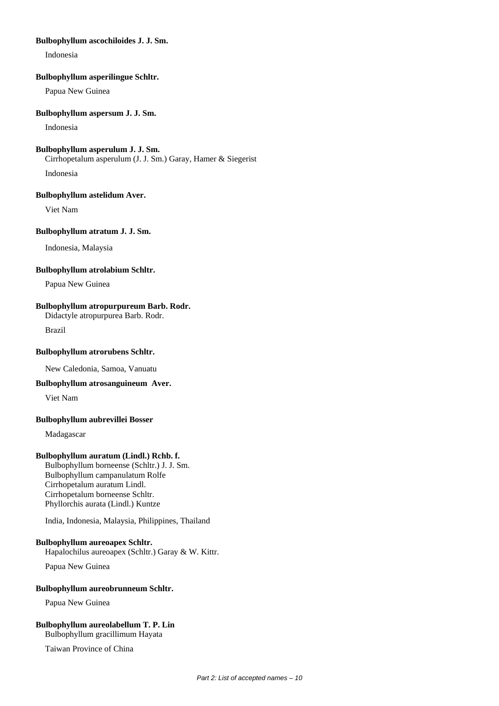### **Bulbophyllum ascochiloides J. J. Sm.**

Indonesia

### **Bulbophyllum asperilingue Schltr.**

Papua New Guinea

### **Bulbophyllum aspersum J. J. Sm.**

Indonesia

### **Bulbophyllum asperulum J. J. Sm.**

Cirrhopetalum asperulum (J. J. Sm.) Garay, Hamer & Siegerist

Indonesia

### **Bulbophyllum astelidum Aver.**

Viet Nam

# **Bulbophyllum atratum J. J. Sm.**

Indonesia, Malaysia

### **Bulbophyllum atrolabium Schltr.**

Papua New Guinea

### **Bulbophyllum atropurpureum Barb. Rodr.**

Didactyle atropurpurea Barb. Rodr.

Brazil

### **Bulbophyllum atrorubens Schltr.**

New Caledonia, Samoa, Vanuatu

### **Bulbophyllum atrosanguineum Aver.**

Viet Nam

### **Bulbophyllum aubrevillei Bosser**

Madagascar

### **Bulbophyllum auratum (Lindl.) Rchb. f.**

Bulbophyllum borneense (Schltr.) J. J. Sm. Bulbophyllum campanulatum Rolfe Cirrhopetalum auratum Lindl. Cirrhopetalum borneense Schltr. Phyllorchis aurata (Lindl.) Kuntze

India, Indonesia, Malaysia, Philippines, Thailand

### **Bulbophyllum aureoapex Schltr.**

Hapalochilus aureoapex (Schltr.) Garay & W. Kittr.

Papua New Guinea

### **Bulbophyllum aureobrunneum Schltr.**

Papua New Guinea

# **Bulbophyllum aureolabellum T. P. Lin**

Bulbophyllum gracillimum Hayata

Taiwan Province of China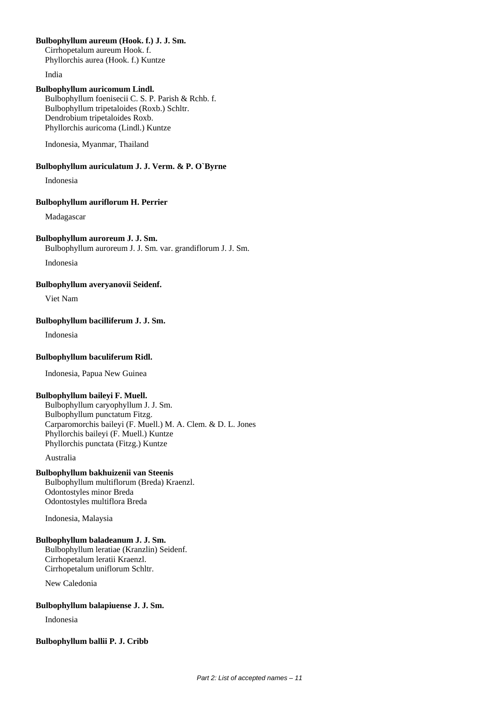### **Bulbophyllum aureum (Hook. f.) J. J. Sm.**

Cirrhopetalum aureum Hook. f. Phyllorchis aurea (Hook. f.) Kuntze

India

# **Bulbophyllum auricomum Lindl.**

Bulbophyllum foenisecii C. S. P. Parish & Rchb. f. Bulbophyllum tripetaloides (Roxb.) Schltr. Dendrobium tripetaloides Roxb. Phyllorchis auricoma (Lindl.) Kuntze

Indonesia, Myanmar, Thailand

# **Bulbophyllum auriculatum J. J. Verm. & P. O`Byrne**

Indonesia

### **Bulbophyllum auriflorum H. Perrier**

Madagascar

# **Bulbophyllum auroreum J. J. Sm.**

Bulbophyllum auroreum J. J. Sm. var. grandiflorum J. J. Sm.

Indonesia

**Bulbophyllum averyanovii Seidenf.**

Viet Nam

# **Bulbophyllum bacilliferum J. J. Sm.**

Indonesia

# **Bulbophyllum baculiferum Ridl.**

Indonesia, Papua New Guinea

### **Bulbophyllum baileyi F. Muell.**

Bulbophyllum caryophyllum J. J. Sm. Bulbophyllum punctatum Fitzg. Carparomorchis baileyi (F. Muell.) M. A. Clem. & D. L. Jones Phyllorchis baileyi (F. Muell.) Kuntze Phyllorchis punctata (Fitzg.) Kuntze

Australia

# **Bulbophyllum bakhuizenii van Steenis**

Bulbophyllum multiflorum (Breda) Kraenzl. Odontostyles minor Breda Odontostyles multiflora Breda

Indonesia, Malaysia

# **Bulbophyllum baladeanum J. J. Sm.**

Bulbophyllum leratiae (Kranzlin) Seidenf. Cirrhopetalum leratii Kraenzl. Cirrhopetalum uniflorum Schltr.

New Caledonia

# **Bulbophyllum balapiuense J. J. Sm.**

Indonesia

### **Bulbophyllum ballii P. J. Cribb**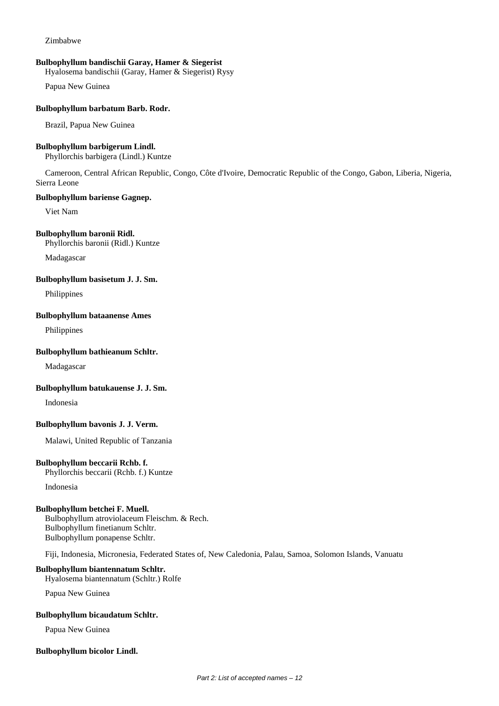### Zimbabwe

### **Bulbophyllum bandischii Garay, Hamer & Siegerist**

Hyalosema bandischii (Garay, Hamer & Siegerist) Rysy

Papua New Guinea

### **Bulbophyllum barbatum Barb. Rodr.**

Brazil, Papua New Guinea

# **Bulbophyllum barbigerum Lindl.**

Phyllorchis barbigera (Lindl.) Kuntze

Cameroon, Central African Republic, Congo, Côte d'Ivoire, Democratic Republic of the Congo, Gabon, Liberia, Nigeria, Sierra Leone

### **Bulbophyllum bariense Gagnep.**

Viet Nam

#### **Bulbophyllum baronii Ridl.**

Phyllorchis baronii (Ridl.) Kuntze

Madagascar

### **Bulbophyllum basisetum J. J. Sm.**

Philippines

### **Bulbophyllum bataanense Ames**

Philippines

### **Bulbophyllum bathieanum Schltr.**

Madagascar

#### **Bulbophyllum batukauense J. J. Sm.**

Indonesia

#### **Bulbophyllum bavonis J. J. Verm.**

Malawi, United Republic of Tanzania

### **Bulbophyllum beccarii Rchb. f.**

Phyllorchis beccarii (Rchb. f.) Kuntze

Indonesia

#### **Bulbophyllum betchei F. Muell.**

Bulbophyllum atroviolaceum Fleischm. & Rech. Bulbophyllum finetianum Schltr. Bulbophyllum ponapense Schltr.

Fiji, Indonesia, Micronesia, Federated States of, New Caledonia, Palau, Samoa, Solomon Islands, Vanuatu

#### **Bulbophyllum biantennatum Schltr.**

Hyalosema biantennatum (Schltr.) Rolfe

Papua New Guinea

#### **Bulbophyllum bicaudatum Schltr.**

Papua New Guinea

#### **Bulbophyllum bicolor Lindl.**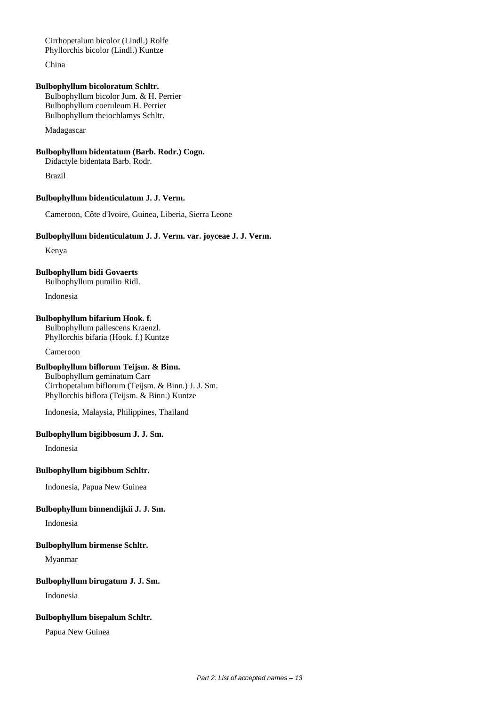Cirrhopetalum bicolor (Lindl.) Rolfe Phyllorchis bicolor (Lindl.) Kuntze

China

### **Bulbophyllum bicoloratum Schltr.**

Bulbophyllum bicolor Jum. & H. Perrier Bulbophyllum coeruleum H. Perrier Bulbophyllum theiochlamys Schltr.

Madagascar

# **Bulbophyllum bidentatum (Barb. Rodr.) Cogn.**

Didactyle bidentata Barb. Rodr.

Brazil

### **Bulbophyllum bidenticulatum J. J. Verm.**

Cameroon, Côte d'Ivoire, Guinea, Liberia, Sierra Leone

### **Bulbophyllum bidenticulatum J. J. Verm. var. joyceae J. J. Verm.**

Kenya

# **Bulbophyllum bidi Govaerts**

Bulbophyllum pumilio Ridl.

Indonesia

# **Bulbophyllum bifarium Hook. f.**

Bulbophyllum pallescens Kraenzl. Phyllorchis bifaria (Hook. f.) Kuntze

Cameroon

# **Bulbophyllum biflorum Teijsm. & Binn.**

Bulbophyllum geminatum Carr Cirrhopetalum biflorum (Teijsm. & Binn.) J. J. Sm. Phyllorchis biflora (Teijsm. & Binn.) Kuntze

Indonesia, Malaysia, Philippines, Thailand

# **Bulbophyllum bigibbosum J. J. Sm.**

Indonesia

#### **Bulbophyllum bigibbum Schltr.**

Indonesia, Papua New Guinea

# **Bulbophyllum binnendijkii J. J. Sm.**

Indonesia

### **Bulbophyllum birmense Schltr.**

Myanmar

### **Bulbophyllum birugatum J. J. Sm.**

Indonesia

### **Bulbophyllum bisepalum Schltr.**

Papua New Guinea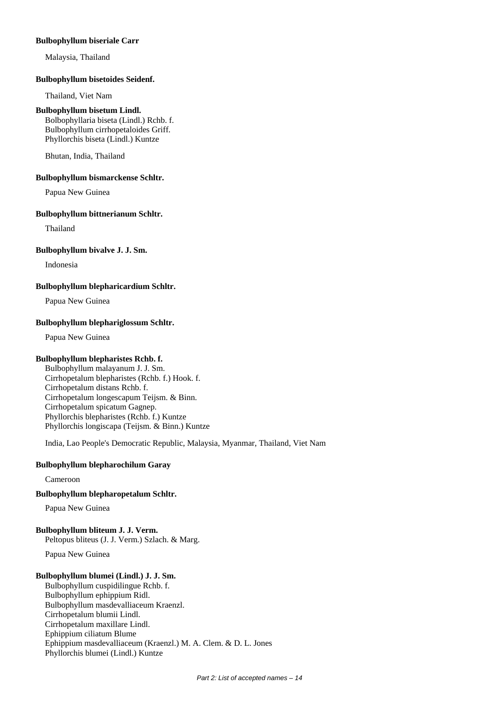### **Bulbophyllum biseriale Carr**

Malaysia, Thailand

### **Bulbophyllum bisetoides Seidenf.**

Thailand, Viet Nam

### **Bulbophyllum bisetum Lindl.**

Bolbophyllaria biseta (Lindl.) Rchb. f. Bulbophyllum cirrhopetaloides Griff. Phyllorchis biseta (Lindl.) Kuntze

Bhutan, India, Thailand

### **Bulbophyllum bismarckense Schltr.**

Papua New Guinea

### **Bulbophyllum bittnerianum Schltr.**

Thailand

### **Bulbophyllum bivalve J. J. Sm.**

Indonesia

### **Bulbophyllum blepharicardium Schltr.**

Papua New Guinea

### **Bulbophyllum blephariglossum Schltr.**

Papua New Guinea

### **Bulbophyllum blepharistes Rchb. f.**

Bulbophyllum malayanum J. J. Sm. Cirrhopetalum blepharistes (Rchb. f.) Hook. f. Cirrhopetalum distans Rchb. f. Cirrhopetalum longescapum Teijsm. & Binn. Cirrhopetalum spicatum Gagnep. Phyllorchis blepharistes (Rchb. f.) Kuntze Phyllorchis longiscapa (Teijsm. & Binn.) Kuntze

India, Lao People's Democratic Republic, Malaysia, Myanmar, Thailand, Viet Nam

# **Bulbophyllum blepharochilum Garay**

Cameroon

# **Bulbophyllum blepharopetalum Schltr.**

Papua New Guinea

### **Bulbophyllum bliteum J. J. Verm.**

Peltopus bliteus (J. J. Verm.) Szlach. & Marg.

Papua New Guinea

# **Bulbophyllum blumei (Lindl.) J. J. Sm.**

Bulbophyllum cuspidilingue Rchb. f. Bulbophyllum ephippium Ridl. Bulbophyllum masdevalliaceum Kraenzl. Cirrhopetalum blumii Lindl. Cirrhopetalum maxillare Lindl. Ephippium ciliatum Blume Ephippium masdevalliaceum (Kraenzl.) M. A. Clem. & D. L. Jones Phyllorchis blumei (Lindl.) Kuntze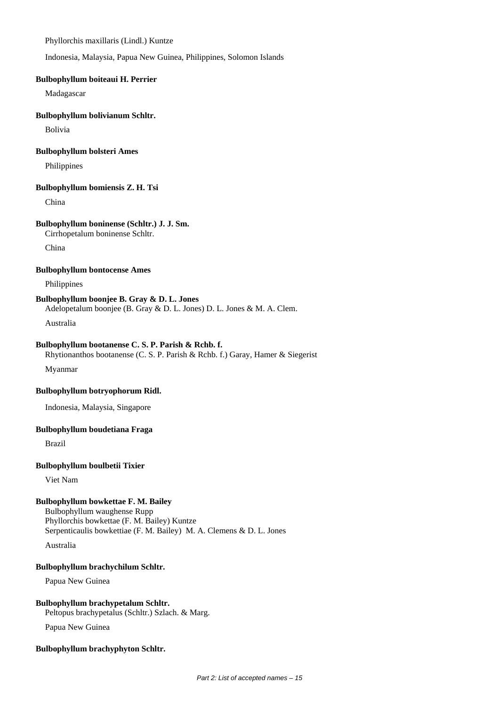Phyllorchis maxillaris (Lindl.) Kuntze

Indonesia, Malaysia, Papua New Guinea, Philippines, Solomon Islands

### **Bulbophyllum boiteaui H. Perrier**

Madagascar

### **Bulbophyllum bolivianum Schltr.**

Bolivia

### **Bulbophyllum bolsteri Ames**

Philippines

### **Bulbophyllum bomiensis Z. H. Tsi**

China

# **Bulbophyllum boninense (Schltr.) J. J. Sm.**

Cirrhopetalum boninense Schltr.

China

# **Bulbophyllum bontocense Ames**

Philippines

# **Bulbophyllum boonjee B. Gray & D. L. Jones**

Adelopetalum boonjee (B. Gray & D. L. Jones) D. L. Jones & M. A. Clem.

Australia

### **Bulbophyllum bootanense C. S. P. Parish & Rchb. f.**

Rhytionanthos bootanense (C. S. P. Parish & Rchb. f.) Garay, Hamer & Siegerist

Myanmar

### **Bulbophyllum botryophorum Ridl.**

Indonesia, Malaysia, Singapore

### **Bulbophyllum boudetiana Fraga**

Brazil

### **Bulbophyllum boulbetii Tixier**

Viet Nam

# **Bulbophyllum bowkettae F. M. Bailey**

Bulbophyllum waughense Rupp Phyllorchis bowkettae (F. M. Bailey) Kuntze Serpenticaulis bowkettiae (F. M. Bailey) M. A. Clemens & D. L. Jones

Australia

# **Bulbophyllum brachychilum Schltr.**

Papua New Guinea

### **Bulbophyllum brachypetalum Schltr.**

Peltopus brachypetalus (Schltr.) Szlach. & Marg.

Papua New Guinea

### **Bulbophyllum brachyphyton Schltr.**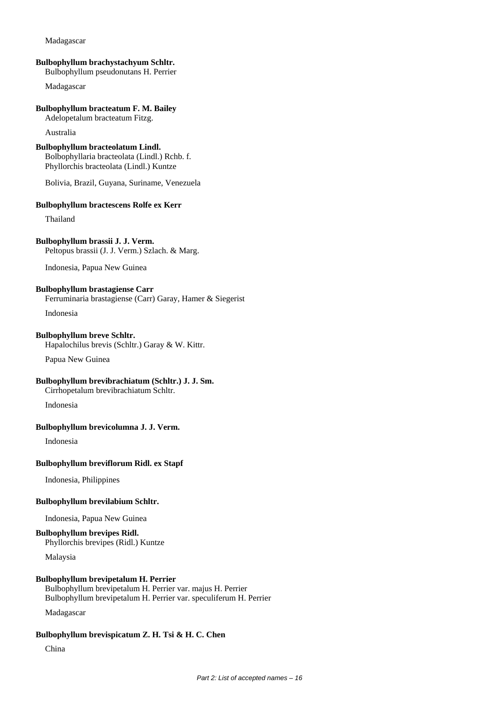### **Bulbophyllum brachystachyum Schltr.**

Bulbophyllum pseudonutans H. Perrier

Madagascar

### **Bulbophyllum bracteatum F. M. Bailey**

Adelopetalum bracteatum Fitzg.

Australia

#### **Bulbophyllum bracteolatum Lindl.**

Bolbophyllaria bracteolata (Lindl.) Rchb. f. Phyllorchis bracteolata (Lindl.) Kuntze

Bolivia, Brazil, Guyana, Suriname, Venezuela

#### **Bulbophyllum bractescens Rolfe ex Kerr**

Thailand

#### **Bulbophyllum brassii J. J. Verm.**

Peltopus brassii (J. J. Verm.) Szlach. & Marg.

Indonesia, Papua New Guinea

### **Bulbophyllum brastagiense Carr**

Ferruminaria brastagiense (Carr) Garay, Hamer & Siegerist

Indonesia

# **Bulbophyllum breve Schltr.**

Hapalochilus brevis (Schltr.) Garay & W. Kittr.

Papua New Guinea

# **Bulbophyllum brevibrachiatum (Schltr.) J. J. Sm.**

Cirrhopetalum brevibrachiatum Schltr.

Indonesia

# **Bulbophyllum brevicolumna J. J. Verm.**

Indonesia

### **Bulbophyllum breviflorum Ridl. ex Stapf**

Indonesia, Philippines

### **Bulbophyllum brevilabium Schltr.**

Indonesia, Papua New Guinea

# **Bulbophyllum brevipes Ridl.**

Phyllorchis brevipes (Ridl.) Kuntze

Malaysia

### **Bulbophyllum brevipetalum H. Perrier**

Bulbophyllum brevipetalum H. Perrier var. majus H. Perrier Bulbophyllum brevipetalum H. Perrier var. speculiferum H. Perrier

Madagascar

#### **Bulbophyllum brevispicatum Z. H. Tsi & H. C. Chen**

China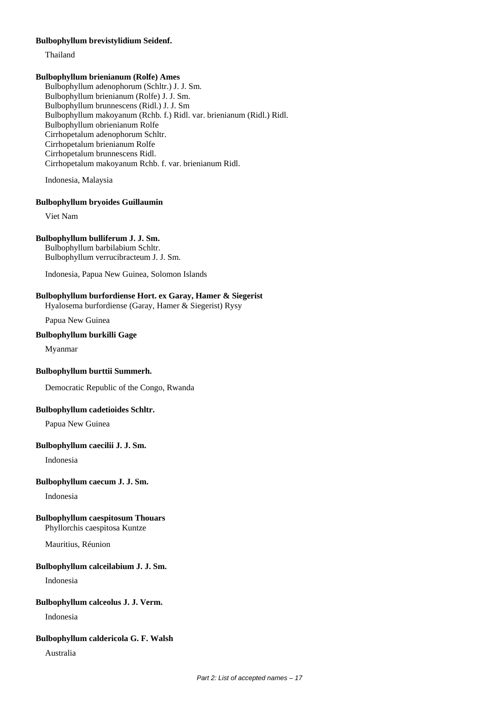### **Bulbophyllum brevistylidium Seidenf.**

Thailand

# **Bulbophyllum brienianum (Rolfe) Ames**

Bulbophyllum adenophorum (Schltr.) J. J. Sm. Bulbophyllum brienianum (Rolfe) J. J. Sm. Bulbophyllum brunnescens (Ridl.) J. J. Sm Bulbophyllum makoyanum (Rchb. f.) Ridl. var. brienianum (Ridl.) Ridl. Bulbophyllum obrienianum Rolfe Cirrhopetalum adenophorum Schltr. Cirrhopetalum brienianum Rolfe Cirrhopetalum brunnescens Ridl. Cirrhopetalum makoyanum Rchb. f. var. brienianum Ridl.

Indonesia, Malaysia

### **Bulbophyllum bryoides Guillaumin**

Viet Nam

# **Bulbophyllum bulliferum J. J. Sm.**

Bulbophyllum barbilabium Schltr. Bulbophyllum verrucibracteum J. J. Sm.

Indonesia, Papua New Guinea, Solomon Islands

### **Bulbophyllum burfordiense Hort. ex Garay, Hamer & Siegerist**

Hyalosema burfordiense (Garay, Hamer & Siegerist) Rysy

Papua New Guinea

### **Bulbophyllum burkilli Gage**

Myanmar

#### **Bulbophyllum burttii Summerh.**

Democratic Republic of the Congo, Rwanda

### **Bulbophyllum cadetioides Schltr.**

Papua New Guinea

### **Bulbophyllum caecilii J. J. Sm.**

Indonesia

### **Bulbophyllum caecum J. J. Sm.**

Indonesia

# **Bulbophyllum caespitosum Thouars**

Phyllorchis caespitosa Kuntze

Mauritius, Réunion

#### **Bulbophyllum calceilabium J. J. Sm.**

Indonesia

### **Bulbophyllum calceolus J. J. Verm.**

Indonesia

### **Bulbophyllum caldericola G. F. Walsh**

Australia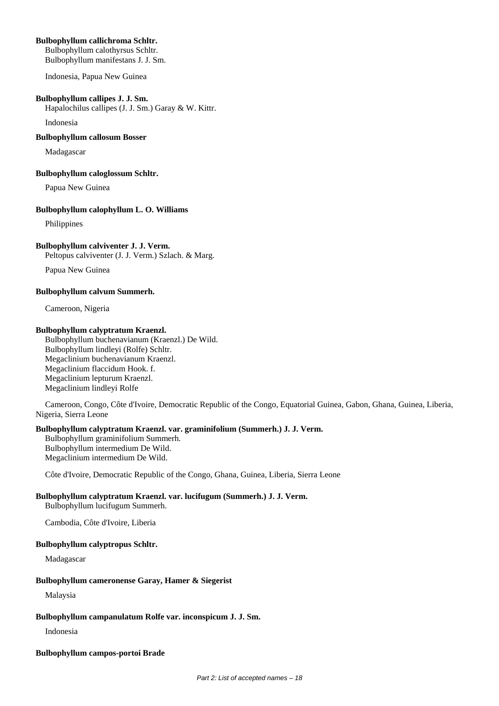# **Bulbophyllum callichroma Schltr.**

Bulbophyllum calothyrsus Schltr. Bulbophyllum manifestans J. J. Sm.

Indonesia, Papua New Guinea

### **Bulbophyllum callipes J. J. Sm.**

Hapalochilus callipes (J. J. Sm.) Garay & W. Kittr.

Indonesia

### **Bulbophyllum callosum Bosser**

Madagascar

### **Bulbophyllum caloglossum Schltr.**

Papua New Guinea

### **Bulbophyllum calophyllum L. O. Williams**

Philippines

# **Bulbophyllum calviventer J. J. Verm.**

Peltopus calviventer (J. J. Verm.) Szlach. & Marg.

Papua New Guinea

### **Bulbophyllum calvum Summerh.**

Cameroon, Nigeria

### **Bulbophyllum calyptratum Kraenzl.**

Bulbophyllum buchenavianum (Kraenzl.) De Wild. Bulbophyllum lindleyi (Rolfe) Schltr. Megaclinium buchenavianum Kraenzl. Megaclinium flaccidum Hook. f. Megaclinium lepturum Kraenzl. Megaclinium lindleyi Rolfe

Cameroon, Congo, Côte d'Ivoire, Democratic Republic of the Congo, Equatorial Guinea, Gabon, Ghana, Guinea, Liberia, Nigeria, Sierra Leone

### **Bulbophyllum calyptratum Kraenzl. var. graminifolium (Summerh.) J. J. Verm.**

Bulbophyllum graminifolium Summerh. Bulbophyllum intermedium De Wild. Megaclinium intermedium De Wild.

Côte d'Ivoire, Democratic Republic of the Congo, Ghana, Guinea, Liberia, Sierra Leone

# **Bulbophyllum calyptratum Kraenzl. var. lucifugum (Summerh.) J. J. Verm.**

Bulbophyllum lucifugum Summerh.

Cambodia, Côte d'Ivoire, Liberia

### **Bulbophyllum calyptropus Schltr.**

Madagascar

### **Bulbophyllum cameronense Garay, Hamer & Siegerist**

Malaysia

### **Bulbophyllum campanulatum Rolfe var. inconspicum J. J. Sm.**

Indonesia

### **Bulbophyllum campos-portoi Brade**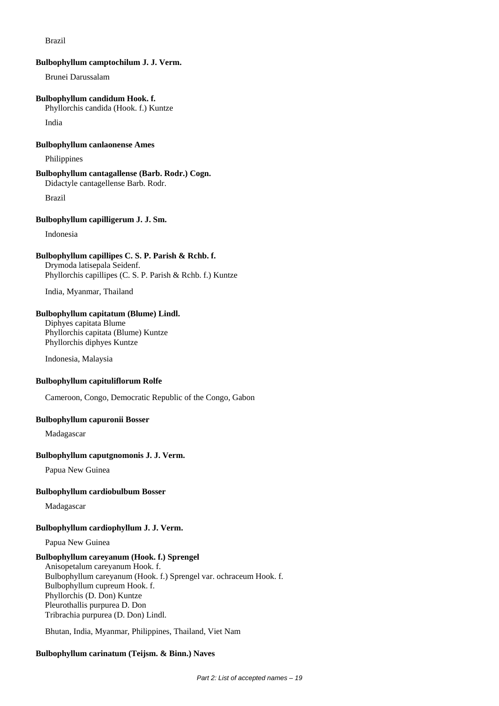### Brazil

#### **Bulbophyllum camptochilum J. J. Verm.**

Brunei Darussalam

# **Bulbophyllum candidum Hook. f.**

Phyllorchis candida (Hook. f.) Kuntze

India

# **Bulbophyllum canlaonense Ames**

Philippines

# **Bulbophyllum cantagallense (Barb. Rodr.) Cogn.**

Didactyle cantagellense Barb. Rodr.

Brazil

### **Bulbophyllum capilligerum J. J. Sm.**

Indonesia

### **Bulbophyllum capillipes C. S. P. Parish & Rchb. f.**

Drymoda latisepala Seidenf. Phyllorchis capillipes (C. S. P. Parish & Rchb. f.) Kuntze

India, Myanmar, Thailand

### **Bulbophyllum capitatum (Blume) Lindl.**

Diphyes capitata Blume Phyllorchis capitata (Blume) Kuntze Phyllorchis diphyes Kuntze

Indonesia, Malaysia

#### **Bulbophyllum capituliflorum Rolfe**

Cameroon, Congo, Democratic Republic of the Congo, Gabon

# **Bulbophyllum capuronii Bosser**

Madagascar

### **Bulbophyllum caputgnomonis J. J. Verm.**

Papua New Guinea

### **Bulbophyllum cardiobulbum Bosser**

Madagascar

### **Bulbophyllum cardiophyllum J. J. Verm.**

Papua New Guinea

# **Bulbophyllum careyanum (Hook. f.) Sprengel**

Anisopetalum careyanum Hook. f. Bulbophyllum careyanum (Hook. f.) Sprengel var. ochraceum Hook. f. Bulbophyllum cupreum Hook. f. Phyllorchis (D. Don) Kuntze Pleurothallis purpurea D. Don Tribrachia purpurea (D. Don) Lindl.

Bhutan, India, Myanmar, Philippines, Thailand, Viet Nam

### **Bulbophyllum carinatum (Teijsm. & Binn.) Naves**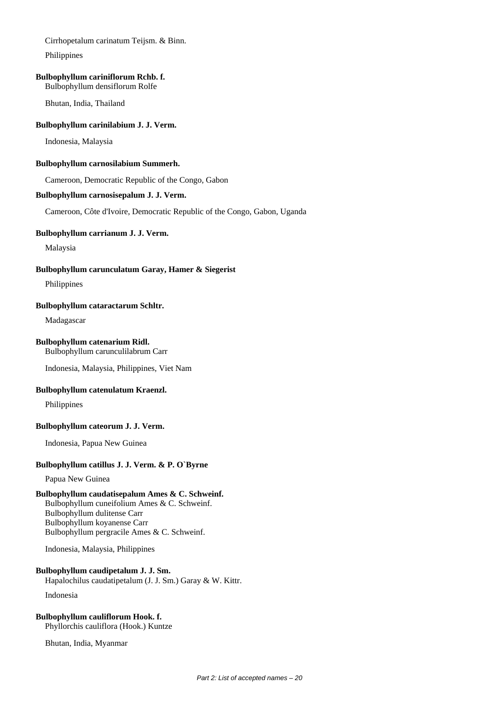Cirrhopetalum carinatum Teijsm. & Binn.

Philippines

### **Bulbophyllum cariniflorum Rchb. f.**

Bulbophyllum densiflorum Rolfe

Bhutan, India, Thailand

### **Bulbophyllum carinilabium J. J. Verm.**

Indonesia, Malaysia

### **Bulbophyllum carnosilabium Summerh.**

Cameroon, Democratic Republic of the Congo, Gabon

### **Bulbophyllum carnosisepalum J. J. Verm.**

Cameroon, Côte d'Ivoire, Democratic Republic of the Congo, Gabon, Uganda

### **Bulbophyllum carrianum J. J. Verm.**

Malaysia

### **Bulbophyllum carunculatum Garay, Hamer & Siegerist**

Philippines

### **Bulbophyllum cataractarum Schltr.**

Madagascar

### **Bulbophyllum catenarium Ridl.**

Bulbophyllum carunculilabrum Carr

Indonesia, Malaysia, Philippines, Viet Nam

### **Bulbophyllum catenulatum Kraenzl.**

Philippines

### **Bulbophyllum cateorum J. J. Verm.**

Indonesia, Papua New Guinea

### **Bulbophyllum catillus J. J. Verm. & P. O`Byrne**

Papua New Guinea

# **Bulbophyllum caudatisepalum Ames & C. Schweinf.**

Bulbophyllum cuneifolium Ames & C. Schweinf. Bulbophyllum dulitense Carr Bulbophyllum koyanense Carr Bulbophyllum pergracile Ames & C. Schweinf.

Indonesia, Malaysia, Philippines

# **Bulbophyllum caudipetalum J. J. Sm.**

Hapalochilus caudatipetalum (J. J. Sm.) Garay & W. Kittr. Indonesia

# **Bulbophyllum cauliflorum Hook. f.**

Phyllorchis cauliflora (Hook.) Kuntze

Bhutan, India, Myanmar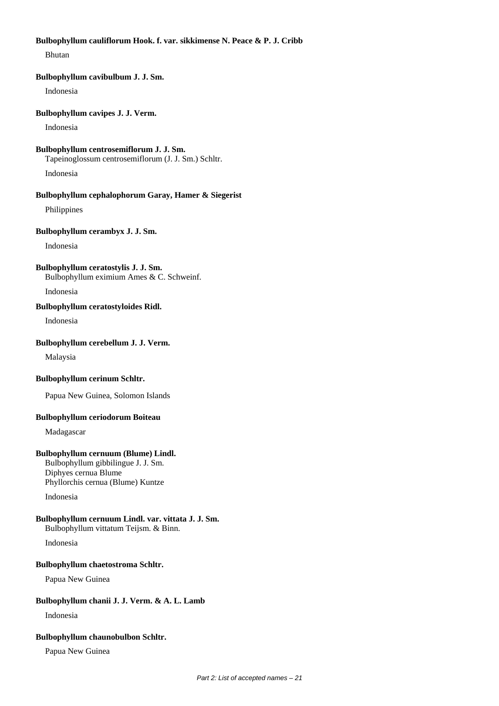### **Bulbophyllum cauliflorum Hook. f. var. sikkimense N. Peace & P. J. Cribb**

Bhutan

#### **Bulbophyllum cavibulbum J. J. Sm.**

Indonesia

#### **Bulbophyllum cavipes J. J. Verm.**

Indonesia

# **Bulbophyllum centrosemiflorum J. J. Sm.** Tapeinoglossum centrosemiflorum (J. J. Sm.) Schltr.

Indonesia

# **Bulbophyllum cephalophorum Garay, Hamer & Siegerist**

Philippines

## **Bulbophyllum cerambyx J. J. Sm.**

Indonesia

# **Bulbophyllum ceratostylis J. J. Sm.**

Bulbophyllum eximium Ames & C. Schweinf.

Indonesia

# **Bulbophyllum ceratostyloides Ridl.**

Indonesia

### **Bulbophyllum cerebellum J. J. Verm.**

Malaysia

### **Bulbophyllum cerinum Schltr.**

Papua New Guinea, Solomon Islands

# **Bulbophyllum ceriodorum Boiteau**

Madagascar

# **Bulbophyllum cernuum (Blume) Lindl.**

Bulbophyllum gibbilingue J. J. Sm. Diphyes cernua Blume Phyllorchis cernua (Blume) Kuntze

Indonesia

# **Bulbophyllum cernuum Lindl. var. vittata J. J. Sm.**

Bulbophyllum vittatum Teijsm. & Binn.

Indonesia

# **Bulbophyllum chaetostroma Schltr.**

Papua New Guinea

# **Bulbophyllum chanii J. J. Verm. & A. L. Lamb**

Indonesia

### **Bulbophyllum chaunobulbon Schltr.**

Papua New Guinea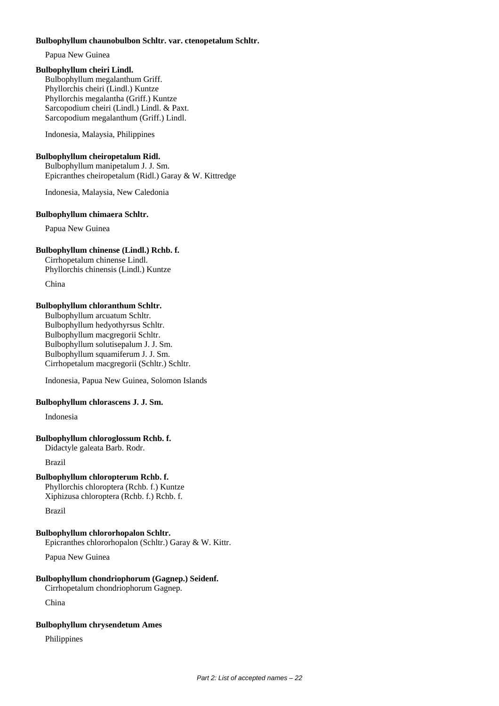### **Bulbophyllum chaunobulbon Schltr. var. ctenopetalum Schltr.**

Papua New Guinea

# **Bulbophyllum cheiri Lindl.**

Bulbophyllum megalanthum Griff. Phyllorchis cheiri (Lindl.) Kuntze Phyllorchis megalantha (Griff.) Kuntze Sarcopodium cheiri (Lindl.) Lindl. & Paxt. Sarcopodium megalanthum (Griff.) Lindl.

Indonesia, Malaysia, Philippines

### **Bulbophyllum cheiropetalum Ridl.**

Bulbophyllum manipetalum J. J. Sm. Epicranthes cheiropetalum (Ridl.) Garay & W. Kittredge

Indonesia, Malaysia, New Caledonia

### **Bulbophyllum chimaera Schltr.**

Papua New Guinea

### **Bulbophyllum chinense (Lindl.) Rchb. f.**

Cirrhopetalum chinense Lindl. Phyllorchis chinensis (Lindl.) Kuntze

China

### **Bulbophyllum chloranthum Schltr.**

Bulbophyllum arcuatum Schltr. Bulbophyllum hedyothyrsus Schltr. Bulbophyllum macgregorii Schltr. Bulbophyllum solutisepalum J. J. Sm. Bulbophyllum squamiferum J. J. Sm. Cirrhopetalum macgregorii (Schltr.) Schltr.

Indonesia, Papua New Guinea, Solomon Islands

### **Bulbophyllum chlorascens J. J. Sm.**

Indonesia

### **Bulbophyllum chloroglossum Rchb. f.**

Didactyle galeata Barb. Rodr.

Brazil

# **Bulbophyllum chloropterum Rchb. f.**

Phyllorchis chloroptera (Rchb. f.) Kuntze Xiphizusa chloroptera (Rchb. f.) Rchb. f.

Brazil

# **Bulbophyllum chlororhopalon Schltr.**

Epicranthes chlororhopalon (Schltr.) Garay & W. Kittr.

Papua New Guinea

# **Bulbophyllum chondriophorum (Gagnep.) Seidenf.**

Cirrhopetalum chondriophorum Gagnep.

China

# **Bulbophyllum chrysendetum Ames**

Philippines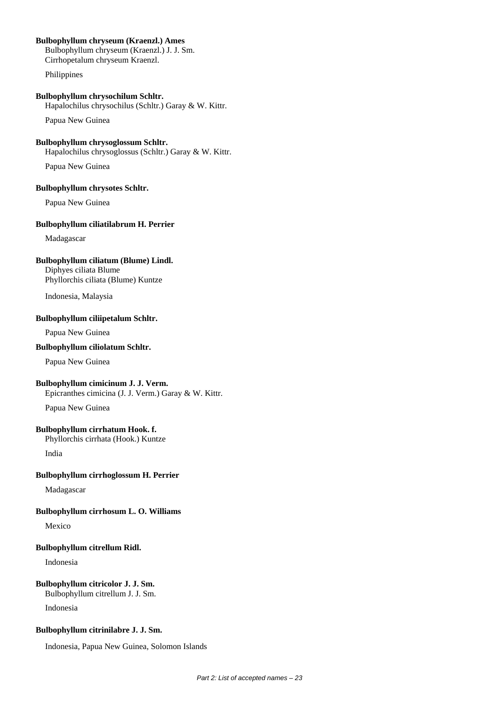# **Bulbophyllum chryseum (Kraenzl.) Ames**

Bulbophyllum chryseum (Kraenzl.) J. J. Sm. Cirrhopetalum chryseum Kraenzl.

Philippines

### **Bulbophyllum chrysochilum Schltr.**

Hapalochilus chrysochilus (Schltr.) Garay & W. Kittr.

Papua New Guinea

# **Bulbophyllum chrysoglossum Schltr.**

Hapalochilus chrysoglossus (Schltr.) Garay & W. Kittr.

Papua New Guinea

### **Bulbophyllum chrysotes Schltr.**

Papua New Guinea

### **Bulbophyllum ciliatilabrum H. Perrier**

Madagascar

### **Bulbophyllum ciliatum (Blume) Lindl.**

Diphyes ciliata Blume Phyllorchis ciliata (Blume) Kuntze

Indonesia, Malaysia

### **Bulbophyllum ciliipetalum Schltr.**

Papua New Guinea

# **Bulbophyllum ciliolatum Schltr.**

Papua New Guinea

### **Bulbophyllum cimicinum J. J. Verm.**

Epicranthes cimicina (J. J. Verm.) Garay & W. Kittr.

Papua New Guinea

### **Bulbophyllum cirrhatum Hook. f.**

Phyllorchis cirrhata (Hook.) Kuntze

India

### **Bulbophyllum cirrhoglossum H. Perrier**

Madagascar

## **Bulbophyllum cirrhosum L. O. Williams**

Mexico

### **Bulbophyllum citrellum Ridl.**

Indonesia

### **Bulbophyllum citricolor J. J. Sm.**

Bulbophyllum citrellum J. J. Sm.

Indonesia

# **Bulbophyllum citrinilabre J. J. Sm.**

Indonesia, Papua New Guinea, Solomon Islands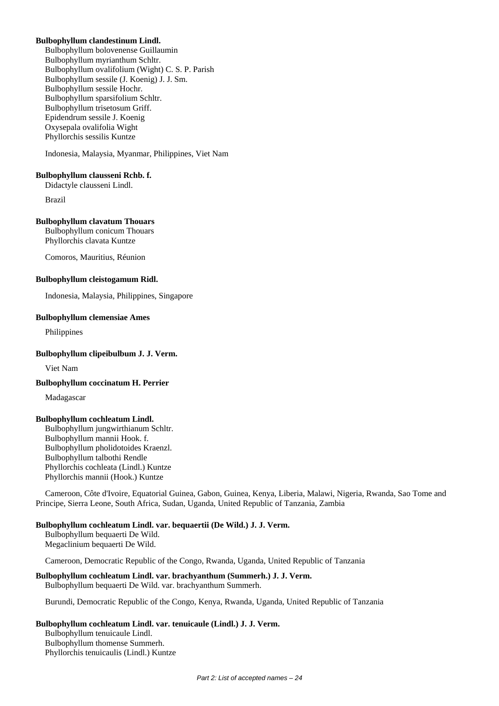### **Bulbophyllum clandestinum Lindl.**

Bulbophyllum bolovenense Guillaumin Bulbophyllum myrianthum Schltr. Bulbophyllum ovalifolium (Wight) C. S. P. Parish Bulbophyllum sessile (J. Koenig) J. J. Sm. Bulbophyllum sessile Hochr. Bulbophyllum sparsifolium Schltr. Bulbophyllum trisetosum Griff. Epidendrum sessile J. Koenig Oxysepala ovalifolia Wight Phyllorchis sessilis Kuntze

Indonesia, Malaysia, Myanmar, Philippines, Viet Nam

#### **Bulbophyllum clausseni Rchb. f.**

Didactyle clausseni Lindl.

Brazil

### **Bulbophyllum clavatum Thouars**

Bulbophyllum conicum Thouars Phyllorchis clavata Kuntze

Comoros, Mauritius, Réunion

### **Bulbophyllum cleistogamum Ridl.**

Indonesia, Malaysia, Philippines, Singapore

### **Bulbophyllum clemensiae Ames**

Philippines

### **Bulbophyllum clipeibulbum J. J. Verm.**

Viet Nam

#### **Bulbophyllum coccinatum H. Perrier**

Madagascar

#### **Bulbophyllum cochleatum Lindl.**

Bulbophyllum jungwirthianum Schltr. Bulbophyllum mannii Hook. f. Bulbophyllum pholidotoides Kraenzl. Bulbophyllum talbothi Rendle Phyllorchis cochleata (Lindl.) Kuntze Phyllorchis mannii (Hook.) Kuntze

Cameroon, Côte d'Ivoire, Equatorial Guinea, Gabon, Guinea, Kenya, Liberia, Malawi, Nigeria, Rwanda, Sao Tome and Principe, Sierra Leone, South Africa, Sudan, Uganda, United Republic of Tanzania, Zambia

### **Bulbophyllum cochleatum Lindl. var. bequaertii (De Wild.) J. J. Verm.**

Bulbophyllum bequaerti De Wild. Megaclinium bequaerti De Wild.

Cameroon, Democratic Republic of the Congo, Rwanda, Uganda, United Republic of Tanzania

#### **Bulbophyllum cochleatum Lindl. var. brachyanthum (Summerh.) J. J. Verm.** Bulbophyllum bequaerti De Wild. var. brachyanthum Summerh.

Burundi, Democratic Republic of the Congo, Kenya, Rwanda, Uganda, United Republic of Tanzania

### **Bulbophyllum cochleatum Lindl. var. tenuicaule (Lindl.) J. J. Verm.**

Bulbophyllum tenuicaule Lindl. Bulbophyllum thomense Summerh. Phyllorchis tenuicaulis (Lindl.) Kuntze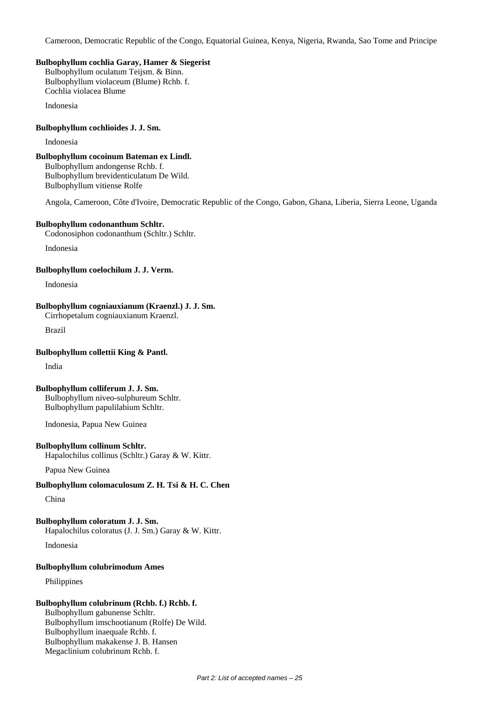Cameroon, Democratic Republic of the Congo, Equatorial Guinea, Kenya, Nigeria, Rwanda, Sao Tome and Principe

### **Bulbophyllum cochlia Garay, Hamer & Siegerist**

Bulbophyllum oculatum Teijsm. & Binn. Bulbophyllum violaceum (Blume) Rchb. f. Cochlia violacea Blume

Indonesia

### **Bulbophyllum cochlioides J. J. Sm.**

Indonesia

### **Bulbophyllum cocoinum Bateman ex Lindl.**

Bulbophyllum andongense Rchb. f. Bulbophyllum brevidenticulatum De Wild. Bulbophyllum vitiense Rolfe

Angola, Cameroon, Côte d'Ivoire, Democratic Republic of the Congo, Gabon, Ghana, Liberia, Sierra Leone, Uganda

### **Bulbophyllum codonanthum Schltr.**

Codonosiphon codonanthum (Schltr.) Schltr.

Indonesia

### **Bulbophyllum coelochilum J. J. Verm.**

Indonesia

## **Bulbophyllum cogniauxianum (Kraenzl.) J. J. Sm.**

Cirrhopetalum cogniauxianum Kraenzl.

Brazil

# **Bulbophyllum collettii King & Pantl.**

India

### **Bulbophyllum colliferum J. J. Sm.**

Bulbophyllum niveo-sulphureum Schltr. Bulbophyllum papulilabium Schltr.

Indonesia, Papua New Guinea

### **Bulbophyllum collinum Schltr.**

Hapalochilus collinus (Schltr.) Garay & W. Kittr.

Papua New Guinea

# **Bulbophyllum colomaculosum Z. H. Tsi & H. C. Chen**

China

# **Bulbophyllum coloratum J. J. Sm.**

Hapalochilus coloratus (J. J. Sm.) Garay & W. Kittr.

Indonesia

# **Bulbophyllum colubrimodum Ames**

Philippines

# **Bulbophyllum colubrinum (Rchb. f.) Rchb. f.**

Bulbophyllum gabunense Schltr. Bulbophyllum imschootianum (Rolfe) De Wild. Bulbophyllum inaequale Rchb. f. Bulbophyllum makakense J. B. Hansen Megaclinium colubrinum Rchb. f.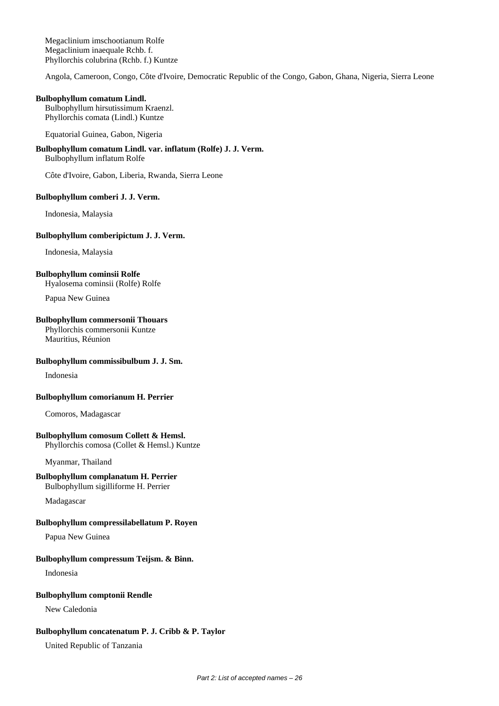Megaclinium imschootianum Rolfe Megaclinium inaequale Rchb. f. Phyllorchis colubrina (Rchb. f.) Kuntze

Angola, Cameroon, Congo, Côte d'Ivoire, Democratic Republic of the Congo, Gabon, Ghana, Nigeria, Sierra Leone

#### **Bulbophyllum comatum Lindl.**

Bulbophyllum hirsutissimum Kraenzl. Phyllorchis comata (Lindl.) Kuntze

Equatorial Guinea, Gabon, Nigeria

# **Bulbophyllum comatum Lindl. var. inflatum (Rolfe) J. J. Verm.**

Bulbophyllum inflatum Rolfe

Côte d'Ivoire, Gabon, Liberia, Rwanda, Sierra Leone

### **Bulbophyllum comberi J. J. Verm.**

Indonesia, Malaysia

### **Bulbophyllum comberipictum J. J. Verm.**

Indonesia, Malaysia

# **Bulbophyllum cominsii Rolfe**

Hyalosema cominsii (Rolfe) Rolfe

Papua New Guinea

# **Bulbophyllum commersonii Thouars**

Phyllorchis commersonii Kuntze Mauritius, Réunion

# **Bulbophyllum commissibulbum J. J. Sm.**

Indonesia

### **Bulbophyllum comorianum H. Perrier**

Comoros, Madagascar

### **Bulbophyllum comosum Collett & Hemsl.**

Phyllorchis comosa (Collet & Hemsl.) Kuntze

Myanmar, Thailand

# **Bulbophyllum complanatum H. Perrier**

Bulbophyllum sigilliforme H. Perrier

Madagascar

# **Bulbophyllum compressilabellatum P. Royen**

Papua New Guinea

# **Bulbophyllum compressum Teijsm. & Binn.**

Indonesia

### **Bulbophyllum comptonii Rendle**

New Caledonia

# **Bulbophyllum concatenatum P. J. Cribb & P. Taylor**

United Republic of Tanzania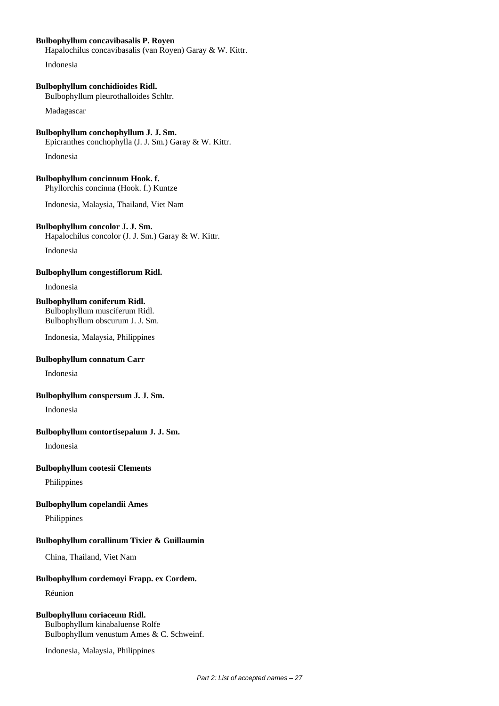### **Bulbophyllum concavibasalis P. Royen**

Hapalochilus concavibasalis (van Royen) Garay & W. Kittr.

Indonesia

# **Bulbophyllum conchidioides Ridl.**

Bulbophyllum pleurothalloides Schltr.

Madagascar

**Bulbophyllum conchophyllum J. J. Sm.** Epicranthes conchophylla (J. J. Sm.) Garay & W. Kittr.

Indonesia

**Bulbophyllum concinnum Hook. f.** Phyllorchis concinna (Hook. f.) Kuntze

Indonesia, Malaysia, Thailand, Viet Nam

# **Bulbophyllum concolor J. J. Sm.**

Hapalochilus concolor (J. J. Sm.) Garay & W. Kittr.

Indonesia

### **Bulbophyllum congestiflorum Ridl.**

Indonesia

# **Bulbophyllum coniferum Ridl.**

Bulbophyllum musciferum Ridl. Bulbophyllum obscurum J. J. Sm.

Indonesia, Malaysia, Philippines

### **Bulbophyllum connatum Carr**

Indonesia

### **Bulbophyllum conspersum J. J. Sm.**

Indonesia

### **Bulbophyllum contortisepalum J. J. Sm.**

Indonesia

# **Bulbophyllum cootesii Clements**

Philippines

### **Bulbophyllum copelandii Ames**

Philippines

### **Bulbophyllum corallinum Tixier & Guillaumin**

China, Thailand, Viet Nam

### **Bulbophyllum cordemoyi Frapp. ex Cordem.**

Réunion

## **Bulbophyllum coriaceum Ridl.**

Bulbophyllum kinabaluense Rolfe Bulbophyllum venustum Ames & C. Schweinf.

Indonesia, Malaysia, Philippines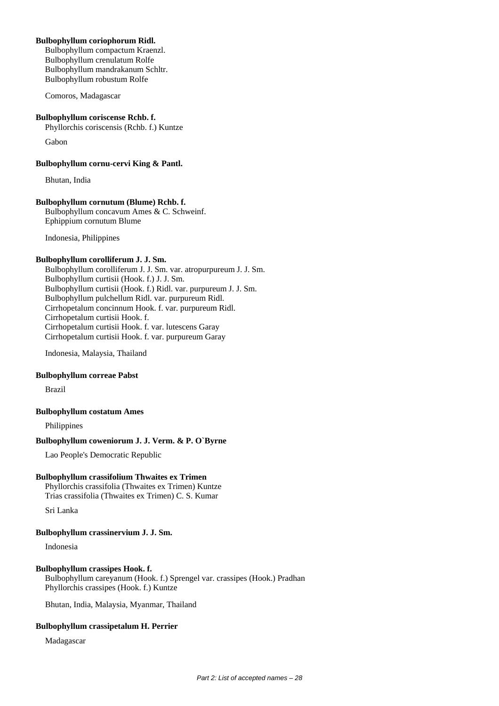### **Bulbophyllum coriophorum Ridl.**

Bulbophyllum compactum Kraenzl. Bulbophyllum crenulatum Rolfe Bulbophyllum mandrakanum Schltr. Bulbophyllum robustum Rolfe

Comoros, Madagascar

### **Bulbophyllum coriscense Rchb. f.**

Phyllorchis coriscensis (Rchb. f.) Kuntze

Gabon

**Bulbophyllum cornu-cervi King & Pantl.**

Bhutan, India

### **Bulbophyllum cornutum (Blume) Rchb. f.**

Bulbophyllum concavum Ames & C. Schweinf. Ephippium cornutum Blume

Indonesia, Philippines

### **Bulbophyllum corolliferum J. J. Sm.**

Bulbophyllum corolliferum J. J. Sm. var. atropurpureum J. J. Sm. Bulbophyllum curtisii (Hook. f.) J. J. Sm. Bulbophyllum curtisii (Hook. f.) Ridl. var. purpureum J. J. Sm. Bulbophyllum pulchellum Ridl. var. purpureum Ridl. Cirrhopetalum concinnum Hook. f. var. purpureum Ridl. Cirrhopetalum curtisii Hook. f. Cirrhopetalum curtisii Hook. f. var. lutescens Garay Cirrhopetalum curtisii Hook. f. var. purpureum Garay

Indonesia, Malaysia, Thailand

### **Bulbophyllum correae Pabst**

Brazil

#### **Bulbophyllum costatum Ames**

Philippines

## **Bulbophyllum coweniorum J. J. Verm. & P. O`Byrne**

Lao People's Democratic Republic

### **Bulbophyllum crassifolium Thwaites ex Trimen**

Phyllorchis crassifolia (Thwaites ex Trimen) Kuntze Trias crassifolia (Thwaites ex Trimen) C. S. Kumar

Sri Lanka

### **Bulbophyllum crassinervium J. J. Sm.**

Indonesia

### **Bulbophyllum crassipes Hook. f.**

Bulbophyllum careyanum (Hook. f.) Sprengel var. crassipes (Hook.) Pradhan Phyllorchis crassipes (Hook. f.) Kuntze

Bhutan, India, Malaysia, Myanmar, Thailand

### **Bulbophyllum crassipetalum H. Perrier**

Madagascar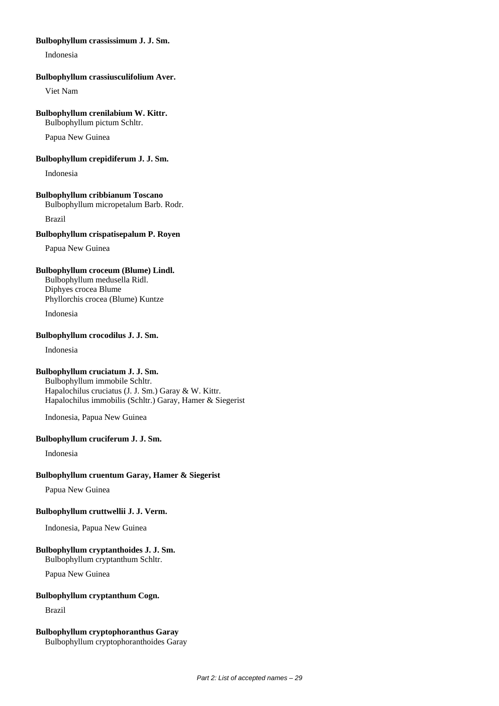### **Bulbophyllum crassissimum J. J. Sm.**

Indonesia

### **Bulbophyllum crassiusculifolium Aver.**

Viet Nam

### **Bulbophyllum crenilabium W. Kittr.**

Bulbophyllum pictum Schltr.

Papua New Guinea

## **Bulbophyllum crepidiferum J. J. Sm.**

Indonesia

### **Bulbophyllum cribbianum Toscano**

Bulbophyllum micropetalum Barb. Rodr.

Brazil

### **Bulbophyllum crispatisepalum P. Royen**

Papua New Guinea

# **Bulbophyllum croceum (Blume) Lindl.**

Bulbophyllum medusella Ridl. Diphyes crocea Blume Phyllorchis crocea (Blume) Kuntze

Indonesia

# **Bulbophyllum crocodilus J. J. Sm.**

Indonesia

# **Bulbophyllum cruciatum J. J. Sm.**

Bulbophyllum immobile Schltr. Hapalochilus cruciatus (J. J. Sm.) Garay & W. Kittr. Hapalochilus immobilis (Schltr.) Garay, Hamer & Siegerist

Indonesia, Papua New Guinea

### **Bulbophyllum cruciferum J. J. Sm.**

Indonesia

### **Bulbophyllum cruentum Garay, Hamer & Siegerist**

Papua New Guinea

### **Bulbophyllum cruttwellii J. J. Verm.**

Indonesia, Papua New Guinea

### **Bulbophyllum cryptanthoides J. J. Sm.**

Bulbophyllum cryptanthum Schltr.

Papua New Guinea

### **Bulbophyllum cryptanthum Cogn.**

Brazil

# **Bulbophyllum cryptophoranthus Garay**

Bulbophyllum cryptophoranthoides Garay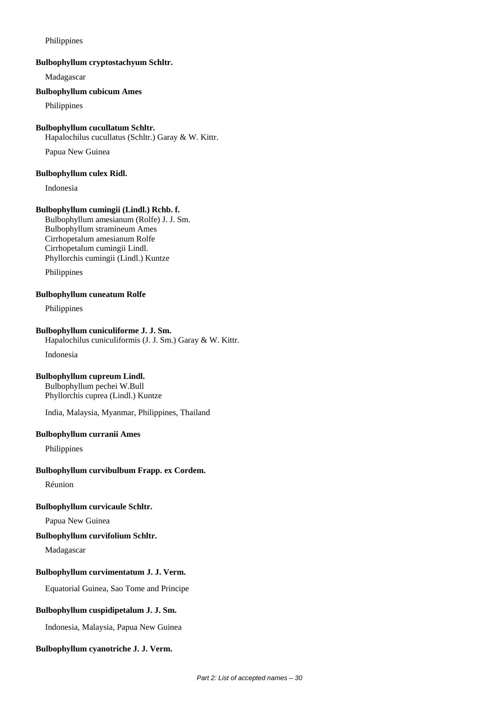### Philippines

### **Bulbophyllum cryptostachyum Schltr.**

Madagascar

### **Bulbophyllum cubicum Ames**

Philippines

### **Bulbophyllum cucullatum Schltr.**

Hapalochilus cucullatus (Schltr.) Garay & W. Kittr.

Papua New Guinea

### **Bulbophyllum culex Ridl.**

Indonesia

### **Bulbophyllum cumingii (Lindl.) Rchb. f.**

Bulbophyllum amesianum (Rolfe) J. J. Sm. Bulbophyllum stramineum Ames Cirrhopetalum amesianum Rolfe Cirrhopetalum cumingii Lindl. Phyllorchis cumingii (Lindl.) Kuntze

Philippines

### **Bulbophyllum cuneatum Rolfe**

Philippines

### **Bulbophyllum cuniculiforme J. J. Sm.**

Hapalochilus cuniculiformis (J. J. Sm.) Garay & W. Kittr.

Indonesia

### **Bulbophyllum cupreum Lindl.**

Bulbophyllum pechei W.Bull Phyllorchis cuprea (Lindl.) Kuntze

India, Malaysia, Myanmar, Philippines, Thailand

### **Bulbophyllum curranii Ames**

Philippines

### **Bulbophyllum curvibulbum Frapp. ex Cordem.**

Réunion

### **Bulbophyllum curvicaule Schltr.**

Papua New Guinea

### **Bulbophyllum curvifolium Schltr.**

Madagascar

### **Bulbophyllum curvimentatum J. J. Verm.**

Equatorial Guinea, Sao Tome and Principe

# **Bulbophyllum cuspidipetalum J. J. Sm.**

Indonesia, Malaysia, Papua New Guinea

# **Bulbophyllum cyanotriche J. J. Verm.**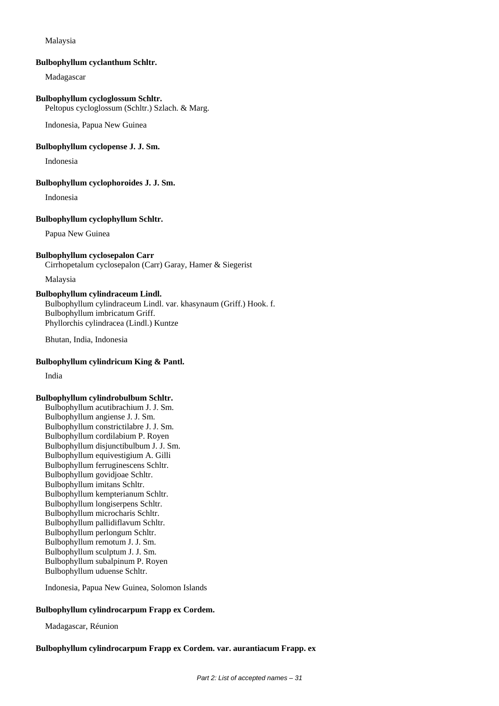### Malaysia

#### **Bulbophyllum cyclanthum Schltr.**

Madagascar

### **Bulbophyllum cycloglossum Schltr.**

Peltopus cycloglossum (Schltr.) Szlach. & Marg.

Indonesia, Papua New Guinea

### **Bulbophyllum cyclopense J. J. Sm.**

Indonesia

### **Bulbophyllum cyclophoroides J. J. Sm.**

Indonesia

### **Bulbophyllum cyclophyllum Schltr.**

Papua New Guinea

### **Bulbophyllum cyclosepalon Carr**

Cirrhopetalum cyclosepalon (Carr) Garay, Hamer & Siegerist

Malaysia

# **Bulbophyllum cylindraceum Lindl.**

Bulbophyllum cylindraceum Lindl. var. khasynaum (Griff.) Hook. f. Bulbophyllum imbricatum Griff. Phyllorchis cylindracea (Lindl.) Kuntze

Bhutan, India, Indonesia

### **Bulbophyllum cylindricum King & Pantl.**

India

#### **Bulbophyllum cylindrobulbum Schltr.**

Bulbophyllum acutibrachium J. J. Sm. Bulbophyllum angiense J. J. Sm. Bulbophyllum constrictilabre J. J. Sm. Bulbophyllum cordilabium P. Royen Bulbophyllum disjunctibulbum J. J. Sm. Bulbophyllum equivestigium A. Gilli Bulbophyllum ferruginescens Schltr. Bulbophyllum govidjoae Schltr. Bulbophyllum imitans Schltr. Bulbophyllum kempterianum Schltr. Bulbophyllum longiserpens Schltr. Bulbophyllum microcharis Schltr. Bulbophyllum pallidiflavum Schltr. Bulbophyllum perlongum Schltr. Bulbophyllum remotum J. J. Sm. Bulbophyllum sculptum J. J. Sm. Bulbophyllum subalpinum P. Royen Bulbophyllum uduense Schltr.

Indonesia, Papua New Guinea, Solomon Islands

# **Bulbophyllum cylindrocarpum Frapp ex Cordem.**

Madagascar, Réunion

**Bulbophyllum cylindrocarpum Frapp ex Cordem. var. aurantiacum Frapp. ex**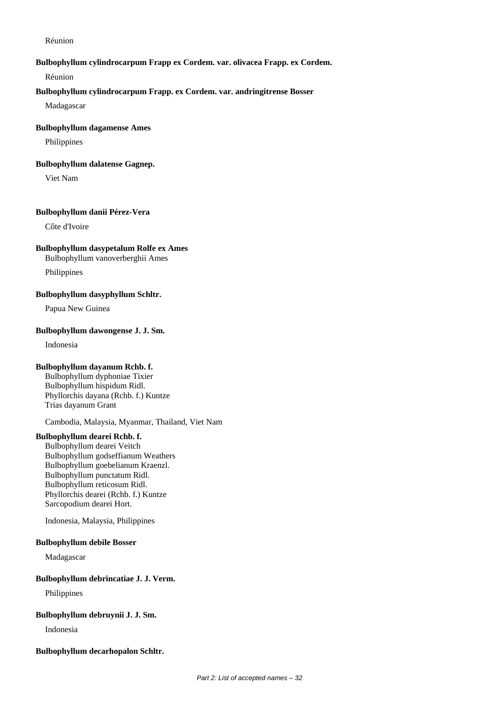Réunion

### **Bulbophyllum cylindrocarpum Frapp ex Cordem. var. olivacea Frapp. ex Cordem.**

Réunion

### **Bulbophyllum cylindrocarpum Frapp. ex Cordem. var. andringitrense Bosser**

Madagascar

#### **Bulbophyllum dagamense Ames**

Philippines

#### **Bulbophyllum dalatense Gagnep.**

Viet Nam

### **Bulbophyllum danii Pérez-Vera**

Côte d'Ivoire

### **Bulbophyllum dasypetalum Rolfe ex Ames**

Bulbophyllum vanoverberghii Ames

Philippines

### **Bulbophyllum dasyphyllum Schltr.**

Papua New Guinea

### **Bulbophyllum dawongense J. J. Sm.**

Indonesia

### **Bulbophyllum dayanum Rchb. f.**

Bulbophyllum dyphoniae Tixier Bulbophyllum hispidum Ridl. Phyllorchis dayana (Rchb. f.) Kuntze Trias dayanum Grant

Cambodia, Malaysia, Myanmar, Thailand, Viet Nam

## **Bulbophyllum dearei Rchb. f.**

Bulbophyllum dearei Veitch Bulbophyllum godseffianum Weathers Bulbophyllum goebelianum Kraenzl. Bulbophyllum punctatum Ridl. Bulbophyllum reticosum Ridl. Phyllorchis dearei (Rchb. f.) Kuntze Sarcopodium dearei Hort.

Indonesia, Malaysia, Philippines

#### **Bulbophyllum debile Bosser**

Madagascar

#### **Bulbophyllum debrincatiae J. J. Verm.**

Philippines

# **Bulbophyllum debruynii J. J. Sm.**

Indonesia

#### **Bulbophyllum decarhopalon Schltr.**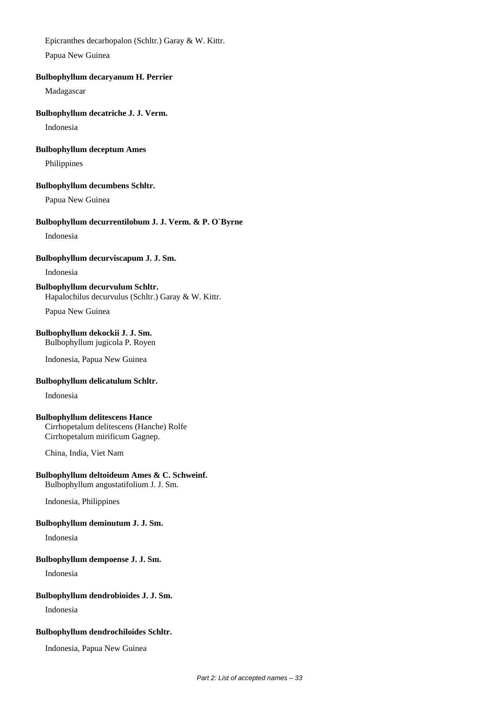Epicranthes decarhopalon (Schltr.) Garay & W. Kittr.

Papua New Guinea

### **Bulbophyllum decaryanum H. Perrier**

Madagascar

### **Bulbophyllum decatriche J. J. Verm.**

Indonesia

# **Bulbophyllum deceptum Ames**

Philippines

### **Bulbophyllum decumbens Schltr.**

Papua New Guinea

# **Bulbophyllum decurrentilobum J. J. Verm. & P. O`Byrne**

Indonesia

### **Bulbophyllum decurviscapum J. J. Sm.**

Indonesia

### **Bulbophyllum decurvulum Schltr.** Hapalochilus decurvulus (Schltr.) Garay & W. Kittr.

Papua New Guinea

### **Bulbophyllum dekockii J. J. Sm.** Bulbophyllum jugicola P. Royen

Indonesia, Papua New Guinea

### **Bulbophyllum delicatulum Schltr.**

Indonesia

### **Bulbophyllum delitescens Hance**

Cirrhopetalum delitescens (Hanche) Rolfe Cirrhopetalum mirificum Gagnep.

China, India, Viet Nam

### **Bulbophyllum deltoideum Ames & C. Schweinf.** Bulbophyllum angustatifolium J. J. Sm.

Indonesia, Philippines

### **Bulbophyllum deminutum J. J. Sm.**

Indonesia

### **Bulbophyllum dempoense J. J. Sm.**

Indonesia

### **Bulbophyllum dendrobioides J. J. Sm.**

Indonesia

### **Bulbophyllum dendrochiloides Schltr.**

Indonesia, Papua New Guinea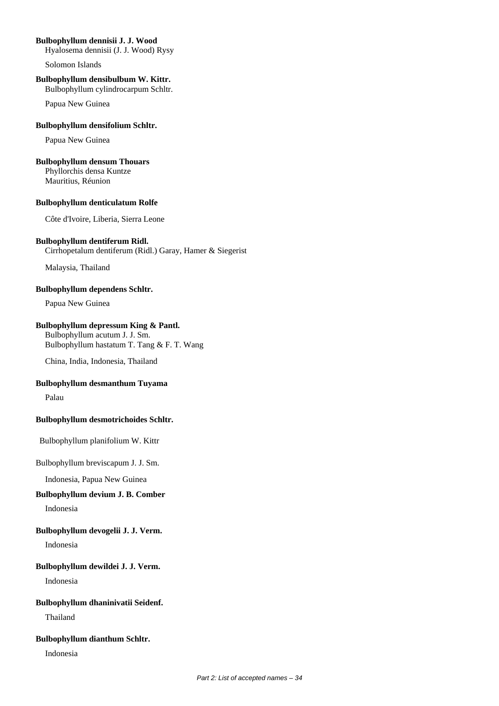# **Bulbophyllum dennisii J. J. Wood**

Hyalosema dennisii (J. J. Wood) Rysy

Solomon Islands

### **Bulbophyllum densibulbum W. Kittr.**

Bulbophyllum cylindrocarpum Schltr.

Papua New Guinea

# **Bulbophyllum densifolium Schltr.**

Papua New Guinea

### **Bulbophyllum densum Thouars**

Phyllorchis densa Kuntze Mauritius, Réunion

### **Bulbophyllum denticulatum Rolfe**

Côte d'Ivoire, Liberia, Sierra Leone

# **Bulbophyllum dentiferum Ridl.**

Cirrhopetalum dentiferum (Ridl.) Garay, Hamer & Siegerist

Malaysia, Thailand

# **Bulbophyllum dependens Schltr.**

Papua New Guinea

# **Bulbophyllum depressum King & Pantl.**

Bulbophyllum acutum J. J. Sm. Bulbophyllum hastatum T. Tang & F. T. Wang

China, India, Indonesia, Thailand

## **Bulbophyllum desmanthum Tuyama**

Palau

# **Bulbophyllum desmotrichoides Schltr.**

Bulbophyllum planifolium W. Kittr

Bulbophyllum breviscapum J. J. Sm.

Indonesia, Papua New Guinea

# **Bulbophyllum devium J. B. Comber**

Indonesia

# **Bulbophyllum devogelii J. J. Verm.**

Indonesia

# **Bulbophyllum dewildei J. J. Verm.**

Indonesia

# **Bulbophyllum dhaninivatii Seidenf.**

Thailand

# **Bulbophyllum dianthum Schltr.**

Indonesia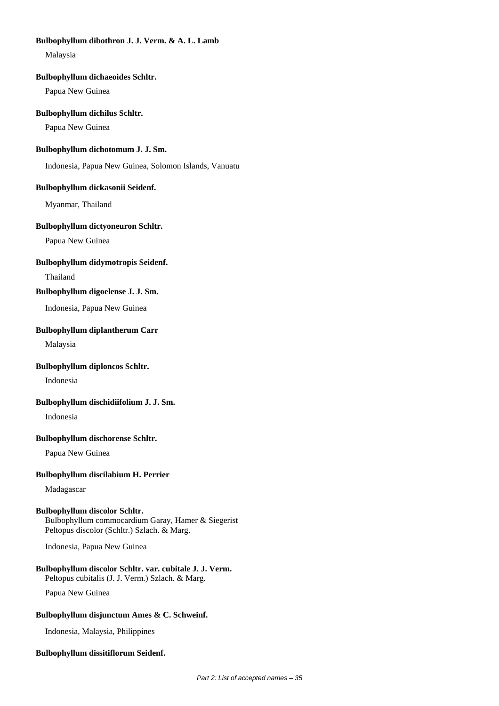# **Bulbophyllum dibothron J. J. Verm. & A. L. Lamb**

Malaysia

### **Bulbophyllum dichaeoides Schltr.**

Papua New Guinea

# **Bulbophyllum dichilus Schltr.**

Papua New Guinea

# **Bulbophyllum dichotomum J. J. Sm.**

Indonesia, Papua New Guinea, Solomon Islands, Vanuatu

# **Bulbophyllum dickasonii Seidenf.**

Myanmar, Thailand

# **Bulbophyllum dictyoneuron Schltr.**

Papua New Guinea

# **Bulbophyllum didymotropis Seidenf.**

Thailand

# **Bulbophyllum digoelense J. J. Sm.**

Indonesia, Papua New Guinea

# **Bulbophyllum diplantherum Carr**

Malaysia

# **Bulbophyllum diploncos Schltr.**

Indonesia

# **Bulbophyllum dischidiifolium J. J. Sm.**

Indonesia

# **Bulbophyllum dischorense Schltr.**

Papua New Guinea

# **Bulbophyllum discilabium H. Perrier**

Madagascar

### **Bulbophyllum discolor Schltr.**

Bulbophyllum commocardium Garay, Hamer & Siegerist Peltopus discolor (Schltr.) Szlach. & Marg.

Indonesia, Papua New Guinea

### **Bulbophyllum discolor Schltr. var. cubitale J. J. Verm.** Peltopus cubitalis (J. J. Verm.) Szlach. & Marg.

Papua New Guinea

# **Bulbophyllum disjunctum Ames & C. Schweinf.**

Indonesia, Malaysia, Philippines

# **Bulbophyllum dissitiflorum Seidenf.**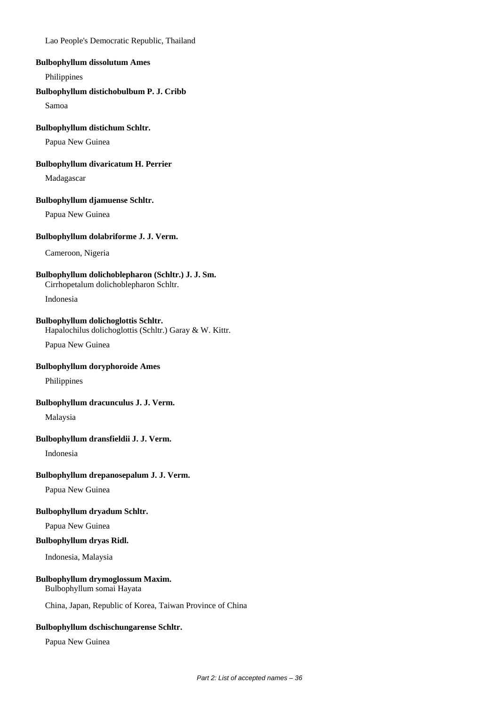Lao People's Democratic Republic, Thailand

### **Bulbophyllum dissolutum Ames**

Philippines

### **Bulbophyllum distichobulbum P. J. Cribb**

Samoa

### **Bulbophyllum distichum Schltr.**

Papua New Guinea

### **Bulbophyllum divaricatum H. Perrier**

Madagascar

### **Bulbophyllum djamuense Schltr.**

Papua New Guinea

### **Bulbophyllum dolabriforme J. J. Verm.**

Cameroon, Nigeria

### **Bulbophyllum dolichoblepharon (Schltr.) J. J. Sm.**

Cirrhopetalum dolichoblepharon Schltr.

Indonesia

## **Bulbophyllum dolichoglottis Schltr.**

Hapalochilus dolichoglottis (Schltr.) Garay & W. Kittr.

Papua New Guinea

# **Bulbophyllum doryphoroide Ames**

Philippines

# **Bulbophyllum dracunculus J. J. Verm.**

Malaysia

### **Bulbophyllum dransfieldii J. J. Verm.**

Indonesia

### **Bulbophyllum drepanosepalum J. J. Verm.**

Papua New Guinea

## **Bulbophyllum dryadum Schltr.**

Papua New Guinea

### **Bulbophyllum dryas Ridl.**

Indonesia, Malaysia

## **Bulbophyllum drymoglossum Maxim.**

Bulbophyllum somai Hayata

China, Japan, Republic of Korea, Taiwan Province of China

### **Bulbophyllum dschischungarense Schltr.**

Papua New Guinea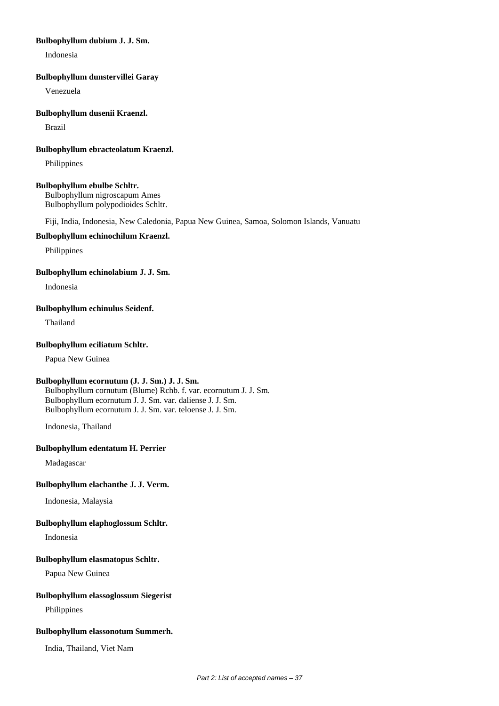### **Bulbophyllum dubium J. J. Sm.**

Indonesia

### **Bulbophyllum dunstervillei Garay**

Venezuela

#### **Bulbophyllum dusenii Kraenzl.**

Brazil

## **Bulbophyllum ebracteolatum Kraenzl.**

Philippines

#### **Bulbophyllum ebulbe Schltr.**

Bulbophyllum nigroscapum Ames Bulbophyllum polypodioides Schltr.

Fiji, India, Indonesia, New Caledonia, Papua New Guinea, Samoa, Solomon Islands, Vanuatu

#### **Bulbophyllum echinochilum Kraenzl.**

Philippines

#### **Bulbophyllum echinolabium J. J. Sm.**

Indonesia

#### **Bulbophyllum echinulus Seidenf.**

Thailand

#### **Bulbophyllum eciliatum Schltr.**

Papua New Guinea

# **Bulbophyllum ecornutum (J. J. Sm.) J. J. Sm.**

Bulbophyllum cornutum (Blume) Rchb. f. var. ecornutum J. J. Sm. Bulbophyllum ecornutum J. J. Sm. var. daliense J. J. Sm. Bulbophyllum ecornutum J. J. Sm. var. teloense J. J. Sm.

Indonesia, Thailand

#### **Bulbophyllum edentatum H. Perrier**

Madagascar

#### **Bulbophyllum elachanthe J. J. Verm.**

Indonesia, Malaysia

# **Bulbophyllum elaphoglossum Schltr.**

Indonesia

# **Bulbophyllum elasmatopus Schltr.**

Papua New Guinea

#### **Bulbophyllum elassoglossum Siegerist**

Philippines

### **Bulbophyllum elassonotum Summerh.**

India, Thailand, Viet Nam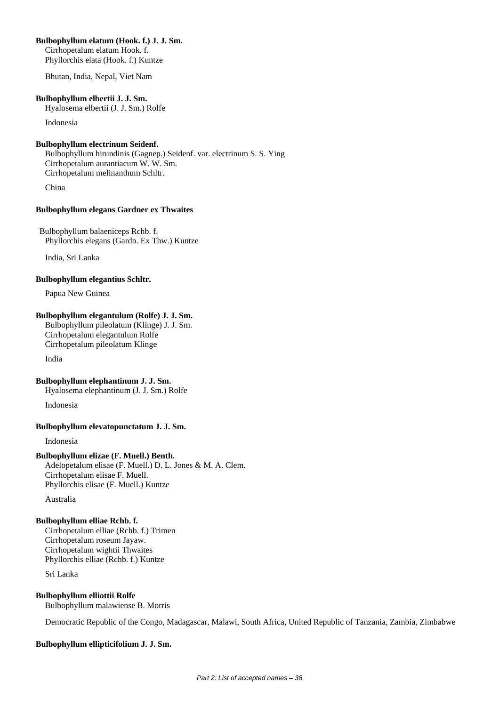## **Bulbophyllum elatum (Hook. f.) J. J. Sm.**

Cirrhopetalum elatum Hook. f. Phyllorchis elata (Hook. f.) Kuntze

Bhutan, India, Nepal, Viet Nam

#### **Bulbophyllum elbertii J. J. Sm.**

Hyalosema elbertii (J. J. Sm.) Rolfe

Indonesia

# **Bulbophyllum electrinum Seidenf.**

Bulbophyllum hirundinis (Gagnep.) Seidenf. var. electrinum S. S. Ying Cirrhopetalum aurantiacum W. W. Sm. Cirrhopetalum melinanthum Schltr.

China

# **Bulbophyllum elegans Gardner ex Thwaites**

 Bulbophyllum balaeniceps Rchb. f. Phyllorchis elegans (Gardn. Ex Thw.) Kuntze

India, Sri Lanka

#### **Bulbophyllum elegantius Schltr.**

Papua New Guinea

# **Bulbophyllum elegantulum (Rolfe) J. J. Sm.**

Bulbophyllum pileolatum (Klinge) J. J. Sm. Cirrhopetalum elegantulum Rolfe Cirrhopetalum pileolatum Klinge

India

# **Bulbophyllum elephantinum J. J. Sm.**

Hyalosema elephantinum (J. J. Sm.) Rolfe

Indonesia

# **Bulbophyllum elevatopunctatum J. J. Sm.**

Indonesia

#### **Bulbophyllum elizae (F. Muell.) Benth.** Adelopetalum elisae (F. Muell.) D. L. Jones & M. A. Clem. Cirrhopetalum elisae F. Muell. Phyllorchis elisae (F. Muell.) Kuntze

Australia

# **Bulbophyllum elliae Rchb. f.**

Cirrhopetalum elliae (Rchb. f.) Trimen Cirrhopetalum roseum Jayaw. Cirrhopetalum wightii Thwaites Phyllorchis elliae (Rchb. f.) Kuntze

Sri Lanka

# **Bulbophyllum elliottii Rolfe**

Bulbophyllum malawiense B. Morris

Democratic Republic of the Congo, Madagascar, Malawi, South Africa, United Republic of Tanzania, Zambia, Zimbabwe

# **Bulbophyllum ellipticifolium J. J. Sm.**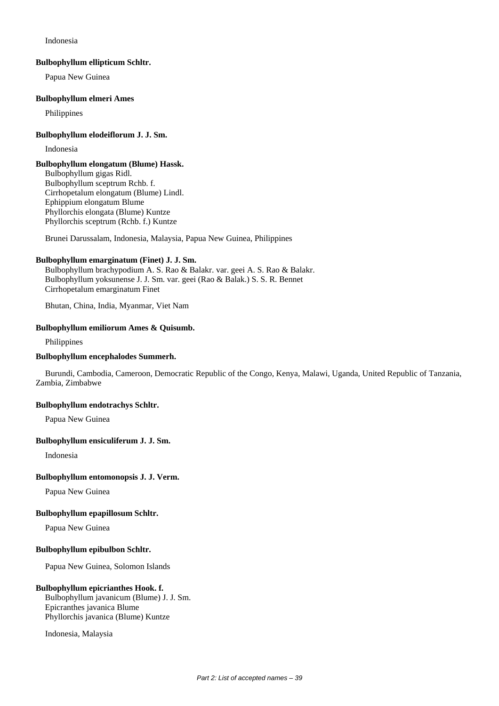Indonesia

#### **Bulbophyllum ellipticum Schltr.**

Papua New Guinea

#### **Bulbophyllum elmeri Ames**

Philippines

### **Bulbophyllum elodeiflorum J. J. Sm.**

Indonesia

### **Bulbophyllum elongatum (Blume) Hassk.**

Bulbophyllum gigas Ridl. Bulbophyllum sceptrum Rchb. f. Cirrhopetalum elongatum (Blume) Lindl. Ephippium elongatum Blume Phyllorchis elongata (Blume) Kuntze Phyllorchis sceptrum (Rchb. f.) Kuntze

Brunei Darussalam, Indonesia, Malaysia, Papua New Guinea, Philippines

# **Bulbophyllum emarginatum (Finet) J. J. Sm.**

Bulbophyllum brachypodium A. S. Rao & Balakr. var. geei A. S. Rao & Balakr. Bulbophyllum yoksunense J. J. Sm. var. geei (Rao & Balak.) S. S. R. Bennet Cirrhopetalum emarginatum Finet

Bhutan, China, India, Myanmar, Viet Nam

# **Bulbophyllum emiliorum Ames & Quisumb.**

Philippines

### **Bulbophyllum encephalodes Summerh.**

Burundi, Cambodia, Cameroon, Democratic Republic of the Congo, Kenya, Malawi, Uganda, United Republic of Tanzania, Zambia, Zimbabwe

#### **Bulbophyllum endotrachys Schltr.**

Papua New Guinea

# **Bulbophyllum ensiculiferum J. J. Sm.**

Indonesia

# **Bulbophyllum entomonopsis J. J. Verm.**

Papua New Guinea

# **Bulbophyllum epapillosum Schltr.**

Papua New Guinea

#### **Bulbophyllum epibulbon Schltr.**

Papua New Guinea, Solomon Islands

#### **Bulbophyllum epicrianthes Hook. f.**

Bulbophyllum javanicum (Blume) J. J. Sm. Epicranthes javanica Blume Phyllorchis javanica (Blume) Kuntze

Indonesia, Malaysia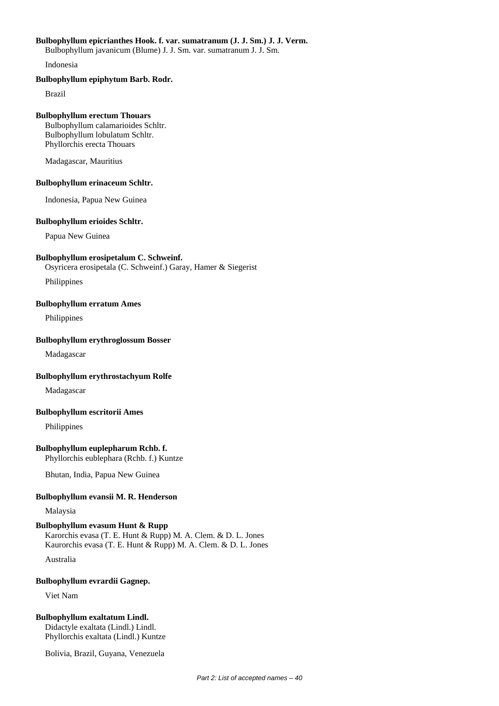### **Bulbophyllum epicrianthes Hook. f. var. sumatranum (J. J. Sm.) J. J. Verm.**

Bulbophyllum javanicum (Blume) J. J. Sm. var. sumatranum J. J. Sm.

Indonesia

### **Bulbophyllum epiphytum Barb. Rodr.**

Brazil

# **Bulbophyllum erectum Thouars**

Bulbophyllum calamarioides Schltr. Bulbophyllum lobulatum Schltr. Phyllorchis erecta Thouars

Madagascar, Mauritius

# **Bulbophyllum erinaceum Schltr.**

Indonesia, Papua New Guinea

# **Bulbophyllum erioides Schltr.**

Papua New Guinea

# **Bulbophyllum erosipetalum C. Schweinf.**

Osyricera erosipetala (C. Schweinf.) Garay, Hamer & Siegerist

Philippines

# **Bulbophyllum erratum Ames**

Philippines

# **Bulbophyllum erythroglossum Bosser**

Madagascar

# **Bulbophyllum erythrostachyum Rolfe**

Madagascar

# **Bulbophyllum escritorii Ames**

Philippines

# **Bulbophyllum euplepharum Rchb. f.**

Phyllorchis eublephara (Rchb. f.) Kuntze

Bhutan, India, Papua New Guinea

# **Bulbophyllum evansii M. R. Henderson**

Malaysia

# **Bulbophyllum evasum Hunt & Rupp**

Karorchis evasa (T. E. Hunt & Rupp) M. A. Clem. & D. L. Jones Kaurorchis evasa (T. E. Hunt & Rupp) M. A. Clem. & D. L. Jones

Australia

# **Bulbophyllum evrardii Gagnep.**

Viet Nam

# **Bulbophyllum exaltatum Lindl.** Didactyle exaltata (Lindl.) Lindl. Phyllorchis exaltata (Lindl.) Kuntze

Bolivia, Brazil, Guyana, Venezuela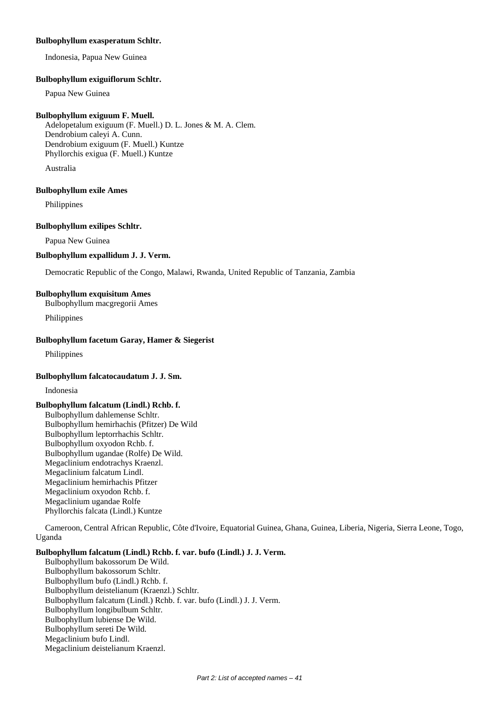## **Bulbophyllum exasperatum Schltr.**

Indonesia, Papua New Guinea

#### **Bulbophyllum exiguiflorum Schltr.**

Papua New Guinea

#### **Bulbophyllum exiguum F. Muell.**

Adelopetalum exiguum (F. Muell.) D. L. Jones & M. A. Clem. Dendrobium caleyi A. Cunn. Dendrobium exiguum (F. Muell.) Kuntze Phyllorchis exigua (F. Muell.) Kuntze

Australia

#### **Bulbophyllum exile Ames**

Philippines

### **Bulbophyllum exilipes Schltr.**

Papua New Guinea

#### **Bulbophyllum expallidum J. J. Verm.**

Democratic Republic of the Congo, Malawi, Rwanda, United Republic of Tanzania, Zambia

### **Bulbophyllum exquisitum Ames**

Bulbophyllum macgregorii Ames

Philippines

# **Bulbophyllum facetum Garay, Hamer & Siegerist**

Philippines

#### **Bulbophyllum falcatocaudatum J. J. Sm.**

Indonesia

# **Bulbophyllum falcatum (Lindl.) Rchb. f.**

Bulbophyllum dahlemense Schltr. Bulbophyllum hemirhachis (Pfitzer) De Wild Bulbophyllum leptorrhachis Schltr. Bulbophyllum oxyodon Rchb. f. Bulbophyllum ugandae (Rolfe) De Wild. Megaclinium endotrachys Kraenzl. Megaclinium falcatum Lindl. Megaclinium hemirhachis Pfitzer Megaclinium oxyodon Rchb. f. Megaclinium ugandae Rolfe Phyllorchis falcata (Lindl.) Kuntze

Cameroon, Central African Republic, Côte d'Ivoire, Equatorial Guinea, Ghana, Guinea, Liberia, Nigeria, Sierra Leone, Togo, Uganda

#### **Bulbophyllum falcatum (Lindl.) Rchb. f. var. bufo (Lindl.) J. J. Verm.**

Bulbophyllum bakossorum De Wild. Bulbophyllum bakossorum Schltr. Bulbophyllum bufo (Lindl.) Rchb. f. Bulbophyllum deistelianum (Kraenzl.) Schltr. Bulbophyllum falcatum (Lindl.) Rchb. f. var. bufo (Lindl.) J. J. Verm. Bulbophyllum longibulbum Schltr. Bulbophyllum lubiense De Wild. Bulbophyllum sereti De Wild. Megaclinium bufo Lindl. Megaclinium deistelianum Kraenzl.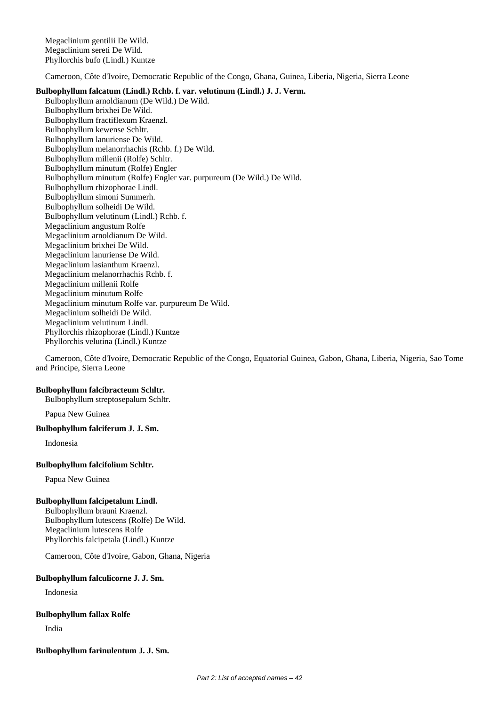Megaclinium gentilii De Wild. Megaclinium sereti De Wild. Phyllorchis bufo (Lindl.) Kuntze

Cameroon, Côte d'Ivoire, Democratic Republic of the Congo, Ghana, Guinea, Liberia, Nigeria, Sierra Leone

#### **Bulbophyllum falcatum (Lindl.) Rchb. f. var. velutinum (Lindl.) J. J. Verm.**

Bulbophyllum arnoldianum (De Wild.) De Wild. Bulbophyllum brixhei De Wild. Bulbophyllum fractiflexum Kraenzl. Bulbophyllum kewense Schltr. Bulbophyllum lanuriense De Wild. Bulbophyllum melanorrhachis (Rchb. f.) De Wild. Bulbophyllum millenii (Rolfe) Schltr. Bulbophyllum minutum (Rolfe) Engler Bulbophyllum minutum (Rolfe) Engler var. purpureum (De Wild.) De Wild. Bulbophyllum rhizophorae Lindl. Bulbophyllum simoni Summerh. Bulbophyllum solheidi De Wild. Bulbophyllum velutinum (Lindl.) Rchb. f. Megaclinium angustum Rolfe Megaclinium arnoldianum De Wild. Megaclinium brixhei De Wild. Megaclinium lanuriense De Wild. Megaclinium lasianthum Kraenzl. Megaclinium melanorrhachis Rchb. f. Megaclinium millenii Rolfe Megaclinium minutum Rolfe Megaclinium minutum Rolfe var. purpureum De Wild. Megaclinium solheidi De Wild. Megaclinium velutinum Lindl. Phyllorchis rhizophorae (Lindl.) Kuntze Phyllorchis velutina (Lindl.) Kuntze

Cameroon, Côte d'Ivoire, Democratic Republic of the Congo, Equatorial Guinea, Gabon, Ghana, Liberia, Nigeria, Sao Tome and Principe, Sierra Leone

# **Bulbophyllum falcibracteum Schltr.**

Bulbophyllum streptosepalum Schltr.

Papua New Guinea

#### **Bulbophyllum falciferum J. J. Sm.**

Indonesia

#### **Bulbophyllum falcifolium Schltr.**

Papua New Guinea

# **Bulbophyllum falcipetalum Lindl.**

Bulbophyllum brauni Kraenzl. Bulbophyllum lutescens (Rolfe) De Wild. Megaclinium lutescens Rolfe Phyllorchis falcipetala (Lindl.) Kuntze

Cameroon, Côte d'Ivoire, Gabon, Ghana, Nigeria

# **Bulbophyllum falculicorne J. J. Sm.**

Indonesia

# **Bulbophyllum fallax Rolfe**

India

# **Bulbophyllum farinulentum J. J. Sm.**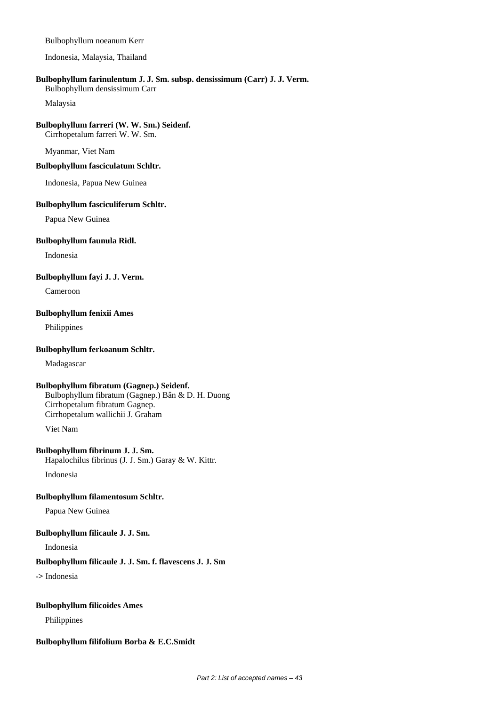### Bulbophyllum noeanum Kerr

Indonesia, Malaysia, Thailand

### **Bulbophyllum farinulentum J. J. Sm. subsp. densissimum (Carr) J. J. Verm.**

Bulbophyllum densissimum Carr

Malaysia

# **Bulbophyllum farreri (W. W. Sm.) Seidenf.**

Cirrhopetalum farreri W. W. Sm.

Myanmar, Viet Nam

#### **Bulbophyllum fasciculatum Schltr.**

Indonesia, Papua New Guinea

#### **Bulbophyllum fasciculiferum Schltr.**

Papua New Guinea

#### **Bulbophyllum faunula Ridl.**

Indonesia

### **Bulbophyllum fayi J. J. Verm.**

Cameroon

### **Bulbophyllum fenixii Ames**

Philippines

### **Bulbophyllum ferkoanum Schltr.**

Madagascar

#### **Bulbophyllum fibratum (Gagnep.) Seidenf.**

Bulbophyllum fibratum (Gagnep.) Bân & D. H. Duong Cirrhopetalum fibratum Gagnep. Cirrhopetalum wallichii J. Graham

Viet Nam

### **Bulbophyllum fibrinum J. J. Sm.**

Hapalochilus fibrinus (J. J. Sm.) Garay & W. Kittr.

Indonesia

# **Bulbophyllum filamentosum Schltr.**

Papua New Guinea

#### **Bulbophyllum filicaule J. J. Sm.**

Indonesia

#### **Bulbophyllum filicaule J. J. Sm. f. flavescens J. J. Sm**

**->** Indonesia

#### **Bulbophyllum filicoides Ames**

Philippines

# **Bulbophyllum filifolium Borba & E.C.Smidt**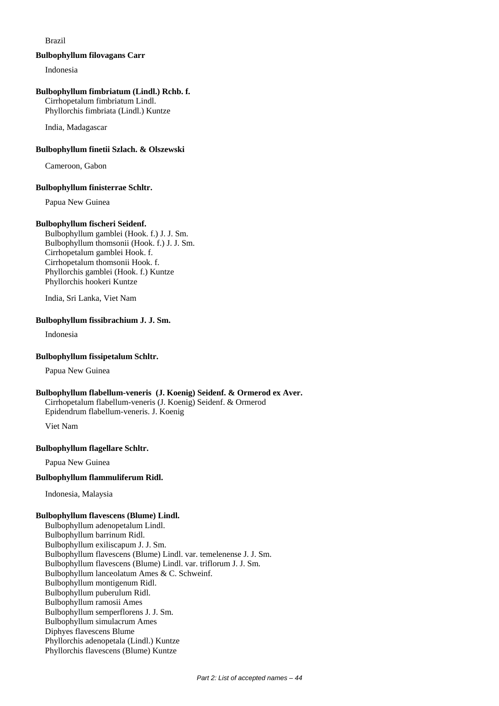# Brazil

#### **Bulbophyllum filovagans Carr**

Indonesia

#### **Bulbophyllum fimbriatum (Lindl.) Rchb. f.**

Cirrhopetalum fimbriatum Lindl. Phyllorchis fimbriata (Lindl.) Kuntze

India, Madagascar

## **Bulbophyllum finetii Szlach. & Olszewski**

Cameroon, Gabon

#### **Bulbophyllum finisterrae Schltr.**

Papua New Guinea

# **Bulbophyllum fischeri Seidenf.**

Bulbophyllum gamblei (Hook. f.) J. J. Sm. Bulbophyllum thomsonii (Hook. f.) J. J. Sm. Cirrhopetalum gamblei Hook. f. Cirrhopetalum thomsonii Hook. f. Phyllorchis gamblei (Hook. f.) Kuntze Phyllorchis hookeri Kuntze

India, Sri Lanka, Viet Nam

# **Bulbophyllum fissibrachium J. J. Sm.**

Indonesia

#### **Bulbophyllum fissipetalum Schltr.**

Papua New Guinea

#### **Bulbophyllum flabellum-veneris (J. Koenig) Seidenf. & Ormerod ex Aver.** Cirrhopetalum flabellum-veneris (J. Koenig) Seidenf. & Ormerod

Epidendrum flabellum-veneris. J. Koenig

Viet Nam

#### **Bulbophyllum flagellare Schltr.**

Papua New Guinea

#### **Bulbophyllum flammuliferum Ridl.**

Indonesia, Malaysia

#### **Bulbophyllum flavescens (Blume) Lindl.**

Bulbophyllum adenopetalum Lindl. Bulbophyllum barrinum Ridl. Bulbophyllum exiliscapum J. J. Sm. Bulbophyllum flavescens (Blume) Lindl. var. temelenense J. J. Sm. Bulbophyllum flavescens (Blume) Lindl. var. triflorum J. J. Sm. Bulbophyllum lanceolatum Ames & C. Schweinf. Bulbophyllum montigenum Ridl. Bulbophyllum puberulum Ridl. Bulbophyllum ramosii Ames Bulbophyllum semperflorens J. J. Sm. Bulbophyllum simulacrum Ames Diphyes flavescens Blume Phyllorchis adenopetala (Lindl.) Kuntze Phyllorchis flavescens (Blume) Kuntze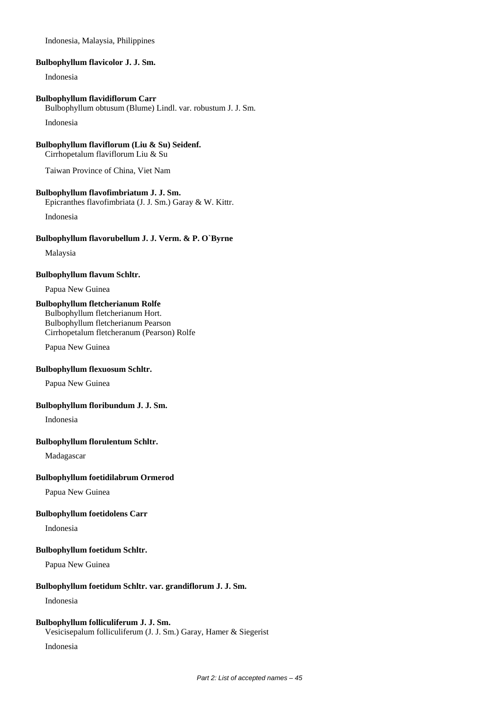Indonesia, Malaysia, Philippines

**Bulbophyllum flavicolor J. J. Sm.**

Indonesia

**Bulbophyllum flavidiflorum Carr**

Bulbophyllum obtusum (Blume) Lindl. var. robustum J. J. Sm. Indonesia

**Bulbophyllum flaviflorum (Liu & Su) Seidenf.**

Cirrhopetalum flaviflorum Liu & Su

Taiwan Province of China, Viet Nam

#### **Bulbophyllum flavofimbriatum J. J. Sm.**

Epicranthes flavofimbriata (J. J. Sm.) Garay & W. Kittr.

Indonesia

#### **Bulbophyllum flavorubellum J. J. Verm. & P. O`Byrne**

Malaysia

#### **Bulbophyllum flavum Schltr.**

Papua New Guinea

# **Bulbophyllum fletcherianum Rolfe**

Bulbophyllum fletcherianum Hort. Bulbophyllum fletcherianum Pearson

Cirrhopetalum fletcheranum (Pearson) Rolfe

Papua New Guinea

#### **Bulbophyllum flexuosum Schltr.**

Papua New Guinea

# **Bulbophyllum floribundum J. J. Sm.**

Indonesia

#### **Bulbophyllum florulentum Schltr.**

Madagascar

#### **Bulbophyllum foetidilabrum Ormerod**

Papua New Guinea

## **Bulbophyllum foetidolens Carr**

Indonesia

#### **Bulbophyllum foetidum Schltr.**

Papua New Guinea

# **Bulbophyllum foetidum Schltr. var. grandiflorum J. J. Sm.**

Indonesia

#### **Bulbophyllum folliculiferum J. J. Sm.**

Vesicisepalum folliculiferum (J. J. Sm.) Garay, Hamer & Siegerist

Indonesia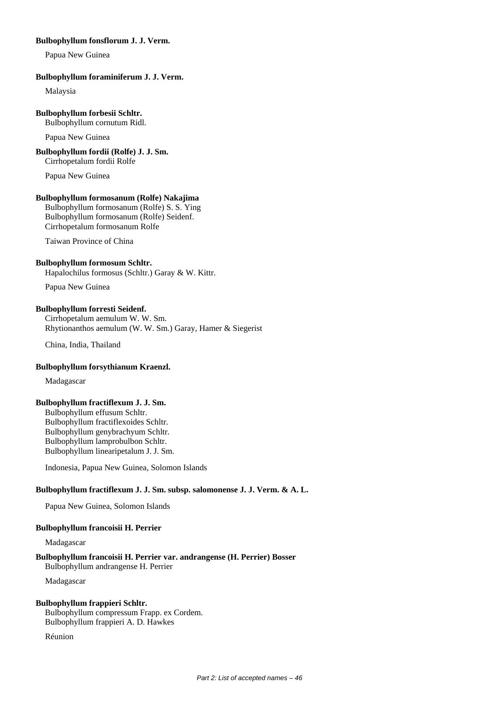### **Bulbophyllum fonsflorum J. J. Verm.**

Papua New Guinea

#### **Bulbophyllum foraminiferum J. J. Verm.**

Malaysia

#### **Bulbophyllum forbesii Schltr.**

Bulbophyllum cornutum Ridl.

Papua New Guinea

# **Bulbophyllum fordii (Rolfe) J. J. Sm.**

Cirrhopetalum fordii Rolfe

Papua New Guinea

# **Bulbophyllum formosanum (Rolfe) Nakajima**

Bulbophyllum formosanum (Rolfe) S. S. Ying Bulbophyllum formosanum (Rolfe) Seidenf. Cirrhopetalum formosanum Rolfe

Taiwan Province of China

### **Bulbophyllum formosum Schltr.**

Hapalochilus formosus (Schltr.) Garay & W. Kittr.

Papua New Guinea

# **Bulbophyllum forresti Seidenf.**

Cirrhopetalum aemulum W. W. Sm. Rhytionanthos aemulum (W. W. Sm.) Garay, Hamer & Siegerist

China, India, Thailand

#### **Bulbophyllum forsythianum Kraenzl.**

Madagascar

#### **Bulbophyllum fractiflexum J. J. Sm.**

Bulbophyllum effusum Schltr. Bulbophyllum fractiflexoides Schltr. Bulbophyllum genybrachyum Schltr. Bulbophyllum lamprobulbon Schltr. Bulbophyllum linearipetalum J. J. Sm.

Indonesia, Papua New Guinea, Solomon Islands

# **Bulbophyllum fractiflexum J. J. Sm. subsp. salomonense J. J. Verm. & A. L.**

Papua New Guinea, Solomon Islands

#### **Bulbophyllum francoisii H. Perrier**

Madagascar

#### **Bulbophyllum francoisii H. Perrier var. andrangense (H. Perrier) Bosser** Bulbophyllum andrangense H. Perrier

Madagascar

# **Bulbophyllum frappieri Schltr.**

Bulbophyllum compressum Frapp. ex Cordem. Bulbophyllum frappieri A. D. Hawkes

Réunion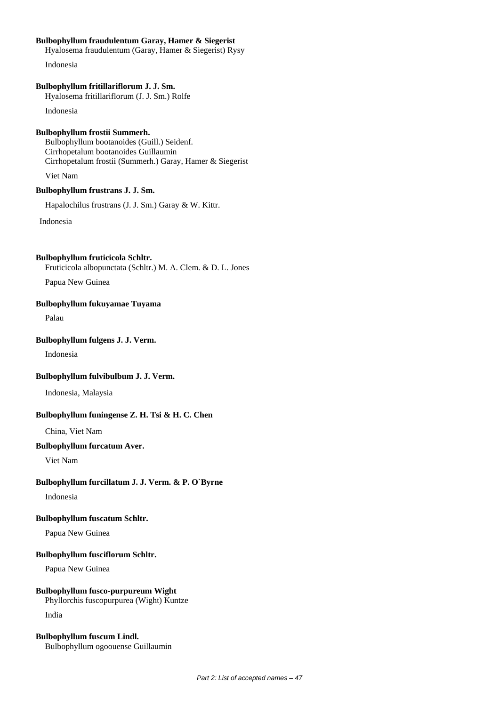# **Bulbophyllum fraudulentum Garay, Hamer & Siegerist**

Hyalosema fraudulentum (Garay, Hamer & Siegerist) Rysy

Indonesia

# **Bulbophyllum fritillariflorum J. J. Sm.**

Hyalosema fritillariflorum (J. J. Sm.) Rolfe

Indonesia

### **Bulbophyllum frostii Summerh.**

Bulbophyllum bootanoides (Guill.) Seidenf. Cirrhopetalum bootanoides Guillaumin Cirrhopetalum frostii (Summerh.) Garay, Hamer & Siegerist

Viet Nam

# **Bulbophyllum frustrans J. J. Sm.**

Hapalochilus frustrans (J. J. Sm.) Garay & W. Kittr.

Indonesia

#### **Bulbophyllum fruticicola Schltr.**

Fruticicola albopunctata (Schltr.) M. A. Clem. & D. L. Jones

Papua New Guinea

## **Bulbophyllum fukuyamae Tuyama**

Palau

# **Bulbophyllum fulgens J. J. Verm.**

Indonesia

# **Bulbophyllum fulvibulbum J. J. Verm.**

Indonesia, Malaysia

# **Bulbophyllum funingense Z. H. Tsi & H. C. Chen**

China, Viet Nam

### **Bulbophyllum furcatum Aver.**

Viet Nam

# **Bulbophyllum furcillatum J. J. Verm. & P. O`Byrne**

Indonesia

# **Bulbophyllum fuscatum Schltr.**

Papua New Guinea

# **Bulbophyllum fusciflorum Schltr.**

Papua New Guinea

# **Bulbophyllum fusco-purpureum Wight**

Phyllorchis fuscopurpurea (Wight) Kuntze

India

### **Bulbophyllum fuscum Lindl.** Bulbophyllum ogoouense Guillaumin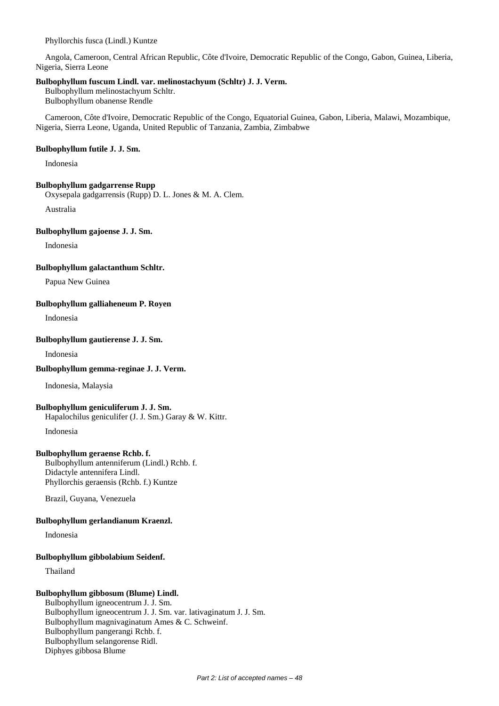Phyllorchis fusca (Lindl.) Kuntze

Angola, Cameroon, Central African Republic, Côte d'Ivoire, Democratic Republic of the Congo, Gabon, Guinea, Liberia, Nigeria, Sierra Leone

#### **Bulbophyllum fuscum Lindl. var. melinostachyum (Schltr) J. J. Verm.**

Bulbophyllum melinostachyum Schltr. Bulbophyllum obanense Rendle

Cameroon, Côte d'Ivoire, Democratic Republic of the Congo, Equatorial Guinea, Gabon, Liberia, Malawi, Mozambique, Nigeria, Sierra Leone, Uganda, United Republic of Tanzania, Zambia, Zimbabwe

#### **Bulbophyllum futile J. J. Sm.**

Indonesia

#### **Bulbophyllum gadgarrense Rupp**

Oxysepala gadgarrensis (Rupp) D. L. Jones & M. A. Clem.

Australia

#### **Bulbophyllum gajoense J. J. Sm.**

Indonesia

**Bulbophyllum galactanthum Schltr.**

Papua New Guinea

#### **Bulbophyllum galliaheneum P. Royen**

Indonesia

### **Bulbophyllum gautierense J. J. Sm.**

Indonesia

#### **Bulbophyllum gemma-reginae J. J. Verm.**

Indonesia, Malaysia

#### **Bulbophyllum geniculiferum J. J. Sm.**

Hapalochilus geniculifer (J. J. Sm.) Garay & W. Kittr.

Indonesia

#### **Bulbophyllum geraense Rchb. f.**

Bulbophyllum antenniferum (Lindl.) Rchb. f. Didactyle antennifera Lindl. Phyllorchis geraensis (Rchb. f.) Kuntze

Brazil, Guyana, Venezuela

#### **Bulbophyllum gerlandianum Kraenzl.**

Indonesia

#### **Bulbophyllum gibbolabium Seidenf.**

Thailand

# **Bulbophyllum gibbosum (Blume) Lindl.**

Bulbophyllum igneocentrum J. J. Sm. Bulbophyllum igneocentrum J. J. Sm. var. lativaginatum J. J. Sm. Bulbophyllum magnivaginatum Ames & C. Schweinf. Bulbophyllum pangerangi Rchb. f. Bulbophyllum selangorense Ridl. Diphyes gibbosa Blume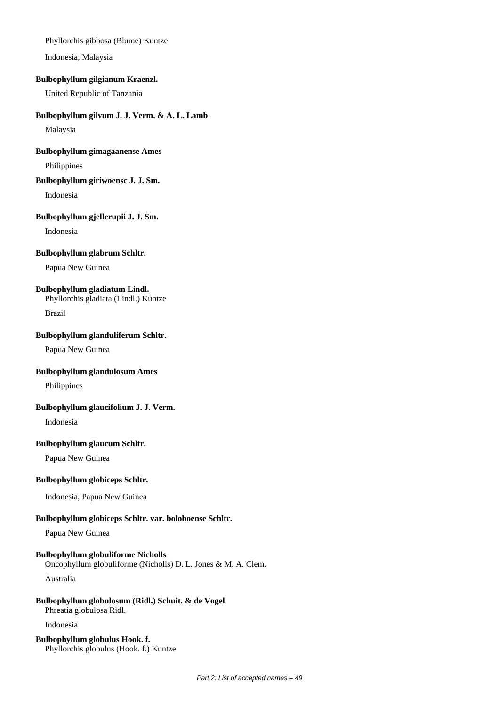## Phyllorchis gibbosa (Blume) Kuntze

Indonesia, Malaysia

## **Bulbophyllum gilgianum Kraenzl.**

United Republic of Tanzania

# **Bulbophyllum gilvum J. J. Verm. & A. L. Lamb**

Malaysia

# **Bulbophyllum gimagaanense Ames**

Philippines

## **Bulbophyllum giriwoensc J. J. Sm.**

Indonesia

#### **Bulbophyllum gjellerupii J. J. Sm.**

Indonesia

#### **Bulbophyllum glabrum Schltr.**

Papua New Guinea

# **Bulbophyllum gladiatum Lindl.**

Phyllorchis gladiata (Lindl.) Kuntze Brazil

### **Bulbophyllum glanduliferum Schltr.**

Papua New Guinea

### **Bulbophyllum glandulosum Ames**

Philippines

# **Bulbophyllum glaucifolium J. J. Verm.**

Indonesia

#### **Bulbophyllum glaucum Schltr.**

Papua New Guinea

#### **Bulbophyllum globiceps Schltr.**

Indonesia, Papua New Guinea

# **Bulbophyllum globiceps Schltr. var. boloboense Schltr.**

Papua New Guinea

### **Bulbophyllum globuliforme Nicholls**

Oncophyllum globuliforme (Nicholls) D. L. Jones & M. A. Clem.

Australia

# **Bulbophyllum globulosum (Ridl.) Schuit. & de Vogel**

Phreatia globulosa Ridl.

Indonesia

#### **Bulbophyllum globulus Hook. f.** Phyllorchis globulus (Hook. f.) Kuntze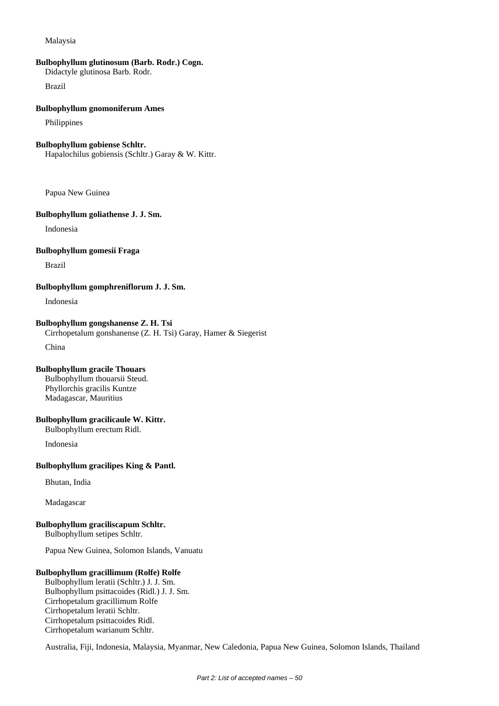### Malaysia

# **Bulbophyllum glutinosum (Barb. Rodr.) Cogn.**

Didactyle glutinosa Barb. Rodr.

Brazil

#### **Bulbophyllum gnomoniferum Ames**

Philippines

#### **Bulbophyllum gobiense Schltr.**

Hapalochilus gobiensis (Schltr.) Garay & W. Kittr.

Papua New Guinea

#### **Bulbophyllum goliathense J. J. Sm.**

Indonesia

#### **Bulbophyllum gomesii Fraga**

Brazil

#### **Bulbophyllum gomphreniflorum J. J. Sm.**

Indonesia

# **Bulbophyllum gongshanense Z. H. Tsi** Cirrhopetalum gonshanense (Z. H. Tsi) Garay, Hamer & Siegerist

China

#### **Bulbophyllum gracile Thouars**

Bulbophyllum thouarsii Steud. Phyllorchis gracilis Kuntze Madagascar, Mauritius

### **Bulbophyllum gracilicaule W. Kittr.**

Bulbophyllum erectum Ridl.

Indonesia

### **Bulbophyllum gracilipes King & Pantl.**

Bhutan, India

Madagascar

#### **Bulbophyllum graciliscapum Schltr.** Bulbophyllum setipes Schltr.

Papua New Guinea, Solomon Islands, Vanuatu

#### **Bulbophyllum gracillimum (Rolfe) Rolfe**

Bulbophyllum leratii (Schltr.) J. J. Sm. Bulbophyllum psittacoides (Ridl.) J. J. Sm. Cirrhopetalum gracillimum Rolfe Cirrhopetalum leratii Schltr. Cirrhopetalum psittacoides Ridl. Cirrhopetalum warianum Schltr.

Australia, Fiji, Indonesia, Malaysia, Myanmar, New Caledonia, Papua New Guinea, Solomon Islands, Thailand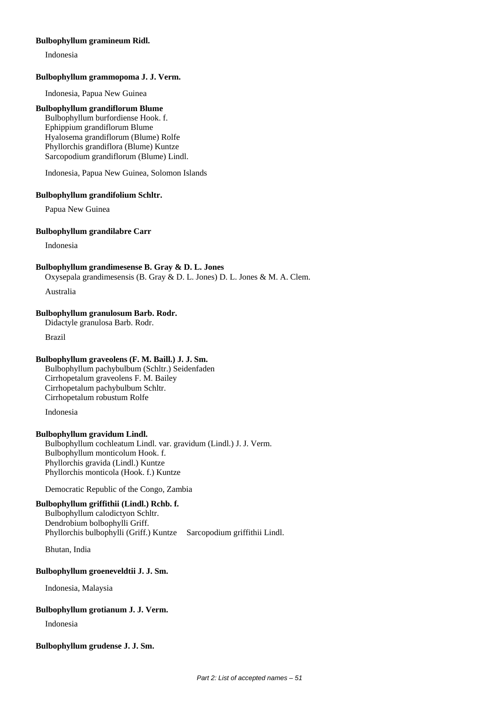### **Bulbophyllum gramineum Ridl.**

Indonesia

### **Bulbophyllum grammopoma J. J. Verm.**

Indonesia, Papua New Guinea

#### **Bulbophyllum grandiflorum Blume**

Bulbophyllum burfordiense Hook. f. Ephippium grandiflorum Blume Hyalosema grandiflorum (Blume) Rolfe Phyllorchis grandiflora (Blume) Kuntze Sarcopodium grandiflorum (Blume) Lindl.

Indonesia, Papua New Guinea, Solomon Islands

#### **Bulbophyllum grandifolium Schltr.**

Papua New Guinea

#### **Bulbophyllum grandilabre Carr**

Indonesia

#### **Bulbophyllum grandimesense B. Gray & D. L. Jones**

Oxysepala grandimesensis (B. Gray & D. L. Jones) D. L. Jones & M. A. Clem.

Australia

# **Bulbophyllum granulosum Barb. Rodr.**

Didactyle granulosa Barb. Rodr.

Brazil

#### **Bulbophyllum graveolens (F. M. Baill.) J. J. Sm.**

Bulbophyllum pachybulbum (Schltr.) Seidenfaden Cirrhopetalum graveolens F. M. Bailey Cirrhopetalum pachybulbum Schltr. Cirrhopetalum robustum Rolfe

Indonesia

#### **Bulbophyllum gravidum Lindl.**

Bulbophyllum cochleatum Lindl. var. gravidum (Lindl.) J. J. Verm. Bulbophyllum monticolum Hook. f. Phyllorchis gravida (Lindl.) Kuntze Phyllorchis monticola (Hook. f.) Kuntze

Democratic Republic of the Congo, Zambia

# **Bulbophyllum griffithii (Lindl.) Rchb. f.**

Bulbophyllum calodictyon Schltr. Dendrobium bolbophylli Griff. Phyllorchis bulbophylli (Griff.) Kuntze Sarcopodium griffithii Lindl.

Bhutan, India

#### **Bulbophyllum groeneveldtii J. J. Sm.**

Indonesia, Malaysia

# **Bulbophyllum grotianum J. J. Verm.**

Indonesia

### **Bulbophyllum grudense J. J. Sm.**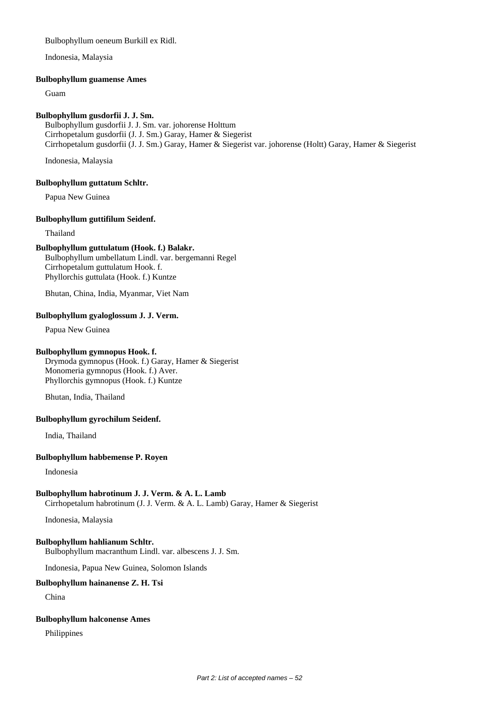# Bulbophyllum oeneum Burkill ex Ridl.

Indonesia, Malaysia

### **Bulbophyllum guamense Ames**

Guam

# **Bulbophyllum gusdorfii J. J. Sm.**

Bulbophyllum gusdorfii J. J. Sm. var. johorense Holttum Cirrhopetalum gusdorfii (J. J. Sm.) Garay, Hamer & Siegerist Cirrhopetalum gusdorfii (J. J. Sm.) Garay, Hamer & Siegerist var. johorense (Holtt) Garay, Hamer & Siegerist

Indonesia, Malaysia

# **Bulbophyllum guttatum Schltr.**

Papua New Guinea

# **Bulbophyllum guttifilum Seidenf.**

Thailand

# **Bulbophyllum guttulatum (Hook. f.) Balakr.**

Bulbophyllum umbellatum Lindl. var. bergemanni Regel Cirrhopetalum guttulatum Hook. f. Phyllorchis guttulata (Hook. f.) Kuntze

Bhutan, China, India, Myanmar, Viet Nam

# **Bulbophyllum gyaloglossum J. J. Verm.**

Papua New Guinea

# **Bulbophyllum gymnopus Hook. f.**

Drymoda gymnopus (Hook. f.) Garay, Hamer & Siegerist Monomeria gymnopus (Hook. f.) Aver. Phyllorchis gymnopus (Hook. f.) Kuntze

Bhutan, India, Thailand

# **Bulbophyllum gyrochilum Seidenf.**

India, Thailand

# **Bulbophyllum habbemense P. Royen**

Indonesia

# **Bulbophyllum habrotinum J. J. Verm. & A. L. Lamb**

Cirrhopetalum habrotinum (J. J. Verm. & A. L. Lamb) Garay, Hamer & Siegerist

Indonesia, Malaysia

# **Bulbophyllum hahlianum Schltr.**

Bulbophyllum macranthum Lindl. var. albescens J. J. Sm.

Indonesia, Papua New Guinea, Solomon Islands

# **Bulbophyllum hainanense Z. H. Tsi**

China

# **Bulbophyllum halconense Ames**

Philippines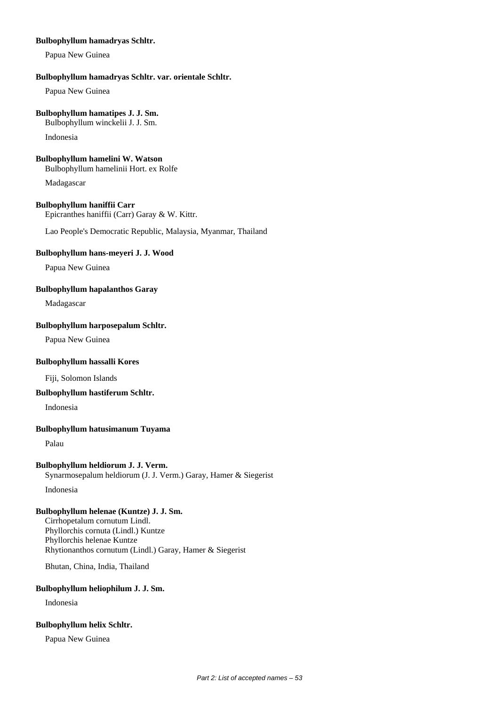## **Bulbophyllum hamadryas Schltr.**

Papua New Guinea

### **Bulbophyllum hamadryas Schltr. var. orientale Schltr.**

Papua New Guinea

### **Bulbophyllum hamatipes J. J. Sm.**

Bulbophyllum winckelii J. J. Sm.

Indonesia

### **Bulbophyllum hamelini W. Watson**

Bulbophyllum hamelinii Hort. ex Rolfe

Madagascar

# **Bulbophyllum haniffii Carr**

Epicranthes haniffii (Carr) Garay & W. Kittr.

Lao People's Democratic Republic, Malaysia, Myanmar, Thailand

# **Bulbophyllum hans-meyeri J. J. Wood**

Papua New Guinea

# **Bulbophyllum hapalanthos Garay**

Madagascar

# **Bulbophyllum harposepalum Schltr.**

Papua New Guinea

# **Bulbophyllum hassalli Kores**

Fiji, Solomon Islands

# **Bulbophyllum hastiferum Schltr.**

Indonesia

# **Bulbophyllum hatusimanum Tuyama**

Palau

# **Bulbophyllum heldiorum J. J. Verm.**

Synarmosepalum heldiorum (J. J. Verm.) Garay, Hamer & Siegerist

Indonesia

# **Bulbophyllum helenae (Kuntze) J. J. Sm.**

Cirrhopetalum cornutum Lindl. Phyllorchis cornuta (Lindl.) Kuntze Phyllorchis helenae Kuntze Rhytionanthos cornutum (Lindl.) Garay, Hamer & Siegerist

Bhutan, China, India, Thailand

# **Bulbophyllum heliophilum J. J. Sm.**

Indonesia

# **Bulbophyllum helix Schltr.**

Papua New Guinea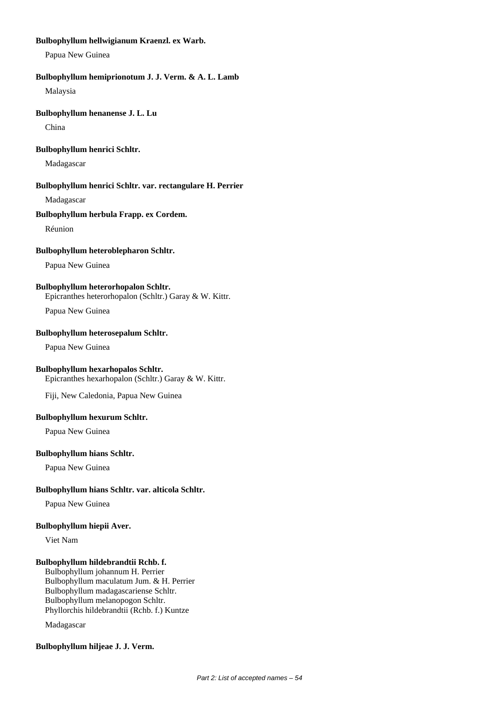# **Bulbophyllum hellwigianum Kraenzl. ex Warb.**

Papua New Guinea

### **Bulbophyllum hemiprionotum J. J. Verm. & A. L. Lamb**

Malaysia

#### **Bulbophyllum henanense J. L. Lu**

China

#### **Bulbophyllum henrici Schltr.**

Madagascar

#### **Bulbophyllum henrici Schltr. var. rectangulare H. Perrier**

Madagascar

### **Bulbophyllum herbula Frapp. ex Cordem.**

Réunion

## **Bulbophyllum heteroblepharon Schltr.**

Papua New Guinea

# **Bulbophyllum heterorhopalon Schltr.**

Epicranthes heterorhopalon (Schltr.) Garay & W. Kittr.

Papua New Guinea

#### **Bulbophyllum heterosepalum Schltr.**

Papua New Guinea

# **Bulbophyllum hexarhopalos Schltr.**

Epicranthes hexarhopalon (Schltr.) Garay & W. Kittr.

Fiji, New Caledonia, Papua New Guinea

### **Bulbophyllum hexurum Schltr.**

Papua New Guinea

#### **Bulbophyllum hians Schltr.**

Papua New Guinea

# **Bulbophyllum hians Schltr. var. alticola Schltr.**

Papua New Guinea

#### **Bulbophyllum hiepii Aver.**

Viet Nam

# **Bulbophyllum hildebrandtii Rchb. f.**

Bulbophyllum johannum H. Perrier Bulbophyllum maculatum Jum. & H. Perrier Bulbophyllum madagascariense Schltr. Bulbophyllum melanopogon Schltr. Phyllorchis hildebrandtii (Rchb. f.) Kuntze

Madagascar

#### **Bulbophyllum hiljeae J. J. Verm.**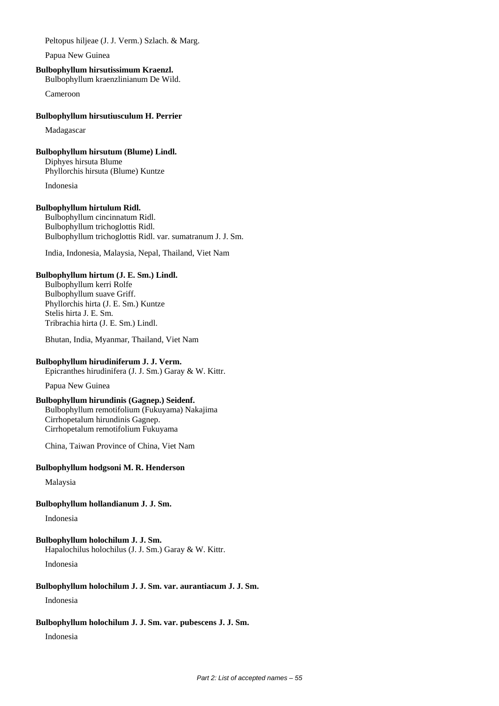Peltopus hiljeae (J. J. Verm.) Szlach. & Marg.

Papua New Guinea

# **Bulbophyllum hirsutissimum Kraenzl.**

Bulbophyllum kraenzlinianum De Wild.

Cameroon

### **Bulbophyllum hirsutiusculum H. Perrier**

Madagascar

# **Bulbophyllum hirsutum (Blume) Lindl.**

Diphyes hirsuta Blume Phyllorchis hirsuta (Blume) Kuntze

Indonesia

# **Bulbophyllum hirtulum Ridl.**

Bulbophyllum cincinnatum Ridl. Bulbophyllum trichoglottis Ridl. Bulbophyllum trichoglottis Ridl. var. sumatranum J. J. Sm.

India, Indonesia, Malaysia, Nepal, Thailand, Viet Nam

# **Bulbophyllum hirtum (J. E. Sm.) Lindl.**

Bulbophyllum kerri Rolfe Bulbophyllum suave Griff. Phyllorchis hirta (J. E. Sm.) Kuntze Stelis hirta J. E. Sm. Tribrachia hirta (J. E. Sm.) Lindl.

Bhutan, India, Myanmar, Thailand, Viet Nam

# **Bulbophyllum hirudiniferum J. J. Verm.**

Epicranthes hirudinifera (J. J. Sm.) Garay & W. Kittr.

Papua New Guinea

# **Bulbophyllum hirundinis (Gagnep.) Seidenf.**

Bulbophyllum remotifolium (Fukuyama) Nakajima Cirrhopetalum hirundinis Gagnep. Cirrhopetalum remotifolium Fukuyama

China, Taiwan Province of China, Viet Nam

# **Bulbophyllum hodgsoni M. R. Henderson**

Malaysia

# **Bulbophyllum hollandianum J. J. Sm.**

Indonesia

# **Bulbophyllum holochilum J. J. Sm.**

Hapalochilus holochilus (J. J. Sm.) Garay & W. Kittr.

Indonesia

# **Bulbophyllum holochilum J. J. Sm. var. aurantiacum J. J. Sm.**

Indonesia

# **Bulbophyllum holochilum J. J. Sm. var. pubescens J. J. Sm.**

Indonesia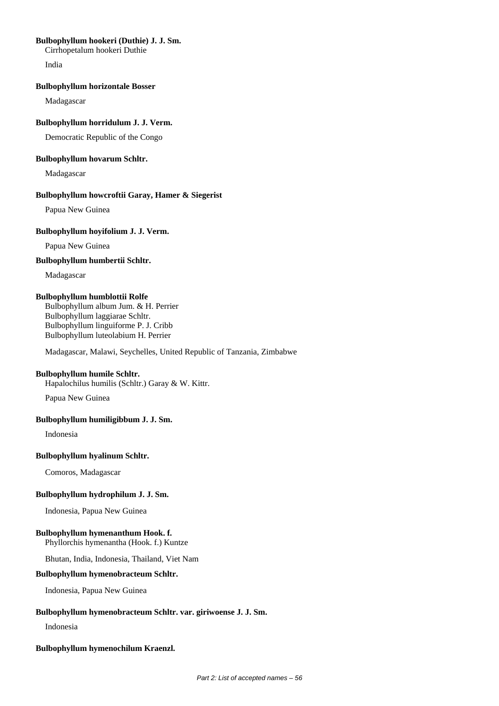### **Bulbophyllum hookeri (Duthie) J. J. Sm.**

Cirrhopetalum hookeri Duthie

India

### **Bulbophyllum horizontale Bosser**

Madagascar

# **Bulbophyllum horridulum J. J. Verm.**

Democratic Republic of the Congo

# **Bulbophyllum hovarum Schltr.**

Madagascar

# **Bulbophyllum howcroftii Garay, Hamer & Siegerist**

Papua New Guinea

# **Bulbophyllum hoyifolium J. J. Verm.**

Papua New Guinea

# **Bulbophyllum humbertii Schltr.**

Madagascar

# **Bulbophyllum humblottii Rolfe**

Bulbophyllum album Jum. & H. Perrier Bulbophyllum laggiarae Schltr. Bulbophyllum linguiforme P. J. Cribb Bulbophyllum luteolabium H. Perrier

Madagascar, Malawi, Seychelles, United Republic of Tanzania, Zimbabwe

# **Bulbophyllum humile Schltr.**

Hapalochilus humilis (Schltr.) Garay & W. Kittr.

Papua New Guinea

# **Bulbophyllum humiligibbum J. J. Sm.**

Indonesia

# **Bulbophyllum hyalinum Schltr.**

Comoros, Madagascar

# **Bulbophyllum hydrophilum J. J. Sm.**

Indonesia, Papua New Guinea

# **Bulbophyllum hymenanthum Hook. f.**

Phyllorchis hymenantha (Hook. f.) Kuntze

Bhutan, India, Indonesia, Thailand, Viet Nam

# **Bulbophyllum hymenobracteum Schltr.**

Indonesia, Papua New Guinea

# **Bulbophyllum hymenobracteum Schltr. var. giriwoense J. J. Sm.**

Indonesia

# **Bulbophyllum hymenochilum Kraenzl.**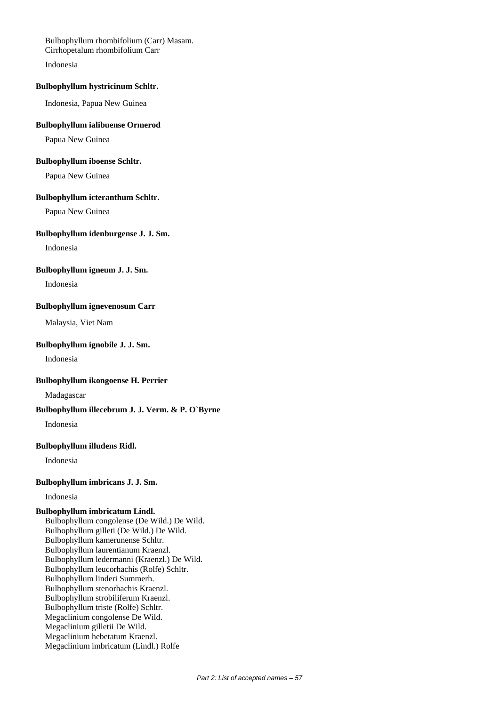Bulbophyllum rhombifolium (Carr) Masam. Cirrhopetalum rhombifolium Carr Indonesia

## **Bulbophyllum hystricinum Schltr.**

Indonesia, Papua New Guinea

#### **Bulbophyllum ialibuense Ormerod**

Papua New Guinea

#### **Bulbophyllum iboense Schltr.**

Papua New Guinea

#### **Bulbophyllum icteranthum Schltr.**

Papua New Guinea

# **Bulbophyllum idenburgense J. J. Sm.**

Indonesia

### **Bulbophyllum igneum J. J. Sm.**

Indonesia

#### **Bulbophyllum ignevenosum Carr**

Malaysia, Viet Nam

#### **Bulbophyllum ignobile J. J. Sm.**

Indonesia

#### **Bulbophyllum ikongoense H. Perrier**

Madagascar

# **Bulbophyllum illecebrum J. J. Verm. & P. O`Byrne**

Indonesia

# **Bulbophyllum illudens Ridl.**

Indonesia

# **Bulbophyllum imbricans J. J. Sm.**

Indonesia

#### **Bulbophyllum imbricatum Lindl.**

Bulbophyllum congolense (De Wild.) De Wild. Bulbophyllum gilleti (De Wild.) De Wild. Bulbophyllum kamerunense Schltr. Bulbophyllum laurentianum Kraenzl. Bulbophyllum ledermanni (Kraenzl.) De Wild. Bulbophyllum leucorhachis (Rolfe) Schltr. Bulbophyllum linderi Summerh. Bulbophyllum stenorhachis Kraenzl. Bulbophyllum strobiliferum Kraenzl. Bulbophyllum triste (Rolfe) Schltr. Megaclinium congolense De Wild. Megaclinium gilletii De Wild. Megaclinium hebetatum Kraenzl. Megaclinium imbricatum (Lindl.) Rolfe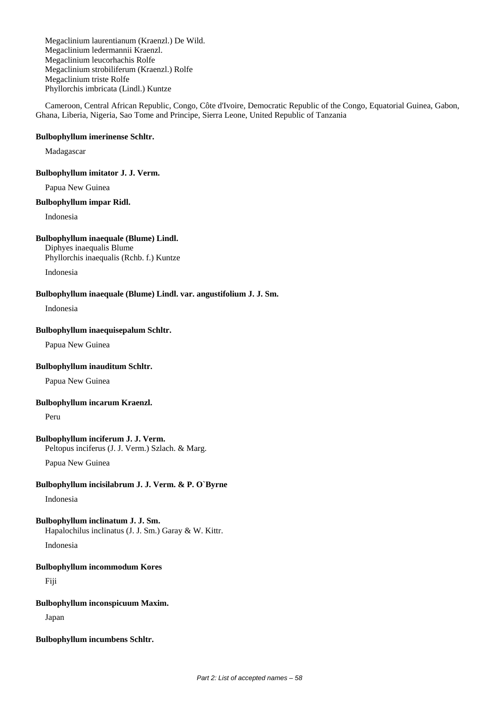Megaclinium laurentianum (Kraenzl.) De Wild. Megaclinium ledermannii Kraenzl. Megaclinium leucorhachis Rolfe Megaclinium strobiliferum (Kraenzl.) Rolfe Megaclinium triste Rolfe Phyllorchis imbricata (Lindl.) Kuntze

Cameroon, Central African Republic, Congo, Côte d'Ivoire, Democratic Republic of the Congo, Equatorial Guinea, Gabon, Ghana, Liberia, Nigeria, Sao Tome and Principe, Sierra Leone, United Republic of Tanzania

### **Bulbophyllum imerinense Schltr.**

Madagascar

### **Bulbophyllum imitator J. J. Verm.**

Papua New Guinea

#### **Bulbophyllum impar Ridl.**

Indonesia

# **Bulbophyllum inaequale (Blume) Lindl.**

Diphyes inaequalis Blume Phyllorchis inaequalis (Rchb. f.) Kuntze

Indonesia

#### **Bulbophyllum inaequale (Blume) Lindl. var. angustifolium J. J. Sm.**

Indonesia

#### **Bulbophyllum inaequisepalum Schltr.**

Papua New Guinea

# **Bulbophyllum inauditum Schltr.**

Papua New Guinea

# **Bulbophyllum incarum Kraenzl.**

Peru

# **Bulbophyllum inciferum J. J. Verm.**

Peltopus inciferus (J. J. Verm.) Szlach. & Marg.

Papua New Guinea

# **Bulbophyllum incisilabrum J. J. Verm. & P. O`Byrne**

Indonesia

# **Bulbophyllum inclinatum J. J. Sm.**

Hapalochilus inclinatus (J. J. Sm.) Garay & W. Kittr.

Indonesia

# **Bulbophyllum incommodum Kores**

Fiji

# **Bulbophyllum inconspicuum Maxim.**

Japan

# **Bulbophyllum incumbens Schltr.**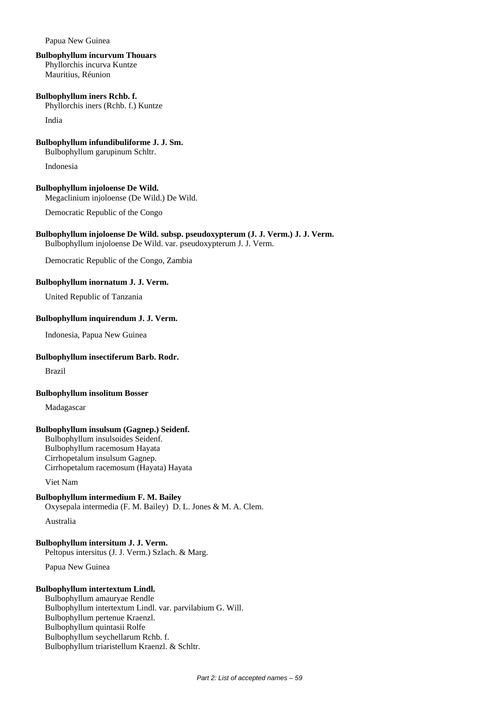Papua New Guinea

#### **Bulbophyllum incurvum Thouars**

Phyllorchis incurva Kuntze Mauritius, Réunion

**Bulbophyllum iners Rchb. f.** Phyllorchis iners (Rchb. f.) Kuntze

India

**Bulbophyllum infundibuliforme J. J. Sm.**

Bulbophyllum garupinum Schltr.

Indonesia

**Bulbophyllum injoloense De Wild.** Megaclinium injoloense (De Wild.) De Wild.

Democratic Republic of the Congo

#### **Bulbophyllum injoloense De Wild. subsp. pseudoxypterum (J. J. Verm.) J. J. Verm.** Bulbophyllum injoloense De Wild. var. pseudoxypterum J. J. Verm.

Democratic Republic of the Congo, Zambia

**Bulbophyllum inornatum J. J. Verm.**

United Republic of Tanzania

# **Bulbophyllum inquirendum J. J. Verm.**

Indonesia, Papua New Guinea

#### **Bulbophyllum insectiferum Barb. Rodr.**

Brazil

#### **Bulbophyllum insolitum Bosser**

Madagascar

# **Bulbophyllum insulsum (Gagnep.) Seidenf.**

Bulbophyllum insulsoides Seidenf. Bulbophyllum racemosum Hayata Cirrhopetalum insulsum Gagnep. Cirrhopetalum racemosum (Hayata) Hayata

Viet Nam

# **Bulbophyllum intermedium F. M. Bailey**

Oxysepala intermedia (F. M. Bailey) D. L. Jones & M. A. Clem.

Australia

#### **Bulbophyllum intersitum J. J. Verm.**

Peltopus intersitus (J. J. Verm.) Szlach. & Marg.

Papua New Guinea

# **Bulbophyllum intertextum Lindl.**

Bulbophyllum amauryae Rendle Bulbophyllum intertextum Lindl. var. parvilabium G. Will. Bulbophyllum pertenue Kraenzl. Bulbophyllum quintasii Rolfe Bulbophyllum seychellarum Rchb. f. Bulbophyllum triaristellum Kraenzl. & Schltr.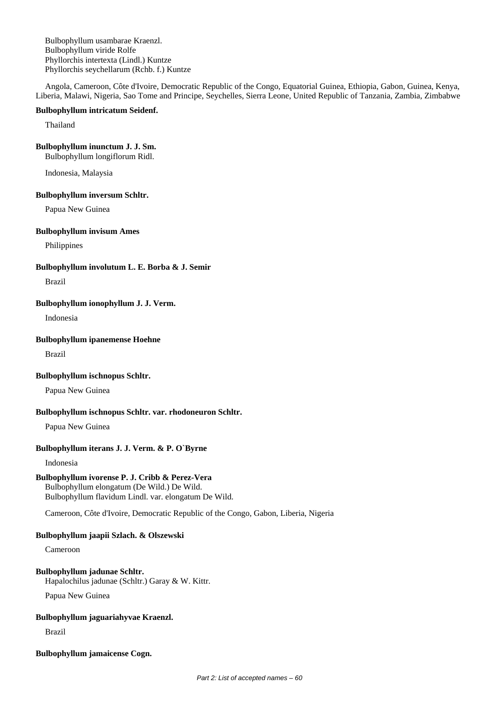Bulbophyllum usambarae Kraenzl. Bulbophyllum viride Rolfe Phyllorchis intertexta (Lindl.) Kuntze Phyllorchis seychellarum (Rchb. f.) Kuntze

Angola, Cameroon, Côte d'Ivoire, Democratic Republic of the Congo, Equatorial Guinea, Ethiopia, Gabon, Guinea, Kenya, Liberia, Malawi, Nigeria, Sao Tome and Principe, Seychelles, Sierra Leone, United Republic of Tanzania, Zambia, Zimbabwe

#### **Bulbophyllum intricatum Seidenf.**

Thailand

# **Bulbophyllum inunctum J. J. Sm.**

Bulbophyllum longiflorum Ridl.

Indonesia, Malaysia

#### **Bulbophyllum inversum Schltr.**

Papua New Guinea

#### **Bulbophyllum invisum Ames**

Philippines

#### **Bulbophyllum involutum L. E. Borba & J. Semir**

Brazil

# **Bulbophyllum ionophyllum J. J. Verm.**

Indonesia

# **Bulbophyllum ipanemense Hoehne**

Brazil

# **Bulbophyllum ischnopus Schltr.**

Papua New Guinea

# **Bulbophyllum ischnopus Schltr. var. rhodoneuron Schltr.**

Papua New Guinea

# **Bulbophyllum iterans J. J. Verm. & P. O`Byrne**

Indonesia

# **Bulbophyllum ivorense P. J. Cribb & Perez-Vera**

Bulbophyllum elongatum (De Wild.) De Wild. Bulbophyllum flavidum Lindl. var. elongatum De Wild.

Cameroon, Côte d'Ivoire, Democratic Republic of the Congo, Gabon, Liberia, Nigeria

# **Bulbophyllum jaapii Szlach. & Olszewski**

Cameroon

# **Bulbophyllum jadunae Schltr.**

Hapalochilus jadunae (Schltr.) Garay & W. Kittr.

Papua New Guinea

# **Bulbophyllum jaguariahyvae Kraenzl.**

Brazil

# **Bulbophyllum jamaicense Cogn.**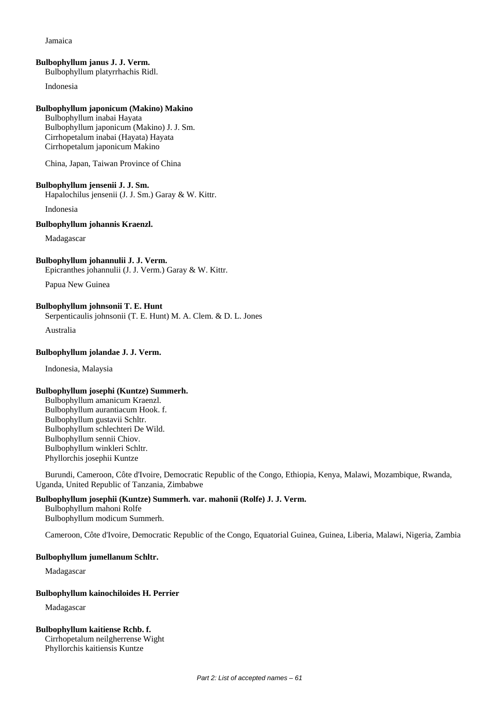#### Jamaica

#### **Bulbophyllum janus J. J. Verm.**

Bulbophyllum platyrrhachis Ridl.

Indonesia

### **Bulbophyllum japonicum (Makino) Makino**

Bulbophyllum inabai Hayata Bulbophyllum japonicum (Makino) J. J. Sm. Cirrhopetalum inabai (Hayata) Hayata Cirrhopetalum japonicum Makino

China, Japan, Taiwan Province of China

#### **Bulbophyllum jensenii J. J. Sm.**

Hapalochilus jensenii (J. J. Sm.) Garay & W. Kittr.

Indonesia

# **Bulbophyllum johannis Kraenzl.**

Madagascar

### **Bulbophyllum johannulii J. J. Verm.**

Epicranthes johannulii (J. J. Verm.) Garay & W. Kittr.

Papua New Guinea

# **Bulbophyllum johnsonii T. E. Hunt**

Serpenticaulis johnsonii (T. E. Hunt) M. A. Clem. & D. L. Jones

Australia

#### **Bulbophyllum jolandae J. J. Verm.**

Indonesia, Malaysia

# **Bulbophyllum josephi (Kuntze) Summerh.**

Bulbophyllum amanicum Kraenzl. Bulbophyllum aurantiacum Hook. f. Bulbophyllum gustavii Schltr. Bulbophyllum schlechteri De Wild. Bulbophyllum sennii Chiov. Bulbophyllum winkleri Schltr. Phyllorchis josephii Kuntze

Burundi, Cameroon, Côte d'Ivoire, Democratic Republic of the Congo, Ethiopia, Kenya, Malawi, Mozambique, Rwanda, Uganda, United Republic of Tanzania, Zimbabwe

# **Bulbophyllum josephii (Kuntze) Summerh. var. mahonii (Rolfe) J. J. Verm.**

Bulbophyllum mahoni Rolfe Bulbophyllum modicum Summerh.

Cameroon, Côte d'Ivoire, Democratic Republic of the Congo, Equatorial Guinea, Guinea, Liberia, Malawi, Nigeria, Zambia

#### **Bulbophyllum jumellanum Schltr.**

Madagascar

# **Bulbophyllum kainochiloides H. Perrier**

Madagascar

# **Bulbophyllum kaitiense Rchb. f.**

Cirrhopetalum neilgherrense Wight Phyllorchis kaitiensis Kuntze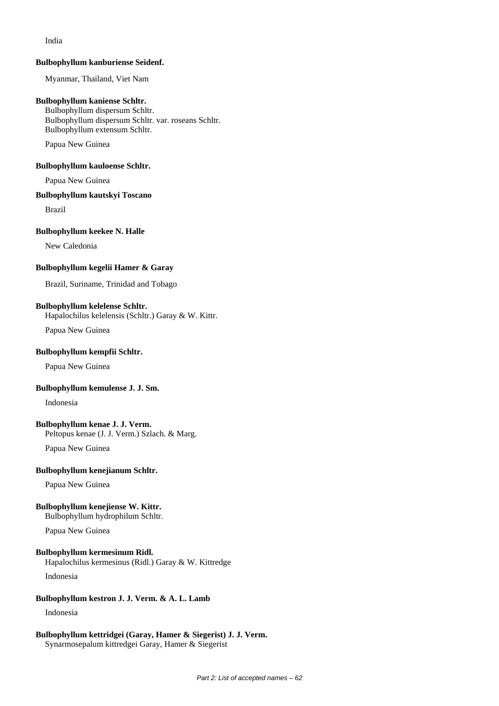India

#### **Bulbophyllum kanburiense Seidenf.**

Myanmar, Thailand, Viet Nam

### **Bulbophyllum kaniense Schltr.**

Bulbophyllum dispersum Schltr. Bulbophyllum dispersum Schltr. var. roseans Schltr. Bulbophyllum extensum Schltr.

Papua New Guinea

**Bulbophyllum kauloense Schltr.**

Papua New Guinea

#### **Bulbophyllum kautskyi Toscano**

Brazil

#### **Bulbophyllum keekee N. Halle**

New Caledonia

#### **Bulbophyllum kegelii Hamer & Garay**

Brazil, Suriname, Trinidad and Tobago

#### **Bulbophyllum kelelense Schltr.**

Hapalochilus kelelensis (Schltr.) Garay & W. Kittr.

Papua New Guinea

#### **Bulbophyllum kempfii Schltr.**

Papua New Guinea

#### **Bulbophyllum kemulense J. J. Sm.**

Indonesia

# **Bulbophyllum kenae J. J. Verm.**

Peltopus kenae (J. J. Verm.) Szlach. & Marg.

Papua New Guinea

#### **Bulbophyllum kenejianum Schltr.**

Papua New Guinea

# **Bulbophyllum kenejiense W. Kittr.**

Bulbophyllum hydrophilum Schltr.

Papua New Guinea

#### **Bulbophyllum kermesinum Ridl.**

Hapalochilus kermesinus (Ridl.) Garay & W. Kittredge

Indonesia

# **Bulbophyllum kestron J. J. Verm. & A. L. Lamb**

Indonesia

#### **Bulbophyllum kettridgei (Garay, Hamer & Siegerist) J. J. Verm.** Synarmosepalum kittredgei Garay, Hamer & Siegerist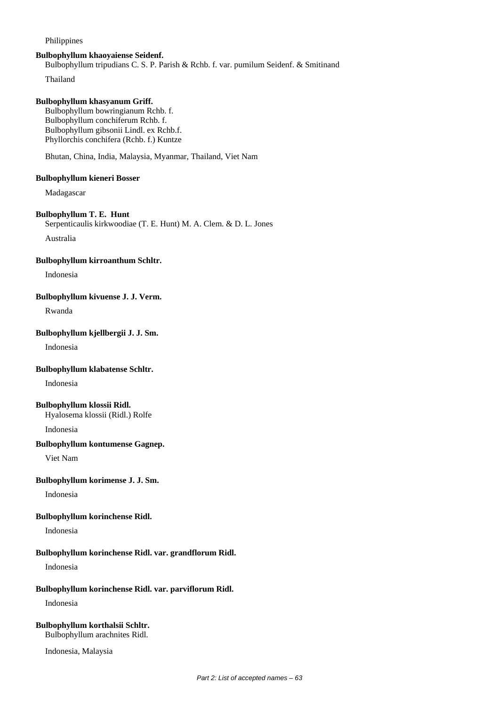# Philippines

#### **Bulbophyllum khaoyaiense Seidenf.**

Bulbophyllum tripudians C. S. P. Parish & Rchb. f. var. pumilum Seidenf. & Smitinand

Thailand

### **Bulbophyllum khasyanum Griff.**

Bulbophyllum bowringianum Rchb. f. Bulbophyllum conchiferum Rchb. f. Bulbophyllum gibsonii Lindl. ex Rchb.f. Phyllorchis conchifera (Rchb. f.) Kuntze

Bhutan, China, India, Malaysia, Myanmar, Thailand, Viet Nam

# **Bulbophyllum kieneri Bosser**

Madagascar

#### **Bulbophyllum T. E. Hunt**

Serpenticaulis kirkwoodiae (T. E. Hunt) M. A. Clem. & D. L. Jones

Australia

### **Bulbophyllum kirroanthum Schltr.**

Indonesia

#### **Bulbophyllum kivuense J. J. Verm.**

Rwanda

#### **Bulbophyllum kjellbergii J. J. Sm.**

Indonesia

# **Bulbophyllum klabatense Schltr.**

Indonesia

### **Bulbophyllum klossii Ridl.**

Hyalosema klossii (Ridl.) Rolfe

Indonesia

# **Bulbophyllum kontumense Gagnep.**

Viet Nam

# **Bulbophyllum korimense J. J. Sm.**

Indonesia

#### **Bulbophyllum korinchense Ridl.**

Indonesia

# **Bulbophyllum korinchense Ridl. var. grandflorum Ridl.**

Indonesia

# **Bulbophyllum korinchense Ridl. var. parviflorum Ridl.**

Indonesia

#### **Bulbophyllum korthalsii Schltr.** Bulbophyllum arachnites Ridl.

Indonesia, Malaysia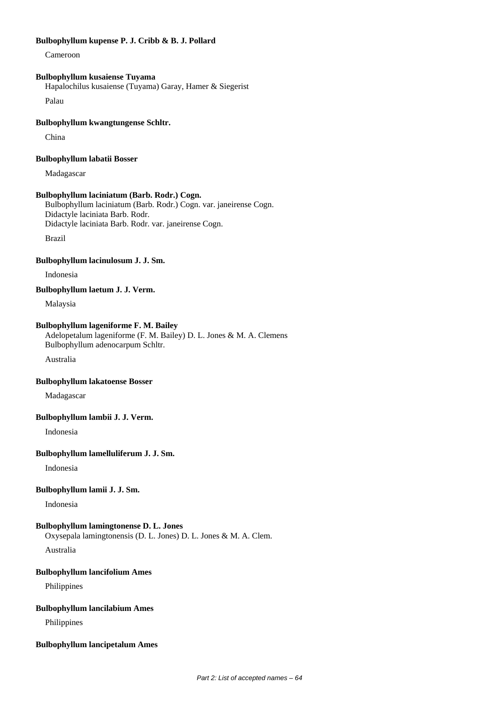# **Bulbophyllum kupense P. J. Cribb & B. J. Pollard**

Cameroon

# **Bulbophyllum kusaiense Tuyama**

Hapalochilus kusaiense (Tuyama) Garay, Hamer & Siegerist

Palau

### **Bulbophyllum kwangtungense Schltr.**

China

#### **Bulbophyllum labatii Bosser**

Madagascar

#### **Bulbophyllum laciniatum (Barb. Rodr.) Cogn.**

Bulbophyllum laciniatum (Barb. Rodr.) Cogn. var. janeirense Cogn. Didactyle laciniata Barb. Rodr. Didactyle laciniata Barb. Rodr. var. janeirense Cogn.

Brazil

### **Bulbophyllum lacinulosum J. J. Sm.**

Indonesia

# **Bulbophyllum laetum J. J. Verm.**

Malaysia

#### **Bulbophyllum lageniforme F. M. Bailey**

Adelopetalum lageniforme (F. M. Bailey) D. L. Jones & M. A. Clemens Bulbophyllum adenocarpum Schltr.

Australia

### **Bulbophyllum lakatoense Bosser**

Madagascar

## **Bulbophyllum lambii J. J. Verm.**

Indonesia

#### **Bulbophyllum lamelluliferum J. J. Sm.**

Indonesia

# **Bulbophyllum lamii J. J. Sm.**

Indonesia

**Bulbophyllum lamingtonense D. L. Jones**

Oxysepala lamingtonensis (D. L. Jones) D. L. Jones & M. A. Clem.

Australia

#### **Bulbophyllum lancifolium Ames**

Philippines

#### **Bulbophyllum lancilabium Ames**

Philippines

#### **Bulbophyllum lancipetalum Ames**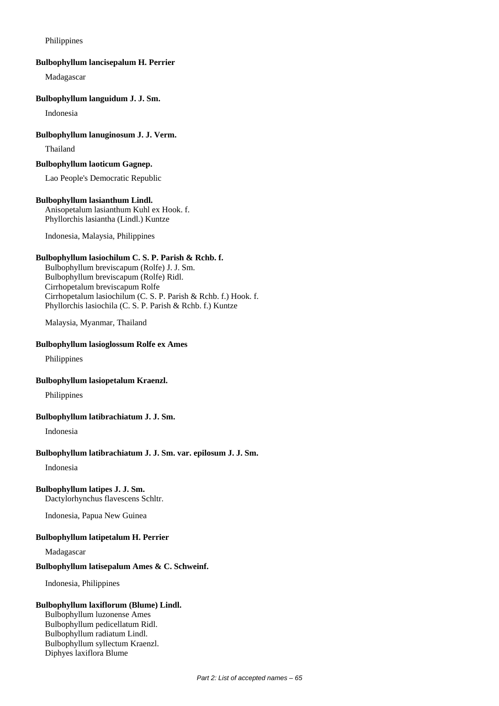### Philippines

#### **Bulbophyllum lancisepalum H. Perrier**

Madagascar

### **Bulbophyllum languidum J. J. Sm.**

Indonesia

# **Bulbophyllum lanuginosum J. J. Verm.**

Thailand

#### **Bulbophyllum laoticum Gagnep.**

Lao People's Democratic Republic

#### **Bulbophyllum lasianthum Lindl.**

Anisopetalum lasianthum Kuhl ex Hook. f. Phyllorchis lasiantha (Lindl.) Kuntze

Indonesia, Malaysia, Philippines

# **Bulbophyllum lasiochilum C. S. P. Parish & Rchb. f.**

Bulbophyllum breviscapum (Rolfe) J. J. Sm. Bulbophyllum breviscapum (Rolfe) Ridl. Cirrhopetalum breviscapum Rolfe Cirrhopetalum lasiochilum (C. S. P. Parish & Rchb. f.) Hook. f. Phyllorchis lasiochila (C. S. P. Parish & Rchb. f.) Kuntze

Malaysia, Myanmar, Thailand

### **Bulbophyllum lasioglossum Rolfe ex Ames**

Philippines

#### **Bulbophyllum lasiopetalum Kraenzl.**

Philippines

# **Bulbophyllum latibrachiatum J. J. Sm.**

Indonesia

# **Bulbophyllum latibrachiatum J. J. Sm. var. epilosum J. J. Sm.**

Indonesia

# **Bulbophyllum latipes J. J. Sm.**

Dactylorhynchus flavescens Schltr.

Indonesia, Papua New Guinea

# **Bulbophyllum latipetalum H. Perrier**

Madagascar

# **Bulbophyllum latisepalum Ames & C. Schweinf.**

Indonesia, Philippines

# **Bulbophyllum laxiflorum (Blume) Lindl.**

Bulbophyllum luzonense Ames Bulbophyllum pedicellatum Ridl. Bulbophyllum radiatum Lindl. Bulbophyllum syllectum Kraenzl. Diphyes laxiflora Blume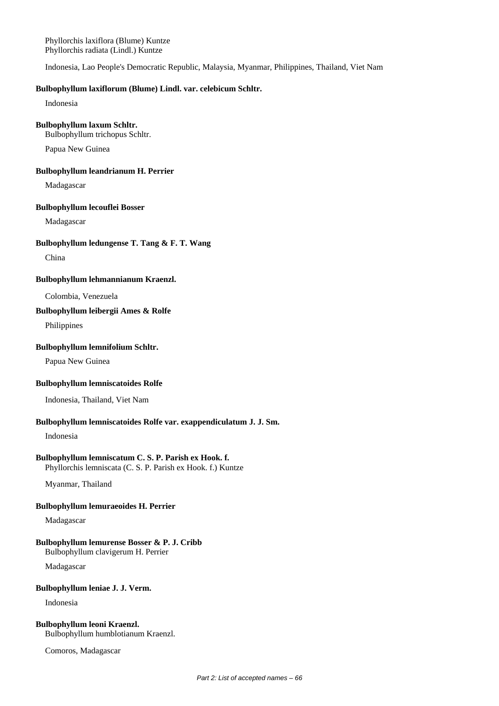Phyllorchis laxiflora (Blume) Kuntze Phyllorchis radiata (Lindl.) Kuntze

Indonesia, Lao People's Democratic Republic, Malaysia, Myanmar, Philippines, Thailand, Viet Nam

#### **Bulbophyllum laxiflorum (Blume) Lindl. var. celebicum Schltr.**

Indonesia

#### **Bulbophyllum laxum Schltr.**

Bulbophyllum trichopus Schltr.

Papua New Guinea

#### **Bulbophyllum leandrianum H. Perrier**

Madagascar

### **Bulbophyllum lecouflei Bosser**

Madagascar

#### **Bulbophyllum ledungense T. Tang & F. T. Wang**

China

#### **Bulbophyllum lehmannianum Kraenzl.**

Colombia, Venezuela

## **Bulbophyllum leibergii Ames & Rolfe**

Philippines

# **Bulbophyllum lemnifolium Schltr.**

Papua New Guinea

#### **Bulbophyllum lemniscatoides Rolfe**

Indonesia, Thailand, Viet Nam

# **Bulbophyllum lemniscatoides Rolfe var. exappendiculatum J. J. Sm.**

Indonesia

#### **Bulbophyllum lemniscatum C. S. P. Parish ex Hook. f.**

Phyllorchis lemniscata (C. S. P. Parish ex Hook. f.) Kuntze

Myanmar, Thailand

### **Bulbophyllum lemuraeoides H. Perrier**

Madagascar

# **Bulbophyllum lemurense Bosser & P. J. Cribb**

Bulbophyllum clavigerum H. Perrier

Madagascar

#### **Bulbophyllum leniae J. J. Verm.**

Indonesia

## **Bulbophyllum leoni Kraenzl.**

Bulbophyllum humblotianum Kraenzl.

Comoros, Madagascar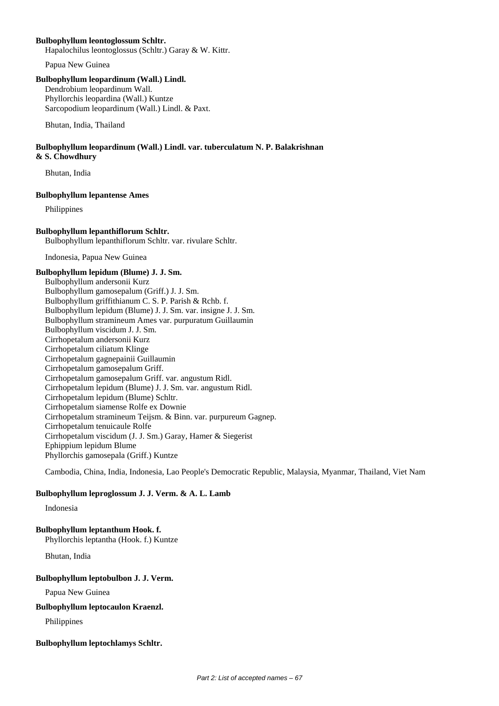#### **Bulbophyllum leontoglossum Schltr.**

Hapalochilus leontoglossus (Schltr.) Garay & W. Kittr.

Papua New Guinea

# **Bulbophyllum leopardinum (Wall.) Lindl.**

Dendrobium leopardinum Wall. Phyllorchis leopardina (Wall.) Kuntze Sarcopodium leopardinum (Wall.) Lindl. & Paxt.

Bhutan, India, Thailand

### **Bulbophyllum leopardinum (Wall.) Lindl. var. tuberculatum N. P. Balakrishnan & S. Chowdhury**

Bhutan, India

# **Bulbophyllum lepantense Ames**

Philippines

# **Bulbophyllum lepanthiflorum Schltr.**

Bulbophyllum lepanthiflorum Schltr. var. rivulare Schltr.

Indonesia, Papua New Guinea

# **Bulbophyllum lepidum (Blume) J. J. Sm.**

Bulbophyllum andersonii Kurz Bulbophyllum gamosepalum (Griff.) J. J. Sm. Bulbophyllum griffithianum C. S. P. Parish & Rchb. f. Bulbophyllum lepidum (Blume) J. J. Sm. var. insigne J. J. Sm. Bulbophyllum stramineum Ames var. purpuratum Guillaumin Bulbophyllum viscidum J. J. Sm. Cirrhopetalum andersonii Kurz Cirrhopetalum ciliatum Klinge Cirrhopetalum gagnepainii Guillaumin Cirrhopetalum gamosepalum Griff. Cirrhopetalum gamosepalum Griff. var. angustum Ridl. Cirrhopetalum lepidum (Blume) J. J. Sm. var. angustum Ridl. Cirrhopetalum lepidum (Blume) Schltr. Cirrhopetalum siamense Rolfe ex Downie Cirrhopetalum stramineum Teijsm. & Binn. var. purpureum Gagnep. Cirrhopetalum tenuicaule Rolfe Cirrhopetalum viscidum (J. J. Sm.) Garay, Hamer & Siegerist Ephippium lepidum Blume Phyllorchis gamosepala (Griff.) Kuntze

Cambodia, China, India, Indonesia, Lao People's Democratic Republic, Malaysia, Myanmar, Thailand, Viet Nam

# **Bulbophyllum leproglossum J. J. Verm. & A. L. Lamb**

Indonesia

# **Bulbophyllum leptanthum Hook. f.**

Phyllorchis leptantha (Hook. f.) Kuntze

Bhutan, India

# **Bulbophyllum leptobulbon J. J. Verm.**

Papua New Guinea

# **Bulbophyllum leptocaulon Kraenzl.**

Philippines

# **Bulbophyllum leptochlamys Schltr.**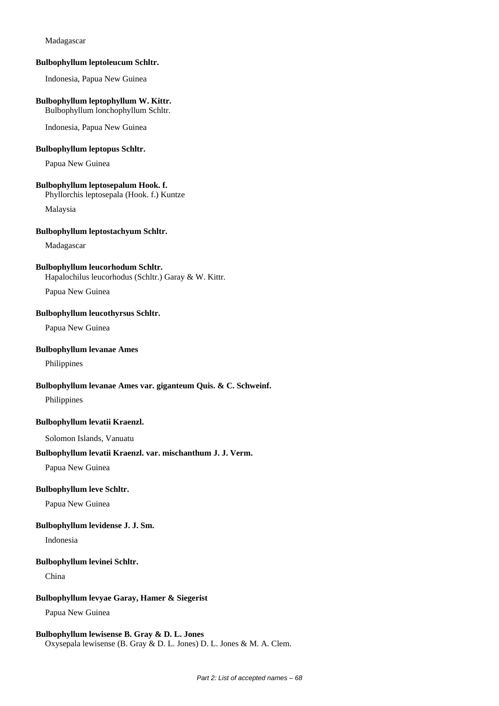#### Madagascar

#### **Bulbophyllum leptoleucum Schltr.**

Indonesia, Papua New Guinea

# **Bulbophyllum leptophyllum W. Kittr.**

Bulbophyllum lonchophyllum Schltr.

Indonesia, Papua New Guinea

# **Bulbophyllum leptopus Schltr.**

Papua New Guinea

#### **Bulbophyllum leptosepalum Hook. f.**

Phyllorchis leptosepala (Hook. f.) Kuntze

Malaysia

### **Bulbophyllum leptostachyum Schltr.**

Madagascar

#### **Bulbophyllum leucorhodum Schltr.**

Hapalochilus leucorhodus (Schltr.) Garay & W. Kittr.

Papua New Guinea

### **Bulbophyllum leucothyrsus Schltr.**

Papua New Guinea

#### **Bulbophyllum levanae Ames**

Philippines

## **Bulbophyllum levanae Ames var. giganteum Quis. & C. Schweinf.**

Philippines

#### **Bulbophyllum levatii Kraenzl.**

Solomon Islands, Vanuatu

### **Bulbophyllum levatii Kraenzl. var. mischanthum J. J. Verm.**

Papua New Guinea

## **Bulbophyllum leve Schltr.**

Papua New Guinea

#### **Bulbophyllum levidense J. J. Sm.**

Indonesia

#### **Bulbophyllum levinei Schltr.**

China

# **Bulbophyllum levyae Garay, Hamer & Siegerist**

Papua New Guinea

# **Bulbophyllum lewisense B. Gray & D. L. Jones**

Oxysepala lewisense (B. Gray & D. L. Jones) D. L. Jones & M. A. Clem.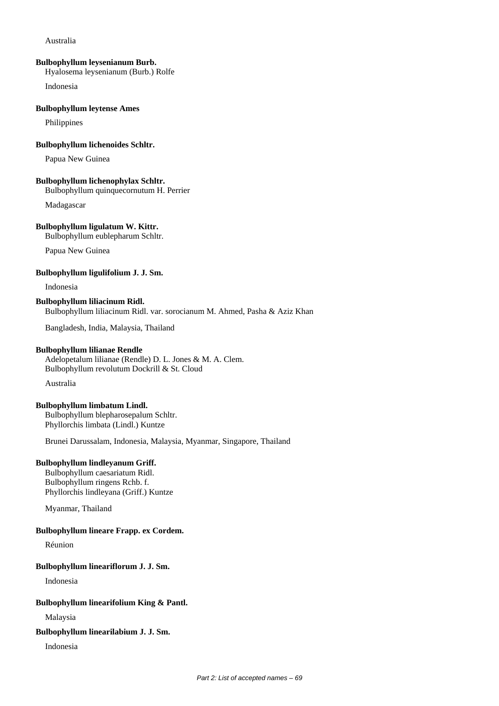#### Australia

#### **Bulbophyllum leysenianum Burb.**

Hyalosema leysenianum (Burb.) Rolfe

Indonesia

### **Bulbophyllum leytense Ames**

Philippines

### **Bulbophyllum lichenoides Schltr.**

Papua New Guinea

#### **Bulbophyllum lichenophylax Schltr.**

Bulbophyllum quinquecornutum H. Perrier

Madagascar

# **Bulbophyllum ligulatum W. Kittr.**

Bulbophyllum eublepharum Schltr.

Papua New Guinea

### **Bulbophyllum ligulifolium J. J. Sm.**

Indonesia

### **Bulbophyllum liliacinum Ridl.** Bulbophyllum liliacinum Ridl. var. sorocianum M. Ahmed, Pasha & Aziz Khan

Bangladesh, India, Malaysia, Thailand

## **Bulbophyllum lilianae Rendle**

Adelopetalum lilianae (Rendle) D. L. Jones & M. A. Clem. Bulbophyllum revolutum Dockrill & St. Cloud

Australia

### **Bulbophyllum limbatum Lindl.**

Bulbophyllum blepharosepalum Schltr. Phyllorchis limbata (Lindl.) Kuntze

Brunei Darussalam, Indonesia, Malaysia, Myanmar, Singapore, Thailand

# **Bulbophyllum lindleyanum Griff.**

Bulbophyllum caesariatum Ridl. Bulbophyllum ringens Rchb. f. Phyllorchis lindleyana (Griff.) Kuntze

Myanmar, Thailand

# **Bulbophyllum lineare Frapp. ex Cordem.**

Réunion

# **Bulbophyllum lineariflorum J. J. Sm.**

Indonesia

### **Bulbophyllum linearifolium King & Pantl.**

Malaysia

#### **Bulbophyllum linearilabium J. J. Sm.**

Indonesia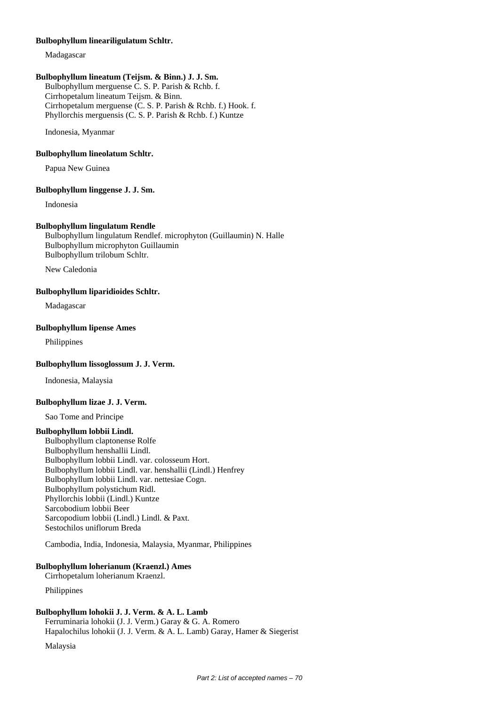#### **Bulbophyllum lineariligulatum Schltr.**

Madagascar

### **Bulbophyllum lineatum (Teijsm. & Binn.) J. J. Sm.**

Bulbophyllum merguense C. S. P. Parish & Rchb. f. Cirrhopetalum lineatum Teijsm. & Binn. Cirrhopetalum merguense (C. S. P. Parish & Rchb. f.) Hook. f. Phyllorchis merguensis (C. S. P. Parish & Rchb. f.) Kuntze

Indonesia, Myanmar

#### **Bulbophyllum lineolatum Schltr.**

Papua New Guinea

#### **Bulbophyllum linggense J. J. Sm.**

Indonesia

#### **Bulbophyllum lingulatum Rendle**

Bulbophyllum lingulatum Rendlef. microphyton (Guillaumin) N. Halle Bulbophyllum microphyton Guillaumin Bulbophyllum trilobum Schltr.

New Caledonia

#### **Bulbophyllum liparidioides Schltr.**

Madagascar

# **Bulbophyllum lipense Ames**

Philippines

#### **Bulbophyllum lissoglossum J. J. Verm.**

Indonesia, Malaysia

#### **Bulbophyllum lizae J. J. Verm.**

Sao Tome and Principe

#### **Bulbophyllum lobbii Lindl.**

Bulbophyllum claptonense Rolfe Bulbophyllum henshallii Lindl. Bulbophyllum lobbii Lindl. var. colosseum Hort. Bulbophyllum lobbii Lindl. var. henshallii (Lindl.) Henfrey Bulbophyllum lobbii Lindl. var. nettesiae Cogn. Bulbophyllum polystichum Ridl. Phyllorchis lobbii (Lindl.) Kuntze Sarcobodium lobbii Beer Sarcopodium lobbii (Lindl.) Lindl. & Paxt. Sestochilos uniflorum Breda

Cambodia, India, Indonesia, Malaysia, Myanmar, Philippines

#### **Bulbophyllum loherianum (Kraenzl.) Ames**

Cirrhopetalum loherianum Kraenzl.

Philippines

# **Bulbophyllum lohokii J. J. Verm. & A. L. Lamb**

Ferruminaria lohokii (J. J. Verm.) Garay & G. A. Romero Hapalochilus lohokii (J. J. Verm. & A. L. Lamb) Garay, Hamer & Siegerist

Malaysia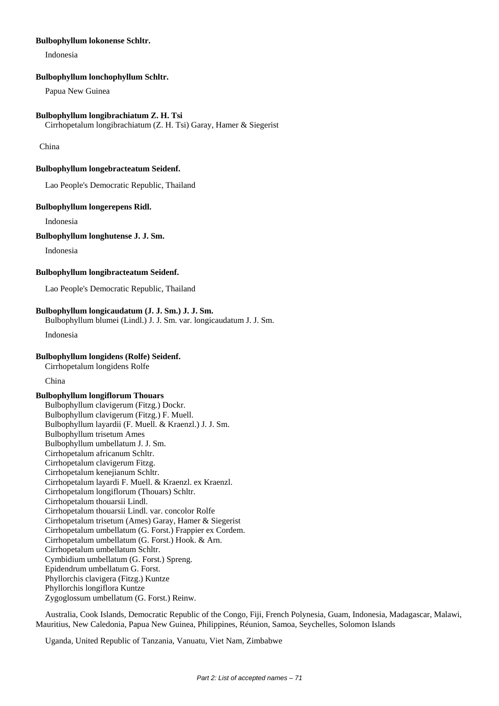### **Bulbophyllum lokonense Schltr.**

Indonesia

#### **Bulbophyllum lonchophyllum Schltr.**

Papua New Guinea

#### **Bulbophyllum longibrachiatum Z. H. Tsi**

Cirrhopetalum longibrachiatum (Z. H. Tsi) Garay, Hamer & Siegerist

China

# **Bulbophyllum longebracteatum Seidenf.**

Lao People's Democratic Republic, Thailand

#### **Bulbophyllum longerepens Ridl.**

Indonesia

## **Bulbophyllum longhutense J. J. Sm.**

Indonesia

# **Bulbophyllum longibracteatum Seidenf.**

Lao People's Democratic Republic, Thailand

### **Bulbophyllum longicaudatum (J. J. Sm.) J. J. Sm.**

Bulbophyllum blumei (Lindl.) J. J. Sm. var. longicaudatum J. J. Sm.

Indonesia

#### **Bulbophyllum longidens (Rolfe) Seidenf.**

Cirrhopetalum longidens Rolfe

China

#### **Bulbophyllum longiflorum Thouars**

Bulbophyllum clavigerum (Fitzg.) Dockr. Bulbophyllum clavigerum (Fitzg.) F. Muell. Bulbophyllum layardii (F. Muell. & Kraenzl.) J. J. Sm. Bulbophyllum trisetum Ames Bulbophyllum umbellatum J. J. Sm. Cirrhopetalum africanum Schltr. Cirrhopetalum clavigerum Fitzg. Cirrhopetalum kenejianum Schltr. Cirrhopetalum layardi F. Muell. & Kraenzl. ex Kraenzl. Cirrhopetalum longiflorum (Thouars) Schltr. Cirrhopetalum thouarsii Lindl. Cirrhopetalum thouarsii Lindl. var. concolor Rolfe Cirrhopetalum trisetum (Ames) Garay, Hamer & Siegerist Cirrhopetalum umbellatum (G. Forst.) Frappier ex Cordem. Cirrhopetalum umbellatum (G. Forst.) Hook. & Arn. Cirrhopetalum umbellatum Schltr. Cymbidium umbellatum (G. Forst.) Spreng. Epidendrum umbellatum G. Forst. Phyllorchis clavigera (Fitzg.) Kuntze Phyllorchis longiflora Kuntze Zygoglossum umbellatum (G. Forst.) Reinw.

Australia, Cook Islands, Democratic Republic of the Congo, Fiji, French Polynesia, Guam, Indonesia, Madagascar, Malawi, Mauritius, New Caledonia, Papua New Guinea, Philippines, Réunion, Samoa, Seychelles, Solomon Islands

Uganda, United Republic of Tanzania, Vanuatu, Viet Nam, Zimbabwe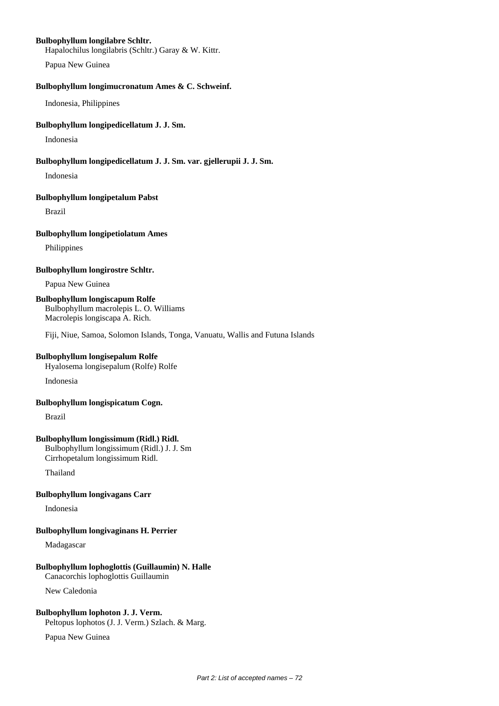#### **Bulbophyllum longilabre Schltr.**

Hapalochilus longilabris (Schltr.) Garay & W. Kittr.

Papua New Guinea

#### **Bulbophyllum longimucronatum Ames & C. Schweinf.**

Indonesia, Philippines

### **Bulbophyllum longipedicellatum J. J. Sm.**

Indonesia

### **Bulbophyllum longipedicellatum J. J. Sm. var. gjellerupii J. J. Sm.**

Indonesia

#### **Bulbophyllum longipetalum Pabst**

Brazil

### **Bulbophyllum longipetiolatum Ames**

Philippines

# **Bulbophyllum longirostre Schltr.**

Papua New Guinea

# **Bulbophyllum longiscapum Rolfe**

Bulbophyllum macrolepis L. O. Williams Macrolepis longiscapa A. Rich.

Fiji, Niue, Samoa, Solomon Islands, Tonga, Vanuatu, Wallis and Futuna Islands

# **Bulbophyllum longisepalum Rolfe**

Hyalosema longisepalum (Rolfe) Rolfe

Indonesia

#### **Bulbophyllum longispicatum Cogn.**

Brazil

# **Bulbophyllum longissimum (Ridl.) Ridl.**

Bulbophyllum longissimum (Ridl.) J. J. Sm Cirrhopetalum longissimum Ridl.

Thailand

# **Bulbophyllum longivagans Carr**

Indonesia

# **Bulbophyllum longivaginans H. Perrier**

Madagascar

# **Bulbophyllum lophoglottis (Guillaumin) N. Halle**

Canacorchis lophoglottis Guillaumin

New Caledonia

# **Bulbophyllum lophoton J. J. Verm.**

Peltopus lophotos (J. J. Verm.) Szlach. & Marg.

Papua New Guinea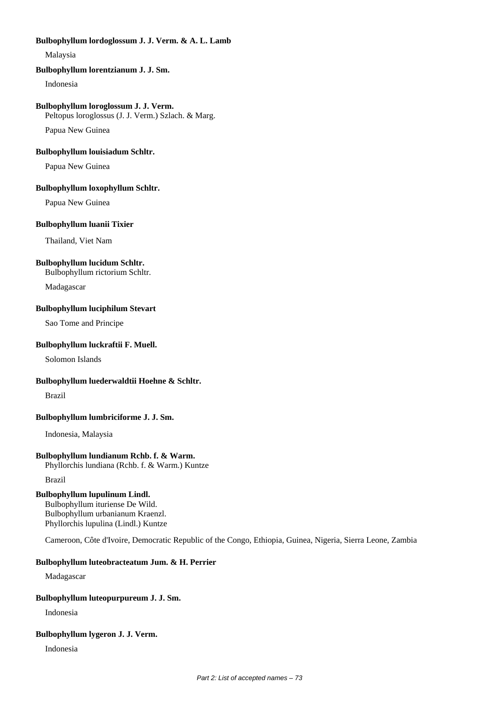### **Bulbophyllum lordoglossum J. J. Verm. & A. L. Lamb**

Malaysia

## **Bulbophyllum lorentzianum J. J. Sm.**

Indonesia

## **Bulbophyllum loroglossum J. J. Verm.**

Peltopus loroglossus (J. J. Verm.) Szlach. & Marg.

Papua New Guinea

## **Bulbophyllum louisiadum Schltr.**

Papua New Guinea

## **Bulbophyllum loxophyllum Schltr.**

Papua New Guinea

## **Bulbophyllum luanii Tixier**

Thailand, Viet Nam

## **Bulbophyllum lucidum Schltr.**

Bulbophyllum rictorium Schltr.

Madagascar

## **Bulbophyllum luciphilum Stevart**

Sao Tome and Principe

## **Bulbophyllum luckraftii F. Muell.**

Solomon Islands

## **Bulbophyllum luederwaldtii Hoehne & Schltr.**

Brazil

## **Bulbophyllum lumbriciforme J. J. Sm.**

Indonesia, Malaysia

## **Bulbophyllum lundianum Rchb. f. & Warm.**

Phyllorchis lundiana (Rchb. f. & Warm.) Kuntze

Brazil

## **Bulbophyllum lupulinum Lindl.**

Bulbophyllum ituriense De Wild. Bulbophyllum urbanianum Kraenzl. Phyllorchis lupulina (Lindl.) Kuntze

Cameroon, Côte d'Ivoire, Democratic Republic of the Congo, Ethiopia, Guinea, Nigeria, Sierra Leone, Zambia

## **Bulbophyllum luteobracteatum Jum. & H. Perrier**

Madagascar

## **Bulbophyllum luteopurpureum J. J. Sm.**

Indonesia

## **Bulbophyllum lygeron J. J. Verm.**

Indonesia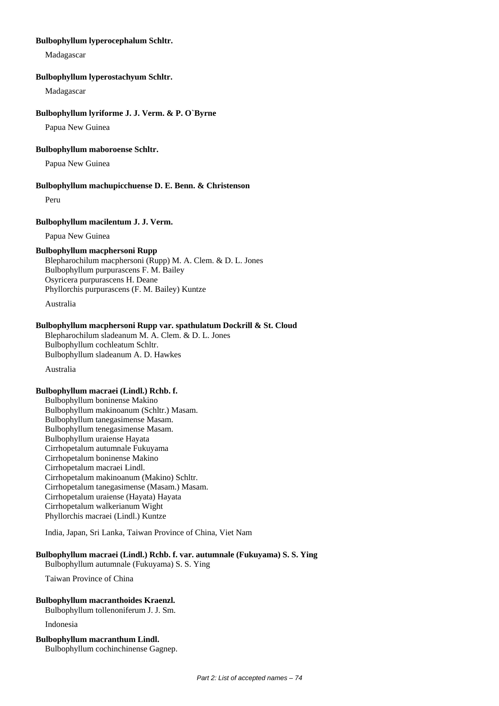#### **Bulbophyllum lyperocephalum Schltr.**

Madagascar

#### **Bulbophyllum lyperostachyum Schltr.**

Madagascar

#### **Bulbophyllum lyriforme J. J. Verm. & P. O`Byrne**

Papua New Guinea

#### **Bulbophyllum maboroense Schltr.**

Papua New Guinea

#### **Bulbophyllum machupicchuense D. E. Benn. & Christenson**

Peru

#### **Bulbophyllum macilentum J. J. Verm.**

Papua New Guinea

#### **Bulbophyllum macphersoni Rupp**

Blepharochilum macphersoni (Rupp) M. A. Clem. & D. L. Jones Bulbophyllum purpurascens F. M. Bailey Osyricera purpurascens H. Deane Phyllorchis purpurascens (F. M. Bailey) Kuntze

Australia

## **Bulbophyllum macphersoni Rupp var. spathulatum Dockrill & St. Cloud**

Blepharochilum sladeanum M. A. Clem. & D. L. Jones Bulbophyllum cochleatum Schltr. Bulbophyllum sladeanum A. D. Hawkes

Australia

### **Bulbophyllum macraei (Lindl.) Rchb. f.**

Bulbophyllum boninense Makino Bulbophyllum makinoanum (Schltr.) Masam. Bulbophyllum tanegasimense Masam. Bulbophyllum tenegasimense Masam. Bulbophyllum uraiense Hayata Cirrhopetalum autumnale Fukuyama Cirrhopetalum boninense Makino Cirrhopetalum macraei Lindl. Cirrhopetalum makinoanum (Makino) Schltr. Cirrhopetalum tanegasimense (Masam.) Masam. Cirrhopetalum uraiense (Hayata) Hayata Cirrhopetalum walkerianum Wight Phyllorchis macraei (Lindl.) Kuntze

India, Japan, Sri Lanka, Taiwan Province of China, Viet Nam

## **Bulbophyllum macraei (Lindl.) Rchb. f. var. autumnale (Fukuyama) S. S. Ying**

Bulbophyllum autumnale (Fukuyama) S. S. Ying

Taiwan Province of China

#### **Bulbophyllum macranthoides Kraenzl.**

Bulbophyllum tollenoniferum J. J. Sm.

Indonesia

### **Bulbophyllum macranthum Lindl.**

Bulbophyllum cochinchinense Gagnep.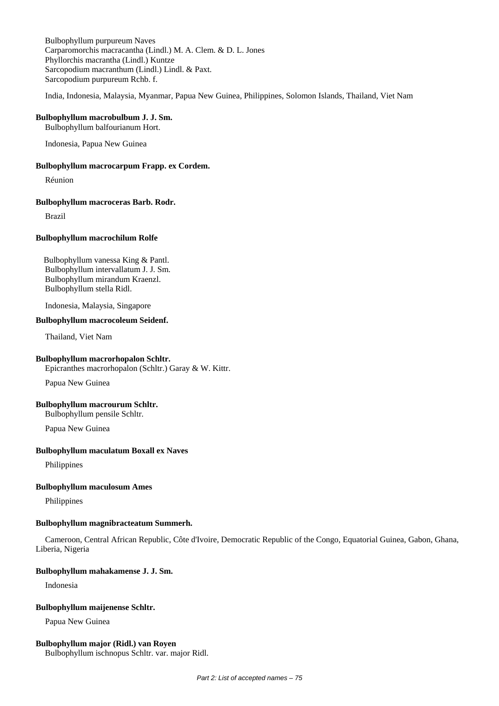Bulbophyllum purpureum Naves Carparomorchis macracantha (Lindl.) M. A. Clem. & D. L. Jones Phyllorchis macrantha (Lindl.) Kuntze Sarcopodium macranthum (Lindl.) Lindl. & Paxt. Sarcopodium purpureum Rchb. f.

India, Indonesia, Malaysia, Myanmar, Papua New Guinea, Philippines, Solomon Islands, Thailand, Viet Nam

## **Bulbophyllum macrobulbum J. J. Sm.**

Bulbophyllum balfourianum Hort.

Indonesia, Papua New Guinea

#### **Bulbophyllum macrocarpum Frapp. ex Cordem.**

Réunion

#### **Bulbophyllum macroceras Barb. Rodr.**

Brazil

#### **Bulbophyllum macrochilum Rolfe**

Bulbophyllum vanessa King & Pantl. Bulbophyllum intervallatum J. J. Sm. Bulbophyllum mirandum Kraenzl. Bulbophyllum stella Ridl.

Indonesia, Malaysia, Singapore

## **Bulbophyllum macrocoleum Seidenf.**

Thailand, Viet Nam

## **Bulbophyllum macrorhopalon Schltr.**

Epicranthes macrorhopalon (Schltr.) Garay & W. Kittr.

Papua New Guinea

#### **Bulbophyllum macrourum Schltr.**

Bulbophyllum pensile Schltr.

Papua New Guinea

#### **Bulbophyllum maculatum Boxall ex Naves**

Philippines

#### **Bulbophyllum maculosum Ames**

Philippines

## **Bulbophyllum magnibracteatum Summerh.**

Cameroon, Central African Republic, Côte d'Ivoire, Democratic Republic of the Congo, Equatorial Guinea, Gabon, Ghana, Liberia, Nigeria

#### **Bulbophyllum mahakamense J. J. Sm.**

Indonesia

#### **Bulbophyllum maijenense Schltr.**

Papua New Guinea

#### **Bulbophyllum major (Ridl.) van Royen**

Bulbophyllum ischnopus Schltr. var. major Ridl.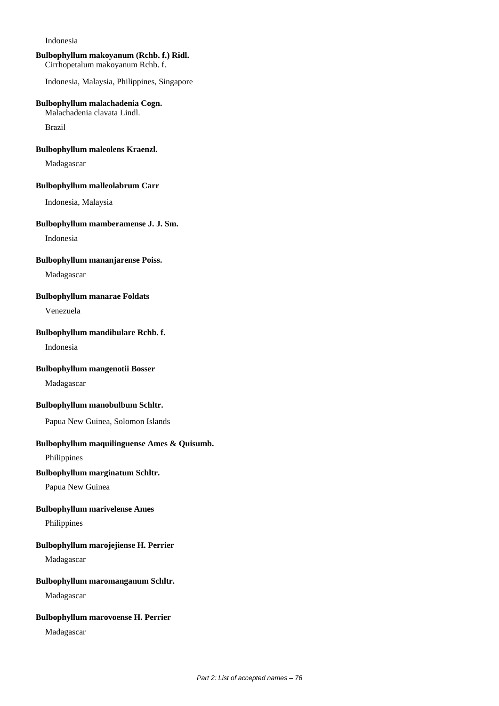Indonesia

## **Bulbophyllum makoyanum (Rchb. f.) Ridl.**

Cirrhopetalum makoyanum Rchb. f.

Indonesia, Malaysia, Philippines, Singapore

## **Bulbophyllum malachadenia Cogn.**

Malachadenia clavata Lindl.

Brazil

### **Bulbophyllum maleolens Kraenzl.**

Madagascar

#### **Bulbophyllum malleolabrum Carr**

Indonesia, Malaysia

### **Bulbophyllum mamberamense J. J. Sm.**

Indonesia

## **Bulbophyllum mananjarense Poiss.**

Madagascar

## **Bulbophyllum manarae Foldats**

Venezuela

#### **Bulbophyllum mandibulare Rchb. f.**

Indonesia

## **Bulbophyllum mangenotii Bosser**

Madagascar

## **Bulbophyllum manobulbum Schltr.**

Papua New Guinea, Solomon Islands

## **Bulbophyllum maquilinguense Ames & Quisumb.**

Philippines

## **Bulbophyllum marginatum Schltr.**

Papua New Guinea

## **Bulbophyllum marivelense Ames**

Philippines

## **Bulbophyllum marojejiense H. Perrier**

Madagascar

## **Bulbophyllum maromanganum Schltr.**

Madagascar

## **Bulbophyllum marovoense H. Perrier**

Madagascar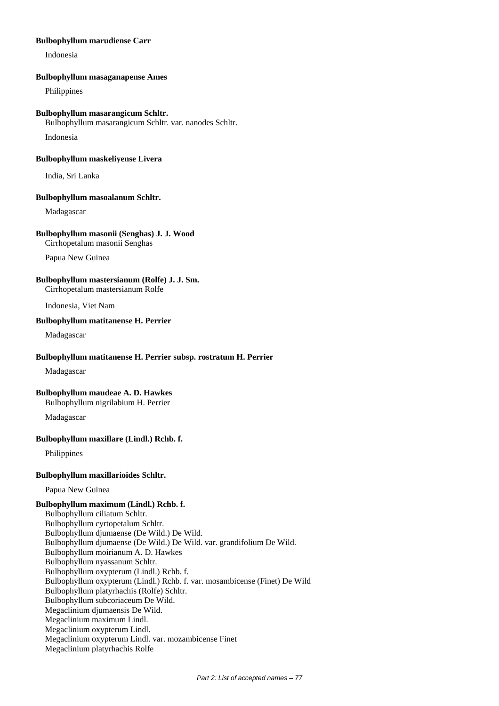### **Bulbophyllum marudiense Carr**

Indonesia

### **Bulbophyllum masaganapense Ames**

Philippines

#### **Bulbophyllum masarangicum Schltr.**

Bulbophyllum masarangicum Schltr. var. nanodes Schltr.

Indonesia

#### **Bulbophyllum maskeliyense Livera**

India, Sri Lanka

#### **Bulbophyllum masoalanum Schltr.**

Madagascar

### **Bulbophyllum masonii (Senghas) J. J. Wood**

Cirrhopetalum masonii Senghas

Papua New Guinea

## **Bulbophyllum mastersianum (Rolfe) J. J. Sm.**

Cirrhopetalum mastersianum Rolfe

Indonesia, Viet Nam

## **Bulbophyllum matitanense H. Perrier**

Madagascar

### **Bulbophyllum matitanense H. Perrier subsp. rostratum H. Perrier**

Madagascar

## **Bulbophyllum maudeae A. D. Hawkes**

Bulbophyllum nigrilabium H. Perrier

Madagascar

## **Bulbophyllum maxillare (Lindl.) Rchb. f.**

Philippines

## **Bulbophyllum maxillarioides Schltr.**

Papua New Guinea

## **Bulbophyllum maximum (Lindl.) Rchb. f.**

Bulbophyllum ciliatum Schltr. Bulbophyllum cyrtopetalum Schltr. Bulbophyllum djumaense (De Wild.) De Wild. Bulbophyllum djumaense (De Wild.) De Wild. var. grandifolium De Wild. Bulbophyllum moirianum A. D. Hawkes Bulbophyllum nyassanum Schltr. Bulbophyllum oxypterum (Lindl.) Rchb. f. Bulbophyllum oxypterum (Lindl.) Rchb. f. var. mosambicense (Finet) De Wild Bulbophyllum platyrhachis (Rolfe) Schltr. Bulbophyllum subcoriaceum De Wild. Megaclinium djumaensis De Wild. Megaclinium maximum Lindl. Megaclinium oxypterum Lindl. Megaclinium oxypterum Lindl. var. mozambicense Finet Megaclinium platyrhachis Rolfe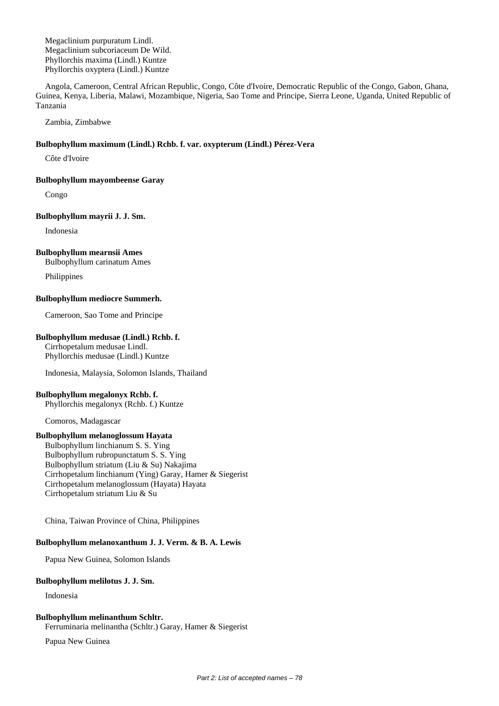Megaclinium purpuratum Lindl. Megaclinium subcoriaceum De Wild. Phyllorchis maxima (Lindl.) Kuntze Phyllorchis oxyptera (Lindl.) Kuntze

Angola, Cameroon, Central African Republic, Congo, Côte d'Ivoire, Democratic Republic of the Congo, Gabon, Ghana, Guinea, Kenya, Liberia, Malawi, Mozambique, Nigeria, Sao Tome and Principe, Sierra Leone, Uganda, United Republic of Tanzania

Zambia, Zimbabwe

## **Bulbophyllum maximum (Lindl.) Rchb. f. var. oxypterum (Lindl.) Pérez-Vera**

Côte d'Ivoire

#### **Bulbophyllum mayombeense Garay**

Congo

#### **Bulbophyllum mayrii J. J. Sm.**

Indonesia

## **Bulbophyllum mearnsii Ames**

Bulbophyllum carinatum Ames

Philippines

## **Bulbophyllum mediocre Summerh.**

Cameroon, Sao Tome and Principe

## **Bulbophyllum medusae (Lindl.) Rchb. f.**

Cirrhopetalum medusae Lindl. Phyllorchis medusae (Lindl.) Kuntze

Indonesia, Malaysia, Solomon Islands, Thailand

## **Bulbophyllum megalonyx Rchb. f.**

Phyllorchis megalonyx (Rchb. f.) Kuntze

Comoros, Madagascar

## **Bulbophyllum melanoglossum Hayata**

Bulbophyllum linchianum S. S. Ying Bulbophyllum rubropunctatum S. S. Ying Bulbophyllum striatum (Liu & Su) Nakajima Cirrhopetalum linchianum (Ying) Garay, Hamer & Siegerist Cirrhopetalum melanoglossum (Hayata) Hayata Cirrhopetalum striatum Liu & Su

China, Taiwan Province of China, Philippines

## **Bulbophyllum melanoxanthum J. J. Verm. & B. A. Lewis**

Papua New Guinea, Solomon Islands

## **Bulbophyllum melilotus J. J. Sm.**

Indonesia

## **Bulbophyllum melinanthum Schltr.**

Ferruminaria melinantha (Schltr.) Garay, Hamer & Siegerist

Papua New Guinea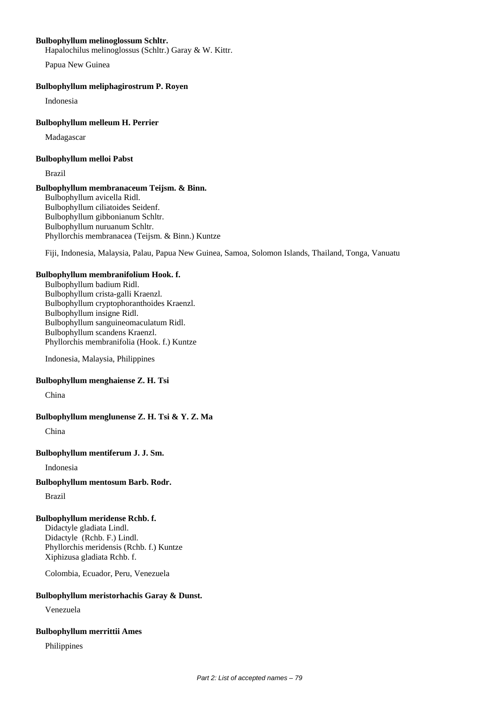## **Bulbophyllum melinoglossum Schltr.**

Hapalochilus melinoglossus (Schltr.) Garay & W. Kittr.

Papua New Guinea

### **Bulbophyllum meliphagirostrum P. Royen**

Indonesia

### **Bulbophyllum melleum H. Perrier**

Madagascar

#### **Bulbophyllum melloi Pabst**

Brazil

## **Bulbophyllum membranaceum Teijsm. & Binn.**

Bulbophyllum avicella Ridl. Bulbophyllum ciliatoides Seidenf. Bulbophyllum gibbonianum Schltr. Bulbophyllum nuruanum Schltr. Phyllorchis membranacea (Teijsm. & Binn.) Kuntze

Fiji, Indonesia, Malaysia, Palau, Papua New Guinea, Samoa, Solomon Islands, Thailand, Tonga, Vanuatu

#### **Bulbophyllum membranifolium Hook. f.**

Bulbophyllum badium Ridl. Bulbophyllum crista-galli Kraenzl. Bulbophyllum cryptophoranthoides Kraenzl. Bulbophyllum insigne Ridl. Bulbophyllum sanguineomaculatum Ridl. Bulbophyllum scandens Kraenzl. Phyllorchis membranifolia (Hook. f.) Kuntze

Indonesia, Malaysia, Philippines

## **Bulbophyllum menghaiense Z. H. Tsi**

China

## **Bulbophyllum menglunense Z. H. Tsi & Y. Z. Ma**

China

## **Bulbophyllum mentiferum J. J. Sm.**

Indonesia

## **Bulbophyllum mentosum Barb. Rodr.**

Brazil

## **Bulbophyllum meridense Rchb. f.**

Didactyle gladiata Lindl. Didactyle (Rchb. F.) Lindl. Phyllorchis meridensis (Rchb. f.) Kuntze Xiphizusa gladiata Rchb. f.

Colombia, Ecuador, Peru, Venezuela

## **Bulbophyllum meristorhachis Garay & Dunst.**

Venezuela

#### **Bulbophyllum merrittii Ames**

Philippines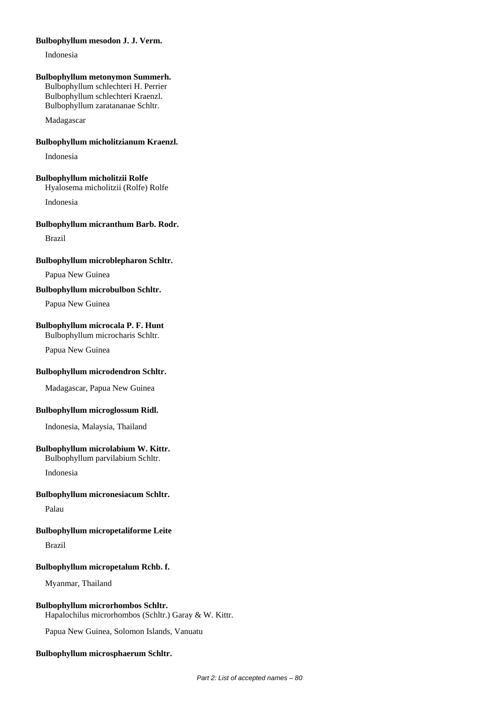### **Bulbophyllum mesodon J. J. Verm.**

Indonesia

#### **Bulbophyllum metonymon Summerh.**

Bulbophyllum schlechteri H. Perrier Bulbophyllum schlechteri Kraenzl. Bulbophyllum zaratananae Schltr.

Madagascar

## **Bulbophyllum micholitzianum Kraenzl.**

Indonesia

#### **Bulbophyllum micholitzii Rolfe**

Hyalosema micholitzii (Rolfe) Rolfe

Indonesia

### **Bulbophyllum micranthum Barb. Rodr.**

Brazil

#### **Bulbophyllum microblepharon Schltr.**

Papua New Guinea

## **Bulbophyllum microbulbon Schltr.**

Papua New Guinea

## **Bulbophyllum microcala P. F. Hunt**

Bulbophyllum microcharis Schltr.

Papua New Guinea

#### **Bulbophyllum microdendron Schltr.**

Madagascar, Papua New Guinea

## **Bulbophyllum microglossum Ridl.**

Indonesia, Malaysia, Thailand

## **Bulbophyllum microlabium W. Kittr.**

Bulbophyllum parvilabium Schltr.

Indonesia

### **Bulbophyllum micronesiacum Schltr.**

Palau

## **Bulbophyllum micropetaliforme Leite**

Brazil

## **Bulbophyllum micropetalum Rchb. f.**

Myanmar, Thailand

## **Bulbophyllum microrhombos Schltr.**

Hapalochilus microrhombos (Schltr.) Garay & W. Kittr.

Papua New Guinea, Solomon Islands, Vanuatu

#### **Bulbophyllum microsphaerum Schltr.**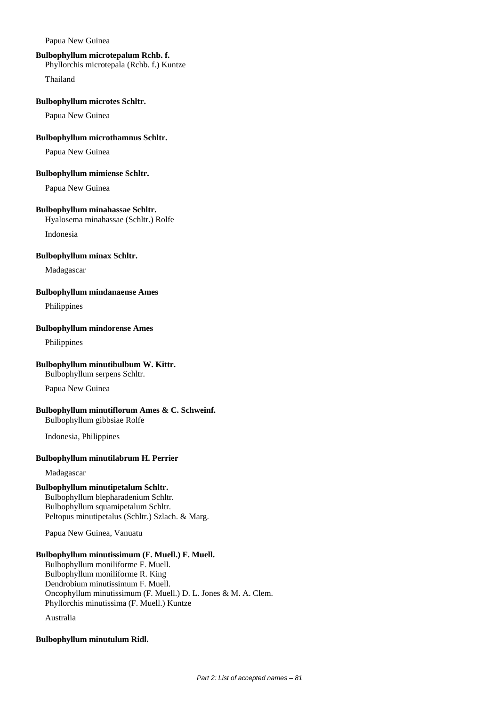Papua New Guinea

## **Bulbophyllum microtepalum Rchb. f.**

Phyllorchis microtepala (Rchb. f.) Kuntze

Thailand

#### **Bulbophyllum microtes Schltr.**

Papua New Guinea

## **Bulbophyllum microthamnus Schltr.**

Papua New Guinea

### **Bulbophyllum mimiense Schltr.**

Papua New Guinea

## **Bulbophyllum minahassae Schltr.**

Hyalosema minahassae (Schltr.) Rolfe

Indonesia

#### **Bulbophyllum minax Schltr.**

Madagascar

## **Bulbophyllum mindanaense Ames**

Philippines

## **Bulbophyllum mindorense Ames**

Philippines

## **Bulbophyllum minutibulbum W. Kittr.**

Bulbophyllum serpens Schltr.

Papua New Guinea

## **Bulbophyllum minutiflorum Ames & C. Schweinf.**

Bulbophyllum gibbsiae Rolfe

Indonesia, Philippines

## **Bulbophyllum minutilabrum H. Perrier**

Madagascar

## **Bulbophyllum minutipetalum Schltr.**

Bulbophyllum blepharadenium Schltr. Bulbophyllum squamipetalum Schltr. Peltopus minutipetalus (Schltr.) Szlach. & Marg.

Papua New Guinea, Vanuatu

## **Bulbophyllum minutissimum (F. Muell.) F. Muell.**

Bulbophyllum moniliforme F. Muell. Bulbophyllum moniliforme R. King Dendrobium minutissimum F. Muell. Oncophyllum minutissimum (F. Muell.) D. L. Jones & M. A. Clem. Phyllorchis minutissima (F. Muell.) Kuntze

Australia

## **Bulbophyllum minutulum Ridl.**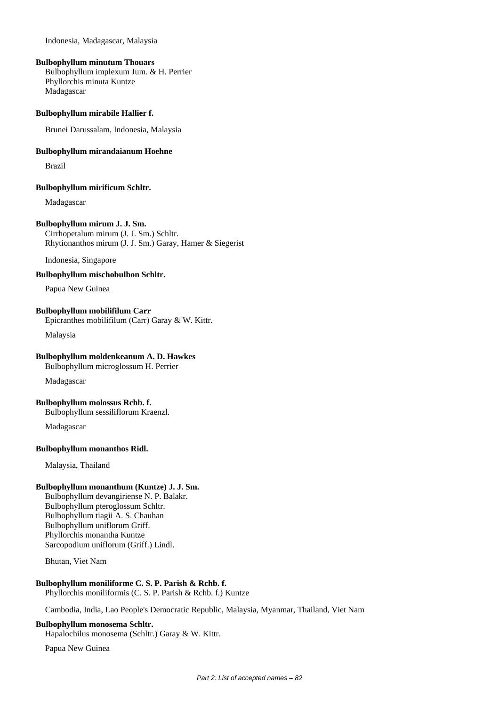Indonesia, Madagascar, Malaysia

#### **Bulbophyllum minutum Thouars**

Bulbophyllum implexum Jum. & H. Perrier Phyllorchis minuta Kuntze Madagascar

#### **Bulbophyllum mirabile Hallier f.**

Brunei Darussalam, Indonesia, Malaysia

#### **Bulbophyllum mirandaianum Hoehne**

Brazil

#### **Bulbophyllum mirificum Schltr.**

Madagascar

### **Bulbophyllum mirum J. J. Sm.**

Cirrhopetalum mirum (J. J. Sm.) Schltr. Rhytionanthos mirum (J. J. Sm.) Garay, Hamer & Siegerist

Indonesia, Singapore

#### **Bulbophyllum mischobulbon Schltr.**

Papua New Guinea

#### **Bulbophyllum mobilifilum Carr**

Epicranthes mobilifilum (Carr) Garay & W. Kittr.

Malaysia

#### **Bulbophyllum moldenkeanum A. D. Hawkes**

Bulbophyllum microglossum H. Perrier

Madagascar

#### **Bulbophyllum molossus Rchb. f.**

Bulbophyllum sessiliflorum Kraenzl.

Madagascar

#### **Bulbophyllum monanthos Ridl.**

Malaysia, Thailand

## **Bulbophyllum monanthum (Kuntze) J. J. Sm.**

Bulbophyllum devangiriense N. P. Balakr. Bulbophyllum pteroglossum Schltr. Bulbophyllum tiagii A. S. Chauhan Bulbophyllum uniflorum Griff. Phyllorchis monantha Kuntze Sarcopodium uniflorum (Griff.) Lindl.

Bhutan, Viet Nam

## **Bulbophyllum moniliforme C. S. P. Parish & Rchb. f.**

Phyllorchis moniliformis (C. S. P. Parish & Rchb. f.) Kuntze

Cambodia, India, Lao People's Democratic Republic, Malaysia, Myanmar, Thailand, Viet Nam

#### **Bulbophyllum monosema Schltr.**

Hapalochilus monosema (Schltr.) Garay & W. Kittr.

Papua New Guinea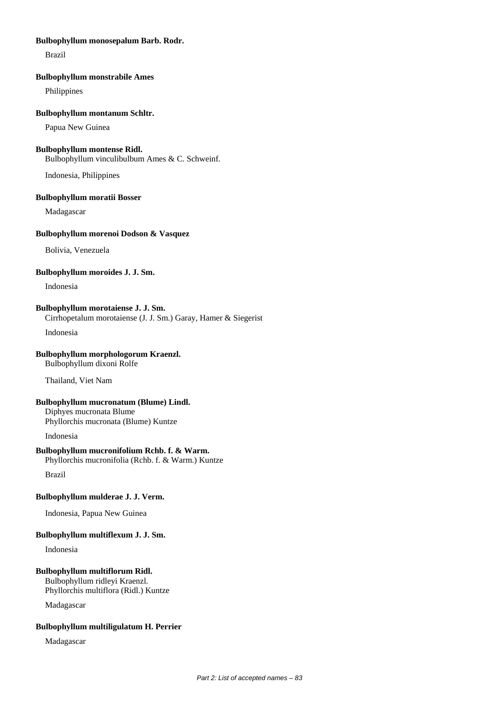### **Bulbophyllum monosepalum Barb. Rodr.**

Brazil

#### **Bulbophyllum monstrabile Ames**

Philippines

#### **Bulbophyllum montanum Schltr.**

Papua New Guinea

## **Bulbophyllum montense Ridl.**

Bulbophyllum vinculibulbum Ames & C. Schweinf.

Indonesia, Philippines

#### **Bulbophyllum moratii Bosser**

Madagascar

### **Bulbophyllum morenoi Dodson & Vasquez**

Bolivia, Venezuela

#### **Bulbophyllum moroides J. J. Sm.**

Indonesia

## **Bulbophyllum morotaiense J. J. Sm.**

Cirrhopetalum morotaiense (J. J. Sm.) Garay, Hamer & Siegerist

Indonesia

## **Bulbophyllum morphologorum Kraenzl.**

Bulbophyllum dixoni Rolfe

Thailand, Viet Nam

## **Bulbophyllum mucronatum (Blume) Lindl.**

Diphyes mucronata Blume Phyllorchis mucronata (Blume) Kuntze

Indonesia

## **Bulbophyllum mucronifolium Rchb. f. & Warm.**

Phyllorchis mucronifolia (Rchb. f. & Warm.) Kuntze

Brazil

## **Bulbophyllum mulderae J. J. Verm.**

Indonesia, Papua New Guinea

## **Bulbophyllum multiflexum J. J. Sm.**

Indonesia

## **Bulbophyllum multiflorum Ridl.**

Bulbophyllum ridleyi Kraenzl. Phyllorchis multiflora (Ridl.) Kuntze

Madagascar

## **Bulbophyllum multiligulatum H. Perrier**

Madagascar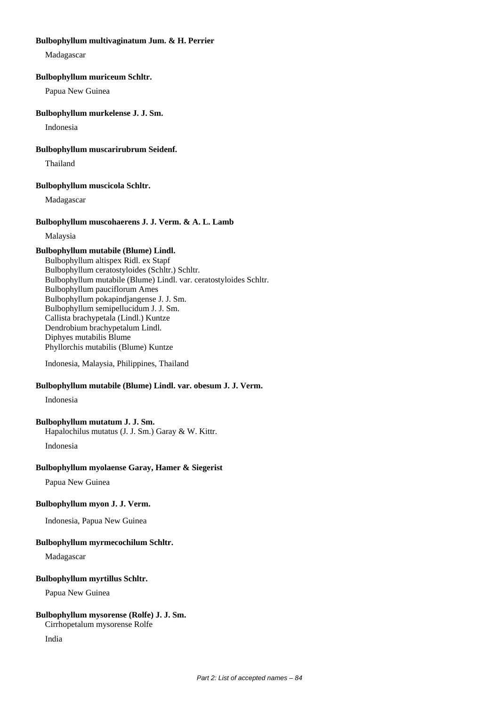### **Bulbophyllum multivaginatum Jum. & H. Perrier**

Madagascar

### **Bulbophyllum muriceum Schltr.**

Papua New Guinea

### **Bulbophyllum murkelense J. J. Sm.**

Indonesia

### **Bulbophyllum muscarirubrum Seidenf.**

Thailand

## **Bulbophyllum muscicola Schltr.**

Madagascar

## **Bulbophyllum muscohaerens J. J. Verm. & A. L. Lamb**

Malaysia

## **Bulbophyllum mutabile (Blume) Lindl.**

Bulbophyllum altispex Ridl. ex Stapf Bulbophyllum ceratostyloides (Schltr.) Schltr. Bulbophyllum mutabile (Blume) Lindl. var. ceratostyloides Schltr. Bulbophyllum pauciflorum Ames Bulbophyllum pokapindjangense J. J. Sm. Bulbophyllum semipellucidum J. J. Sm. Callista brachypetala (Lindl.) Kuntze Dendrobium brachypetalum Lindl. Diphyes mutabilis Blume Phyllorchis mutabilis (Blume) Kuntze

Indonesia, Malaysia, Philippines, Thailand

## **Bulbophyllum mutabile (Blume) Lindl. var. obesum J. J. Verm.**

Indonesia

## **Bulbophyllum mutatum J. J. Sm.**

Hapalochilus mutatus (J. J. Sm.) Garay & W. Kittr. Indonesia

## **Bulbophyllum myolaense Garay, Hamer & Siegerist**

Papua New Guinea

## **Bulbophyllum myon J. J. Verm.**

Indonesia, Papua New Guinea

## **Bulbophyllum myrmecochilum Schltr.**

Madagascar

## **Bulbophyllum myrtillus Schltr.**

Papua New Guinea

## **Bulbophyllum mysorense (Rolfe) J. J. Sm.**

Cirrhopetalum mysorense Rolfe

India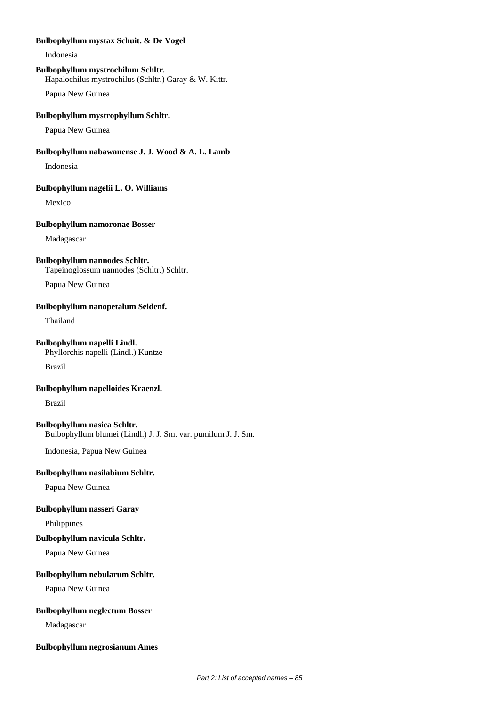### **Bulbophyllum mystax Schuit. & De Vogel**

Indonesia

## **Bulbophyllum mystrochilum Schltr.**

Hapalochilus mystrochilus (Schltr.) Garay & W. Kittr.

Papua New Guinea

## **Bulbophyllum mystrophyllum Schltr.**

Papua New Guinea

## **Bulbophyllum nabawanense J. J. Wood & A. L. Lamb**

Indonesia

#### **Bulbophyllum nagelii L. O. Williams**

Mexico

### **Bulbophyllum namoronae Bosser**

Madagascar

### **Bulbophyllum nannodes Schltr.**

Tapeinoglossum nannodes (Schltr.) Schltr.

Papua New Guinea

## **Bulbophyllum nanopetalum Seidenf.**

Thailand

## **Bulbophyllum napelli Lindl.**

Phyllorchis napelli (Lindl.) Kuntze

Brazil

### **Bulbophyllum napelloides Kraenzl.**

Brazil

#### **Bulbophyllum nasica Schltr.**

Bulbophyllum blumei (Lindl.) J. J. Sm. var. pumilum J. J. Sm.

Indonesia, Papua New Guinea

## **Bulbophyllum nasilabium Schltr.**

Papua New Guinea

## **Bulbophyllum nasseri Garay**

Philippines

### **Bulbophyllum navicula Schltr.**

Papua New Guinea

## **Bulbophyllum nebularum Schltr.**

Papua New Guinea

## **Bulbophyllum neglectum Bosser**

Madagascar

#### **Bulbophyllum negrosianum Ames**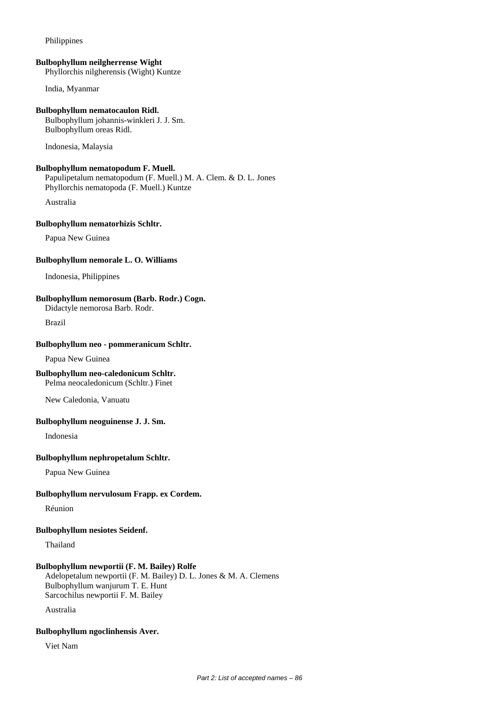### Philippines

#### **Bulbophyllum neilgherrense Wight**

Phyllorchis nilgherensis (Wight) Kuntze

India, Myanmar

#### **Bulbophyllum nematocaulon Ridl.**

Bulbophyllum johannis-winkleri J. J. Sm. Bulbophyllum oreas Ridl.

Indonesia, Malaysia

#### **Bulbophyllum nematopodum F. Muell.**

Papulipetalum nematopodum (F. Muell.) M. A. Clem. & D. L. Jones Phyllorchis nematopoda (F. Muell.) Kuntze

Australia

#### **Bulbophyllum nematorhizis Schltr.**

Papua New Guinea

### **Bulbophyllum nemorale L. O. Williams**

Indonesia, Philippines

## **Bulbophyllum nemorosum (Barb. Rodr.) Cogn.**

Didactyle nemorosa Barb. Rodr.

Brazil

## **Bulbophyllum neo - pommeranicum Schltr.**

Papua New Guinea

## **Bulbophyllum neo-caledonicum Schltr.**

Pelma neocaledonicum (Schltr.) Finet

New Caledonia, Vanuatu

## **Bulbophyllum neoguinense J. J. Sm.**

Indonesia

#### **Bulbophyllum nephropetalum Schltr.**

Papua New Guinea

## **Bulbophyllum nervulosum Frapp. ex Cordem.**

Réunion

## **Bulbophyllum nesiotes Seidenf.**

Thailand

## **Bulbophyllum newportii (F. M. Bailey) Rolfe**

Adelopetalum newportii (F. M. Bailey) D. L. Jones & M. A. Clemens Bulbophyllum wanjurum T. E. Hunt Sarcochilus newportii F. M. Bailey

Australia

## **Bulbophyllum ngoclinhensis Aver.**

Viet Nam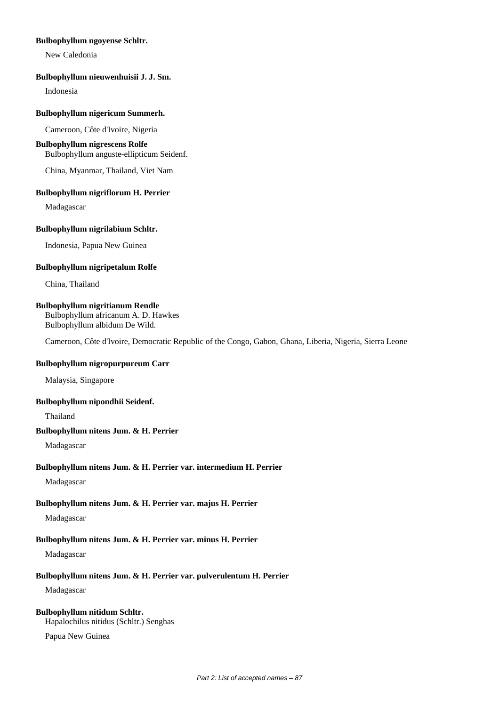## **Bulbophyllum ngoyense Schltr.**

New Caledonia

## **Bulbophyllum nieuwenhuisii J. J. Sm.**

Indonesia

#### **Bulbophyllum nigericum Summerh.**

Cameroon, Côte d'Ivoire, Nigeria

## **Bulbophyllum nigrescens Rolfe**

Bulbophyllum anguste-ellipticum Seidenf.

China, Myanmar, Thailand, Viet Nam

#### **Bulbophyllum nigriflorum H. Perrier**

Madagascar

#### **Bulbophyllum nigrilabium Schltr.**

Indonesia, Papua New Guinea

#### **Bulbophyllum nigripetalum Rolfe**

China, Thailand

#### **Bulbophyllum nigritianum Rendle**

Bulbophyllum africanum A. D. Hawkes Bulbophyllum albidum De Wild.

Cameroon, Côte d'Ivoire, Democratic Republic of the Congo, Gabon, Ghana, Liberia, Nigeria, Sierra Leone

#### **Bulbophyllum nigropurpureum Carr**

Malaysia, Singapore

#### **Bulbophyllum nipondhii Seidenf.**

Thailand

## **Bulbophyllum nitens Jum. & H. Perrier**

Madagascar

#### **Bulbophyllum nitens Jum. & H. Perrier var. intermedium H. Perrier**

Madagascar

## **Bulbophyllum nitens Jum. & H. Perrier var. majus H. Perrier**

## Madagascar

## **Bulbophyllum nitens Jum. & H. Perrier var. minus H. Perrier**

Madagascar

## **Bulbophyllum nitens Jum. & H. Perrier var. pulverulentum H. Perrier**

Madagascar

# **Bulbophyllum nitidum Schltr.**

Hapalochilus nitidus (Schltr.) Senghas

Papua New Guinea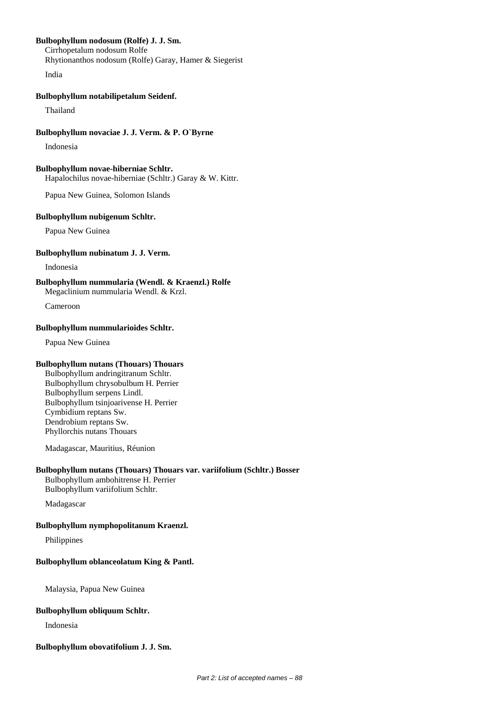## **Bulbophyllum nodosum (Rolfe) J. J. Sm.**

Cirrhopetalum nodosum Rolfe Rhytionanthos nodosum (Rolfe) Garay, Hamer & Siegerist India

### **Bulbophyllum notabilipetalum Seidenf.**

Thailand

#### **Bulbophyllum novaciae J. J. Verm. & P. O`Byrne**

Indonesia

## **Bulbophyllum novae-hiberniae Schltr.**

Hapalochilus novae-hiberniae (Schltr.) Garay & W. Kittr.

Papua New Guinea, Solomon Islands

#### **Bulbophyllum nubigenum Schltr.**

Papua New Guinea

#### **Bulbophyllum nubinatum J. J. Verm.**

Indonesia

**Bulbophyllum nummularia (Wendl. & Kraenzl.) Rolfe** Megaclinium nummularia Wendl. & Krzl.

Cameroon

## **Bulbophyllum nummularioides Schltr.**

Papua New Guinea

#### **Bulbophyllum nutans (Thouars) Thouars**

Bulbophyllum andringitranum Schltr. Bulbophyllum chrysobulbum H. Perrier Bulbophyllum serpens Lindl. Bulbophyllum tsinjoarivense H. Perrier Cymbidium reptans Sw. Dendrobium reptans Sw. Phyllorchis nutans Thouars

Madagascar, Mauritius, Réunion

#### **Bulbophyllum nutans (Thouars) Thouars var. variifolium (Schltr.) Bosser**

Bulbophyllum ambohitrense H. Perrier Bulbophyllum variifolium Schltr.

Madagascar

#### **Bulbophyllum nymphopolitanum Kraenzl.**

Philippines

#### **Bulbophyllum oblanceolatum King & Pantl.**

Malaysia, Papua New Guinea

#### **Bulbophyllum obliquum Schltr.**

Indonesia

### **Bulbophyllum obovatifolium J. J. Sm.**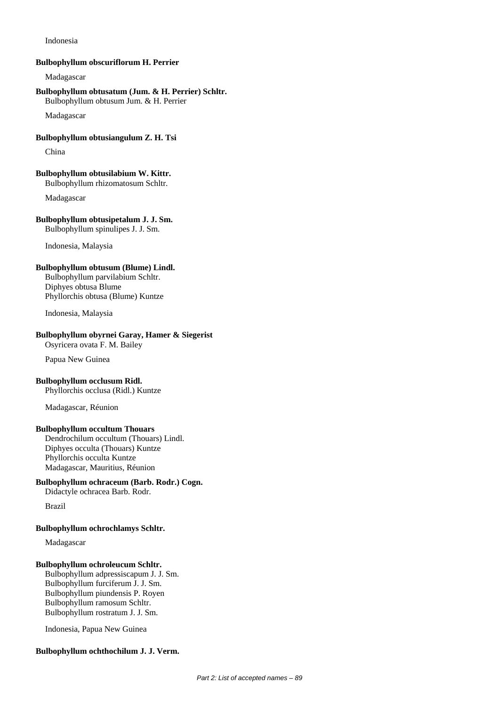Indonesia

#### **Bulbophyllum obscuriflorum H. Perrier**

Madagascar

# **Bulbophyllum obtusatum (Jum. & H. Perrier) Schltr.**

Bulbophyllum obtusum Jum. & H. Perrier

Madagascar

### **Bulbophyllum obtusiangulum Z. H. Tsi**

China

#### **Bulbophyllum obtusilabium W. Kittr.** Bulbophyllum rhizomatosum Schltr.

Madagascar

#### **Bulbophyllum obtusipetalum J. J. Sm.** Bulbophyllum spinulipes J. J. Sm.

Indonesia, Malaysia

## **Bulbophyllum obtusum (Blume) Lindl.**

Bulbophyllum parvilabium Schltr. Diphyes obtusa Blume Phyllorchis obtusa (Blume) Kuntze

Indonesia, Malaysia

## **Bulbophyllum obyrnei Garay, Hamer & Siegerist**

Osyricera ovata F. M. Bailey

Papua New Guinea

## **Bulbophyllum occlusum Ridl.**

Phyllorchis occlusa (Ridl.) Kuntze

Madagascar, Réunion

## **Bulbophyllum occultum Thouars**

Dendrochilum occultum (Thouars) Lindl. Diphyes occulta (Thouars) Kuntze Phyllorchis occulta Kuntze Madagascar, Mauritius, Réunion

## **Bulbophyllum ochraceum (Barb. Rodr.) Cogn.**

Didactyle ochracea Barb. Rodr.

Brazil

## **Bulbophyllum ochrochlamys Schltr.**

Madagascar

## **Bulbophyllum ochroleucum Schltr.**

Bulbophyllum adpressiscapum J. J. Sm. Bulbophyllum furciferum J. J. Sm. Bulbophyllum piundensis P. Royen Bulbophyllum ramosum Schltr. Bulbophyllum rostratum J. J. Sm.

Indonesia, Papua New Guinea

## **Bulbophyllum ochthochilum J. J. Verm.**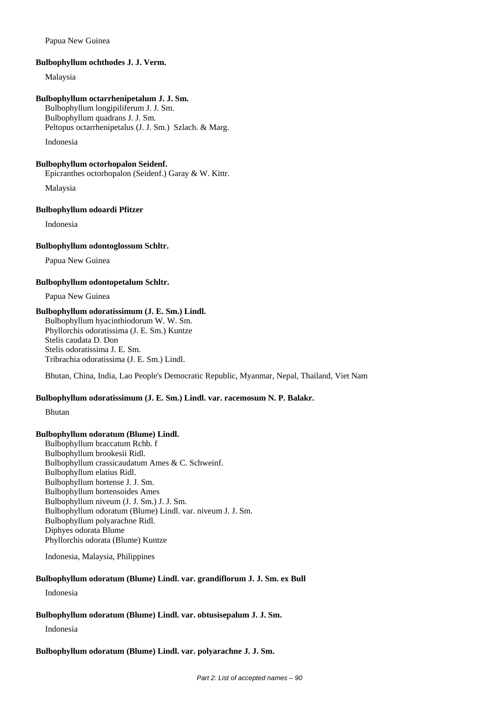## Papua New Guinea

### **Bulbophyllum ochthodes J. J. Verm.**

Malaysia

#### **Bulbophyllum octarrhenipetalum J. J. Sm.**

Bulbophyllum longipiliferum J. J. Sm. Bulbophyllum quadrans J. J. Sm. Peltopus octarrhenipetalus (J. J. Sm.) Szlach. & Marg.

Indonesia

## **Bulbophyllum octorhopalon Seidenf.**

Epicranthes octorhopalon (Seidenf.) Garay & W. Kittr.

Malaysia

### **Bulbophyllum odoardi Pfitzer**

Indonesia

#### **Bulbophyllum odontoglossum Schltr.**

Papua New Guinea

## **Bulbophyllum odontopetalum Schltr.**

Papua New Guinea

## **Bulbophyllum odoratissimum (J. E. Sm.) Lindl.**

Bulbophyllum hyacinthiodorum W. W. Sm. Phyllorchis odoratissima (J. E. Sm.) Kuntze Stelis caudata D. Don Stelis odoratissima J. E. Sm. Tribrachia odoratissima (J. E. Sm.) Lindl.

Bhutan, China, India, Lao People's Democratic Republic, Myanmar, Nepal, Thailand, Viet Nam

## **Bulbophyllum odoratissimum (J. E. Sm.) Lindl. var. racemosum N. P. Balakr.**

Bhutan

## **Bulbophyllum odoratum (Blume) Lindl.**

Bulbophyllum braccatum Rchb. f Bulbophyllum brookesii Ridl. Bulbophyllum crassicaudatum Ames & C. Schweinf. Bulbophyllum elatius Ridl. Bulbophyllum hortense J. J. Sm. Bulbophyllum hortensoides Ames Bulbophyllum niveum (J. J. Sm.) J. J. Sm. Bulbophyllum odoratum (Blume) Lindl. var. niveum J. J. Sm. Bulbophyllum polyarachne Ridl. Diphyes odorata Blume Phyllorchis odorata (Blume) Kuntze

Indonesia, Malaysia, Philippines

## **Bulbophyllum odoratum (Blume) Lindl. var. grandiflorum J. J. Sm. ex Bull**

Indonesia

## **Bulbophyllum odoratum (Blume) Lindl. var. obtusisepalum J. J. Sm.**

Indonesia

## **Bulbophyllum odoratum (Blume) Lindl. var. polyarachne J. J. Sm.**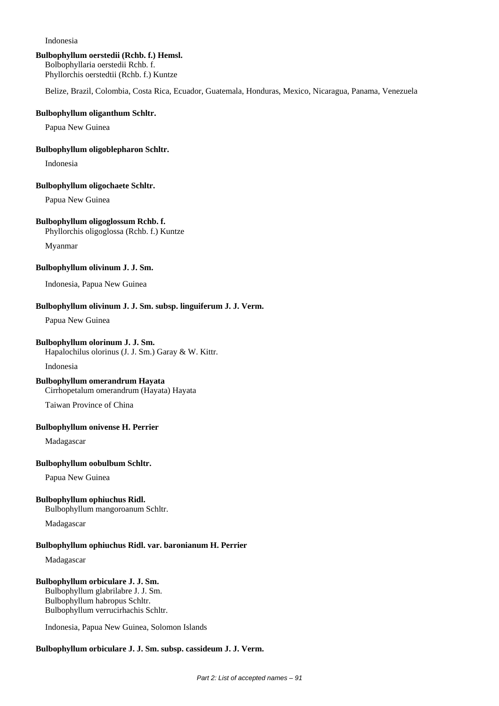#### Indonesia

### **Bulbophyllum oerstedii (Rchb. f.) Hemsl.**

Bolbophyllaria oerstedii Rchb. f. Phyllorchis oerstedtii (Rchb. f.) Kuntze

Belize, Brazil, Colombia, Costa Rica, Ecuador, Guatemala, Honduras, Mexico, Nicaragua, Panama, Venezuela

#### **Bulbophyllum oliganthum Schltr.**

Papua New Guinea

#### **Bulbophyllum oligoblepharon Schltr.**

Indonesia

#### **Bulbophyllum oligochaete Schltr.**

Papua New Guinea

## **Bulbophyllum oligoglossum Rchb. f.**

Phyllorchis oligoglossa (Rchb. f.) Kuntze

Myanmar

#### **Bulbophyllum olivinum J. J. Sm.**

Indonesia, Papua New Guinea

## **Bulbophyllum olivinum J. J. Sm. subsp. linguiferum J. J. Verm.**

Papua New Guinea

## **Bulbophyllum olorinum J. J. Sm.**

Hapalochilus olorinus (J. J. Sm.) Garay & W. Kittr.

Indonesia

## **Bulbophyllum omerandrum Hayata**

Cirrhopetalum omerandrum (Hayata) Hayata

Taiwan Province of China

## **Bulbophyllum onivense H. Perrier**

Madagascar

## **Bulbophyllum oobulbum Schltr.**

Papua New Guinea

## **Bulbophyllum ophiuchus Ridl.**

Bulbophyllum mangoroanum Schltr.

Madagascar

## **Bulbophyllum ophiuchus Ridl. var. baronianum H. Perrier**

Madagascar

## **Bulbophyllum orbiculare J. J. Sm.**

Bulbophyllum glabrilabre J. J. Sm. Bulbophyllum habropus Schltr. Bulbophyllum verrucirhachis Schltr.

Indonesia, Papua New Guinea, Solomon Islands

## **Bulbophyllum orbiculare J. J. Sm. subsp. cassideum J. J. Verm.**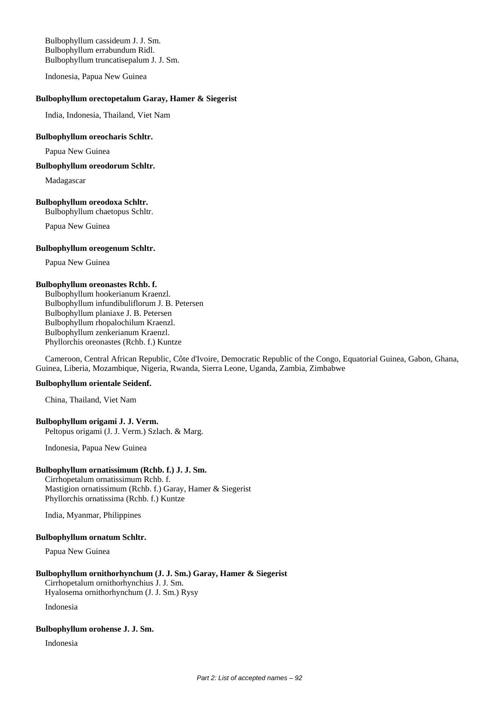Bulbophyllum cassideum J. J. Sm. Bulbophyllum errabundum Ridl. Bulbophyllum truncatisepalum J. J. Sm.

Indonesia, Papua New Guinea

#### **Bulbophyllum orectopetalum Garay, Hamer & Siegerist**

India, Indonesia, Thailand, Viet Nam

## **Bulbophyllum oreocharis Schltr.**

Papua New Guinea

**Bulbophyllum oreodorum Schltr.**

Madagascar

#### **Bulbophyllum oreodoxa Schltr.**

Bulbophyllum chaetopus Schltr.

Papua New Guinea

#### **Bulbophyllum oreogenum Schltr.**

Papua New Guinea

#### **Bulbophyllum oreonastes Rchb. f.**

Bulbophyllum hookerianum Kraenzl. Bulbophyllum infundibuliflorum J. B. Petersen Bulbophyllum planiaxe J. B. Petersen Bulbophyllum rhopalochilum Kraenzl. Bulbophyllum zenkerianum Kraenzl. Phyllorchis oreonastes (Rchb. f.) Kuntze

Cameroon, Central African Republic, Côte d'Ivoire, Democratic Republic of the Congo, Equatorial Guinea, Gabon, Ghana, Guinea, Liberia, Mozambique, Nigeria, Rwanda, Sierra Leone, Uganda, Zambia, Zimbabwe

#### **Bulbophyllum orientale Seidenf.**

China, Thailand, Viet Nam

## **Bulbophyllum origami J. J. Verm.**

Peltopus origami (J. J. Verm.) Szlach. & Marg.

Indonesia, Papua New Guinea

#### **Bulbophyllum ornatissimum (Rchb. f.) J. J. Sm.**

Cirrhopetalum ornatissimum Rchb. f. Mastigion ornatissimum (Rchb. f.) Garay, Hamer & Siegerist Phyllorchis ornatissima (Rchb. f.) Kuntze

India, Myanmar, Philippines

### **Bulbophyllum ornatum Schltr.**

Papua New Guinea

## **Bulbophyllum ornithorhynchum (J. J. Sm.) Garay, Hamer & Siegerist**

Cirrhopetalum ornithorhynchius J. J. Sm. Hyalosema ornithorhynchum (J. J. Sm.) Rysy

Indonesia

#### **Bulbophyllum orohense J. J. Sm.**

Indonesia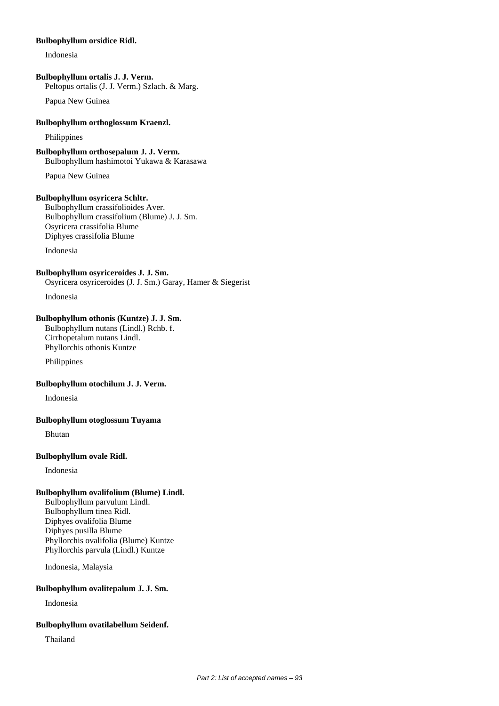#### **Bulbophyllum orsidice Ridl.**

Indonesia

## **Bulbophyllum ortalis J. J. Verm.**

Peltopus ortalis (J. J. Verm.) Szlach. & Marg.

Papua New Guinea

## **Bulbophyllum orthoglossum Kraenzl.**

Philippines

**Bulbophyllum orthosepalum J. J. Verm.** Bulbophyllum hashimotoi Yukawa & Karasawa

Papua New Guinea

## **Bulbophyllum osyricera Schltr.**

Bulbophyllum crassifolioides Aver. Bulbophyllum crassifolium (Blume) J. J. Sm. Osyricera crassifolia Blume Diphyes crassifolia Blume

Indonesia

## **Bulbophyllum osyriceroides J. J. Sm.**

Osyricera osyriceroides (J. J. Sm.) Garay, Hamer & Siegerist

Indonesia

## **Bulbophyllum othonis (Kuntze) J. J. Sm.**

Bulbophyllum nutans (Lindl.) Rchb. f. Cirrhopetalum nutans Lindl. Phyllorchis othonis Kuntze

Philippines

## **Bulbophyllum otochilum J. J. Verm.**

Indonesia

## **Bulbophyllum otoglossum Tuyama**

Bhutan

## **Bulbophyllum ovale Ridl.**

Indonesia

## **Bulbophyllum ovalifolium (Blume) Lindl.**

Bulbophyllum parvulum Lindl. Bulbophyllum tinea Ridl. Diphyes ovalifolia Blume Diphyes pusilla Blume Phyllorchis ovalifolia (Blume) Kuntze Phyllorchis parvula (Lindl.) Kuntze

Indonesia, Malaysia

## **Bulbophyllum ovalitepalum J. J. Sm.**

Indonesia

## **Bulbophyllum ovatilabellum Seidenf.**

Thailand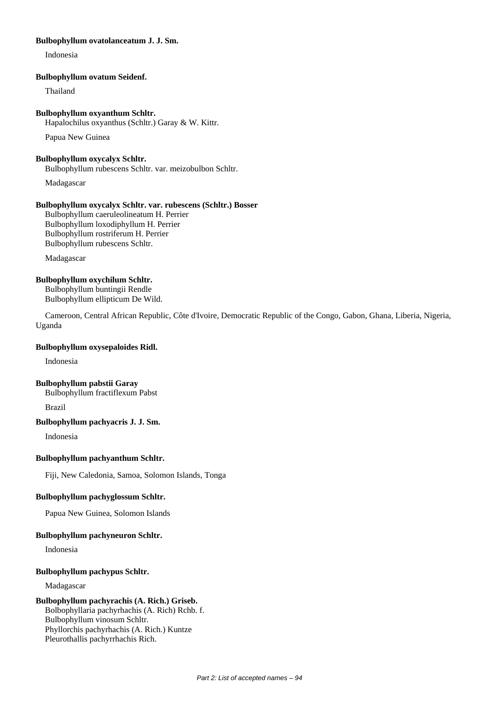## **Bulbophyllum ovatolanceatum J. J. Sm.**

Indonesia

### **Bulbophyllum ovatum Seidenf.**

Thailand

## **Bulbophyllum oxyanthum Schltr.**

Hapalochilus oxyanthus (Schltr.) Garay & W. Kittr.

Papua New Guinea

## **Bulbophyllum oxycalyx Schltr.**

Bulbophyllum rubescens Schltr. var. meizobulbon Schltr.

Madagascar

## **Bulbophyllum oxycalyx Schltr. var. rubescens (Schltr.) Bosser**

Bulbophyllum caeruleolineatum H. Perrier Bulbophyllum loxodiphyllum H. Perrier Bulbophyllum rostriferum H. Perrier Bulbophyllum rubescens Schltr.

Madagascar

## **Bulbophyllum oxychilum Schltr.**

Bulbophyllum buntingii Rendle Bulbophyllum ellipticum De Wild.

Cameroon, Central African Republic, Côte d'Ivoire, Democratic Republic of the Congo, Gabon, Ghana, Liberia, Nigeria, Uganda

## **Bulbophyllum oxysepaloides Ridl.**

Indonesia

# **Bulbophyllum pabstii Garay**

Bulbophyllum fractiflexum Pabst

Brazil

## **Bulbophyllum pachyacris J. J. Sm.**

Indonesia

## **Bulbophyllum pachyanthum Schltr.**

Fiji, New Caledonia, Samoa, Solomon Islands, Tonga

## **Bulbophyllum pachyglossum Schltr.**

Papua New Guinea, Solomon Islands

## **Bulbophyllum pachyneuron Schltr.**

Indonesia

## **Bulbophyllum pachypus Schltr.**

Madagascar

## **Bulbophyllum pachyrachis (A. Rich.) Griseb.**

Bolbophyllaria pachyrhachis (A. Rich) Rchb. f. Bulbophyllum vinosum Schltr. Phyllorchis pachyrhachis (A. Rich.) Kuntze Pleurothallis pachyrrhachis Rich.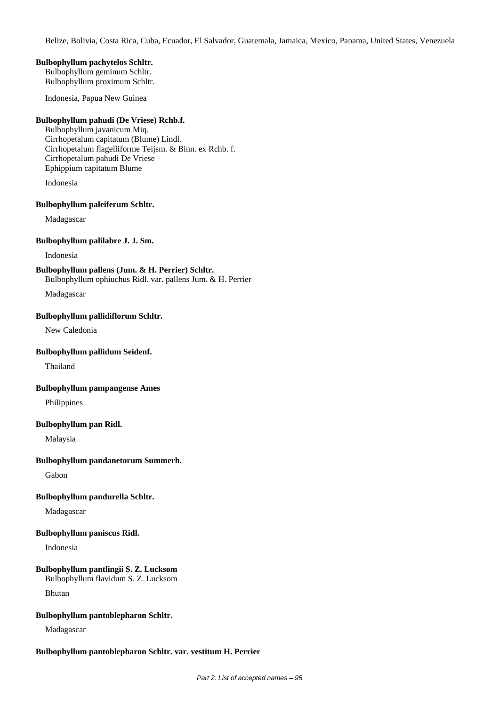Belize, Bolivia, Costa Rica, Cuba, Ecuador, El Salvador, Guatemala, Jamaica, Mexico, Panama, United States, Venezuela

## **Bulbophyllum pachytelos Schltr.**

Bulbophyllum geminum Schltr. Bulbophyllum proximum Schltr.

Indonesia, Papua New Guinea

## **Bulbophyllum pahudi (De Vriese) Rchb.f.**

Bulbophyllum javanicum Miq. Cirrhopetalum capitatum (Blume) Lindl. Cirrhopetalum flagelliforme Teijsm. & Binn. ex Rchb. f. Cirrhopetalum pahudi De Vriese Ephippium capitatum Blume

Indonesia

#### **Bulbophyllum paleiferum Schltr.**

Madagascar

#### **Bulbophyllum palilabre J. J. Sm.**

Indonesia

# **Bulbophyllum pallens (Jum. & H. Perrier) Schltr.**

Bulbophyllum ophiuchus Ridl. var. pallens Jum. & H. Perrier

Madagascar

## **Bulbophyllum pallidiflorum Schltr.**

New Caledonia

### **Bulbophyllum pallidum Seidenf.**

Thailand

## **Bulbophyllum pampangense Ames**

Philippines

## **Bulbophyllum pan Ridl.**

Malaysia

## **Bulbophyllum pandanetorum Summerh.**

Gabon

## **Bulbophyllum pandurella Schltr.**

Madagascar

## **Bulbophyllum paniscus Ridl.**

Indonesia

## **Bulbophyllum pantlingii S. Z. Lucksom**

Bulbophyllum flavidum S. Z. Lucksom

Bhutan

## **Bulbophyllum pantoblepharon Schltr.**

Madagascar

## **Bulbophyllum pantoblepharon Schltr. var. vestitum H. Perrier**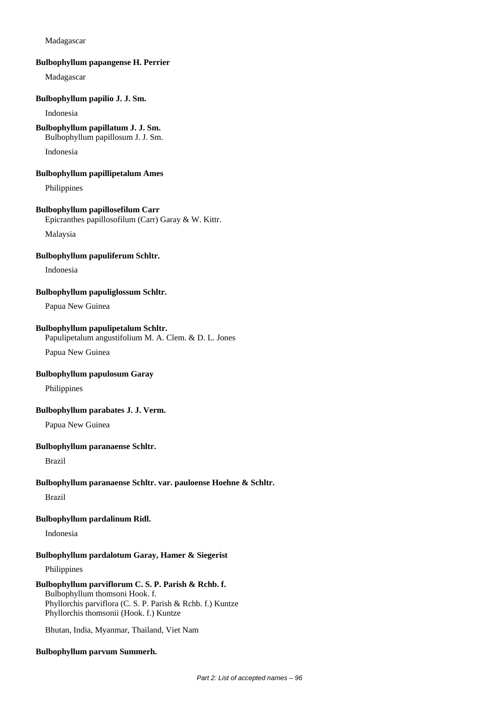### Madagascar

#### **Bulbophyllum papangense H. Perrier**

Madagascar

## **Bulbophyllum papilio J. J. Sm.**

Indonesia

### **Bulbophyllum papillatum J. J. Sm.**

Bulbophyllum papillosum J. J. Sm.

Indonesia

#### **Bulbophyllum papillipetalum Ames**

Philippines

#### **Bulbophyllum papillosefilum Carr**

Epicranthes papillosofilum (Carr) Garay & W. Kittr.

Malaysia

### **Bulbophyllum papuliferum Schltr.**

Indonesia

### **Bulbophyllum papuliglossum Schltr.**

Papua New Guinea

### **Bulbophyllum papulipetalum Schltr.**

Papulipetalum angustifolium M. A. Clem. & D. L. Jones

Papua New Guinea

### **Bulbophyllum papulosum Garay**

Philippines

## **Bulbophyllum parabates J. J. Verm.**

Papua New Guinea

#### **Bulbophyllum paranaense Schltr.**

Brazil

## **Bulbophyllum paranaense Schltr. var. pauloense Hoehne & Schltr.**

Brazil

### **Bulbophyllum pardalinum Ridl.**

Indonesia

#### **Bulbophyllum pardalotum Garay, Hamer & Siegerist**

Philippines

## **Bulbophyllum parviflorum C. S. P. Parish & Rchb. f.**

Bulbophyllum thomsoni Hook. f. Phyllorchis parviflora (C. S. P. Parish & Rchb. f.) Kuntze Phyllorchis thomsonii (Hook. f.) Kuntze

Bhutan, India, Myanmar, Thailand, Viet Nam

#### **Bulbophyllum parvum Summerh.**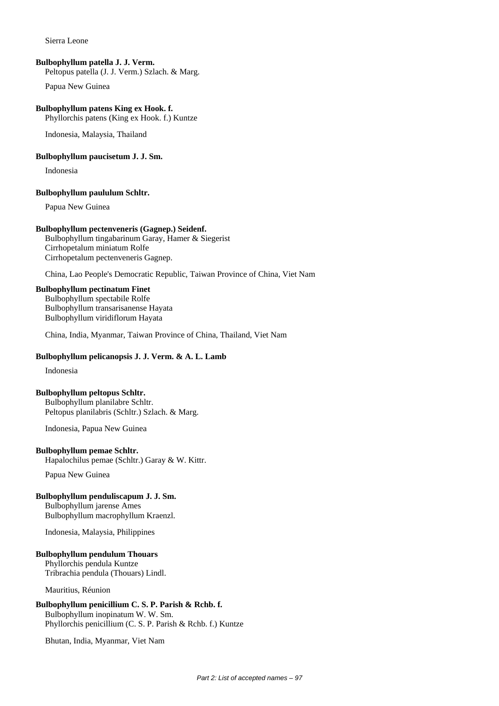Sierra Leone

### **Bulbophyllum patella J. J. Verm.**

Peltopus patella (J. J. Verm.) Szlach. & Marg.

Papua New Guinea

## **Bulbophyllum patens King ex Hook. f.**

Phyllorchis patens (King ex Hook. f.) Kuntze

Indonesia, Malaysia, Thailand

#### **Bulbophyllum paucisetum J. J. Sm.**

Indonesia

#### **Bulbophyllum paululum Schltr.**

Papua New Guinea

#### **Bulbophyllum pectenveneris (Gagnep.) Seidenf.**

Bulbophyllum tingabarinum Garay, Hamer & Siegerist Cirrhopetalum miniatum Rolfe Cirrhopetalum pectenveneris Gagnep.

China, Lao People's Democratic Republic, Taiwan Province of China, Viet Nam

## **Bulbophyllum pectinatum Finet**

Bulbophyllum spectabile Rolfe Bulbophyllum transarisanense Hayata Bulbophyllum viridiflorum Hayata

China, India, Myanmar, Taiwan Province of China, Thailand, Viet Nam

## **Bulbophyllum pelicanopsis J. J. Verm. & A. L. Lamb**

Indonesia

## **Bulbophyllum peltopus Schltr.**

Bulbophyllum planilabre Schltr. Peltopus planilabris (Schltr.) Szlach. & Marg.

Indonesia, Papua New Guinea

#### **Bulbophyllum pemae Schltr.**

Hapalochilus pemae (Schltr.) Garay & W. Kittr.

Papua New Guinea

#### **Bulbophyllum penduliscapum J. J. Sm.**

Bulbophyllum jarense Ames Bulbophyllum macrophyllum Kraenzl.

Indonesia, Malaysia, Philippines

### **Bulbophyllum pendulum Thouars**

Phyllorchis pendula Kuntze Tribrachia pendula (Thouars) Lindl.

Mauritius, Réunion

## **Bulbophyllum penicillium C. S. P. Parish & Rchb. f.** Bulbophyllum inopinatum W. W. Sm. Phyllorchis penicillium (C. S. P. Parish & Rchb. f.) Kuntze

Bhutan, India, Myanmar, Viet Nam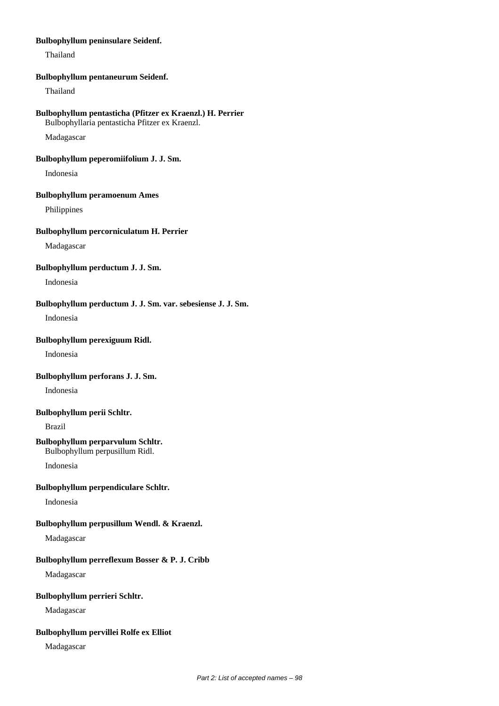### **Bulbophyllum peninsulare Seidenf.**

Thailand

#### **Bulbophyllum pentaneurum Seidenf.**

Thailand

## **Bulbophyllum pentasticha (Pfitzer ex Kraenzl.) H. Perrier**

Bulbophyllaria pentasticha Pfitzer ex Kraenzl.

Madagascar

## **Bulbophyllum peperomiifolium J. J. Sm.**

Indonesia

## **Bulbophyllum peramoenum Ames**

Philippines

## **Bulbophyllum percorniculatum H. Perrier**

Madagascar

## **Bulbophyllum perductum J. J. Sm.**

Indonesia

## **Bulbophyllum perductum J. J. Sm. var. sebesiense J. J. Sm.**

Indonesia

## **Bulbophyllum perexiguum Ridl.**

Indonesia

## **Bulbophyllum perforans J. J. Sm.**

Indonesia

## **Bulbophyllum perii Schltr.**

Brazil

#### **Bulbophyllum perparvulum Schltr.** Bulbophyllum perpusillum Ridl.

Indonesia

## **Bulbophyllum perpendiculare Schltr.**

Indonesia

## **Bulbophyllum perpusillum Wendl. & Kraenzl.**

Madagascar

## **Bulbophyllum perreflexum Bosser & P. J. Cribb**

Madagascar

## **Bulbophyllum perrieri Schltr.**

Madagascar

## **Bulbophyllum pervillei Rolfe ex Elliot**

Madagascar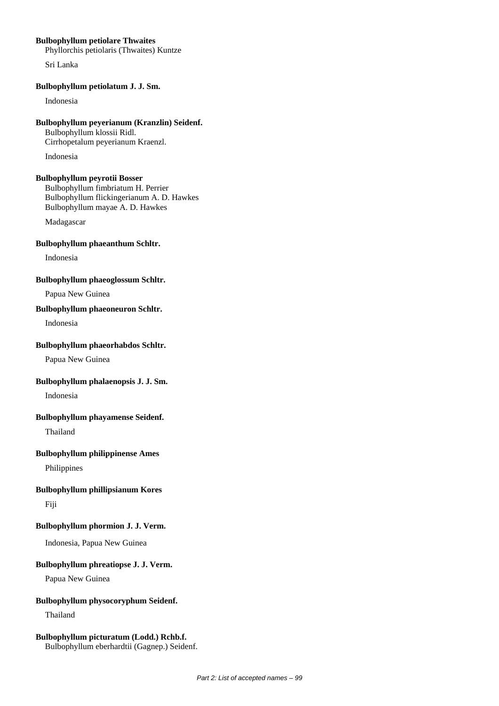## **Bulbophyllum petiolare Thwaites**

Phyllorchis petiolaris (Thwaites) Kuntze

Sri Lanka

### **Bulbophyllum petiolatum J. J. Sm.**

Indonesia

## **Bulbophyllum peyerianum (Kranzlin) Seidenf.** Bulbophyllum klossii Ridl. Cirrhopetalum peyerianum Kraenzl.

Indonesia

## **Bulbophyllum peyrotii Bosser**

Bulbophyllum fimbriatum H. Perrier Bulbophyllum flickingerianum A. D. Hawkes Bulbophyllum mayae A. D. Hawkes

Madagascar

## **Bulbophyllum phaeanthum Schltr.**

Indonesia

#### **Bulbophyllum phaeoglossum Schltr.**

Papua New Guinea

## **Bulbophyllum phaeoneuron Schltr.**

Indonesia

### **Bulbophyllum phaeorhabdos Schltr.**

Papua New Guinea

## **Bulbophyllum phalaenopsis J. J. Sm.**

Indonesia

## **Bulbophyllum phayamense Seidenf.**

Thailand

## **Bulbophyllum philippinense Ames**

Philippines

## **Bulbophyllum phillipsianum Kores**

Fiji

## **Bulbophyllum phormion J. J. Verm.**

Indonesia, Papua New Guinea

## **Bulbophyllum phreatiopse J. J. Verm.**

Papua New Guinea

## **Bulbophyllum physocoryphum Seidenf.**

Thailand

#### **Bulbophyllum picturatum (Lodd.) Rchb.f.** Bulbophyllum eberhardtii (Gagnep.) Seidenf.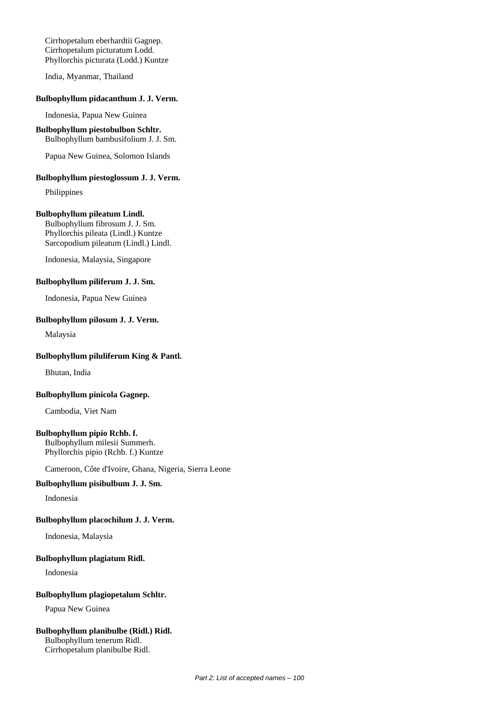Cirrhopetalum eberhardtii Gagnep. Cirrhopetalum picturatum Lodd. Phyllorchis picturata (Lodd.) Kuntze

India, Myanmar, Thailand

## **Bulbophyllum pidacanthum J. J. Verm.**

Indonesia, Papua New Guinea

#### **Bulbophyllum piestobulbon Schltr.** Bulbophyllum bambusifolium J. J. Sm.

Papua New Guinea, Solomon Islands

## **Bulbophyllum piestoglossum J. J. Verm.**

Philippines

#### **Bulbophyllum pileatum Lindl.**

Bulbophyllum fibrosum J. J. Sm. Phyllorchis pileata (Lindl.) Kuntze Sarcopodium pileatum (Lindl.) Lindl.

Indonesia, Malaysia, Singapore

#### **Bulbophyllum piliferum J. J. Sm.**

Indonesia, Papua New Guinea

## **Bulbophyllum pilosum J. J. Verm.**

Malaysia

### **Bulbophyllum piluliferum King & Pantl.**

Bhutan, India

#### **Bulbophyllum pinicola Gagnep.**

Cambodia, Viet Nam

#### **Bulbophyllum pipio Rchb. f.**

Bulbophyllum milesii Summerh. Phyllorchis pipio (Rchb. f.) Kuntze

Cameroon, Côte d'Ivoire, Ghana, Nigeria, Sierra Leone

## **Bulbophyllum pisibulbum J. J. Sm.**

Indonesia

### **Bulbophyllum placochilum J. J. Verm.**

Indonesia, Malaysia

### **Bulbophyllum plagiatum Ridl.**

Indonesia

#### **Bulbophyllum plagiopetalum Schltr.**

Papua New Guinea

#### **Bulbophyllum planibulbe (Ridl.) Ridl.**

Bulbophyllum tenerum Ridl. Cirrhopetalum planibulbe Ridl.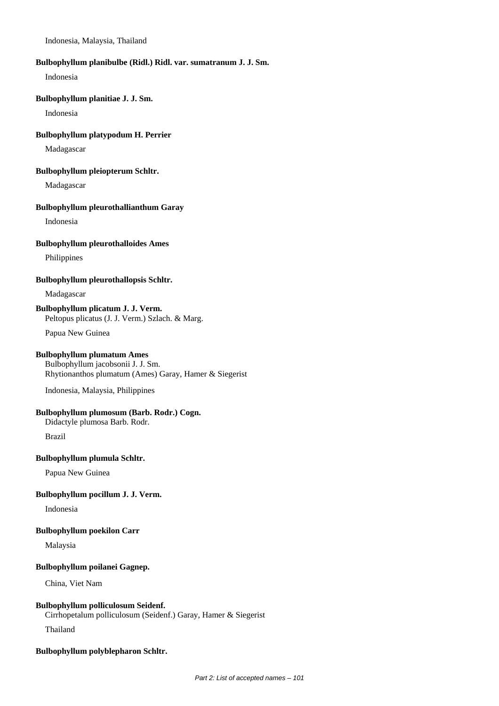Indonesia, Malaysia, Thailand

#### **Bulbophyllum planibulbe (Ridl.) Ridl. var. sumatranum J. J. Sm.**

Indonesia

## **Bulbophyllum planitiae J. J. Sm.**

Indonesia

## **Bulbophyllum platypodum H. Perrier**

Madagascar

#### **Bulbophyllum pleiopterum Schltr.**

Madagascar

#### **Bulbophyllum pleurothallianthum Garay**

Indonesia

#### **Bulbophyllum pleurothalloides Ames**

Philippines

### **Bulbophyllum pleurothallopsis Schltr.**

Madagascar

# **Bulbophyllum plicatum J. J. Verm.**

Peltopus plicatus (J. J. Verm.) Szlach. & Marg.

Papua New Guinea

## **Bulbophyllum plumatum Ames**

Bulbophyllum jacobsonii J. J. Sm. Rhytionanthos plumatum (Ames) Garay, Hamer & Siegerist

Indonesia, Malaysia, Philippines

## **Bulbophyllum plumosum (Barb. Rodr.) Cogn.**

Didactyle plumosa Barb. Rodr.

Brazil

## **Bulbophyllum plumula Schltr.**

Papua New Guinea

## **Bulbophyllum pocillum J. J. Verm.**

Indonesia

### **Bulbophyllum poekilon Carr**

Malaysia

### **Bulbophyllum poilanei Gagnep.**

China, Viet Nam

## **Bulbophyllum polliculosum Seidenf.**

Cirrhopetalum polliculosum (Seidenf.) Garay, Hamer & Siegerist

Thailand

#### **Bulbophyllum polyblepharon Schltr.**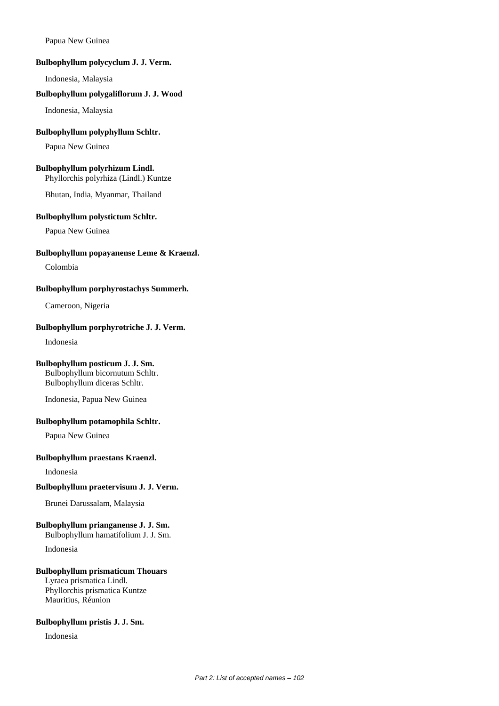Papua New Guinea

### **Bulbophyllum polycyclum J. J. Verm.**

Indonesia, Malaysia

## **Bulbophyllum polygaliflorum J. J. Wood**

Indonesia, Malaysia

## **Bulbophyllum polyphyllum Schltr.**

Papua New Guinea

## **Bulbophyllum polyrhizum Lindl.**

Phyllorchis polyrhiza (Lindl.) Kuntze

Bhutan, India, Myanmar, Thailand

## **Bulbophyllum polystictum Schltr.**

Papua New Guinea

## **Bulbophyllum popayanense Leme & Kraenzl.**

Colombia

## **Bulbophyllum porphyrostachys Summerh.**

Cameroon, Nigeria

## **Bulbophyllum porphyrotriche J. J. Verm.**

Indonesia

## **Bulbophyllum posticum J. J. Sm.**

Bulbophyllum bicornutum Schltr. Bulbophyllum diceras Schltr.

Indonesia, Papua New Guinea

## **Bulbophyllum potamophila Schltr.**

Papua New Guinea

## **Bulbophyllum praestans Kraenzl.**

Indonesia

## **Bulbophyllum praetervisum J. J. Verm.**

Brunei Darussalam, Malaysia

## **Bulbophyllum prianganense J. J. Sm.**

Bulbophyllum hamatifolium J. J. Sm. Indonesia

## **Bulbophyllum prismaticum Thouars**

Lyraea prismatica Lindl. Phyllorchis prismatica Kuntze Mauritius, Réunion

#### **Bulbophyllum pristis J. J. Sm.**

Indonesia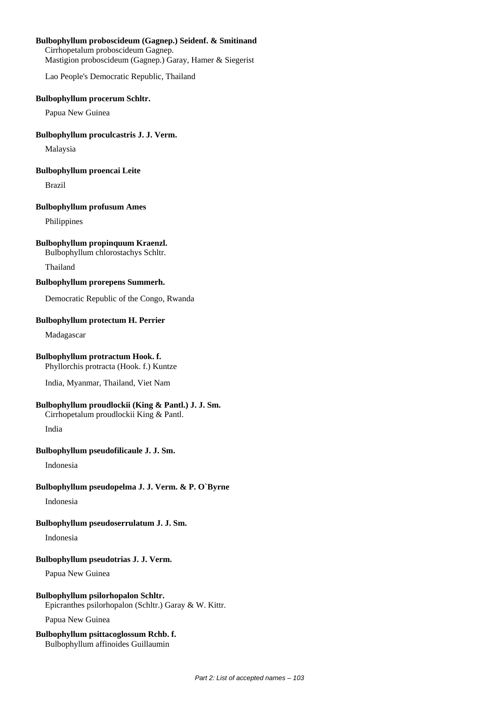## **Bulbophyllum proboscideum (Gagnep.) Seidenf. & Smitinand**

Cirrhopetalum proboscideum Gagnep. Mastigion proboscideum (Gagnep.) Garay, Hamer & Siegerist

Lao People's Democratic Republic, Thailand

#### **Bulbophyllum procerum Schltr.**

Papua New Guinea

## **Bulbophyllum proculcastris J. J. Verm.**

Malaysia

### **Bulbophyllum proencai Leite**

Brazil

## **Bulbophyllum profusum Ames**

Philippines

## **Bulbophyllum propinquum Kraenzl.**

Bulbophyllum chlorostachys Schltr.

Thailand

#### **Bulbophyllum prorepens Summerh.**

Democratic Republic of the Congo, Rwanda

## **Bulbophyllum protectum H. Perrier**

Madagascar

## **Bulbophyllum protractum Hook. f.**

Phyllorchis protracta (Hook. f.) Kuntze

India, Myanmar, Thailand, Viet Nam

## **Bulbophyllum proudlockii (King & Pantl.) J. J. Sm.**

Cirrhopetalum proudlockii King & Pantl.

India

## **Bulbophyllum pseudofilicaule J. J. Sm.**

Indonesia

## **Bulbophyllum pseudopelma J. J. Verm. & P. O`Byrne**

Indonesia

## **Bulbophyllum pseudoserrulatum J. J. Sm.**

Indonesia

## **Bulbophyllum pseudotrias J. J. Verm.**

Papua New Guinea

## **Bulbophyllum psilorhopalon Schltr.** Epicranthes psilorhopalon (Schltr.) Garay & W. Kittr.

Papua New Guinea

#### **Bulbophyllum psittacoglossum Rchb. f.** Bulbophyllum affinoides Guillaumin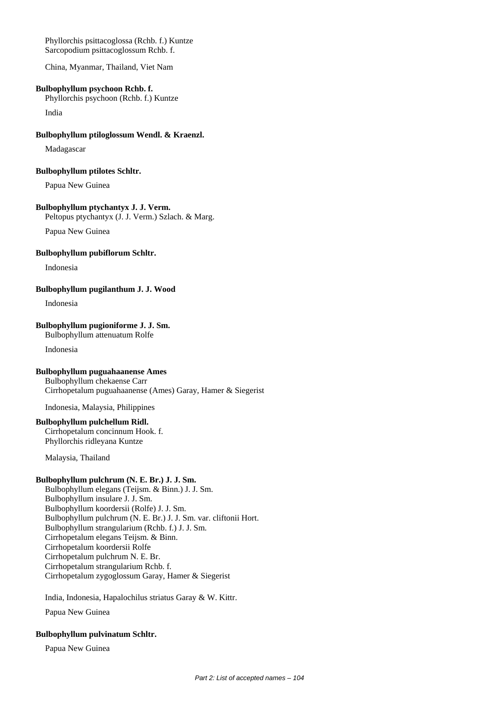Phyllorchis psittacoglossa (Rchb. f.) Kuntze Sarcopodium psittacoglossum Rchb. f.

China, Myanmar, Thailand, Viet Nam

#### **Bulbophyllum psychoon Rchb. f.**

Phyllorchis psychoon (Rchb. f.) Kuntze

India

#### **Bulbophyllum ptiloglossum Wendl. & Kraenzl.**

Madagascar

#### **Bulbophyllum ptilotes Schltr.**

Papua New Guinea

## **Bulbophyllum ptychantyx J. J. Verm.**

Peltopus ptychantyx (J. J. Verm.) Szlach. & Marg.

Papua New Guinea

#### **Bulbophyllum pubiflorum Schltr.**

Indonesia

**Bulbophyllum pugilanthum J. J. Wood**

Indonesia

## **Bulbophyllum pugioniforme J. J. Sm.**

Bulbophyllum attenuatum Rolfe

Indonesia

## **Bulbophyllum puguahaanense Ames**

Bulbophyllum chekaense Carr Cirrhopetalum puguahaanense (Ames) Garay, Hamer & Siegerist

Indonesia, Malaysia, Philippines

## **Bulbophyllum pulchellum Ridl.**

Cirrhopetalum concinnum Hook. f. Phyllorchis ridleyana Kuntze

Malaysia, Thailand

## **Bulbophyllum pulchrum (N. E. Br.) J. J. Sm.**

Bulbophyllum elegans (Teijsm. & Binn.) J. J. Sm. Bulbophyllum insulare J. J. Sm. Bulbophyllum koordersii (Rolfe) J. J. Sm. Bulbophyllum pulchrum (N. E. Br.) J. J. Sm. var. cliftonii Hort. Bulbophyllum strangularium (Rchb. f.) J. J. Sm. Cirrhopetalum elegans Teijsm. & Binn. Cirrhopetalum koordersii Rolfe Cirrhopetalum pulchrum N. E. Br. Cirrhopetalum strangularium Rchb. f. Cirrhopetalum zygoglossum Garay, Hamer & Siegerist

India, Indonesia, Hapalochilus striatus Garay & W. Kittr.

Papua New Guinea

## **Bulbophyllum pulvinatum Schltr.**

Papua New Guinea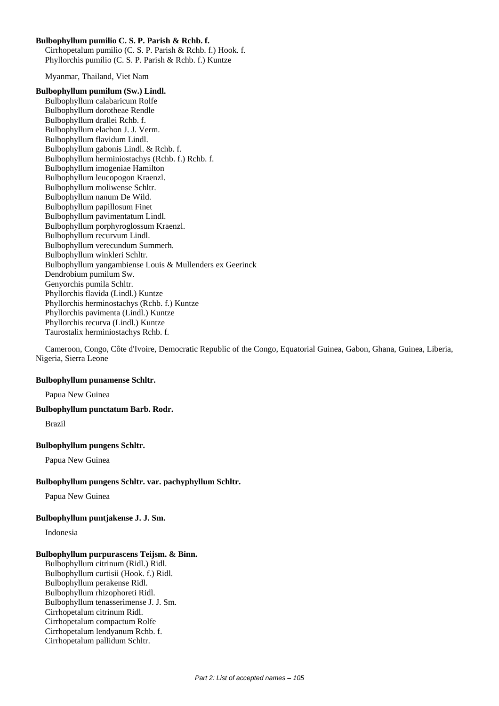## **Bulbophyllum pumilio C. S. P. Parish & Rchb. f.**

Cirrhopetalum pumilio (C. S. P. Parish & Rchb. f.) Hook. f. Phyllorchis pumilio (C. S. P. Parish & Rchb. f.) Kuntze

Myanmar, Thailand, Viet Nam

#### **Bulbophyllum pumilum (Sw.) Lindl.**

Bulbophyllum calabaricum Rolfe Bulbophyllum dorotheae Rendle Bulbophyllum drallei Rchb. f. Bulbophyllum elachon J. J. Verm. Bulbophyllum flavidum Lindl. Bulbophyllum gabonis Lindl. & Rchb. f. Bulbophyllum herminiostachys (Rchb. f.) Rchb. f. Bulbophyllum imogeniae Hamilton Bulbophyllum leucopogon Kraenzl. Bulbophyllum moliwense Schltr. Bulbophyllum nanum De Wild. Bulbophyllum papillosum Finet Bulbophyllum pavimentatum Lindl. Bulbophyllum porphyroglossum Kraenzl. Bulbophyllum recurvum Lindl. Bulbophyllum verecundum Summerh. Bulbophyllum winkleri Schltr. Bulbophyllum yangambiense Louis & Mullenders ex Geerinck Dendrobium pumilum Sw. Genyorchis pumila Schltr. Phyllorchis flavida (Lindl.) Kuntze Phyllorchis herminostachys (Rchb. f.) Kuntze Phyllorchis pavimenta (Lindl.) Kuntze Phyllorchis recurva (Lindl.) Kuntze Taurostalix herminiostachys Rchb. f.

Cameroon, Congo, Côte d'Ivoire, Democratic Republic of the Congo, Equatorial Guinea, Gabon, Ghana, Guinea, Liberia, Nigeria, Sierra Leone

### **Bulbophyllum punamense Schltr.**

Papua New Guinea

## **Bulbophyllum punctatum Barb. Rodr.**

Brazil

## **Bulbophyllum pungens Schltr.**

Papua New Guinea

## **Bulbophyllum pungens Schltr. var. pachyphyllum Schltr.**

Papua New Guinea

## **Bulbophyllum puntjakense J. J. Sm.**

Indonesia

#### **Bulbophyllum purpurascens Teijsm. & Binn.**

Bulbophyllum citrinum (Ridl.) Ridl. Bulbophyllum curtisii (Hook. f.) Ridl. Bulbophyllum perakense Ridl. Bulbophyllum rhizophoreti Ridl. Bulbophyllum tenasserimense J. J. Sm. Cirrhopetalum citrinum Ridl. Cirrhopetalum compactum Rolfe Cirrhopetalum lendyanum Rchb. f. Cirrhopetalum pallidum Schltr.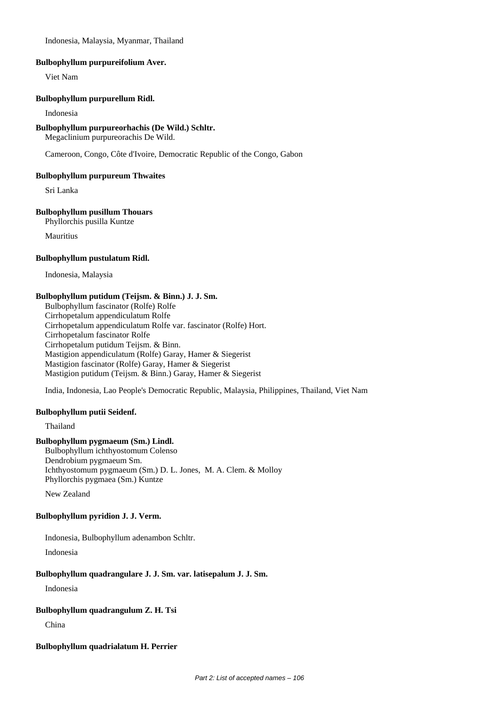Indonesia, Malaysia, Myanmar, Thailand

#### **Bulbophyllum purpureifolium Aver.**

Viet Nam

#### **Bulbophyllum purpurellum Ridl.**

#### Indonesia

#### **Bulbophyllum purpureorhachis (De Wild.) Schltr.**

Megaclinium purpureorachis De Wild.

Cameroon, Congo, Côte d'Ivoire, Democratic Republic of the Congo, Gabon

#### **Bulbophyllum purpureum Thwaites**

Sri Lanka

## **Bulbophyllum pusillum Thouars**

Phyllorchis pusilla Kuntze

Mauritius

## **Bulbophyllum pustulatum Ridl.**

Indonesia, Malaysia

## **Bulbophyllum putidum (Teijsm. & Binn.) J. J. Sm.**

Bulbophyllum fascinator (Rolfe) Rolfe Cirrhopetalum appendiculatum Rolfe Cirrhopetalum appendiculatum Rolfe var. fascinator (Rolfe) Hort. Cirrhopetalum fascinator Rolfe Cirrhopetalum putidum Teijsm. & Binn. Mastigion appendiculatum (Rolfe) Garay, Hamer & Siegerist Mastigion fascinator (Rolfe) Garay, Hamer & Siegerist Mastigion putidum (Teijsm. & Binn.) Garay, Hamer & Siegerist

India, Indonesia, Lao People's Democratic Republic, Malaysia, Philippines, Thailand, Viet Nam

## **Bulbophyllum putii Seidenf.**

Thailand

## **Bulbophyllum pygmaeum (Sm.) Lindl.**

Bulbophyllum ichthyostomum Colenso Dendrobium pygmaeum Sm. Ichthyostomum pygmaeum (Sm.) D. L. Jones, M. A. Clem. & Molloy Phyllorchis pygmaea (Sm.) Kuntze

New Zealand

## **Bulbophyllum pyridion J. J. Verm.**

Indonesia, Bulbophyllum adenambon Schltr.

Indonesia

## **Bulbophyllum quadrangulare J. J. Sm. var. latisepalum J. J. Sm.**

Indonesia

## **Bulbophyllum quadrangulum Z. H. Tsi**

China

## **Bulbophyllum quadrialatum H. Perrier**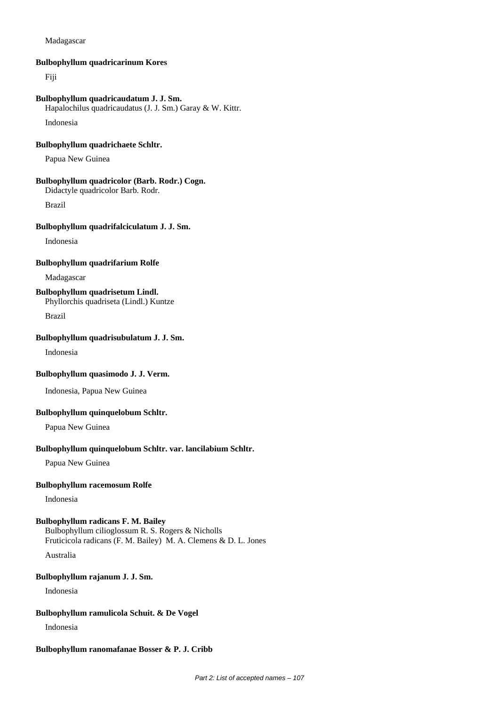### Madagascar

#### **Bulbophyllum quadricarinum Kores**

Fiji

#### **Bulbophyllum quadricaudatum J. J. Sm.**

Hapalochilus quadricaudatus (J. J. Sm.) Garay & W. Kittr.

Indonesia

## **Bulbophyllum quadrichaete Schltr.**

Papua New Guinea

## **Bulbophyllum quadricolor (Barb. Rodr.) Cogn.**

Didactyle quadricolor Barb. Rodr.

Brazil

#### **Bulbophyllum quadrifalciculatum J. J. Sm.**

Indonesia

#### **Bulbophyllum quadrifarium Rolfe**

Madagascar

## **Bulbophyllum quadrisetum Lindl.**

Phyllorchis quadriseta (Lindl.) Kuntze

Brazil

## **Bulbophyllum quadrisubulatum J. J. Sm.**

Indonesia

#### **Bulbophyllum quasimodo J. J. Verm.**

Indonesia, Papua New Guinea

### **Bulbophyllum quinquelobum Schltr.**

Papua New Guinea

#### **Bulbophyllum quinquelobum Schltr. var. lancilabium Schltr.**

Papua New Guinea

### **Bulbophyllum racemosum Rolfe**

Indonesia

## **Bulbophyllum radicans F. M. Bailey**

Bulbophyllum cilioglossum R. S. Rogers & Nicholls Fruticicola radicans (F. M. Bailey) M. A. Clemens & D. L. Jones

Australia

## **Bulbophyllum rajanum J. J. Sm.**

Indonesia

### **Bulbophyllum ramulicola Schuit. & De Vogel**

Indonesia

#### **Bulbophyllum ranomafanae Bosser & P. J. Cribb**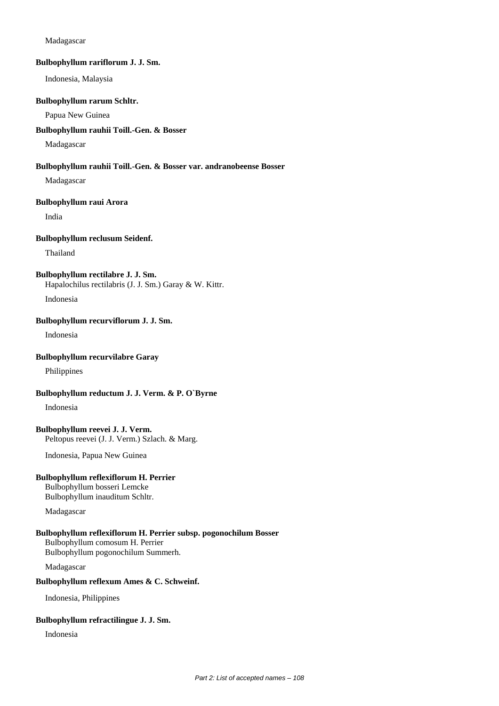### Madagascar

#### **Bulbophyllum rariflorum J. J. Sm.**

Indonesia, Malaysia

#### **Bulbophyllum rarum Schltr.**

## Papua New Guinea

#### **Bulbophyllum rauhii Toill.-Gen. & Bosser**

Madagascar

#### **Bulbophyllum rauhii Toill.-Gen. & Bosser var. andranobeense Bosser**

Madagascar

#### **Bulbophyllum raui Arora**

India

### **Bulbophyllum reclusum Seidenf.**

Thailand

#### **Bulbophyllum rectilabre J. J. Sm.**

Hapalochilus rectilabris (J. J. Sm.) Garay & W. Kittr.

Indonesia

## **Bulbophyllum recurviflorum J. J. Sm.**

Indonesia

## **Bulbophyllum recurvilabre Garay**

Philippines

## **Bulbophyllum reductum J. J. Verm. & P. O`Byrne**

Indonesia

### **Bulbophyllum reevei J. J. Verm.** Peltopus reevei (J. J. Verm.) Szlach. & Marg.

Indonesia, Papua New Guinea

## **Bulbophyllum reflexiflorum H. Perrier**

Bulbophyllum bosseri Lemcke Bulbophyllum inauditum Schltr.

Madagascar

## **Bulbophyllum reflexiflorum H. Perrier subsp. pogonochilum Bosser** Bulbophyllum comosum H. Perrier Bulbophyllum pogonochilum Summerh.

Madagascar

## **Bulbophyllum reflexum Ames & C. Schweinf.**

Indonesia, Philippines

## **Bulbophyllum refractilingue J. J. Sm.**

Indonesia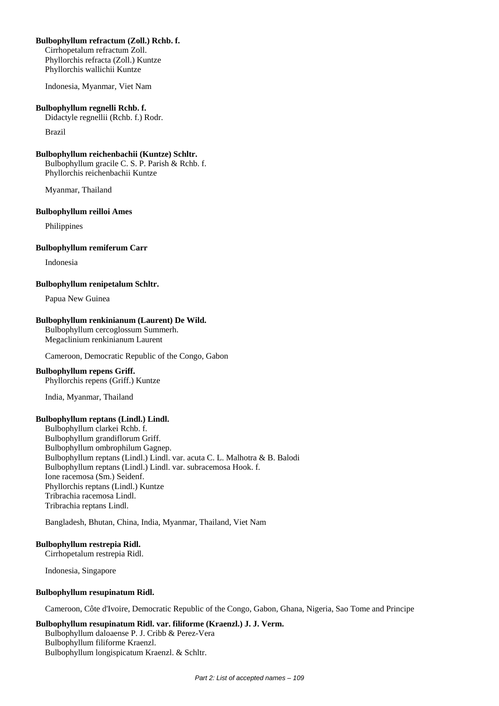# **Bulbophyllum refractum (Zoll.) Rchb. f.**

Cirrhopetalum refractum Zoll. Phyllorchis refracta (Zoll.) Kuntze Phyllorchis wallichii Kuntze

Indonesia, Myanmar, Viet Nam

#### **Bulbophyllum regnelli Rchb. f.**

Didactyle regnellii (Rchb. f.) Rodr.

Brazil

#### **Bulbophyllum reichenbachii (Kuntze) Schltr.**

Bulbophyllum gracile C. S. P. Parish & Rchb. f. Phyllorchis reichenbachii Kuntze

Myanmar, Thailand

#### **Bulbophyllum reilloi Ames**

Philippines

#### **Bulbophyllum remiferum Carr**

Indonesia

#### **Bulbophyllum renipetalum Schltr.**

Papua New Guinea

#### **Bulbophyllum renkinianum (Laurent) De Wild.**

Bulbophyllum cercoglossum Summerh. Megaclinium renkinianum Laurent

Cameroon, Democratic Republic of the Congo, Gabon

#### **Bulbophyllum repens Griff.**

Phyllorchis repens (Griff.) Kuntze

India, Myanmar, Thailand

#### **Bulbophyllum reptans (Lindl.) Lindl.**

Bulbophyllum clarkei Rchb. f. Bulbophyllum grandiflorum Griff. Bulbophyllum ombrophilum Gagnep. Bulbophyllum reptans (Lindl.) Lindl. var. acuta C. L. Malhotra & B. Balodi Bulbophyllum reptans (Lindl.) Lindl. var. subracemosa Hook. f. Ione racemosa (Sm.) Seidenf. Phyllorchis reptans (Lindl.) Kuntze Tribrachia racemosa Lindl. Tribrachia reptans Lindl.

Bangladesh, Bhutan, China, India, Myanmar, Thailand, Viet Nam

#### **Bulbophyllum restrepia Ridl.**

Cirrhopetalum restrepia Ridl.

Indonesia, Singapore

#### **Bulbophyllum resupinatum Ridl.**

Cameroon, Côte d'Ivoire, Democratic Republic of the Congo, Gabon, Ghana, Nigeria, Sao Tome and Principe

# **Bulbophyllum resupinatum Ridl. var. filiforme (Kraenzl.) J. J. Verm.**

Bulbophyllum daloaense P. J. Cribb & Perez-Vera Bulbophyllum filiforme Kraenzl. Bulbophyllum longispicatum Kraenzl. & Schltr.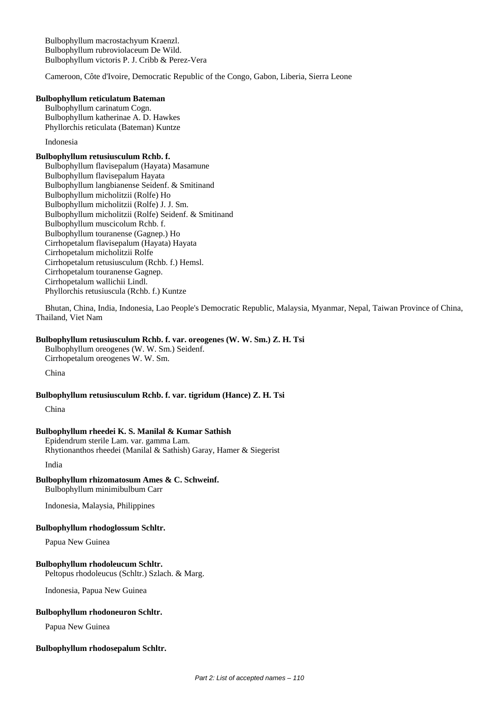Bulbophyllum macrostachyum Kraenzl. Bulbophyllum rubroviolaceum De Wild. Bulbophyllum victoris P. J. Cribb & Perez-Vera

Cameroon, Côte d'Ivoire, Democratic Republic of the Congo, Gabon, Liberia, Sierra Leone

#### **Bulbophyllum reticulatum Bateman**

Bulbophyllum carinatum Cogn. Bulbophyllum katherinae A. D. Hawkes Phyllorchis reticulata (Bateman) Kuntze

Indonesia

# **Bulbophyllum retusiusculum Rchb. f.**

Bulbophyllum flavisepalum (Hayata) Masamune Bulbophyllum flavisepalum Hayata Bulbophyllum langbianense Seidenf. & Smitinand Bulbophyllum micholitzii (Rolfe) Ho Bulbophyllum micholitzii (Rolfe) J. J. Sm. Bulbophyllum micholitzii (Rolfe) Seidenf. & Smitinand Bulbophyllum muscicolum Rchb. f. Bulbophyllum touranense (Gagnep.) Ho Cirrhopetalum flavisepalum (Hayata) Hayata Cirrhopetalum micholitzii Rolfe Cirrhopetalum retusiusculum (Rchb. f.) Hemsl. Cirrhopetalum touranense Gagnep. Cirrhopetalum wallichii Lindl. Phyllorchis retusiuscula (Rchb. f.) Kuntze

Bhutan, China, India, Indonesia, Lao People's Democratic Republic, Malaysia, Myanmar, Nepal, Taiwan Province of China, Thailand, Viet Nam

# **Bulbophyllum retusiusculum Rchb. f. var. oreogenes (W. W. Sm.) Z. H. Tsi**

Bulbophyllum oreogenes (W. W. Sm.) Seidenf. Cirrhopetalum oreogenes W. W. Sm.

China

#### **Bulbophyllum retusiusculum Rchb. f. var. tigridum (Hance) Z. H. Tsi**

China

#### **Bulbophyllum rheedei K. S. Manilal & Kumar Sathish**

Epidendrum sterile Lam. var. gamma Lam. Rhytionanthos rheedei (Manilal & Sathish) Garay, Hamer & Siegerist

India

**Bulbophyllum rhizomatosum Ames & C. Schweinf.** Bulbophyllum minimibulbum Carr

Indonesia, Malaysia, Philippines

#### **Bulbophyllum rhodoglossum Schltr.**

Papua New Guinea

#### **Bulbophyllum rhodoleucum Schltr.**

Peltopus rhodoleucus (Schltr.) Szlach. & Marg.

Indonesia, Papua New Guinea

# **Bulbophyllum rhodoneuron Schltr.**

Papua New Guinea

#### **Bulbophyllum rhodosepalum Schltr.**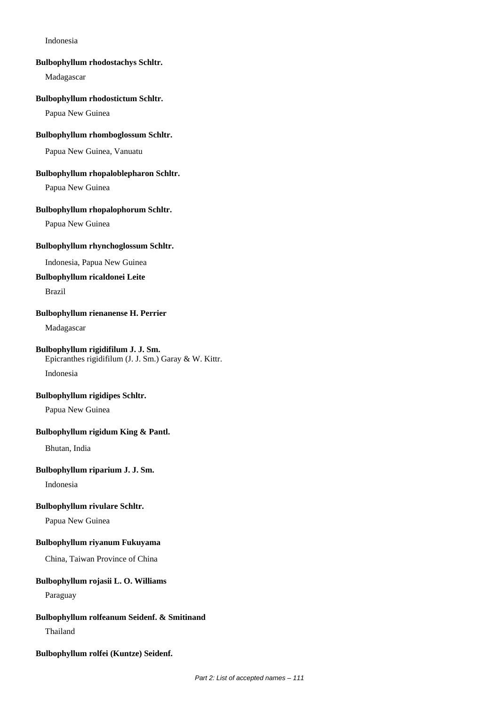#### Indonesia

#### **Bulbophyllum rhodostachys Schltr.**

Madagascar

#### **Bulbophyllum rhodostictum Schltr.**

Papua New Guinea

# **Bulbophyllum rhomboglossum Schltr.**

Papua New Guinea, Vanuatu

# **Bulbophyllum rhopaloblepharon Schltr.**

Papua New Guinea

# **Bulbophyllum rhopalophorum Schltr.**

Papua New Guinea

# **Bulbophyllum rhynchoglossum Schltr.**

Indonesia, Papua New Guinea

# **Bulbophyllum ricaldonei Leite**

Brazil

#### **Bulbophyllum rienanense H. Perrier**

Madagascar

# **Bulbophyllum rigidifilum J. J. Sm.**

Epicranthes rigidifilum (J. J. Sm.) Garay & W. Kittr.

Indonesia

#### **Bulbophyllum rigidipes Schltr.**

Papua New Guinea

# **Bulbophyllum rigidum King & Pantl.**

Bhutan, India

# **Bulbophyllum riparium J. J. Sm.**

Indonesia

#### **Bulbophyllum rivulare Schltr.**

Papua New Guinea

# **Bulbophyllum riyanum Fukuyama**

China, Taiwan Province of China

#### **Bulbophyllum rojasii L. O. Williams**

Paraguay

#### **Bulbophyllum rolfeanum Seidenf. & Smitinand**

Thailand

**Bulbophyllum rolfei (Kuntze) Seidenf.**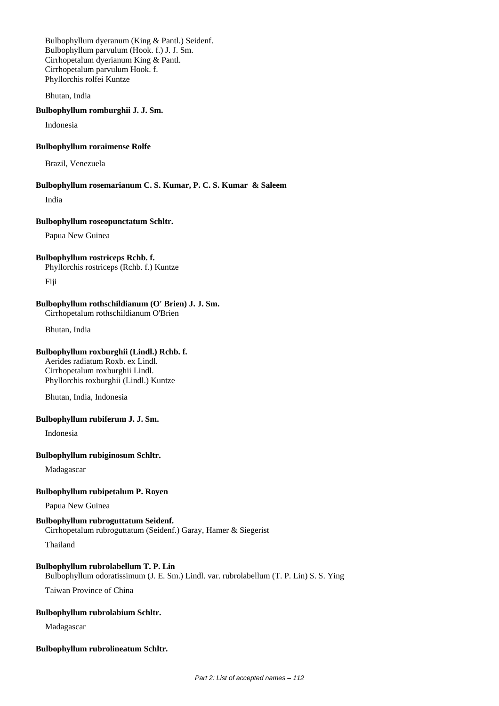Bulbophyllum dyeranum (King & Pantl.) Seidenf. Bulbophyllum parvulum (Hook. f.) J. J. Sm. Cirrhopetalum dyerianum King & Pantl. Cirrhopetalum parvulum Hook. f. Phyllorchis rolfei Kuntze

Bhutan, India

#### **Bulbophyllum romburghii J. J. Sm.**

Indonesia

# **Bulbophyllum roraimense Rolfe**

Brazil, Venezuela

#### **Bulbophyllum rosemarianum C. S. Kumar, P. C. S. Kumar & Saleem**

India

#### **Bulbophyllum roseopunctatum Schltr.**

Papua New Guinea

# **Bulbophyllum rostriceps Rchb. f.**

Phyllorchis rostriceps (Rchb. f.) Kuntze

Fiji

# **Bulbophyllum rothschildianum (O' Brien) J. J. Sm.**

Cirrhopetalum rothschildianum O'Brien

Bhutan, India

# **Bulbophyllum roxburghii (Lindl.) Rchb. f.**

Aerides radiatum Roxb. ex Lindl. Cirrhopetalum roxburghii Lindl. Phyllorchis roxburghii (Lindl.) Kuntze

Bhutan, India, Indonesia

#### **Bulbophyllum rubiferum J. J. Sm.**

Indonesia

#### **Bulbophyllum rubiginosum Schltr.**

Madagascar

# **Bulbophyllum rubipetalum P. Royen**

Papua New Guinea

# **Bulbophyllum rubroguttatum Seidenf.**

Cirrhopetalum rubroguttatum (Seidenf.) Garay, Hamer & Siegerist

Thailand

# **Bulbophyllum rubrolabellum T. P. Lin**

Bulbophyllum odoratissimum (J. E. Sm.) Lindl. var. rubrolabellum (T. P. Lin) S. S. Ying Taiwan Province of China

# **Bulbophyllum rubrolabium Schltr.**

Madagascar

# **Bulbophyllum rubrolineatum Schltr.**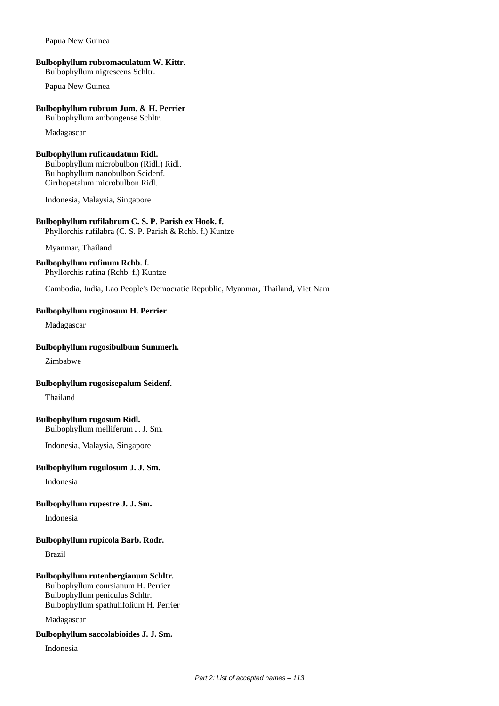#### Papua New Guinea

# **Bulbophyllum rubromaculatum W. Kittr.**

Bulbophyllum nigrescens Schltr.

Papua New Guinea

# **Bulbophyllum rubrum Jum. & H. Perrier**

Bulbophyllum ambongense Schltr.

Madagascar

# **Bulbophyllum ruficaudatum Ridl.**

Bulbophyllum microbulbon (Ridl.) Ridl. Bulbophyllum nanobulbon Seidenf. Cirrhopetalum microbulbon Ridl.

Indonesia, Malaysia, Singapore

# **Bulbophyllum rufilabrum C. S. P. Parish ex Hook. f.**

Phyllorchis rufilabra (C. S. P. Parish & Rchb. f.) Kuntze

Myanmar, Thailand

# **Bulbophyllum rufinum Rchb. f.**

Phyllorchis rufina (Rchb. f.) Kuntze

Cambodia, India, Lao People's Democratic Republic, Myanmar, Thailand, Viet Nam

# **Bulbophyllum ruginosum H. Perrier**

Madagascar

#### **Bulbophyllum rugosibulbum Summerh.**

Zimbabwe

# **Bulbophyllum rugosisepalum Seidenf.**

Thailand

# **Bulbophyllum rugosum Ridl.**

Bulbophyllum melliferum J. J. Sm.

Indonesia, Malaysia, Singapore

# **Bulbophyllum rugulosum J. J. Sm.**

Indonesia

# **Bulbophyllum rupestre J. J. Sm.**

Indonesia

# **Bulbophyllum rupicola Barb. Rodr.**

Brazil

# **Bulbophyllum rutenbergianum Schltr.**

Bulbophyllum coursianum H. Perrier Bulbophyllum peniculus Schltr. Bulbophyllum spathulifolium H. Perrier

Madagascar

# **Bulbophyllum saccolabioides J. J. Sm.**

Indonesia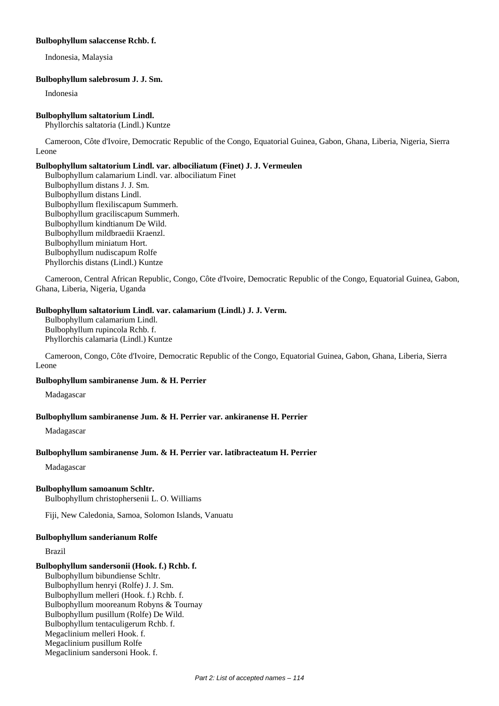#### **Bulbophyllum salaccense Rchb. f.**

Indonesia, Malaysia

# **Bulbophyllum salebrosum J. J. Sm.**

Indonesia

#### **Bulbophyllum saltatorium Lindl.**

Phyllorchis saltatoria (Lindl.) Kuntze

Cameroon, Côte d'Ivoire, Democratic Republic of the Congo, Equatorial Guinea, Gabon, Ghana, Liberia, Nigeria, Sierra Leone

# **Bulbophyllum saltatorium Lindl. var. albociliatum (Finet) J. J. Vermeulen**

Bulbophyllum calamarium Lindl. var. albociliatum Finet Bulbophyllum distans J. J. Sm. Bulbophyllum distans Lindl. Bulbophyllum flexiliscapum Summerh. Bulbophyllum graciliscapum Summerh. Bulbophyllum kindtianum De Wild. Bulbophyllum mildbraedii Kraenzl. Bulbophyllum miniatum Hort. Bulbophyllum nudiscapum Rolfe Phyllorchis distans (Lindl.) Kuntze

Cameroon, Central African Republic, Congo, Côte d'Ivoire, Democratic Republic of the Congo, Equatorial Guinea, Gabon, Ghana, Liberia, Nigeria, Uganda

# **Bulbophyllum saltatorium Lindl. var. calamarium (Lindl.) J. J. Verm.**

Bulbophyllum calamarium Lindl. Bulbophyllum rupincola Rchb. f. Phyllorchis calamaria (Lindl.) Kuntze

Cameroon, Congo, Côte d'Ivoire, Democratic Republic of the Congo, Equatorial Guinea, Gabon, Ghana, Liberia, Sierra Leone

# **Bulbophyllum sambiranense Jum. & H. Perrier**

Madagascar

# **Bulbophyllum sambiranense Jum. & H. Perrier var. ankiranense H. Perrier**

Madagascar

# **Bulbophyllum sambiranense Jum. & H. Perrier var. latibracteatum H. Perrier**

Madagascar

# **Bulbophyllum samoanum Schltr.**

Bulbophyllum christophersenii L. O. Williams

Fiji, New Caledonia, Samoa, Solomon Islands, Vanuatu

# **Bulbophyllum sanderianum Rolfe**

Brazil

# **Bulbophyllum sandersonii (Hook. f.) Rchb. f.**

Bulbophyllum bibundiense Schltr. Bulbophyllum henryi (Rolfe) J. J. Sm. Bulbophyllum melleri (Hook. f.) Rchb. f. Bulbophyllum mooreanum Robyns & Tournay Bulbophyllum pusillum (Rolfe) De Wild. Bulbophyllum tentaculigerum Rchb. f. Megaclinium melleri Hook. f. Megaclinium pusillum Rolfe Megaclinium sandersoni Hook. f.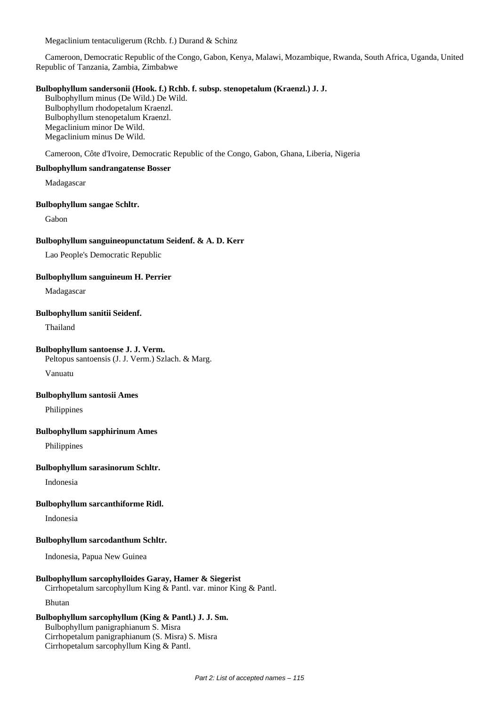Megaclinium tentaculigerum (Rchb. f.) Durand & Schinz

Cameroon, Democratic Republic of the Congo, Gabon, Kenya, Malawi, Mozambique, Rwanda, South Africa, Uganda, United Republic of Tanzania, Zambia, Zimbabwe

# **Bulbophyllum sandersonii (Hook. f.) Rchb. f. subsp. stenopetalum (Kraenzl.) J. J.**

Bulbophyllum minus (De Wild.) De Wild. Bulbophyllum rhodopetalum Kraenzl. Bulbophyllum stenopetalum Kraenzl. Megaclinium minor De Wild. Megaclinium minus De Wild.

Cameroon, Côte d'Ivoire, Democratic Republic of the Congo, Gabon, Ghana, Liberia, Nigeria

#### **Bulbophyllum sandrangatense Bosser**

Madagascar

#### **Bulbophyllum sangae Schltr.**

Gabon

#### **Bulbophyllum sanguineopunctatum Seidenf. & A. D. Kerr**

Lao People's Democratic Republic

#### **Bulbophyllum sanguineum H. Perrier**

Madagascar

#### **Bulbophyllum sanitii Seidenf.**

Thailand

# **Bulbophyllum santoense J. J. Verm.**

Peltopus santoensis (J. J. Verm.) Szlach. & Marg.

Vanuatu

#### **Bulbophyllum santosii Ames**

Philippines

#### **Bulbophyllum sapphirinum Ames**

Philippines

#### **Bulbophyllum sarasinorum Schltr.**

Indonesia

#### **Bulbophyllum sarcanthiforme Ridl.**

Indonesia

#### **Bulbophyllum sarcodanthum Schltr.**

Indonesia, Papua New Guinea

#### **Bulbophyllum sarcophylloides Garay, Hamer & Siegerist**

Cirrhopetalum sarcophyllum King & Pantl. var. minor King & Pantl.

Bhutan

# **Bulbophyllum sarcophyllum (King & Pantl.) J. J. Sm.**

Bulbophyllum panigraphianum S. Misra Cirrhopetalum panigraphianum (S. Misra) S. Misra Cirrhopetalum sarcophyllum King & Pantl.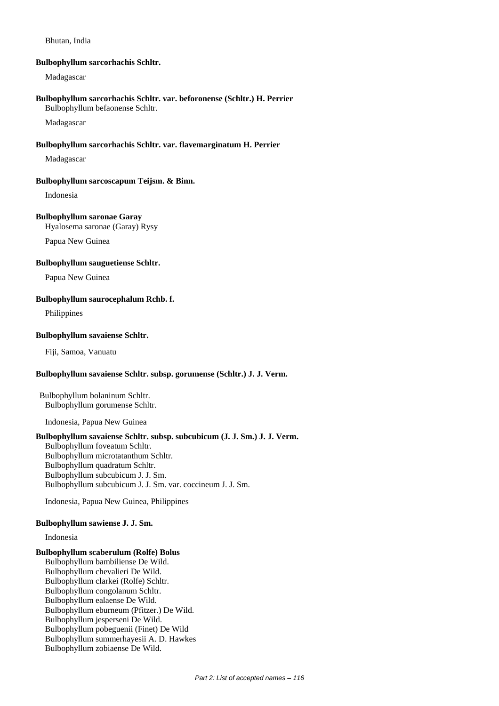#### Bhutan, India

#### **Bulbophyllum sarcorhachis Schltr.**

Madagascar

#### **Bulbophyllum sarcorhachis Schltr. var. beforonense (Schltr.) H. Perrier** Bulbophyllum befaonense Schltr.

Madagascar

# **Bulbophyllum sarcorhachis Schltr. var. flavemarginatum H. Perrier**

Madagascar

# **Bulbophyllum sarcoscapum Teijsm. & Binn.**

Indonesia

# **Bulbophyllum saronae Garay**

Hyalosema saronae (Garay) Rysy

Papua New Guinea

#### **Bulbophyllum sauguetiense Schltr.**

Papua New Guinea

# **Bulbophyllum saurocephalum Rchb. f.**

Philippines

# **Bulbophyllum savaiense Schltr.**

Fiji, Samoa, Vanuatu

# **Bulbophyllum savaiense Schltr. subsp. gorumense (Schltr.) J. J. Verm.**

Bulbophyllum bolaninum Schltr. Bulbophyllum gorumense Schltr.

Indonesia, Papua New Guinea

# **Bulbophyllum savaiense Schltr. subsp. subcubicum (J. J. Sm.) J. J. Verm.**

Bulbophyllum foveatum Schltr. Bulbophyllum microtatanthum Schltr. Bulbophyllum quadratum Schltr. Bulbophyllum subcubicum J. J. Sm. Bulbophyllum subcubicum J. J. Sm. var. coccineum J. J. Sm.

Indonesia, Papua New Guinea, Philippines

# **Bulbophyllum sawiense J. J. Sm.**

Indonesia

# **Bulbophyllum scaberulum (Rolfe) Bolus**

Bulbophyllum bambiliense De Wild. Bulbophyllum chevalieri De Wild. Bulbophyllum clarkei (Rolfe) Schltr. Bulbophyllum congolanum Schltr. Bulbophyllum ealaense De Wild. Bulbophyllum eburneum (Pfitzer.) De Wild. Bulbophyllum jesperseni De Wild. Bulbophyllum pobeguenii (Finet) De Wild Bulbophyllum summerhayesii A. D. Hawkes Bulbophyllum zobiaense De Wild.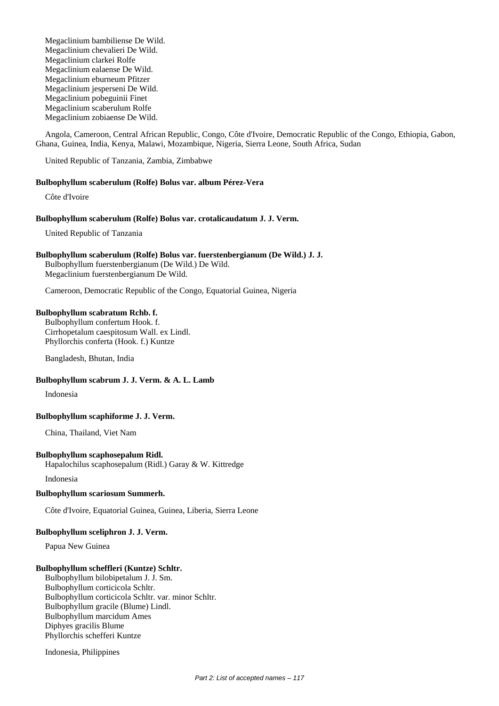Megaclinium bambiliense De Wild. Megaclinium chevalieri De Wild. Megaclinium clarkei Rolfe Megaclinium ealaense De Wild. Megaclinium eburneum Pfitzer Megaclinium jesperseni De Wild. Megaclinium pobeguinii Finet Megaclinium scaberulum Rolfe Megaclinium zobiaense De Wild.

Angola, Cameroon, Central African Republic, Congo, Côte d'Ivoire, Democratic Republic of the Congo, Ethiopia, Gabon, Ghana, Guinea, India, Kenya, Malawi, Mozambique, Nigeria, Sierra Leone, South Africa, Sudan

United Republic of Tanzania, Zambia, Zimbabwe

#### **Bulbophyllum scaberulum (Rolfe) Bolus var. album Pérez-Vera**

Côte d'Ivoire

#### **Bulbophyllum scaberulum (Rolfe) Bolus var. crotalicaudatum J. J. Verm.**

United Republic of Tanzania

#### **Bulbophyllum scaberulum (Rolfe) Bolus var. fuerstenbergianum (De Wild.) J. J.**

Bulbophyllum fuerstenbergianum (De Wild.) De Wild. Megaclinium fuerstenbergianum De Wild.

Cameroon, Democratic Republic of the Congo, Equatorial Guinea, Nigeria

#### **Bulbophyllum scabratum Rchb. f.**

Bulbophyllum confertum Hook. f. Cirrhopetalum caespitosum Wall. ex Lindl. Phyllorchis conferta (Hook. f.) Kuntze

Bangladesh, Bhutan, India

# **Bulbophyllum scabrum J. J. Verm. & A. L. Lamb**

Indonesia

#### **Bulbophyllum scaphiforme J. J. Verm.**

China, Thailand, Viet Nam

#### **Bulbophyllum scaphosepalum Ridl.**

Hapalochilus scaphosepalum (Ridl.) Garay & W. Kittredge

Indonesia

#### **Bulbophyllum scariosum Summerh.**

Côte d'Ivoire, Equatorial Guinea, Guinea, Liberia, Sierra Leone

# **Bulbophyllum sceliphron J. J. Verm.**

Papua New Guinea

#### **Bulbophyllum scheffleri (Kuntze) Schltr.**

Bulbophyllum bilobipetalum J. J. Sm. Bulbophyllum corticicola Schltr. Bulbophyllum corticicola Schltr. var. minor Schltr. Bulbophyllum gracile (Blume) Lindl. Bulbophyllum marcidum Ames Diphyes gracilis Blume Phyllorchis schefferi Kuntze

Indonesia, Philippines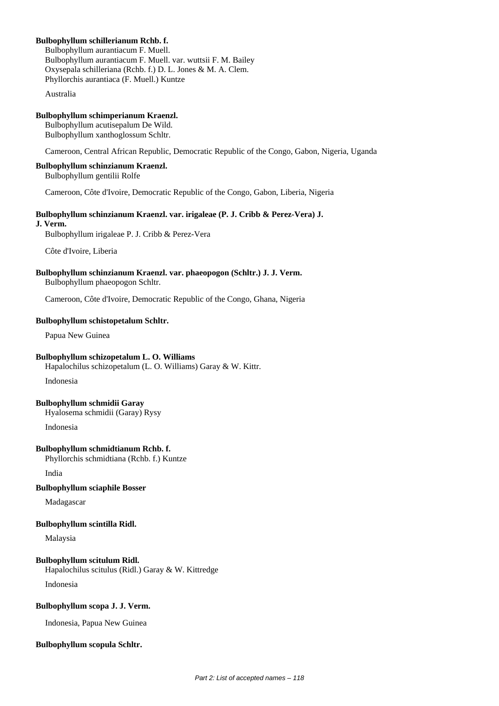# **Bulbophyllum schillerianum Rchb. f.**

Bulbophyllum aurantiacum F. Muell. Bulbophyllum aurantiacum F. Muell. var. wuttsii F. M. Bailey Oxysepala schilleriana (Rchb. f.) D. L. Jones & M. A. Clem. Phyllorchis aurantiaca (F. Muell.) Kuntze

Australia

# **Bulbophyllum schimperianum Kraenzl.**

Bulbophyllum acutisepalum De Wild. Bulbophyllum xanthoglossum Schltr.

Cameroon, Central African Republic, Democratic Republic of the Congo, Gabon, Nigeria, Uganda

# **Bulbophyllum schinzianum Kraenzl.**

Bulbophyllum gentilii Rolfe

Cameroon, Côte d'Ivoire, Democratic Republic of the Congo, Gabon, Liberia, Nigeria

# **Bulbophyllum schinzianum Kraenzl. var. irigaleae (P. J. Cribb & Perez-Vera) J.**

**J. Verm.**

Bulbophyllum irigaleae P. J. Cribb & Perez-Vera

Côte d'Ivoire, Liberia

# **Bulbophyllum schinzianum Kraenzl. var. phaeopogon (Schltr.) J. J. Verm.**

Bulbophyllum phaeopogon Schltr.

Cameroon, Côte d'Ivoire, Democratic Republic of the Congo, Ghana, Nigeria

# **Bulbophyllum schistopetalum Schltr.**

Papua New Guinea

# **Bulbophyllum schizopetalum L. O. Williams**

Hapalochilus schizopetalum (L. O. Williams) Garay & W. Kittr.

Indonesia

# **Bulbophyllum schmidii Garay**

Hyalosema schmidii (Garay) Rysy

Indonesia

# **Bulbophyllum schmidtianum Rchb. f.**

Phyllorchis schmidtiana (Rchb. f.) Kuntze

India

# **Bulbophyllum sciaphile Bosser**

Madagascar

# **Bulbophyllum scintilla Ridl.**

Malaysia

# **Bulbophyllum scitulum Ridl.**

Hapalochilus scitulus (Ridl.) Garay & W. Kittredge

Indonesia

# **Bulbophyllum scopa J. J. Verm.**

Indonesia, Papua New Guinea

# **Bulbophyllum scopula Schltr.**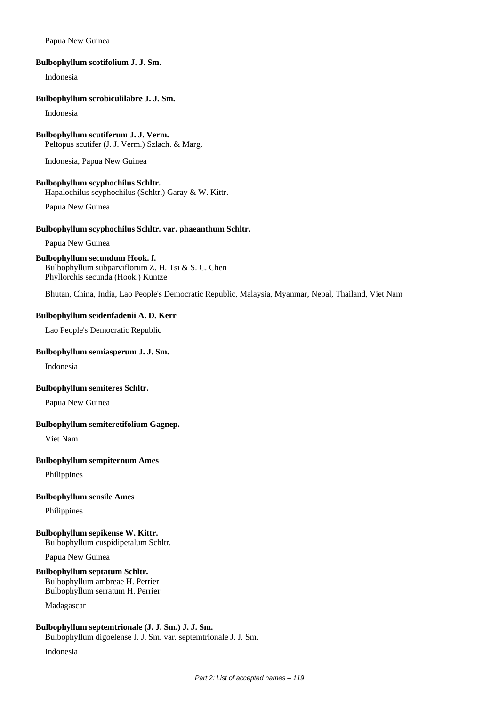# Papua New Guinea

#### **Bulbophyllum scotifolium J. J. Sm.**

Indonesia

#### **Bulbophyllum scrobiculilabre J. J. Sm.**

Indonesia

#### **Bulbophyllum scutiferum J. J. Verm.** Peltopus scutifer (J. J. Verm.) Szlach. & Marg.

Indonesia, Papua New Guinea

# **Bulbophyllum scyphochilus Schltr.**

Hapalochilus scyphochilus (Schltr.) Garay & W. Kittr.

Papua New Guinea

#### **Bulbophyllum scyphochilus Schltr. var. phaeanthum Schltr.**

Papua New Guinea

# **Bulbophyllum secundum Hook. f.**

Bulbophyllum subparviflorum Z. H. Tsi & S. C. Chen Phyllorchis secunda (Hook.) Kuntze

Bhutan, China, India, Lao People's Democratic Republic, Malaysia, Myanmar, Nepal, Thailand, Viet Nam

# **Bulbophyllum seidenfadenii A. D. Kerr**

Lao People's Democratic Republic

#### **Bulbophyllum semiasperum J. J. Sm.**

Indonesia

#### **Bulbophyllum semiteres Schltr.**

Papua New Guinea

#### **Bulbophyllum semiteretifolium Gagnep.**

Viet Nam

#### **Bulbophyllum sempiternum Ames**

Philippines

#### **Bulbophyllum sensile Ames**

Philippines

# **Bulbophyllum sepikense W. Kittr.**

Bulbophyllum cuspidipetalum Schltr.

Papua New Guinea

# **Bulbophyllum septatum Schltr.**

Bulbophyllum ambreae H. Perrier Bulbophyllum serratum H. Perrier

Madagascar

#### **Bulbophyllum septemtrionale (J. J. Sm.) J. J. Sm.**

Bulbophyllum digoelense J. J. Sm. var. septemtrionale J. J. Sm.

Indonesia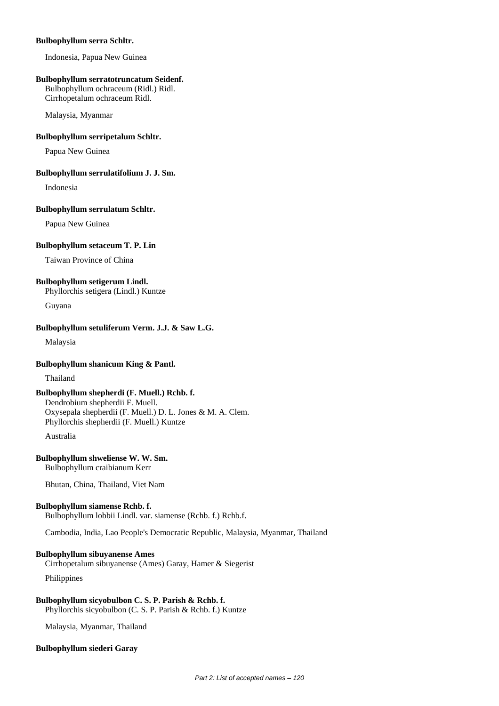#### **Bulbophyllum serra Schltr.**

Indonesia, Papua New Guinea

#### **Bulbophyllum serratotruncatum Seidenf.**

Bulbophyllum ochraceum (Ridl.) Ridl. Cirrhopetalum ochraceum Ridl.

Malaysia, Myanmar

# **Bulbophyllum serripetalum Schltr.**

Papua New Guinea

#### **Bulbophyllum serrulatifolium J. J. Sm.**

Indonesia

#### **Bulbophyllum serrulatum Schltr.**

Papua New Guinea

#### **Bulbophyllum setaceum T. P. Lin**

Taiwan Province of China

# **Bulbophyllum setigerum Lindl.**

Phyllorchis setigera (Lindl.) Kuntze

Guyana

# **Bulbophyllum setuliferum Verm. J.J. & Saw L.G.**

Malaysia

# **Bulbophyllum shanicum King & Pantl.**

Thailand

# **Bulbophyllum shepherdi (F. Muell.) Rchb. f.**

Dendrobium shepherdii F. Muell. Oxysepala shepherdii (F. Muell.) D. L. Jones & M. A. Clem. Phyllorchis shepherdii (F. Muell.) Kuntze

Australia

# **Bulbophyllum shweliense W. W. Sm.**

Bulbophyllum craibianum Kerr

Bhutan, China, Thailand, Viet Nam

# **Bulbophyllum siamense Rchb. f.**

Bulbophyllum lobbii Lindl. var. siamense (Rchb. f.) Rchb.f.

Cambodia, India, Lao People's Democratic Republic, Malaysia, Myanmar, Thailand

# **Bulbophyllum sibuyanense Ames**

Cirrhopetalum sibuyanense (Ames) Garay, Hamer & Siegerist

Philippines

#### **Bulbophyllum sicyobulbon C. S. P. Parish & Rchb. f.** Phyllorchis sicyobulbon (C. S. P. Parish & Rchb. f.) Kuntze

Malaysia, Myanmar, Thailand

# **Bulbophyllum siederi Garay**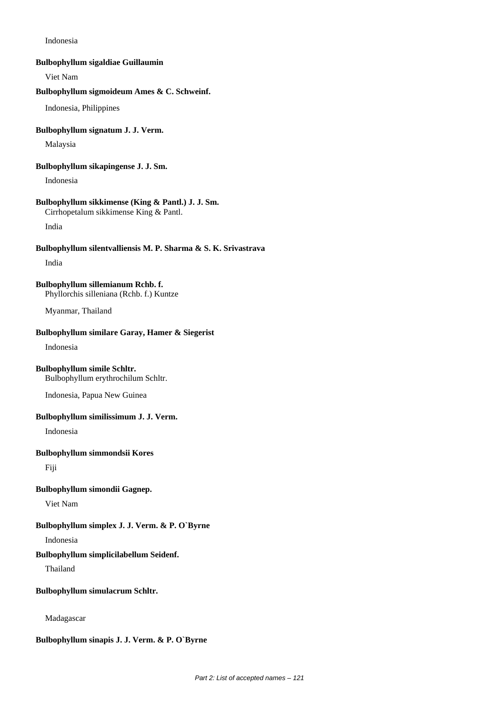Indonesia

#### **Bulbophyllum sigaldiae Guillaumin**

Viet Nam

# **Bulbophyllum sigmoideum Ames & C. Schweinf.**

Indonesia, Philippines

#### **Bulbophyllum signatum J. J. Verm.**

Malaysia

#### **Bulbophyllum sikapingense J. J. Sm.**

Indonesia

# **Bulbophyllum sikkimense (King & Pantl.) J. J. Sm.**

Cirrhopetalum sikkimense King & Pantl.

India

# **Bulbophyllum silentvalliensis M. P. Sharma & S. K. Srivastrava**

India

#### **Bulbophyllum sillemianum Rchb. f.** Phyllorchis silleniana (Rchb. f.) Kuntze

Myanmar, Thailand

# **Bulbophyllum similare Garay, Hamer & Siegerist**

Indonesia

#### **Bulbophyllum simile Schltr.**

Bulbophyllum erythrochilum Schltr.

Indonesia, Papua New Guinea

#### **Bulbophyllum similissimum J. J. Verm.**

Indonesia

#### **Bulbophyllum simmondsii Kores**

Fiji

# **Bulbophyllum simondii Gagnep.**

Viet Nam

# **Bulbophyllum simplex J. J. Verm. & P. O`Byrne**

Indonesia

#### **Bulbophyllum simplicilabellum Seidenf.**

Thailand

#### **Bulbophyllum simulacrum Schltr.**

Madagascar

# **Bulbophyllum sinapis J. J. Verm. & P. O`Byrne**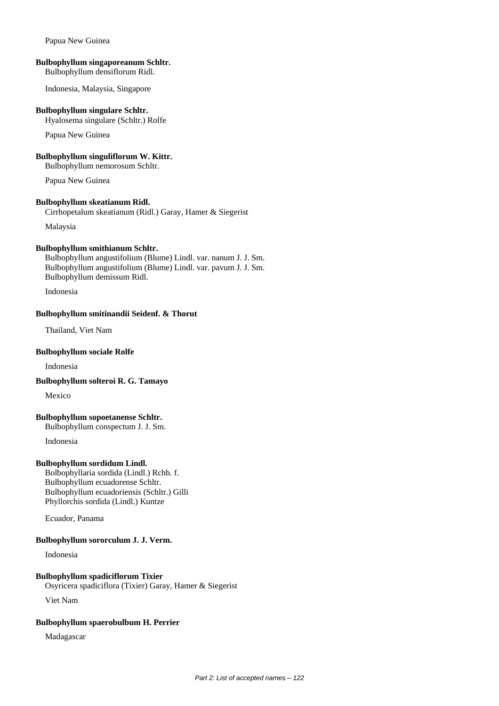#### Papua New Guinea

#### **Bulbophyllum singaporeanum Schltr.**

Bulbophyllum densiflorum Ridl.

Indonesia, Malaysia, Singapore

#### **Bulbophyllum singulare Schltr.**

Hyalosema singulare (Schltr.) Rolfe

Papua New Guinea

#### **Bulbophyllum singuliflorum W. Kittr.**

Bulbophyllum nemorosum Schltr.

Papua New Guinea

#### **Bulbophyllum skeatianum Ridl.**

Cirrhopetalum skeatianum (Ridl.) Garay, Hamer & Siegerist

Malaysia

# **Bulbophyllum smithianum Schltr.**

Bulbophyllum angustifolium (Blume) Lindl. var. nanum J. J. Sm. Bulbophyllum angustifolium (Blume) Lindl. var. pavum J. J. Sm. Bulbophyllum demissum Ridl.

Indonesia

# **Bulbophyllum smitinandii Seidenf. & Thorut**

Thailand, Viet Nam

#### **Bulbophyllum sociale Rolfe**

Indonesia

**Bulbophyllum solteroi R. G. Tamayo**

Mexico

# **Bulbophyllum sopoetanense Schltr.**

Bulbophyllum conspectum J. J. Sm.

Indonesia

# **Bulbophyllum sordidum Lindl.**

Bolbophyllaria sordida (Lindl.) Rchb. f. Bulbophyllum ecuadorense Schltr. Bulbophyllum ecuadoriensis (Schltr.) Gilli Phyllorchis sordida (Lindl.) Kuntze

Ecuador, Panama

# **Bulbophyllum sororculum J. J. Verm.**

Indonesia

# **Bulbophyllum spadiciflorum Tixier**

Osyricera spadiciflora (Tixier) Garay, Hamer & Siegerist

Viet Nam

# **Bulbophyllum spaerobulbum H. Perrier**

Madagascar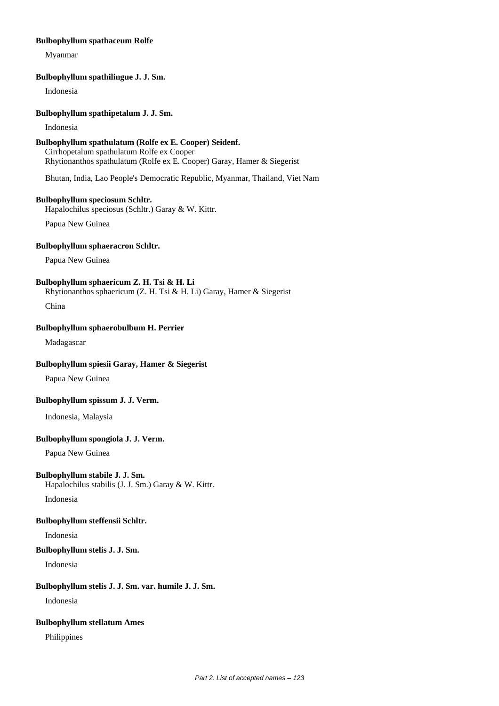#### **Bulbophyllum spathaceum Rolfe**

Myanmar

#### **Bulbophyllum spathilingue J. J. Sm.**

Indonesia

#### **Bulbophyllum spathipetalum J. J. Sm.**

Indonesia

# **Bulbophyllum spathulatum (Rolfe ex E. Cooper) Seidenf.**

Cirrhopetalum spathulatum Rolfe ex Cooper Rhytionanthos spathulatum (Rolfe ex E. Cooper) Garay, Hamer & Siegerist

Bhutan, India, Lao People's Democratic Republic, Myanmar, Thailand, Viet Nam

#### **Bulbophyllum speciosum Schltr.**

Hapalochilus speciosus (Schltr.) Garay & W. Kittr.

Papua New Guinea

# **Bulbophyllum sphaeracron Schltr.**

Papua New Guinea

# **Bulbophyllum sphaericum Z. H. Tsi & H. Li**

Rhytionanthos sphaericum (Z. H. Tsi & H. Li) Garay, Hamer & Siegerist

China

# **Bulbophyllum sphaerobulbum H. Perrier**

Madagascar

# **Bulbophyllum spiesii Garay, Hamer & Siegerist**

Papua New Guinea

# **Bulbophyllum spissum J. J. Verm.**

Indonesia, Malaysia

# **Bulbophyllum spongiola J. J. Verm.**

Papua New Guinea

# **Bulbophyllum stabile J. J. Sm.**

Hapalochilus stabilis (J. J. Sm.) Garay & W. Kittr.

Indonesia

# **Bulbophyllum steffensii Schltr.**

Indonesia

# **Bulbophyllum stelis J. J. Sm.**

Indonesia

# **Bulbophyllum stelis J. J. Sm. var. humile J. J. Sm.**

Indonesia

# **Bulbophyllum stellatum Ames**

Philippines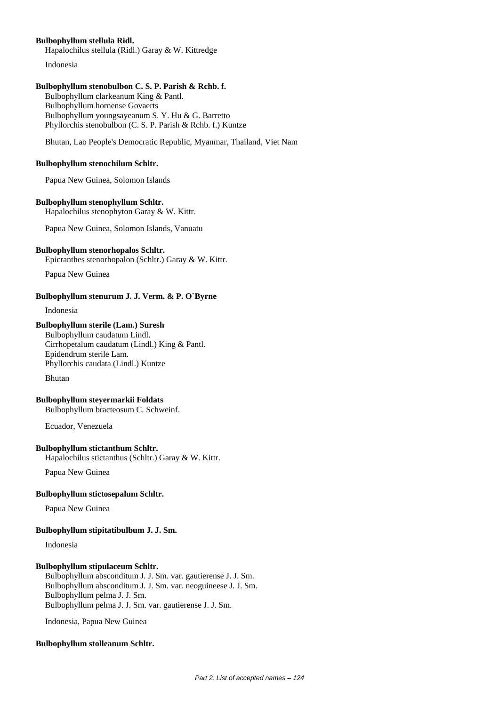# **Bulbophyllum stellula Ridl.**

Hapalochilus stellula (Ridl.) Garay & W. Kittredge

Indonesia

# **Bulbophyllum stenobulbon C. S. P. Parish & Rchb. f.**

Bulbophyllum clarkeanum King & Pantl. Bulbophyllum hornense Govaerts Bulbophyllum youngsayeanum S. Y. Hu & G. Barretto Phyllorchis stenobulbon (C. S. P. Parish & Rchb. f.) Kuntze

Bhutan, Lao People's Democratic Republic, Myanmar, Thailand, Viet Nam

#### **Bulbophyllum stenochilum Schltr.**

Papua New Guinea, Solomon Islands

#### **Bulbophyllum stenophyllum Schltr.**

Hapalochilus stenophyton Garay & W. Kittr.

Papua New Guinea, Solomon Islands, Vanuatu

#### **Bulbophyllum stenorhopalos Schltr.**

Epicranthes stenorhopalon (Schltr.) Garay & W. Kittr.

Papua New Guinea

# **Bulbophyllum stenurum J. J. Verm. & P. O`Byrne**

Indonesia

# **Bulbophyllum sterile (Lam.) Suresh**

Bulbophyllum caudatum Lindl. Cirrhopetalum caudatum (Lindl.) King & Pantl. Epidendrum sterile Lam. Phyllorchis caudata (Lindl.) Kuntze

Bhutan

# **Bulbophyllum steyermarkii Foldats**

Bulbophyllum bracteosum C. Schweinf.

Ecuador, Venezuela

# **Bulbophyllum stictanthum Schltr.**

Hapalochilus stictanthus (Schltr.) Garay & W. Kittr.

Papua New Guinea

#### **Bulbophyllum stictosepalum Schltr.**

Papua New Guinea

#### **Bulbophyllum stipitatibulbum J. J. Sm.**

Indonesia

# **Bulbophyllum stipulaceum Schltr.**

Bulbophyllum absconditum J. J. Sm. var. gautierense J. J. Sm. Bulbophyllum absconditum J. J. Sm. var. neoguineese J. J. Sm. Bulbophyllum pelma J. J. Sm. Bulbophyllum pelma J. J. Sm. var. gautierense J. J. Sm.

Indonesia, Papua New Guinea

#### **Bulbophyllum stolleanum Schltr.**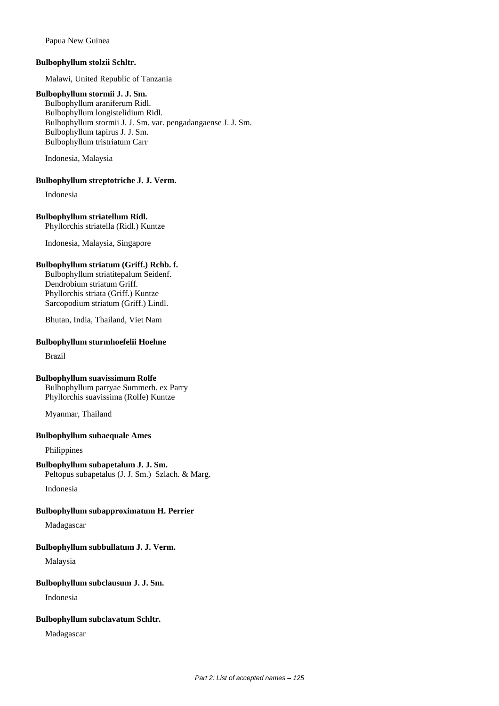Papua New Guinea

# **Bulbophyllum stolzii Schltr.**

Malawi, United Republic of Tanzania

#### **Bulbophyllum stormii J. J. Sm.**

Bulbophyllum araniferum Ridl. Bulbophyllum longistelidium Ridl. Bulbophyllum stormii J. J. Sm. var. pengadangaense J. J. Sm. Bulbophyllum tapirus J. J. Sm. Bulbophyllum tristriatum Carr

Indonesia, Malaysia

#### **Bulbophyllum streptotriche J. J. Verm.**

Indonesia

# **Bulbophyllum striatellum Ridl.**

Phyllorchis striatella (Ridl.) Kuntze

Indonesia, Malaysia, Singapore

# **Bulbophyllum striatum (Griff.) Rchb. f.**

Bulbophyllum striatitepalum Seidenf. Dendrobium striatum Griff. Phyllorchis striata (Griff.) Kuntze Sarcopodium striatum (Griff.) Lindl.

Bhutan, India, Thailand, Viet Nam

# **Bulbophyllum sturmhoefelii Hoehne**

Brazil

# **Bulbophyllum suavissimum Rolfe**

Bulbophyllum parryae Summerh. ex Parry Phyllorchis suavissima (Rolfe) Kuntze

Myanmar, Thailand

# **Bulbophyllum subaequale Ames**

Philippines

# **Bulbophyllum subapetalum J. J. Sm.**

Peltopus subapetalus (J. J. Sm.) Szlach. & Marg.

Indonesia

# **Bulbophyllum subapproximatum H. Perrier**

Madagascar

# **Bulbophyllum subbullatum J. J. Verm.**

Malaysia

# **Bulbophyllum subclausum J. J. Sm.**

Indonesia

#### **Bulbophyllum subclavatum Schltr.**

Madagascar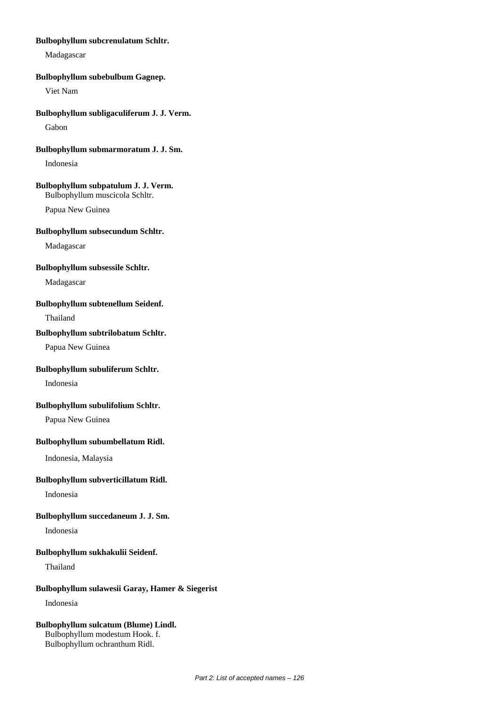# **Bulbophyllum subcrenulatum Schltr.**

Madagascar

#### **Bulbophyllum subebulbum Gagnep.**

Viet Nam

#### **Bulbophyllum subligaculiferum J. J. Verm.**

Gabon

#### **Bulbophyllum submarmoratum J. J. Sm.**

Indonesia

# **Bulbophyllum subpatulum J. J. Verm.**

Bulbophyllum muscicola Schltr.

Papua New Guinea

#### **Bulbophyllum subsecundum Schltr.**

Madagascar

#### **Bulbophyllum subsessile Schltr.**

Madagascar

#### **Bulbophyllum subtenellum Seidenf.**

Thailand

#### **Bulbophyllum subtrilobatum Schltr.**

Papua New Guinea

# **Bulbophyllum subuliferum Schltr.**

Indonesia

#### **Bulbophyllum subulifolium Schltr.**

Papua New Guinea

# **Bulbophyllum subumbellatum Ridl.**

Indonesia, Malaysia

#### **Bulbophyllum subverticillatum Ridl.**

Indonesia

# **Bulbophyllum succedaneum J. J. Sm.**

Indonesia

#### **Bulbophyllum sukhakulii Seidenf.**

Thailand

#### **Bulbophyllum sulawesii Garay, Hamer & Siegerist**

Indonesia

# **Bulbophyllum sulcatum (Blume) Lindl.** Bulbophyllum modestum Hook. f.

Bulbophyllum ochranthum Ridl.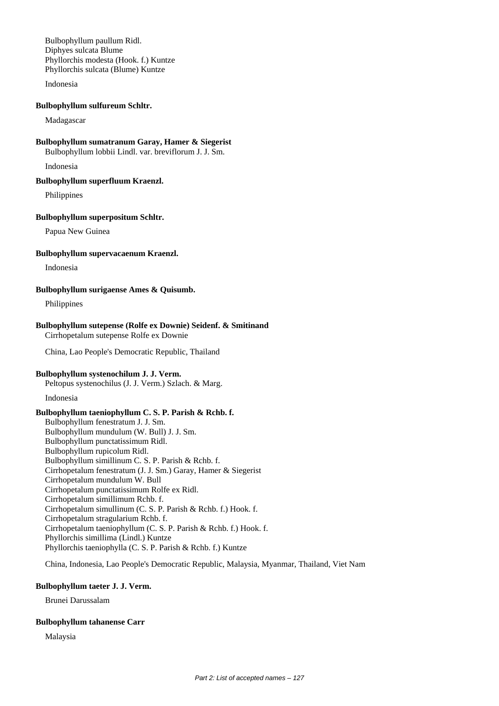Bulbophyllum paullum Ridl. Diphyes sulcata Blume Phyllorchis modesta (Hook. f.) Kuntze Phyllorchis sulcata (Blume) Kuntze

Indonesia

#### **Bulbophyllum sulfureum Schltr.**

Madagascar

#### **Bulbophyllum sumatranum Garay, Hamer & Siegerist**

Bulbophyllum lobbii Lindl. var. breviflorum J. J. Sm.

Indonesia

#### **Bulbophyllum superfluum Kraenzl.**

Philippines

#### **Bulbophyllum superpositum Schltr.**

Papua New Guinea

#### **Bulbophyllum supervacaenum Kraenzl.**

Indonesia

#### **Bulbophyllum surigaense Ames & Quisumb.**

Philippines

#### **Bulbophyllum sutepense (Rolfe ex Downie) Seidenf. & Smitinand** Cirrhopetalum sutepense Rolfe ex Downie

China, Lao People's Democratic Republic, Thailand

#### **Bulbophyllum systenochilum J. J. Verm.**

Peltopus systenochilus (J. J. Verm.) Szlach. & Marg.

Indonesia

# **Bulbophyllum taeniophyllum C. S. P. Parish & Rchb. f.**

Bulbophyllum fenestratum J. J. Sm. Bulbophyllum mundulum (W. Bull) J. J. Sm. Bulbophyllum punctatissimum Ridl. Bulbophyllum rupicolum Ridl. Bulbophyllum simillinum C. S. P. Parish & Rchb. f. Cirrhopetalum fenestratum (J. J. Sm.) Garay, Hamer & Siegerist Cirrhopetalum mundulum W. Bull Cirrhopetalum punctatissimum Rolfe ex Ridl. Cirrhopetalum simillimum Rchb. f. Cirrhopetalum simullinum (C. S. P. Parish & Rchb. f.) Hook. f. Cirrhopetalum stragularium Rchb. f. Cirrhopetalum taeniophyllum (C. S. P. Parish & Rchb. f.) Hook. f. Phyllorchis simillima (Lindl.) Kuntze Phyllorchis taeniophylla (C. S. P. Parish & Rchb. f.) Kuntze

China, Indonesia, Lao People's Democratic Republic, Malaysia, Myanmar, Thailand, Viet Nam

#### **Bulbophyllum taeter J. J. Verm.**

Brunei Darussalam

#### **Bulbophyllum tahanense Carr**

Malaysia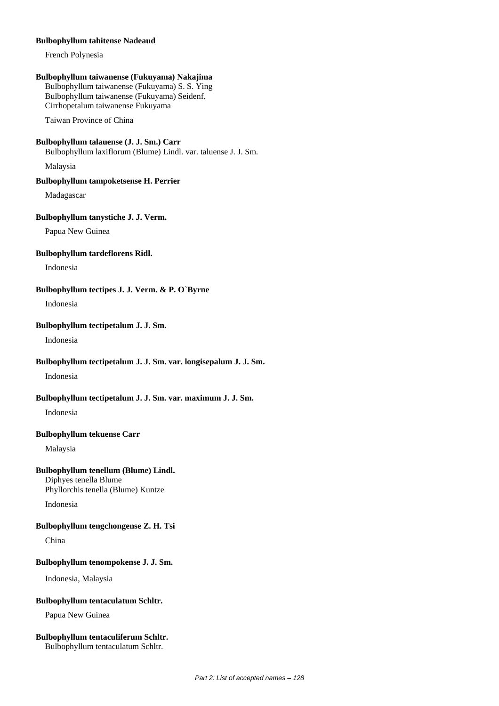#### **Bulbophyllum tahitense Nadeaud**

French Polynesia

#### **Bulbophyllum taiwanense (Fukuyama) Nakajima**

Bulbophyllum taiwanense (Fukuyama) S. S. Ying Bulbophyllum taiwanense (Fukuyama) Seidenf. Cirrhopetalum taiwanense Fukuyama

Taiwan Province of China

# **Bulbophyllum talauense (J. J. Sm.) Carr**

Bulbophyllum laxiflorum (Blume) Lindl. var. taluense J. J. Sm.

Malaysia

# **Bulbophyllum tampoketsense H. Perrier**

Madagascar

# **Bulbophyllum tanystiche J. J. Verm.**

Papua New Guinea

# **Bulbophyllum tardeflorens Ridl.**

Indonesia

# **Bulbophyllum tectipes J. J. Verm. & P. O`Byrne**

Indonesia

# **Bulbophyllum tectipetalum J. J. Sm.**

Indonesia

# **Bulbophyllum tectipetalum J. J. Sm. var. longisepalum J. J. Sm.**

Indonesia

# **Bulbophyllum tectipetalum J. J. Sm. var. maximum J. J. Sm.**

Indonesia

# **Bulbophyllum tekuense Carr**

Malaysia

# **Bulbophyllum tenellum (Blume) Lindl.**

Diphyes tenella Blume Phyllorchis tenella (Blume) Kuntze

Indonesia

# **Bulbophyllum tengchongense Z. H. Tsi**

China

# **Bulbophyllum tenompokense J. J. Sm.**

Indonesia, Malaysia

# **Bulbophyllum tentaculatum Schltr.**

Papua New Guinea

#### **Bulbophyllum tentaculiferum Schltr.** Bulbophyllum tentaculatum Schltr.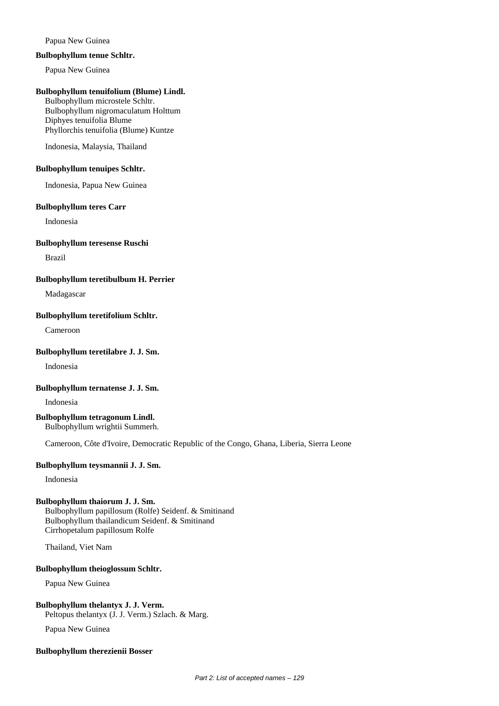# Papua New Guinea

#### **Bulbophyllum tenue Schltr.**

Papua New Guinea

#### **Bulbophyllum tenuifolium (Blume) Lindl.**

Bulbophyllum microstele Schltr. Bulbophyllum nigromaculatum Holttum Diphyes tenuifolia Blume Phyllorchis tenuifolia (Blume) Kuntze

Indonesia, Malaysia, Thailand

# **Bulbophyllum tenuipes Schltr.**

Indonesia, Papua New Guinea

#### **Bulbophyllum teres Carr**

Indonesia

#### **Bulbophyllum teresense Ruschi**

Brazil

#### **Bulbophyllum teretibulbum H. Perrier**

Madagascar

# **Bulbophyllum teretifolium Schltr.**

Cameroon

#### **Bulbophyllum teretilabre J. J. Sm.**

Indonesia

# **Bulbophyllum ternatense J. J. Sm.**

Indonesia

#### **Bulbophyllum tetragonum Lindl.** Bulbophyllum wrightii Summerh.

Cameroon, Côte d'Ivoire, Democratic Republic of the Congo, Ghana, Liberia, Sierra Leone

# **Bulbophyllum teysmannii J. J. Sm.**

Indonesia

# **Bulbophyllum thaiorum J. J. Sm.**

Bulbophyllum papillosum (Rolfe) Seidenf. & Smitinand Bulbophyllum thailandicum Seidenf. & Smitinand Cirrhopetalum papillosum Rolfe

Thailand, Viet Nam

# **Bulbophyllum theioglossum Schltr.**

Papua New Guinea

#### **Bulbophyllum thelantyx J. J. Verm.** Peltopus thelantyx (J. J. Verm.) Szlach. & Marg.

Papua New Guinea

# **Bulbophyllum therezienii Bosser**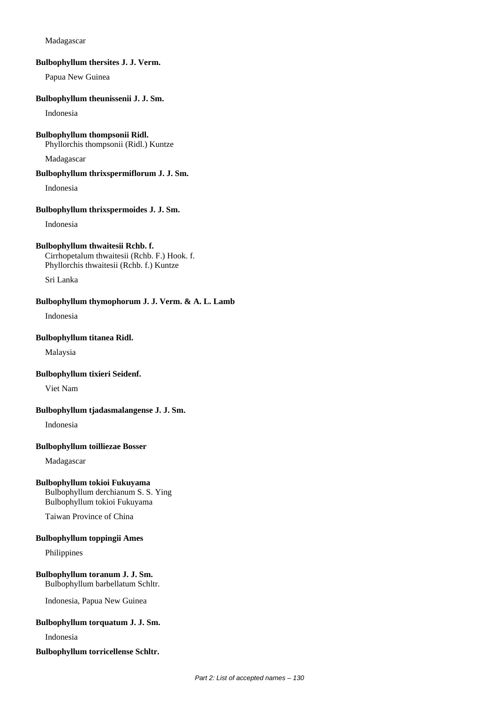#### Madagascar

#### **Bulbophyllum thersites J. J. Verm.**

Papua New Guinea

#### **Bulbophyllum theunissenii J. J. Sm.**

Indonesia

# **Bulbophyllum thompsonii Ridl.**

Phyllorchis thompsonii (Ridl.) Kuntze

Madagascar

# **Bulbophyllum thrixspermiflorum J. J. Sm.**

Indonesia

#### **Bulbophyllum thrixspermoides J. J. Sm.**

Indonesia

#### **Bulbophyllum thwaitesii Rchb. f.**

Cirrhopetalum thwaitesii (Rchb. F.) Hook. f. Phyllorchis thwaitesii (Rchb. f.) Kuntze

Sri Lanka

#### **Bulbophyllum thymophorum J. J. Verm. & A. L. Lamb**

Indonesia

# **Bulbophyllum titanea Ridl.**

Malaysia

#### **Bulbophyllum tixieri Seidenf.**

Viet Nam

# **Bulbophyllum tjadasmalangense J. J. Sm.**

Indonesia

# **Bulbophyllum toilliezae Bosser**

Madagascar

# **Bulbophyllum tokioi Fukuyama**

Bulbophyllum derchianum S. S. Ying Bulbophyllum tokioi Fukuyama

Taiwan Province of China

#### **Bulbophyllum toppingii Ames**

Philippines

# **Bulbophyllum toranum J. J. Sm.** Bulbophyllum barbellatum Schltr.

Indonesia, Papua New Guinea

# **Bulbophyllum torquatum J. J. Sm.**

Indonesia

#### **Bulbophyllum torricellense Schltr.**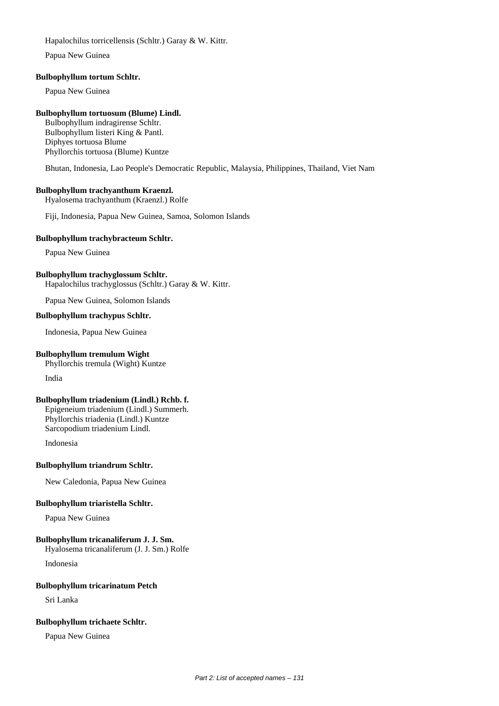Hapalochilus torricellensis (Schltr.) Garay & W. Kittr.

Papua New Guinea

#### **Bulbophyllum tortum Schltr.**

Papua New Guinea

# **Bulbophyllum tortuosum (Blume) Lindl.**

Bulbophyllum indragirense Schltr. Bulbophyllum listeri King & Pantl. Diphyes tortuosa Blume Phyllorchis tortuosa (Blume) Kuntze

Bhutan, Indonesia, Lao People's Democratic Republic, Malaysia, Philippines, Thailand, Viet Nam

# **Bulbophyllum trachyanthum Kraenzl.**

Hyalosema trachyanthum (Kraenzl.) Rolfe

Fiji, Indonesia, Papua New Guinea, Samoa, Solomon Islands

#### **Bulbophyllum trachybracteum Schltr.**

Papua New Guinea

# **Bulbophyllum trachyglossum Schltr.**

Hapalochilus trachyglossus (Schltr.) Garay & W. Kittr.

Papua New Guinea, Solomon Islands

#### **Bulbophyllum trachypus Schltr.**

Indonesia, Papua New Guinea

# **Bulbophyllum tremulum Wight**

Phyllorchis tremula (Wight) Kuntze India

# **Bulbophyllum triadenium (Lindl.) Rchb. f.**

Epigeneium triadenium (Lindl.) Summerh. Phyllorchis triadenia (Lindl.) Kuntze Sarcopodium triadenium Lindl.

Indonesia

# **Bulbophyllum triandrum Schltr.**

New Caledonia, Papua New Guinea

# **Bulbophyllum triaristella Schltr.**

Papua New Guinea

# **Bulbophyllum tricanaliferum J. J. Sm.**

Hyalosema tricanaliferum (J. J. Sm.) Rolfe Indonesia

# **Bulbophyllum tricarinatum Petch**

Sri Lanka

# **Bulbophyllum trichaete Schltr.**

Papua New Guinea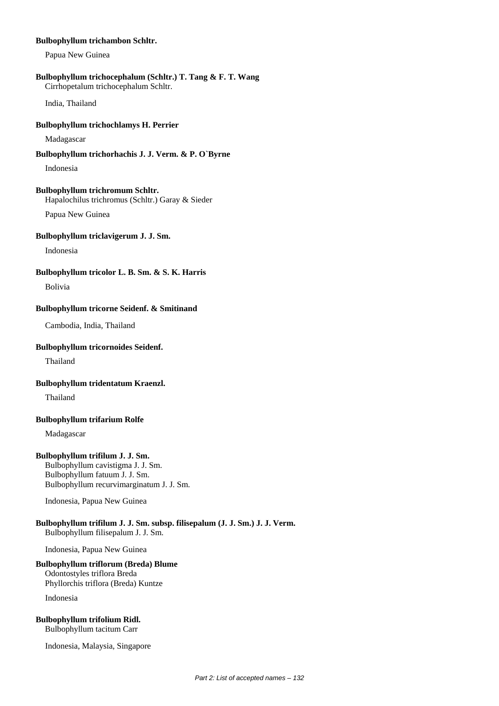#### **Bulbophyllum trichambon Schltr.**

Papua New Guinea

#### **Bulbophyllum trichocephalum (Schltr.) T. Tang & F. T. Wang** Cirrhopetalum trichocephalum Schltr.

India, Thailand

#### **Bulbophyllum trichochlamys H. Perrier**

Madagascar

# **Bulbophyllum trichorhachis J. J. Verm. & P. O`Byrne**

Indonesia

# **Bulbophyllum trichromum Schltr.**

Hapalochilus trichromus (Schltr.) Garay & Sieder

Papua New Guinea

# **Bulbophyllum triclavigerum J. J. Sm.**

Indonesia

# **Bulbophyllum tricolor L. B. Sm. & S. K. Harris**

Bolivia

# **Bulbophyllum tricorne Seidenf. & Smitinand**

Cambodia, India, Thailand

# **Bulbophyllum tricornoides Seidenf.**

Thailand

# **Bulbophyllum tridentatum Kraenzl.**

Thailand

# **Bulbophyllum trifarium Rolfe**

Madagascar

# **Bulbophyllum trifilum J. J. Sm.**

Bulbophyllum cavistigma J. J. Sm. Bulbophyllum fatuum J. J. Sm. Bulbophyllum recurvimarginatum J. J. Sm.

Indonesia, Papua New Guinea

# **Bulbophyllum trifilum J. J. Sm. subsp. filisepalum (J. J. Sm.) J. J. Verm.** Bulbophyllum filisepalum J. J. Sm.

Indonesia, Papua New Guinea

# **Bulbophyllum triflorum (Breda) Blume**

Odontostyles triflora Breda Phyllorchis triflora (Breda) Kuntze

Indonesia

# **Bulbophyllum trifolium Ridl.**

Bulbophyllum tacitum Carr

Indonesia, Malaysia, Singapore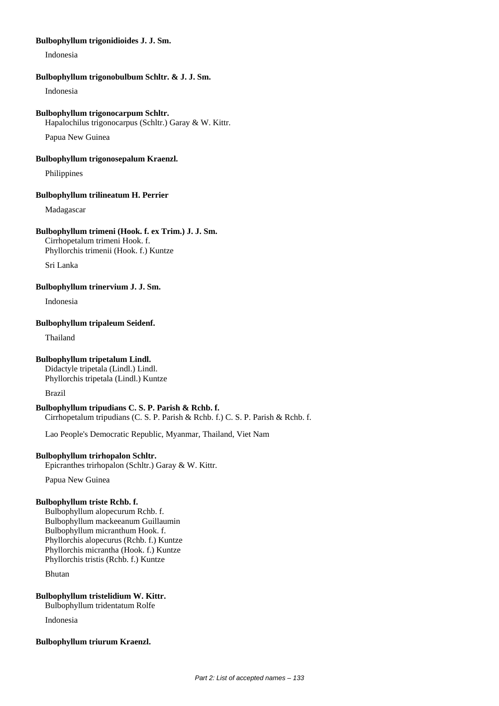# **Bulbophyllum trigonidioides J. J. Sm.**

Indonesia

#### **Bulbophyllum trigonobulbum Schltr. & J. J. Sm.**

Indonesia

#### **Bulbophyllum trigonocarpum Schltr.**

Hapalochilus trigonocarpus (Schltr.) Garay & W. Kittr.

Papua New Guinea

#### **Bulbophyllum trigonosepalum Kraenzl.**

Philippines

#### **Bulbophyllum trilineatum H. Perrier**

Madagascar

#### **Bulbophyllum trimeni (Hook. f. ex Trim.) J. J. Sm.**

Cirrhopetalum trimeni Hook. f. Phyllorchis trimenii (Hook. f.) Kuntze

Sri Lanka

**Bulbophyllum trinervium J. J. Sm.**

Indonesia

#### **Bulbophyllum tripaleum Seidenf.**

Thailand

# **Bulbophyllum tripetalum Lindl.**

Didactyle tripetala (Lindl.) Lindl. Phyllorchis tripetala (Lindl.) Kuntze

Brazil

# **Bulbophyllum tripudians C. S. P. Parish & Rchb. f.**

Cirrhopetalum tripudians (C. S. P. Parish & Rchb. f.) C. S. P. Parish & Rchb. f.

Lao People's Democratic Republic, Myanmar, Thailand, Viet Nam

# **Bulbophyllum trirhopalon Schltr.**

Epicranthes trirhopalon (Schltr.) Garay & W. Kittr.

Papua New Guinea

#### **Bulbophyllum triste Rchb. f.**

Bulbophyllum alopecurum Rchb. f. Bulbophyllum mackeeanum Guillaumin Bulbophyllum micranthum Hook. f. Phyllorchis alopecurus (Rchb. f.) Kuntze Phyllorchis micrantha (Hook. f.) Kuntze Phyllorchis tristis (Rchb. f.) Kuntze

Bhutan

# **Bulbophyllum tristelidium W. Kittr.**

Bulbophyllum tridentatum Rolfe

Indonesia

# **Bulbophyllum triurum Kraenzl.**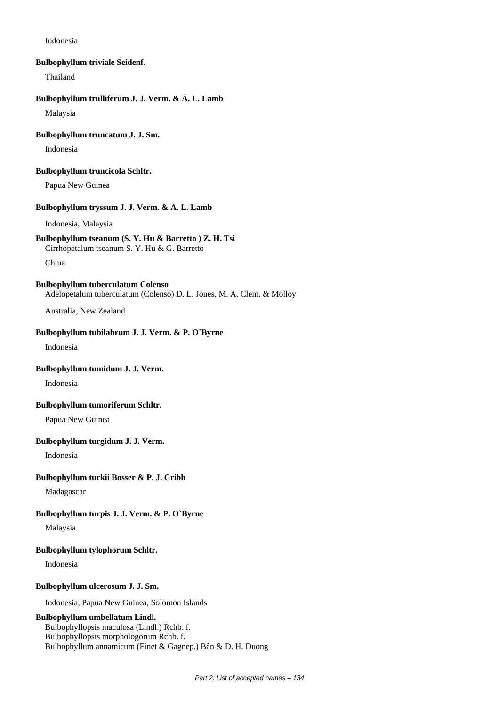Indonesia

#### **Bulbophyllum triviale Seidenf.**

Thailand

# **Bulbophyllum trulliferum J. J. Verm. & A. L. Lamb**

Malaysia

# **Bulbophyllum truncatum J. J. Sm.**

Indonesia

#### **Bulbophyllum truncicola Schltr.**

Papua New Guinea

#### **Bulbophyllum tryssum J. J. Verm. & A. L. Lamb**

Indonesia, Malaysia

#### **Bulbophyllum tseanum (S. Y. Hu & Barretto ) Z. H. Tsi**

Cirrhopetalum tseanum S. Y. Hu & G. Barretto

China

# **Bulbophyllum tuberculatum Colenso**

Adelopetalum tuberculatum (Colenso) D. L. Jones, M. A. Clem. & Molloy

Australia, New Zealand

#### **Bulbophyllum tubilabrum J. J. Verm. & P. O`Byrne**

Indonesia

# **Bulbophyllum tumidum J. J. Verm.**

Indonesia

# **Bulbophyllum tumoriferum Schltr.**

Papua New Guinea

# **Bulbophyllum turgidum J. J. Verm.**

Indonesia

#### **Bulbophyllum turkii Bosser & P. J. Cribb**

Madagascar

# **Bulbophyllum turpis J. J. Verm. & P. O`Byrne**

Malaysia

#### **Bulbophyllum tylophorum Schltr.**

Indonesia

# **Bulbophyllum ulcerosum J. J. Sm.**

Indonesia, Papua New Guinea, Solomon Islands

# **Bulbophyllum umbellatum Lindl.**

Bulbophyllopsis maculosa (Lindl.) Rchb. f. Bulbophyllopsis morphologorum Rchb. f. Bulbophyllum annamicum (Finet & Gagnep.) Bân & D. H. Duong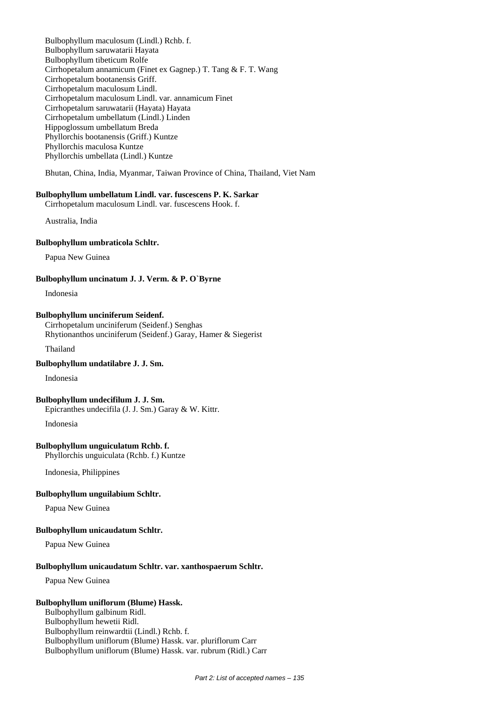Bulbophyllum maculosum (Lindl.) Rchb. f. Bulbophyllum saruwatarii Hayata Bulbophyllum tibeticum Rolfe Cirrhopetalum annamicum (Finet ex Gagnep.) T. Tang & F. T. Wang Cirrhopetalum bootanensis Griff. Cirrhopetalum maculosum Lindl. Cirrhopetalum maculosum Lindl. var. annamicum Finet Cirrhopetalum saruwatarii (Hayata) Hayata Cirrhopetalum umbellatum (Lindl.) Linden Hippoglossum umbellatum Breda Phyllorchis bootanensis (Griff.) Kuntze Phyllorchis maculosa Kuntze Phyllorchis umbellata (Lindl.) Kuntze

Bhutan, China, India, Myanmar, Taiwan Province of China, Thailand, Viet Nam

#### **Bulbophyllum umbellatum Lindl. var. fuscescens P. K. Sarkar**

Cirrhopetalum maculosum Lindl. var. fuscescens Hook. f.

Australia, India

#### **Bulbophyllum umbraticola Schltr.**

Papua New Guinea

# **Bulbophyllum uncinatum J. J. Verm. & P. O`Byrne**

Indonesia

#### **Bulbophyllum unciniferum Seidenf.**

Cirrhopetalum unciniferum (Seidenf.) Senghas Rhytionanthos unciniferum (Seidenf.) Garay, Hamer & Siegerist

Thailand

# **Bulbophyllum undatilabre J. J. Sm.**

Indonesia

# **Bulbophyllum undecifilum J. J. Sm.**

Epicranthes undecifila (J. J. Sm.) Garay & W. Kittr.

Indonesia

#### **Bulbophyllum unguiculatum Rchb. f.**

Phyllorchis unguiculata (Rchb. f.) Kuntze

Indonesia, Philippines

#### **Bulbophyllum unguilabium Schltr.**

Papua New Guinea

#### **Bulbophyllum unicaudatum Schltr.**

Papua New Guinea

#### **Bulbophyllum unicaudatum Schltr. var. xanthospaerum Schltr.**

Papua New Guinea

# **Bulbophyllum uniflorum (Blume) Hassk.**

Bulbophyllum galbinum Ridl. Bulbophyllum hewetii Ridl. Bulbophyllum reinwardtii (Lindl.) Rchb. f. Bulbophyllum uniflorum (Blume) Hassk. var. pluriflorum Carr Bulbophyllum uniflorum (Blume) Hassk. var. rubrum (Ridl.) Carr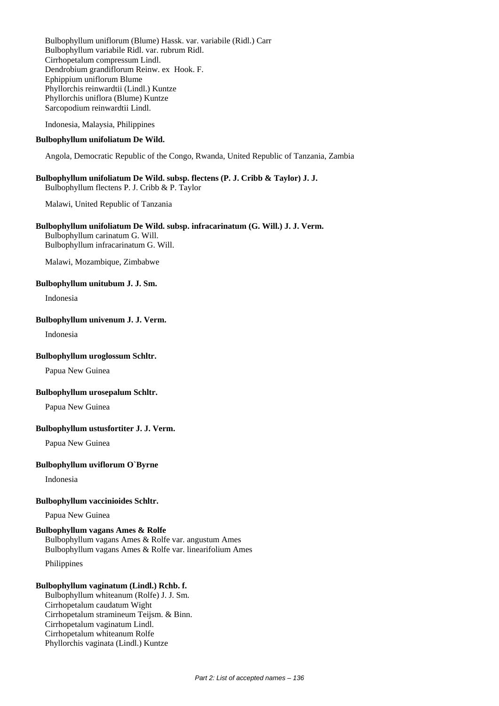Bulbophyllum uniflorum (Blume) Hassk. var. variabile (Ridl.) Carr Bulbophyllum variabile Ridl. var. rubrum Ridl. Cirrhopetalum compressum Lindl. Dendrobium grandiflorum Reinw. ex Hook. F. Ephippium uniflorum Blume Phyllorchis reinwardtii (Lindl.) Kuntze Phyllorchis uniflora (Blume) Kuntze Sarcopodium reinwardtii Lindl.

Indonesia, Malaysia, Philippines

#### **Bulbophyllum unifoliatum De Wild.**

Angola, Democratic Republic of the Congo, Rwanda, United Republic of Tanzania, Zambia

# **Bulbophyllum unifoliatum De Wild. subsp. flectens (P. J. Cribb & Taylor) J. J.**

Bulbophyllum flectens P. J. Cribb & P. Taylor

Malawi, United Republic of Tanzania

# **Bulbophyllum unifoliatum De Wild. subsp. infracarinatum (G. Will.) J. J. Verm.**

Bulbophyllum carinatum G. Will. Bulbophyllum infracarinatum G. Will.

Malawi, Mozambique, Zimbabwe

#### **Bulbophyllum unitubum J. J. Sm.**

Indonesia

#### **Bulbophyllum univenum J. J. Verm.**

Indonesia

#### **Bulbophyllum uroglossum Schltr.**

Papua New Guinea

#### **Bulbophyllum urosepalum Schltr.**

Papua New Guinea

# **Bulbophyllum ustusfortiter J. J. Verm.**

Papua New Guinea

#### **Bulbophyllum uviflorum O`Byrne**

Indonesia

#### **Bulbophyllum vaccinioides Schltr.**

Papua New Guinea

# **Bulbophyllum vagans Ames & Rolfe**

Bulbophyllum vagans Ames & Rolfe var. angustum Ames Bulbophyllum vagans Ames & Rolfe var. linearifolium Ames

Philippines

# **Bulbophyllum vaginatum (Lindl.) Rchb. f.**

Bulbophyllum whiteanum (Rolfe) J. J. Sm. Cirrhopetalum caudatum Wight Cirrhopetalum stramineum Teijsm. & Binn. Cirrhopetalum vaginatum Lindl. Cirrhopetalum whiteanum Rolfe Phyllorchis vaginata (Lindl.) Kuntze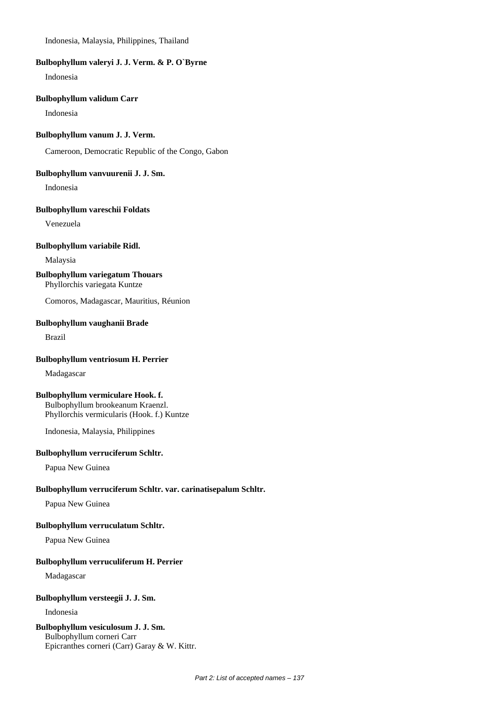Indonesia, Malaysia, Philippines, Thailand

#### **Bulbophyllum valeryi J. J. Verm. & P. O`Byrne**

Indonesia

#### **Bulbophyllum validum Carr**

Indonesia

#### **Bulbophyllum vanum J. J. Verm.**

Cameroon, Democratic Republic of the Congo, Gabon

#### **Bulbophyllum vanvuurenii J. J. Sm.**

Indonesia

# **Bulbophyllum vareschii Foldats**

Venezuela

#### **Bulbophyllum variabile Ridl.**

Malaysia

# **Bulbophyllum variegatum Thouars**

Phyllorchis variegata Kuntze

Comoros, Madagascar, Mauritius, Réunion

# **Bulbophyllum vaughanii Brade**

Brazil

# **Bulbophyllum ventriosum H. Perrier**

Madagascar

# **Bulbophyllum vermiculare Hook. f.**

Bulbophyllum brookeanum Kraenzl. Phyllorchis vermicularis (Hook. f.) Kuntze

Indonesia, Malaysia, Philippines

# **Bulbophyllum verruciferum Schltr.**

Papua New Guinea

# **Bulbophyllum verruciferum Schltr. var. carinatisepalum Schltr.**

Papua New Guinea

# **Bulbophyllum verruculatum Schltr.**

Papua New Guinea

# **Bulbophyllum verruculiferum H. Perrier**

Madagascar

# **Bulbophyllum versteegii J. J. Sm.**

Indonesia

# **Bulbophyllum vesiculosum J. J. Sm.**

Bulbophyllum corneri Carr Epicranthes corneri (Carr) Garay & W. Kittr.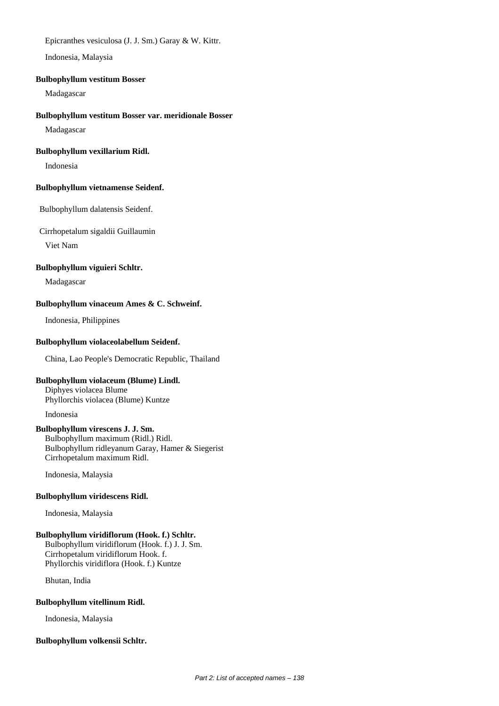Epicranthes vesiculosa (J. J. Sm.) Garay & W. Kittr.

Indonesia, Malaysia

#### **Bulbophyllum vestitum Bosser**

Madagascar

# **Bulbophyllum vestitum Bosser var. meridionale Bosser**

Madagascar

# **Bulbophyllum vexillarium Ridl.**

Indonesia

# **Bulbophyllum vietnamense Seidenf.**

Bulbophyllum dalatensis Seidenf.

Cirrhopetalum sigaldii Guillaumin

Viet Nam

#### **Bulbophyllum viguieri Schltr.**

Madagascar

# **Bulbophyllum vinaceum Ames & C. Schweinf.**

Indonesia, Philippines

# **Bulbophyllum violaceolabellum Seidenf.**

China, Lao People's Democratic Republic, Thailand

# **Bulbophyllum violaceum (Blume) Lindl.**

Diphyes violacea Blume Phyllorchis violacea (Blume) Kuntze

Indonesia

#### **Bulbophyllum virescens J. J. Sm.** Bulbophyllum maximum (Ridl.) Ridl. Bulbophyllum ridleyanum Garay, Hamer & Siegerist Cirrhopetalum maximum Ridl.

Indonesia, Malaysia

# **Bulbophyllum viridescens Ridl.**

Indonesia, Malaysia

# **Bulbophyllum viridiflorum (Hook. f.) Schltr.**

Bulbophyllum viridiflorum (Hook. f.) J. J. Sm. Cirrhopetalum viridiflorum Hook. f. Phyllorchis viridiflora (Hook. f.) Kuntze

Bhutan, India

# **Bulbophyllum vitellinum Ridl.**

Indonesia, Malaysia

# **Bulbophyllum volkensii Schltr.**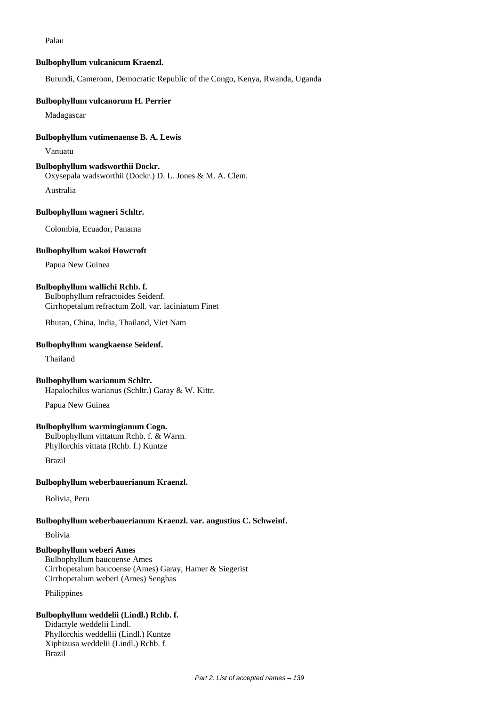Palau

#### **Bulbophyllum vulcanicum Kraenzl.**

Burundi, Cameroon, Democratic Republic of the Congo, Kenya, Rwanda, Uganda

#### **Bulbophyllum vulcanorum H. Perrier**

Madagascar

#### **Bulbophyllum vutimenaense B. A. Lewis**

Vanuatu

#### **Bulbophyllum wadsworthii Dockr.**

Oxysepala wadsworthii (Dockr.) D. L. Jones & M. A. Clem.

Australia

# **Bulbophyllum wagneri Schltr.**

Colombia, Ecuador, Panama

#### **Bulbophyllum wakoi Howcroft**

Papua New Guinea

# **Bulbophyllum wallichi Rchb. f.**

Bulbophyllum refractoides Seidenf. Cirrhopetalum refractum Zoll. var. laciniatum Finet

Bhutan, China, India, Thailand, Viet Nam

#### **Bulbophyllum wangkaense Seidenf.**

Thailand

#### **Bulbophyllum warianum Schltr.**

Hapalochilus warianus (Schltr.) Garay & W. Kittr.

Papua New Guinea

# **Bulbophyllum warmingianum Cogn.**

Bulbophyllum vittatum Rchb. f. & Warm.

Phyllorchis vittata (Rchb. f.) Kuntze

Brazil

# **Bulbophyllum weberbauerianum Kraenzl.**

Bolivia, Peru

# **Bulbophyllum weberbauerianum Kraenzl. var. angustius C. Schweinf.**

Bolivia

# **Bulbophyllum weberi Ames**

Bulbophyllum baucoense Ames Cirrhopetalum baucoense (Ames) Garay, Hamer & Siegerist Cirrhopetalum weberi (Ames) Senghas

Philippines

# **Bulbophyllum weddelii (Lindl.) Rchb. f.**

Didactyle weddelii Lindl. Phyllorchis weddellii (Lindl.) Kuntze Xiphizusa weddelii (Lindl.) Rchb. f. Brazil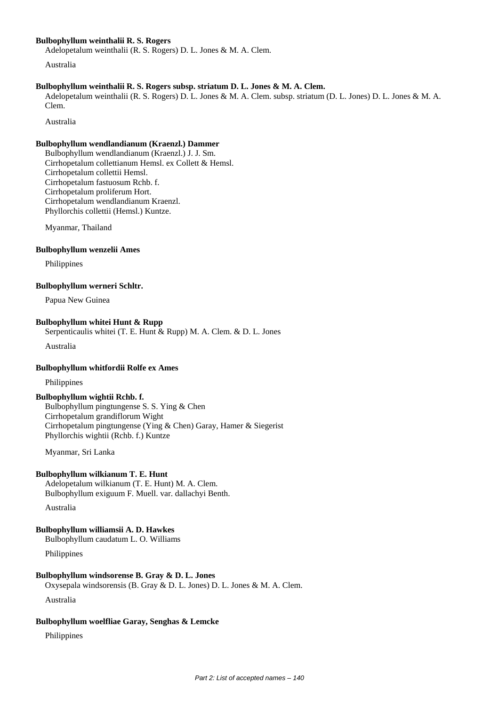# **Bulbophyllum weinthalii R. S. Rogers**

Adelopetalum weinthalii (R. S. Rogers) D. L. Jones & M. A. Clem.

Australia

# **Bulbophyllum weinthalii R. S. Rogers subsp. striatum D. L. Jones & M. A. Clem.**

Adelopetalum weinthalii (R. S. Rogers) D. L. Jones & M. A. Clem. subsp. striatum (D. L. Jones) D. L. Jones & M. A. Clem.

Australia

# **Bulbophyllum wendlandianum (Kraenzl.) Dammer**

Bulbophyllum wendlandianum (Kraenzl.) J. J. Sm. Cirrhopetalum collettianum Hemsl. ex Collett & Hemsl. Cirrhopetalum collettii Hemsl. Cirrhopetalum fastuosum Rchb. f. Cirrhopetalum proliferum Hort. Cirrhopetalum wendlandianum Kraenzl. Phyllorchis collettii (Hemsl.) Kuntze.

Myanmar, Thailand

#### **Bulbophyllum wenzelii Ames**

Philippines

# **Bulbophyllum werneri Schltr.**

Papua New Guinea

# **Bulbophyllum whitei Hunt & Rupp**

Serpenticaulis whitei (T. E. Hunt & Rupp) M. A. Clem. & D. L. Jones

Australia

# **Bulbophyllum whitfordii Rolfe ex Ames**

Philippines

# **Bulbophyllum wightii Rchb. f.**

Bulbophyllum pingtungense S. S. Ying & Chen Cirrhopetalum grandiflorum Wight Cirrhopetalum pingtungense (Ying & Chen) Garay, Hamer & Siegerist Phyllorchis wightii (Rchb. f.) Kuntze

Myanmar, Sri Lanka

# **Bulbophyllum wilkianum T. E. Hunt**

Adelopetalum wilkianum (T. E. Hunt) M. A. Clem. Bulbophyllum exiguum F. Muell. var. dallachyi Benth.

Australia

# **Bulbophyllum williamsii A. D. Hawkes** Bulbophyllum caudatum L. O. Williams

Philippines

# **Bulbophyllum windsorense B. Gray & D. L. Jones**

Oxysepala windsorensis (B. Gray & D. L. Jones) D. L. Jones & M. A. Clem.

Australia

# **Bulbophyllum woelfliae Garay, Senghas & Lemcke**

Philippines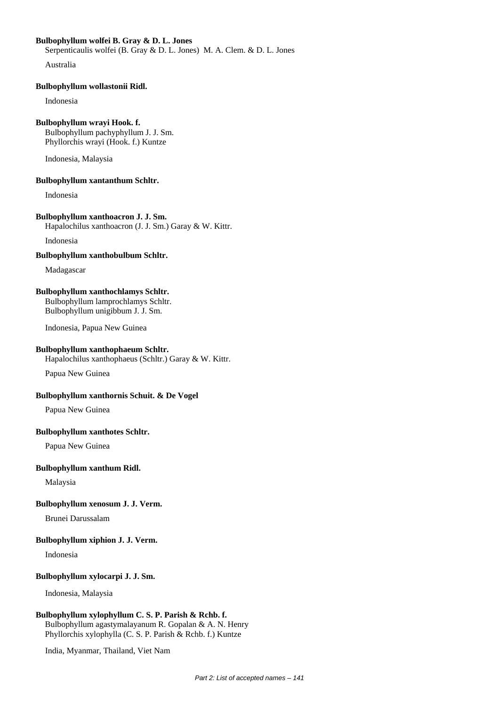# **Bulbophyllum wolfei B. Gray & D. L. Jones**

Serpenticaulis wolfei (B. Gray & D. L. Jones) M. A. Clem. & D. L. Jones

Australia

#### **Bulbophyllum wollastonii Ridl.**

Indonesia

#### **Bulbophyllum wrayi Hook. f.**

Bulbophyllum pachyphyllum J. J. Sm. Phyllorchis wrayi (Hook. f.) Kuntze

Indonesia, Malaysia

#### **Bulbophyllum xantanthum Schltr.**

Indonesia

#### **Bulbophyllum xanthoacron J. J. Sm.** Hapalochilus xanthoacron (J. J. Sm.) Garay & W. Kittr.

Indonesia

#### **Bulbophyllum xanthobulbum Schltr.**

Madagascar

# **Bulbophyllum xanthochlamys Schltr.**

Bulbophyllum lamprochlamys Schltr. Bulbophyllum unigibbum J. J. Sm.

Indonesia, Papua New Guinea

#### **Bulbophyllum xanthophaeum Schltr.**

Hapalochilus xanthophaeus (Schltr.) Garay & W. Kittr.

Papua New Guinea

#### **Bulbophyllum xanthornis Schuit. & De Vogel**

Papua New Guinea

#### **Bulbophyllum xanthotes Schltr.**

Papua New Guinea

#### **Bulbophyllum xanthum Ridl.**

Malaysia

# **Bulbophyllum xenosum J. J. Verm.**

Brunei Darussalam

#### **Bulbophyllum xiphion J. J. Verm.**

Indonesia

# **Bulbophyllum xylocarpi J. J. Sm.**

Indonesia, Malaysia

# **Bulbophyllum xylophyllum C. S. P. Parish & Rchb. f.**

Bulbophyllum agastymalayanum R. Gopalan & A. N. Henry Phyllorchis xylophylla (C. S. P. Parish & Rchb. f.) Kuntze

India, Myanmar, Thailand, Viet Nam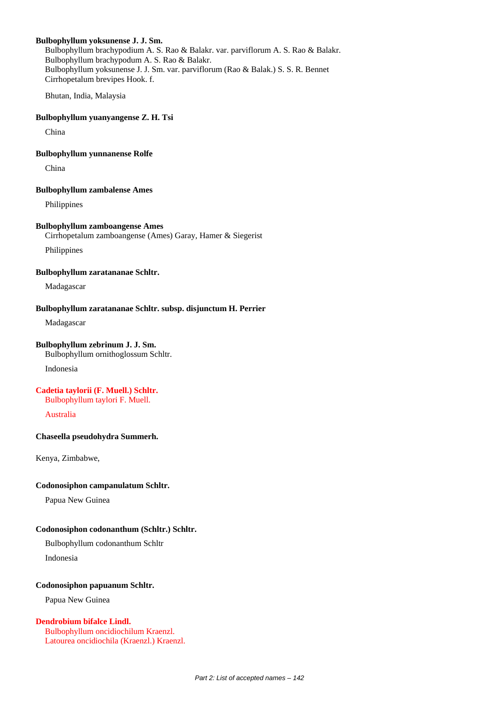#### **Bulbophyllum yoksunense J. J. Sm.**

Bulbophyllum brachypodium A. S. Rao & Balakr. var. parviflorum A. S. Rao & Balakr. Bulbophyllum brachypodum A. S. Rao & Balakr. Bulbophyllum yoksunense J. J. Sm. var. parviflorum (Rao & Balak.) S. S. R. Bennet Cirrhopetalum brevipes Hook. f.

Bhutan, India, Malaysia

# **Bulbophyllum yuanyangense Z. H. Tsi**

China

#### **Bulbophyllum yunnanense Rolfe**

China

#### **Bulbophyllum zambalense Ames**

Philippines

# **Bulbophyllum zamboangense Ames**

Cirrhopetalum zamboangense (Ames) Garay, Hamer & Siegerist

Philippines

#### **Bulbophyllum zaratananae Schltr.**

Madagascar

#### **Bulbophyllum zaratananae Schltr. subsp. disjunctum H. Perrier**

Madagascar

#### **Bulbophyllum zebrinum J. J. Sm.**

Bulbophyllum ornithoglossum Schltr.

Indonesia

#### **Cadetia taylorii (F. Muell.) Schltr.** Bulbophyllum taylori F. Muell.

Australia

#### **Chaseella pseudohydra Summerh.**

Kenya, Zimbabwe,

#### **Codonosiphon campanulatum Schltr.**

Papua New Guinea

#### **Codonosiphon codonanthum (Schltr.) Schltr.**

Bulbophyllum codonanthum Schltr

Indonesia

#### **Codonosiphon papuanum Schltr.**

Papua New Guinea

#### **Dendrobium bifalce Lindl.**

Bulbophyllum oncidiochilum Kraenzl. Latourea oncidiochila (Kraenzl.) Kraenzl.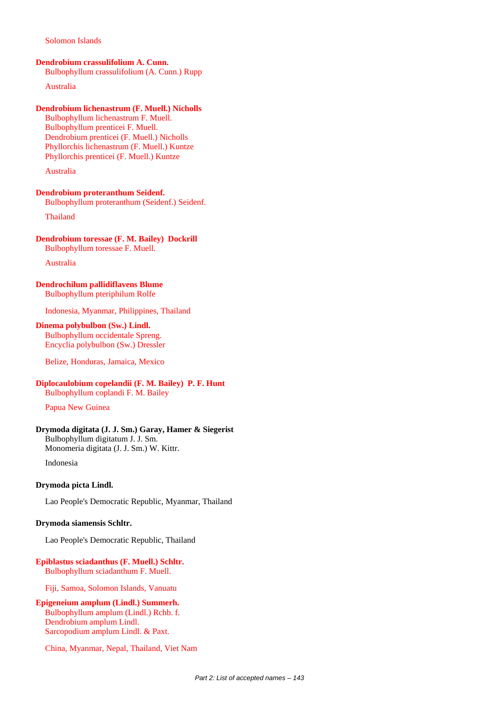#### Solomon Islands

#### **Dendrobium crassulifolium A. Cunn.**

Bulbophyllum crassulifolium (A. Cunn.) Rupp

Australia

# **Dendrobium lichenastrum (F. Muell.) Nicholls**

Bulbophyllum lichenastrum F. Muell. Bulbophyllum prenticei F. Muell. Dendrobium prenticei (F. Muell.) Nicholls Phyllorchis lichenastrum (F. Muell.) Kuntze Phyllorchis prenticei (F. Muell.) Kuntze

Australia

#### **Dendrobium proteranthum Seidenf.** Bulbophyllum proteranthum (Seidenf.) Seidenf.

Thailand

#### **Dendrobium toressae (F. M. Bailey) Dockrill** Bulbophyllum toressae F. Muell.

Australia

#### **Dendrochilum pallidiflavens Blume** Bulbophyllum pteriphilum Rolfe

Indonesia, Myanmar, Philippines, Thailand

# **Dinema polybulbon (Sw.) Lindl.**

Bulbophyllum occidentale Spreng. Encyclia polybulbon (Sw.) Dressler

Belize, Honduras, Jamaica, Mexico

#### **Diplocaulobium copelandii (F. M. Bailey) P. F. Hunt** Bulbophyllum coplandi F. M. Bailey

Papua New Guinea

#### **Drymoda digitata (J. J. Sm.) Garay, Hamer & Siegerist** Bulbophyllum digitatum J. J. Sm. Monomeria digitata (J. J. Sm.) W. Kittr.

Indonesia

#### **Drymoda picta Lindl.**

Lao People's Democratic Republic, Myanmar, Thailand

#### **Drymoda siamensis Schltr.**

Lao People's Democratic Republic, Thailand

#### **Epiblastus sciadanthus (F. Muell.) Schltr.** Bulbophyllum sciadanthum F. Muell.

Fiji, Samoa, Solomon Islands, Vanuatu

**Epigeneium amplum (Lindl.) Summerh.** Bulbophyllum amplum (Lindl.) Rchb. f. Dendrobium amplum Lindl. Sarcopodium amplum Lindl. & Paxt.

China, Myanmar, Nepal, Thailand, Viet Nam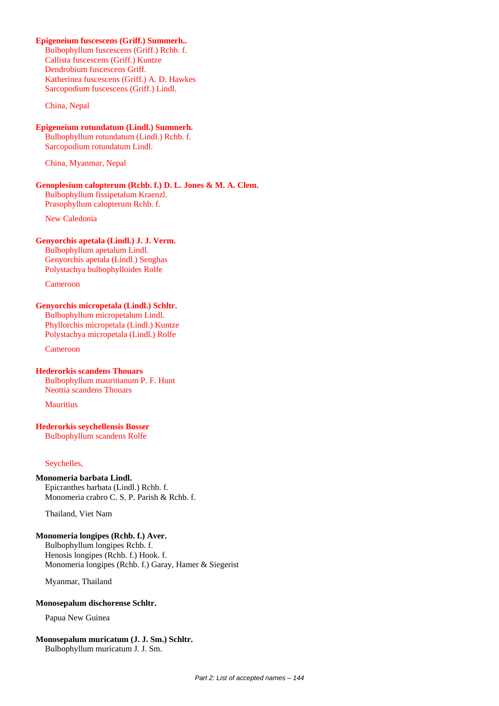# **Epigeneium fuscescens (Griff.) Summerh..**

Bulbophyllum fuscescens (Griff.) Rchb. f. Callista fuscescens (Griff.) Kuntze Dendrobium fuscescens Griff. Katherinea fuscescens (Griff.) A. D. Hawkes Sarcopodium fuscescens (Griff.) Lindl.

China, Nepal

# **Epigeneium rotundatum (Lindl.) Summerh.**

Bulbophyllum rotundatum (Lindl.) Rchb. f. Sarcopodium rotundatum Lindl.

China, Myanmar, Nepal

# **Genoplesium calopterum (Rchb. f.) D. L. Jones & M. A. Clem.**

Bulbophyllum fissipetalum Kraenzl. Prasophyllum calopterum Rchb. f.

New Caledonia

# **Genyorchis apetala (Lindl.) J. J. Verm.**

Bulbophyllum apetalum Lindl. Genyorchis apetala (Lindl.) Senghas Polystachya bulbophylloides Rolfe

Cameroon

# **Genyorchis micropetala (Lindl.) Schltr.**

Bulbophyllum micropetalum Lindl. Phyllorchis micropetala (Lindl.) Kuntze Polystachya micropetala (Lindl.) Rolfe

Cameroon

# **Hederorkis scandens Thouars**

Bulbophyllum mauritianum P. F. Hunt Neottia scandens Thouars

**Mauritius** 

#### **Hederorkis seychellensis Bosser** Bulbophyllum scandens Rolfe

#### Seychelles,

# **Monomeria barbata Lindl.**

Epicranthes barbata (Lindl.) Rchb. f. Monomeria crabro C. S. P. Parish & Rchb. f.

Thailand, Viet Nam

# **Monomeria longipes (Rchb. f.) Aver.**

Bulbophyllum longipes Rchb. f. Henosis longipes (Rchb. f.) Hook. f. Monomeria longipes (Rchb. f.) Garay, Hamer & Siegerist

Myanmar, Thailand

# **Monosepalum dischorense Schltr.**

Papua New Guinea

#### **Monosepalum muricatum (J. J. Sm.) Schltr.** Bulbophyllum muricatum J. J. Sm.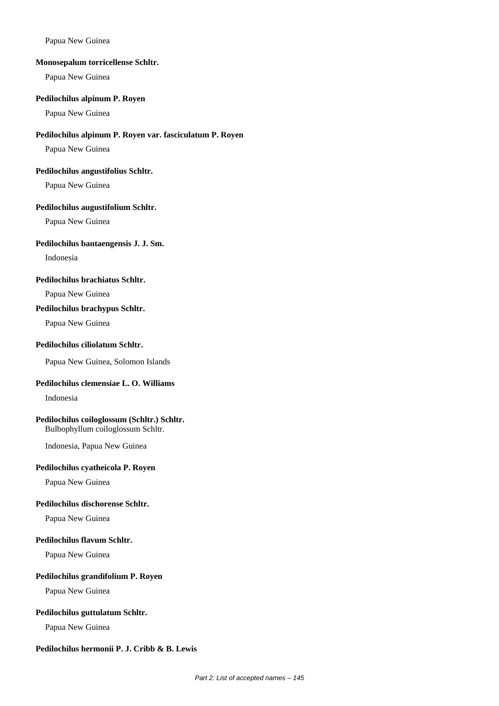## Papua New Guinea

#### **Monosepalum torricellense Schltr.**

Papua New Guinea

#### **Pedilochilus alpinum P. Royen**

Papua New Guinea

# **Pedilochilus alpinum P. Royen var. fasciculatum P. Royen**

Papua New Guinea

#### **Pedilochilus angustifolius Schltr.**

Papua New Guinea

## **Pedilochilus augustifolium Schltr.**

Papua New Guinea

#### **Pedilochilus bantaengensis J. J. Sm.**

Indonesia

## **Pedilochilus brachiatus Schltr.**

Papua New Guinea

## **Pedilochilus brachypus Schltr.**

Papua New Guinea

# **Pedilochilus ciliolatum Schltr.**

Papua New Guinea, Solomon Islands

## **Pedilochilus clemensiae L. O. Williams**

Indonesia

# **Pedilochilus coiloglossum (Schltr.) Schltr.**

Bulbophyllum coiloglossum Schltr.

Indonesia, Papua New Guinea

#### **Pedilochilus cyatheicola P. Royen**

Papua New Guinea

## **Pedilochilus dischorense Schltr.**

Papua New Guinea

#### **Pedilochilus flavum Schltr.**

Papua New Guinea

# **Pedilochilus grandifolium P. Royen**

Papua New Guinea

## **Pedilochilus guttulatum Schltr.**

Papua New Guinea

# **Pedilochilus hermonii P. J. Cribb & B. Lewis**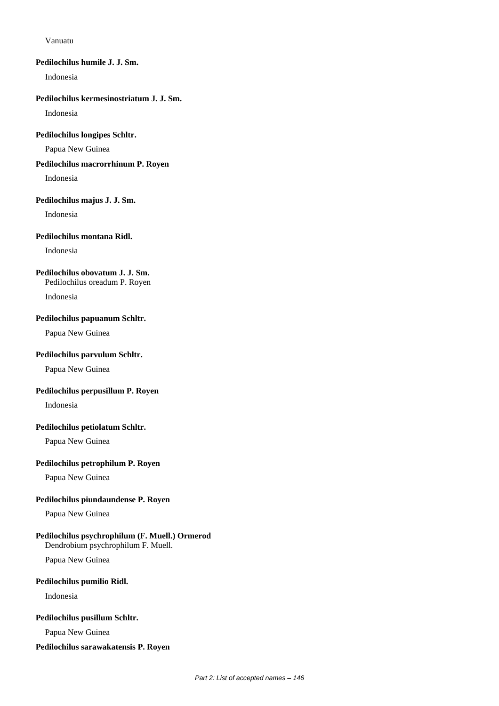#### Vanuatu

## **Pedilochilus humile J. J. Sm.**

Indonesia

## **Pedilochilus kermesinostriatum J. J. Sm.**

Indonesia

## **Pedilochilus longipes Schltr.**

Papua New Guinea

## **Pedilochilus macrorrhinum P. Royen**

Indonesia

## **Pedilochilus majus J. J. Sm.**

Indonesia

# **Pedilochilus montana Ridl.**

Indonesia

# **Pedilochilus obovatum J. J. Sm.**

Pedilochilus oreadum P. Royen

Indonesia

#### **Pedilochilus papuanum Schltr.**

Papua New Guinea

#### **Pedilochilus parvulum Schltr.**

Papua New Guinea

# **Pedilochilus perpusillum P. Royen**

Indonesia

# **Pedilochilus petiolatum Schltr.**

Papua New Guinea

## **Pedilochilus petrophilum P. Royen**

Papua New Guinea

# **Pedilochilus piundaundense P. Royen**

Papua New Guinea

# **Pedilochilus psychrophilum (F. Muell.) Ormerod**

Dendrobium psychrophilum F. Muell.

Papua New Guinea

# **Pedilochilus pumilio Ridl.**

Indonesia

#### **Pedilochilus pusillum Schltr.**

Papua New Guinea

## **Pedilochilus sarawakatensis P. Royen**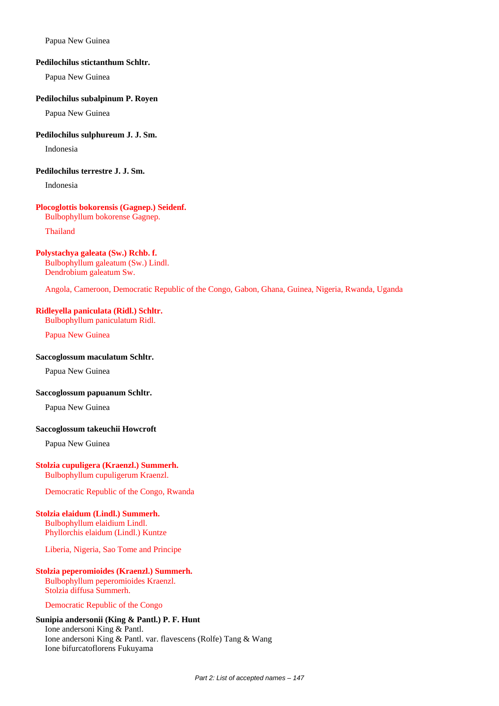Papua New Guinea

#### **Pedilochilus stictanthum Schltr.**

Papua New Guinea

#### **Pedilochilus subalpinum P. Royen**

Papua New Guinea

## **Pedilochilus sulphureum J. J. Sm.**

Indonesia

#### **Pedilochilus terrestre J. J. Sm.**

Indonesia

## **Plocoglottis bokorensis (Gagnep.) Seidenf.**

Bulbophyllum bokorense Gagnep.

#### Thailand

## **Polystachya galeata (Sw.) Rchb. f.**

Bulbophyllum galeatum (Sw.) Lindl. Dendrobium galeatum Sw.

Angola, Cameroon, Democratic Republic of the Congo, Gabon, Ghana, Guinea, Nigeria, Rwanda, Uganda

# **Ridleyella paniculata (Ridl.) Schltr.**

Bulbophyllum paniculatum Ridl.

Papua New Guinea

## **Saccoglossum maculatum Schltr.**

Papua New Guinea

## **Saccoglossum papuanum Schltr.**

Papua New Guinea

## **Saccoglossum takeuchii Howcroft**

Papua New Guinea

## **Stolzia cupuligera (Kraenzl.) Summerh.**

Bulbophyllum cupuligerum Kraenzl.

Democratic Republic of the Congo, Rwanda

## **Stolzia elaidum (Lindl.) Summerh.**

Bulbophyllum elaidium Lindl. Phyllorchis elaidum (Lindl.) Kuntze

Liberia, Nigeria, Sao Tome and Principe

# **Stolzia peperomioides (Kraenzl.) Summerh.**

Bulbophyllum peperomioides Kraenzl. Stolzia diffusa Summerh.

#### Democratic Republic of the Congo

# **Sunipia andersonii (King & Pantl.) P. F. Hunt**

Ione andersoni King & Pantl. Ione andersoni King & Pantl. var. flavescens (Rolfe) Tang & Wang Ione bifurcatoflorens Fukuyama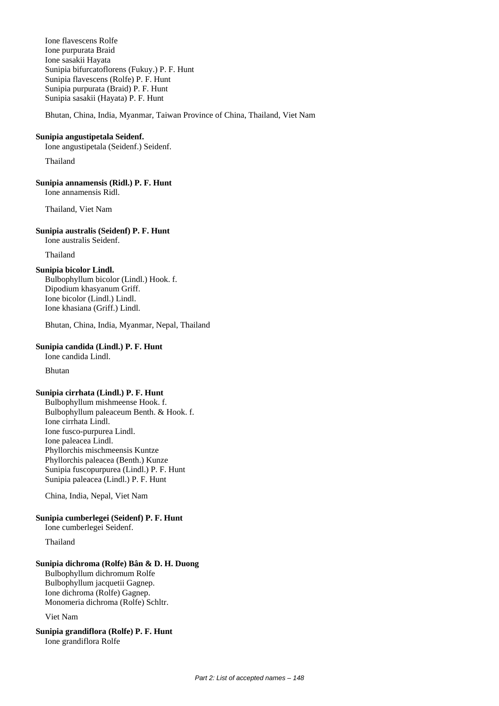Ione flavescens Rolfe Ione purpurata Braid Ione sasakii Hayata Sunipia bifurcatoflorens (Fukuy.) P. F. Hunt Sunipia flavescens (Rolfe) P. F. Hunt Sunipia purpurata (Braid) P. F. Hunt Sunipia sasakii (Hayata) P. F. Hunt

Bhutan, China, India, Myanmar, Taiwan Province of China, Thailand, Viet Nam

#### **Sunipia angustipetala Seidenf.**

Ione angustipetala (Seidenf.) Seidenf.

Thailand

**Sunipia annamensis (Ridl.) P. F. Hunt**

Ione annamensis Ridl.

Thailand, Viet Nam

#### **Sunipia australis (Seidenf) P. F. Hunt**

Ione australis Seidenf.

Thailand

# **Sunipia bicolor Lindl.**

Bulbophyllum bicolor (Lindl.) Hook. f. Dipodium khasyanum Griff. Ione bicolor (Lindl.) Lindl. Ione khasiana (Griff.) Lindl.

Bhutan, China, India, Myanmar, Nepal, Thailand

# **Sunipia candida (Lindl.) P. F. Hunt**

Ione candida Lindl.

Bhutan

## **Sunipia cirrhata (Lindl.) P. F. Hunt**

Bulbophyllum mishmeense Hook. f. Bulbophyllum paleaceum Benth. & Hook. f. Ione cirrhata Lindl. Ione fusco-purpurea Lindl. Ione paleacea Lindl. Phyllorchis mischmeensis Kuntze Phyllorchis paleacea (Benth.) Kunze Sunipia fuscopurpurea (Lindl.) P. F. Hunt Sunipia paleacea (Lindl.) P. F. Hunt

China, India, Nepal, Viet Nam

# **Sunipia cumberlegei (Seidenf) P. F. Hunt**

Ione cumberlegei Seidenf.

## Thailand

## **Sunipia dichroma (Rolfe) Bân & D. H. Duong**

Bulbophyllum dichromum Rolfe Bulbophyllum jacquetii Gagnep. Ione dichroma (Rolfe) Gagnep. Monomeria dichroma (Rolfe) Schltr.

Viet Nam

**Sunipia grandiflora (Rolfe) P. F. Hunt** Ione grandiflora Rolfe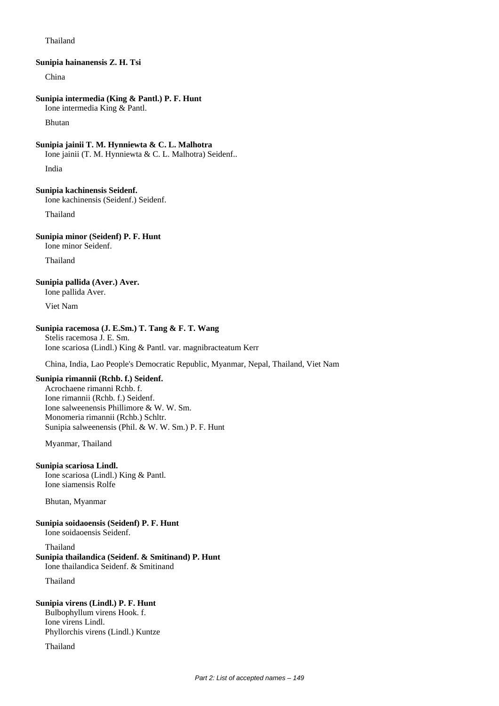#### Thailand

#### **Sunipia hainanensis Z. H. Tsi**

China

## **Sunipia intermedia (King & Pantl.) P. F. Hunt**

Ione intermedia King & Pantl.

Bhutan

#### **Sunipia jainii T. M. Hynniewta & C. L. Malhotra**

Ione jainii (T. M. Hynniewta & C. L. Malhotra) Seidenf..

India

#### **Sunipia kachinensis Seidenf.**

Ione kachinensis (Seidenf.) Seidenf.

Thailand

## **Sunipia minor (Seidenf) P. F. Hunt**

Ione minor Seidenf.

Thailand

# **Sunipia pallida (Aver.) Aver.**

Ione pallida Aver.

Viet Nam

# **Sunipia racemosa (J. E.Sm.) T. Tang & F. T. Wang**

Stelis racemosa J. E. Sm. Ione scariosa (Lindl.) King & Pantl. var. magnibracteatum Kerr

China, India, Lao People's Democratic Republic, Myanmar, Nepal, Thailand, Viet Nam

# **Sunipia rimannii (Rchb. f.) Seidenf.**

Acrochaene rimanni Rchb. f. Ione rimannii (Rchb. f.) Seidenf. Ione salweenensis Phillimore & W. W. Sm. Monomeria rimannii (Rchb.) Schltr. Sunipia salweenensis (Phil. & W. W. Sm.) P. F. Hunt

Myanmar, Thailand

#### **Sunipia scariosa Lindl.**

Ione scariosa (Lindl.) King & Pantl. Ione siamensis Rolfe

Bhutan, Myanmar

## **Sunipia soidaoensis (Seidenf) P. F. Hunt**

Ione soidaoensis Seidenf.

#### Thailand

# **Sunipia thailandica (Seidenf. & Smitinand) P. Hunt**

Ione thailandica Seidenf. & Smitinand

Thailand

# **Sunipia virens (Lindl.) P. F. Hunt**

Bulbophyllum virens Hook. f. Ione virens Lindl. Phyllorchis virens (Lindl.) Kuntze

Thailand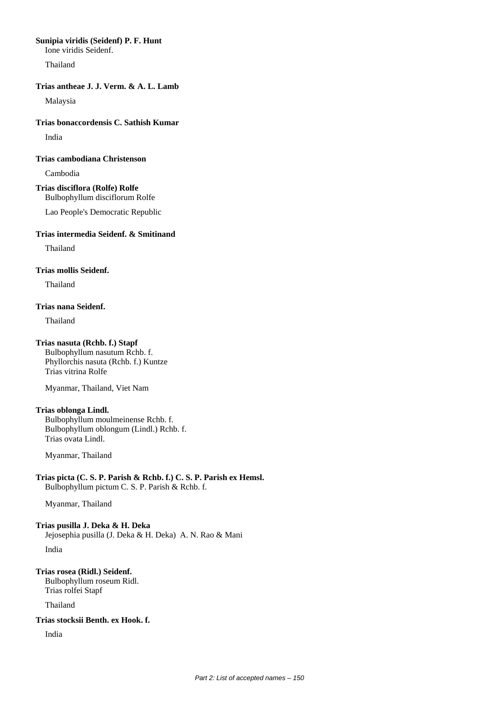## **Sunipia viridis (Seidenf) P. F. Hunt**

Ione viridis Seidenf.

Thailand

# **Trias antheae J. J. Verm. & A. L. Lamb**

Malaysia

# **Trias bonaccordensis C. Sathish Kumar**

India

# **Trias cambodiana Christenson**

Cambodia

**Trias disciflora (Rolfe) Rolfe** Bulbophyllum disciflorum Rolfe

Lao People's Democratic Republic

# **Trias intermedia Seidenf. & Smitinand**

Thailand

# **Trias mollis Seidenf.**

Thailand

# **Trias nana Seidenf.**

Thailand

# **Trias nasuta (Rchb. f.) Stapf**

Bulbophyllum nasutum Rchb. f. Phyllorchis nasuta (Rchb. f.) Kuntze Trias vitrina Rolfe

Myanmar, Thailand, Viet Nam

# **Trias oblonga Lindl.**

Bulbophyllum moulmeinense Rchb. f. Bulbophyllum oblongum (Lindl.) Rchb. f. Trias ovata Lindl.

Myanmar, Thailand

**Trias picta (C. S. P. Parish & Rchb. f.) C. S. P. Parish ex Hemsl.** Bulbophyllum pictum C. S. P. Parish & Rchb. f.

Myanmar, Thailand

**Trias pusilla J. Deka & H. Deka** Jejosephia pusilla (J. Deka & H. Deka) A. N. Rao & Mani India

**Trias rosea (Ridl.) Seidenf.** Bulbophyllum roseum Ridl. Trias rolfei Stapf

Thailand

**Trias stocksii Benth. ex Hook. f.**

India